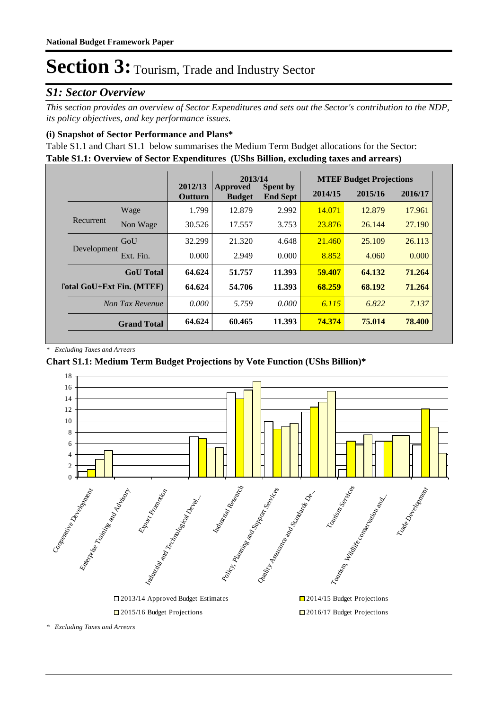### *S1: Sector Overview*

*This section provides an overview of Sector Expenditures and sets out the Sector's contribution to the NDP, its policy objectives, and key performance issues.* 

### **(i) Snapshot of Sector Performance and Plans\***

**Table S1.1: Overview of Sector Expenditures (UShs Billion, excluding taxes and arrears)** Table S1.1 and Chart S1.1 below summarises the Medium Term Budget allocations for the Sector:

|                                  |                    | 2013/14            |                                  |                                    | <b>MTEF Budget Projections</b> |         |         |
|----------------------------------|--------------------|--------------------|----------------------------------|------------------------------------|--------------------------------|---------|---------|
|                                  |                    | 2012/13<br>Outturn | <b>Approved</b><br><b>Budget</b> | <b>Spent by</b><br><b>End Sept</b> | 2014/15                        | 2015/16 | 2016/17 |
|                                  | Wage               | 1.799              | 12.879                           | 2.992                              | 14.071                         | 12.879  | 17.961  |
| Recurrent                        | Non Wage           | 30.526             | 17.557                           | 3.753                              | 23.876                         | 26.144  | 27.190  |
|                                  | GoU                | 32.299             | 21.320                           | 4.648                              | 21.460                         | 25.109  | 26.113  |
| Development                      | Ext. Fin.          | 0.000              | 2.949                            | 0.000                              | 8.852                          | 4.060   | 0.000   |
|                                  | <b>GoU</b> Total   | 64.624             | 51.757                           | 11.393                             | 59.407                         | 64.132  | 71.264  |
| <b>Total GoU+Ext Fin. (MTEF)</b> |                    | 64.624             | 54.706                           | 11.393                             | 68.259                         | 68.192  | 71.264  |
|                                  | Non Tax Revenue    | 0.000              | 5.759                            | 0.000                              | 6.115                          | 6.822   | 7.137   |
|                                  | <b>Grand Total</b> | 64.624             | 60.465                           | 11.393                             | 74.374                         | 75.014  | 78.400  |

*\* Excluding Taxes and Arrears*

### **Chart S1.1: Medium Term Budget Projections by Vote Function (UShs Billion)\***



*\* Excluding Taxes and Arrears*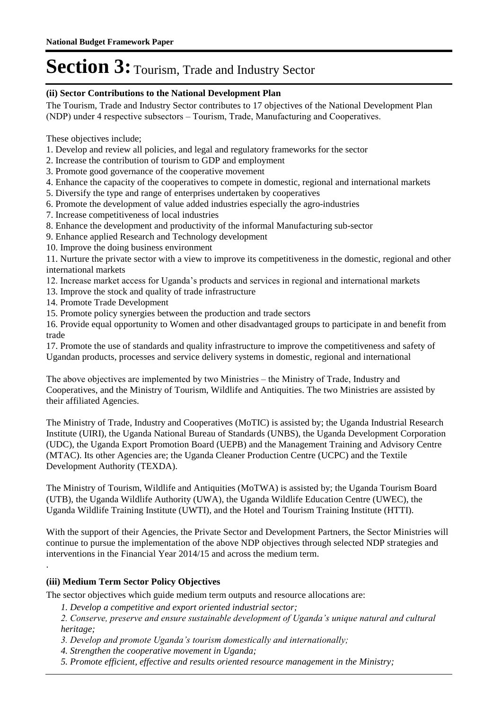#### **(ii) Sector Contributions to the National Development Plan**

The Tourism, Trade and Industry Sector contributes to 17 objectives of the National Development Plan (NDP) under 4 respective subsectors – Tourism, Trade, Manufacturing and Cooperatives.

These objectives include;

- 1. Develop and review all policies, and legal and regulatory frameworks for the sector
- 2. Increase the contribution of tourism to GDP and employment
- 3. Promote good governance of the cooperative movement
- 4. Enhance the capacity of the cooperatives to compete in domestic, regional and international markets
- 5. Diversify the type and range of enterprises undertaken by cooperatives
- 6. Promote the development of value added industries especially the agro-industries
- 7. Increase competitiveness of local industries
- 8. Enhance the development and productivity of the informal Manufacturing sub-sector
- 9. Enhance applied Research and Technology development
- 10. Improve the doing business environment

11. Nurture the private sector with a view to improve its competitiveness in the domestic, regional and other international markets

- 12. Increase market access for Uganda's products and services in regional and international markets
- 13. Improve the stock and quality of trade infrastructure
- 14. Promote Trade Development
- 15. Promote policy synergies between the production and trade sectors

16. Provide equal opportunity to Women and other disadvantaged groups to participate in and benefit from trade

17. Promote the use of standards and quality infrastructure to improve the competitiveness and safety of Ugandan products, processes and service delivery systems in domestic, regional and international

The above objectives are implemented by two Ministries – the Ministry of Trade, Industry and Cooperatives, and the Ministry of Tourism, Wildlife and Antiquities. The two Ministries are assisted by their affiliated Agencies.

The Ministry of Trade, Industry and Cooperatives (MoTIC) is assisted by; the Uganda Industrial Research Institute (UIRI), the Uganda National Bureau of Standards (UNBS), the Uganda Development Corporation (UDC), the Uganda Export Promotion Board (UEPB) and the Management Training and Advisory Centre (MTAC). Its other Agencies are; the Uganda Cleaner Production Centre (UCPC) and the Textile Development Authority (TEXDA).

The Ministry of Tourism, Wildlife and Antiquities (MoTWA) is assisted by; the Uganda Tourism Board (UTB), the Uganda Wildlife Authority (UWA), the Uganda Wildlife Education Centre (UWEC), the Uganda Wildlife Training Institute (UWTI), and the Hotel and Tourism Training Institute (HTTI).

With the support of their Agencies, the Private Sector and Development Partners, the Sector Ministries will continue to pursue the implementation of the above NDP objectives through selected NDP strategies and interventions in the Financial Year 2014/15 and across the medium term.

### **(iii) Medium Term Sector Policy Objectives**

.

The sector objectives which guide medium term outputs and resource allocations are:

*1. Develop a competitive and export oriented industrial sector;* 

*2. Conserve, preserve and ensure sustainable development of Uganda's unique natural and cultural heritage;* 

- *3. Develop and promote Uganda's tourism domestically and internationally;*
- *4. Strengthen the cooperative movement in Uganda;*
- *5. Promote efficient, effective and results oriented resource management in the Ministry;*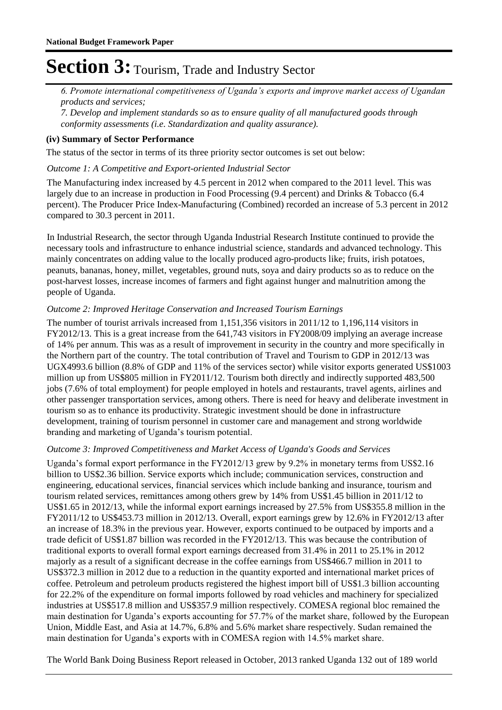*6. Promote international competitiveness of Uganda's exports and improve market access of Ugandan products and services;* 

*7. Develop and implement standards so as to ensure quality of all manufactured goods through conformity assessments (i.e. Standardization and quality assurance).*

### **(iv) Summary of Sector Performance**

The status of the sector in terms of its three priority sector outcomes is set out below:

#### Outcome 1: A Competitive and Export-oriented Industrial Sector

The Manufacturing index increased by 4.5 percent in 2012 when compared to the 2011 level. This was largely due to an increase in production in Food Processing (9.4 percent) and Drinks & Tobacco (6.4 percent). The Producer Price Index-Manufacturing (Combined) recorded an increase of 5.3 percent in 2012 compared to 30.3 percent in 2011.

In Industrial Research, the sector through Uganda Industrial Research Institute continued to provide the necessary tools and infrastructure to enhance industrial science, standards and advanced technology. This mainly concentrates on adding value to the locally produced agro-products like; fruits, irish potatoes, peanuts, bananas, honey, millet, vegetables, ground nuts, soya and dairy products so as to reduce on the post-harvest losses, increase incomes of farmers and fight against hunger and malnutrition among the people of Uganda.

#### **Outcome 2: Improved Heritage Conservation and Increased Tourism Earnings**

The number of tourist arrivals increased from 1,151,356 visitors in  $2011/12$  to 1,196,114 visitors in FY2012/13. This is a great increase from the 641,743 visitors in FY2008/09 implying an average increase of 14% per annum. This was as a result of improvement in security in the country and more specifically in the Northern part of the country. The total contribution of Travel and Tourism to GDP in 2012/13 was UGX4993.6 billion (8.8% of GDP and 11% of the services sector) while visitor exports generated US\$1003 million up from US\$805 million in FY2011/12. Tourism both directly and indirectly supported 483,500 jobs (7.6% of total employment) for people employed in hotels and restaurants, travel agents, airlines and other passenger transportation services, among others. There is need for heavy and deliberate investment in tourism so as to enhance its productivity. Strategic investment should be done in infrastructure development, training of tourism personnel in customer care and management and strong worldwide branding and marketing of Uganda's tourism potential.

#### Outcome 3: Improved Competitiveness and Market Access of Uganda's Goods and Services

Uganda's formal export performance in the  $FY2012/13$  grew by 9.2% in monetary terms from US\$2.16 billion to US\$2.36 billion. Service exports which include; communication services, construction and engineering, educational services, financial services which include banking and insurance, tourism and tourism related services, remittances among others grew by 14% from US\$1.45 billion in 2011/12 to US\$1.65 in 2012/13, while the informal export earnings increased by 27.5% from US\$355.8 million in the FY2011/12 to US\$453.73 million in 2012/13. Overall, export earnings grew by 12.6% in FY2012/13 after an increase of 18.3% in the previous year. However, exports continued to be outpaced by imports and a trade deficit of US\$1.87 billion was recorded in the FY2012/13. This was because the contribution of traditional exports to overall formal export earnings decreased from 31.4% in 2011 to 25.1% in 2012 majorly as a result of a significant decrease in the coffee earnings from US\$466.7 million in 2011 to US\$372.3 million in 2012 due to a reduction in the quantity exported and international market prices of coffee. Petroleum and petroleum products registered the highest import bill of US\$1.3 billion accounting for 22.2% of the expenditure on formal imports followed by road vehicles and machinery for specialized industries at US\$517.8 million and US\$357.9 million respectively. COMESA regional bloc remained the main destination for Uganda's exports accounting for 57.7% of the market share, followed by the European Union, Middle East, and Asia at 14.7%, 6.8% and 5.6% market share respectively. Sudan remained the main destination for Uganda's exports with in COMESA region with 14.5% market share.

The World Bank Doing Business Report released in October, 2013 ranked Uganda 132 out of 189 world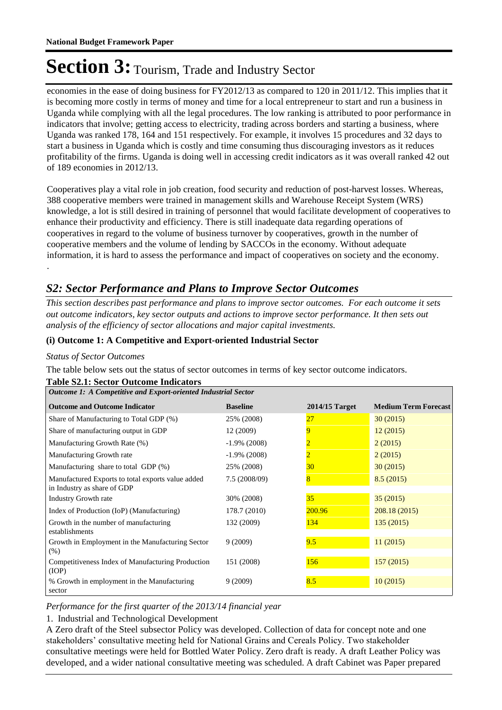economies in the ease of doing business for FY2012/13 as compared to 120 in 2011/12. This implies that it is becoming more costly in terms of money and time for a local entrepreneur to start and run a business in Uganda while complying with all the legal procedures. The low ranking is attributed to poor performance in indicators that involve; getting access to electricity, trading across borders and starting a business, where Uganda was ranked 178, 164 and 151 respectively. For example, it involves 15 procedures and 32 days to start a business in Uganda which is costly and time consuming thus discouraging investors as it reduces profitability of the firms. Uganda is doing well in accessing credit indicators as it was overall ranked 42 out of 189 economies in 2012/13.

Cooperatives play a vital role in job creation, food security and reduction of post-harvest losses. Whereas, 388 cooperative members were trained in management skills and Warehouse Receipt System (WRS) knowledge, a lot is still desired in training of personnel that would facilitate development of cooperatives to enhance their productivity and efficiency. There is still inadequate data regarding operations of cooperatives in regard to the volume of business turnover by cooperatives, growth in the number of cooperative members and the volume of lending by SACCOs in the economy. Without adequate information, it is hard to assess the performance and impact of cooperatives on society and the economy.

### *S2: Sector Performance and Plans to Improve Sector Outcomes*

*This section describes past performance and plans to improve sector outcomes. For each outcome it sets out outcome indicators, key sector outputs and actions to improve sector performance. It then sets out analysis of the efficiency of sector allocations and major capital investments.*

### **(i) Outcome 1: A Competitive and Export-oriented Industrial Sector**

#### *Status of Sector Outcomes*

.

The table below sets out the status of sector outcomes in terms of key sector outcome indicators.

| <b>Table S2.1: Sector Outcome Indicators</b>                                     |                 |                  |                             |  |  |  |  |
|----------------------------------------------------------------------------------|-----------------|------------------|-----------------------------|--|--|--|--|
| Outcome 1: A Competitive and Export-oriented Industrial Sector                   |                 |                  |                             |  |  |  |  |
| <b>Outcome and Outcome Indicator</b>                                             | <b>Baseline</b> | $2014/15$ Target | <b>Medium Term Forecast</b> |  |  |  |  |
| Share of Manufacturing to Total GDP (%)                                          | 25% (2008)      | 27               | 30(2015)                    |  |  |  |  |
| Share of manufacturing output in GDP                                             | 12 (2009)       | 9                | 12(2015)                    |  |  |  |  |
| Manufacturing Growth Rate (%)                                                    | $-1.9\%$ (2008) |                  | 2(2015)                     |  |  |  |  |
| Manufacturing Growth rate                                                        | $-1.9\%$ (2008) | $\overline{2}$   | 2(2015)                     |  |  |  |  |
| Manufacturing share to total GDP (%)                                             | 25% (2008)      | 30               | 30(2015)                    |  |  |  |  |
| Manufactured Exports to total exports value added<br>in Industry as share of GDP | 7.5(2008/09)    | 8                | 8.5(2015)                   |  |  |  |  |
| <b>Industry Growth rate</b>                                                      | 30% (2008)      | 35               | 35(2015)                    |  |  |  |  |
| Index of Production (IoP) (Manufacturing)                                        | 178.7 (2010)    | 200.96           | 208.18(2015)                |  |  |  |  |
| Growth in the number of manufacturing<br>establishments                          | 132 (2009)      | 134              | 135(2015)                   |  |  |  |  |
| Growth in Employment in the Manufacturing Sector<br>(% )                         | 9(2009)         | 9.5              | 11(2015)                    |  |  |  |  |
| Competitiveness Index of Manufacturing Production<br>(IOP)                       | 151 (2008)      | 156              | 157(2015)                   |  |  |  |  |
| % Growth in employment in the Manufacturing<br>sector                            | 9(2009)         | 8.5              | 10(2015)                    |  |  |  |  |

### *Performance for the first quarter of the 2013/14 financial year*

1. Industrial and Technological Development

A Zero draft of the Steel subsector Policy was developed. Collection of data for concept note and one stakeholders' consultative meeting held for National Grains and Cereals Policy. Two stakeholder consultative meetings were held for Bottled Water Policy. Zero draft is ready. A draft Leather Policy was developed, and a wider national consultative meeting was scheduled. A draft Cabinet was Paper prepared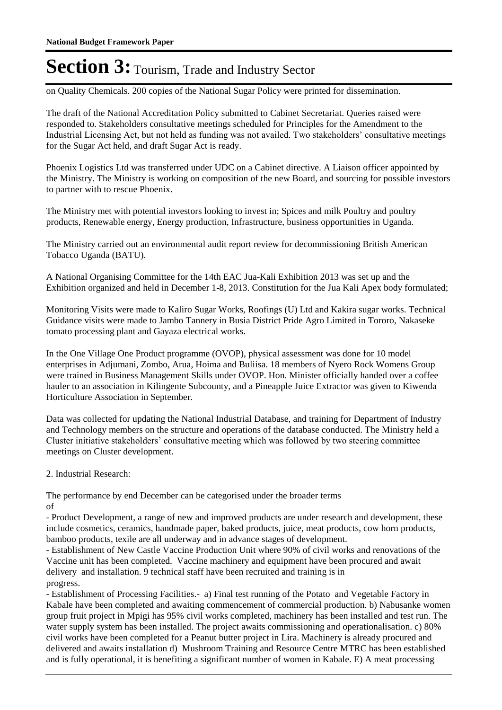on Quality Chemicals. 200 copies of the National Sugar Policy were printed for dissemination.

The draft of the National Accreditation Policy submitted to Cabinet Secretariat. Queries raised were responded to. Stakeholders consultative meetings scheduled for Principles for the Amendment to the Industrial Licensing Act, but not held as funding was not availed. Two stakeholders' consultative meetings for the Sugar Act held, and draft Sugar Act is ready.

Phoenix Logistics Ltd was transferred under UDC on a Cabinet directive. A Liaison officer appointed by the Ministry. The Ministry is working on composition of the new Board, and sourcing for possible investors to partner with to rescue Phoenix.

The Ministry met with potential investors looking to invest in; Spices and milk Poultry and poultry products, Renewable energy, Energy production, Infrastructure, business opportunities in Uganda.

The Ministry carried out an environmental audit report review for decommissioning British American Tobacco Uganda (BATU).

A National Organising Committee for the 14th EAC Jua-Kali Exhibition 2013 was set up and the Exhibition organized and held in December 1-8, 2013. Constitution for the Jua Kali Apex body formulated;

Monitoring Visits were made to Kaliro Sugar Works, Roofings (U) Ltd and Kakira sugar works. Technical Guidance visits were made to Jambo Tannery in Busia District Pride Agro Limited in Tororo, Nakaseke tomato processing plant and Gayaza electrical works.

In the One Village One Product programme (OVOP), physical assessment was done for 10 model enterprises in Adjumani, Zombo, Arua, Hoima and Buliisa. 18 members of Nyero Rock Womens Group were trained in Business Management Skills under OVOP. Hon. Minister officially handed over a coffee hauler to an association in Kilingente Subcounty, and a Pineapple Juice Extractor was given to Kiwenda Horticulture Association in September.

Data was collected for updating the National Industrial Database, and training for Department of Industry and Technology members on the structure and operations of the database conducted. The Ministry held a Cluster initiative stakeholders' consultative meeting which was followed by two steering committee meetings on Cluster development.

2. Industrial Research:

The performance by end December can be categorised under the broader terms of

- Product Development, a range of new and improved products are under research and development, these include cosmetics, ceramics, handmade paper, baked products, juice, meat products, cow horn products, bamboo products, texile are all underway and in advance stages of development.

- Establishment of New Castle Vaccine Production Unit where 90% of civil works and renovations of the Vaccine unit has been completed. Vaccine machinery and equipment have been procured and await delivery and installation. 9 technical staff have been recruited and training is in progress.

- Establishment of Processing Facilities.- a) Final test running of the Potato and Vegetable Factory in Kabale have been completed and awaiting commencement of commercial production. b) Nabusanke women group fruit project in Mpigi has 95% civil works completed, machinery has been installed and test run. The water supply system has been installed. The project awaits commissioning and operationalisation. c) 80% civil works have been completed for a Peanut butter project in Lira. Machinery is already procured and delivered and awaits installation d) Mushroom Training and Resource Centre MTRC has been established and is fully operational, it is benefiting a significant number of women in Kabale. E) A meat processing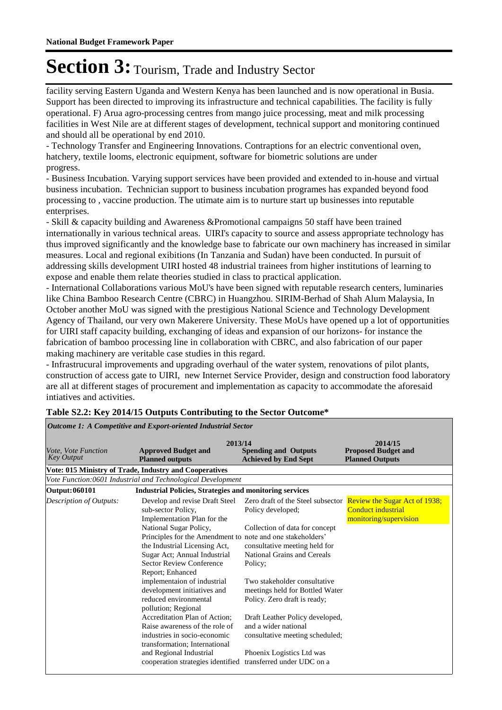facility serving Eastern Uganda and Western Kenya has been launched and is now operational in Busia. Support has been directed to improving its infrastructure and technical capabilities. The facility is fully operational. F) Arua agro-processing centres from mango juice processing, meat and milk processing facilities in West Nile are at different stages of development, technical support and monitoring continued and should all be operational by end 2010.

- Technology Transfer and Engineering Innovations. Contraptions for an electric conventional oven, hatchery, textile looms, electronic equipment, software for biometric solutions are under progress.

- Business Incubation. Varying support services have been provided and extended to in-house and virtual business incubation. Technician support to business incubation programes has expanded beyond food processing to , vaccine production. The utimate aim is to nurture start up businesses into reputable enterprises.

- Skill & capacity building and Awareness &Promotional campaigns 50 staff have been trained internationally in various technical areas. UIRI's capacity to source and assess appropriate technology has thus improved significantly and the knowledge base to fabricate our own machinery has increased in similar measures. Local and regional exibitions (In Tanzania and Sudan) have been conducted. In pursuit of addressing skills development UIRI hosted 48 industrial trainees from higher institutions of learning to expose and enable them relate theories studied in class to practical application.

- International Collaborations various MoU's have been signed with reputable research centers, luminaries like China Bamboo Research Centre (CBRC) in Huangzhou. SIRIM-Berhad of Shah Alum Malaysia, In October another MoU was signed with the prestigious National Science and Technology Development Agency of Thailand, our very own Makerere University. These MoUs have opened up a lot of opportunities for UIRI staff capacity building, exchanging of ideas and expansion of our horizons- for instance the fabrication of bamboo processing line in collaboration with CBRC, and also fabrication of our paper making machinery are veritable case studies in this regard.

- Infrastrucural improvements and upgrading overhaul of the water system, renovations of pilot plants, construction of access gate to UIRI, new Internet Service Provider, design and construction food laboratory are all at different stages of procurement and implementation as capacity to accommodate the aforesaid intiatives and activities.

| <i>Vote, Vote Function</i><br><b>Key Output</b>        | 2013/14<br><b>Approved Budget and</b><br><b>Planned outputs</b>                                                                                                                                                                                                                                                | <b>Spending and Outputs</b><br><b>Achieved by End Sept</b>                                                                                                                                                                                               | 2014/15<br><b>Proposed Budget and</b><br><b>Planned Outputs</b>                                                 |  |  |  |  |
|--------------------------------------------------------|----------------------------------------------------------------------------------------------------------------------------------------------------------------------------------------------------------------------------------------------------------------------------------------------------------------|----------------------------------------------------------------------------------------------------------------------------------------------------------------------------------------------------------------------------------------------------------|-----------------------------------------------------------------------------------------------------------------|--|--|--|--|
| Vote: 015 Ministry of Trade, Industry and Cooperatives |                                                                                                                                                                                                                                                                                                                |                                                                                                                                                                                                                                                          |                                                                                                                 |  |  |  |  |
|                                                        | Vote Function:0601 Industrial and Technological Development                                                                                                                                                                                                                                                    |                                                                                                                                                                                                                                                          |                                                                                                                 |  |  |  |  |
| Output: 060101                                         | <b>Industrial Policies, Strategies and monitoring services</b>                                                                                                                                                                                                                                                 |                                                                                                                                                                                                                                                          |                                                                                                                 |  |  |  |  |
| Description of Outputs:                                | Develop and revise Draft Steel<br>sub-sector Policy,<br>Implementation Plan for the<br>National Sugar Policy,<br>Principles for the Amendment to note and one stakeholders'<br>the Industrial Licensing Act,<br>Sugar Act; Annual Industrial<br><b>Sector Review Conference</b><br>Report; Enhanced            | Policy developed;<br>Collection of data for concept<br>consultative meeting held for<br><b>National Grains and Cereals</b><br>Policy:                                                                                                                    | Zero draft of the Steel subsector Review the Sugar Act of 1938;<br>Conduct industrial<br>monitoring/supervision |  |  |  |  |
|                                                        | implementaion of industrial<br>development initiatives and<br>reduced environmental<br>pollution; Regional<br>Accreditation Plan of Action;<br>Raise awareness of the role of<br>industries in socio-economic<br>transformation; International<br>and Regional Industrial<br>cooperation strategies identified | Two stakeholder consultative<br>meetings held for Bottled Water<br>Policy. Zero draft is ready;<br>Draft Leather Policy developed,<br>and a wider national<br>consultative meeting scheduled;<br>Phoenix Logistics Ltd was<br>transferred under UDC on a |                                                                                                                 |  |  |  |  |

#### **Table S2.2: Key 2014/15 Outputs Contributing to the Sector Outcome\***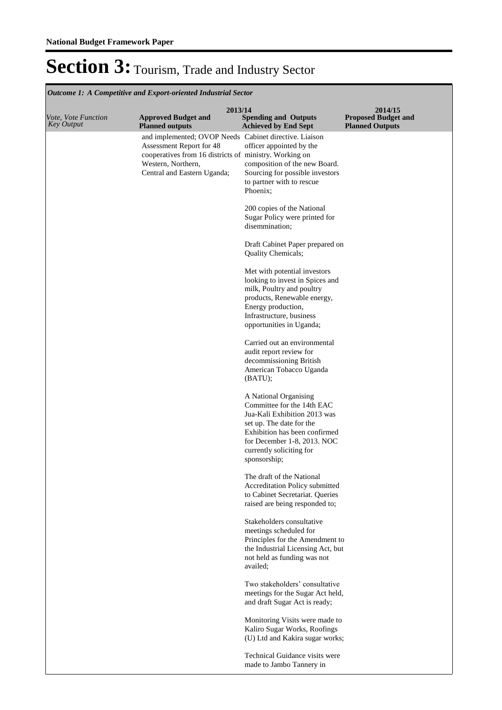| <b>Outcome 1: A Competitive and Export-oriented Industrial Sector</b> |                                                                                                                                                                                                   |                                                                                                                                                                                                                             |                                                                 |  |  |
|-----------------------------------------------------------------------|---------------------------------------------------------------------------------------------------------------------------------------------------------------------------------------------------|-----------------------------------------------------------------------------------------------------------------------------------------------------------------------------------------------------------------------------|-----------------------------------------------------------------|--|--|
| Vote, Vote Function<br><b>Key Output</b>                              | 2013/14<br><b>Approved Budget and</b><br><b>Planned outputs</b>                                                                                                                                   | <b>Spending and Outputs</b><br><b>Achieved by End Sept</b>                                                                                                                                                                  | 2014/15<br><b>Proposed Budget and</b><br><b>Planned Outputs</b> |  |  |
|                                                                       | and implemented; OVOP Needs Cabinet directive. Liaison<br>Assessment Report for 48<br>cooperatives from 16 districts of ministry. Working on<br>Western, Northern,<br>Central and Eastern Uganda; | officer appointed by the<br>composition of the new Board.<br>Sourcing for possible investors<br>to partner with to rescue<br>Phoenix;                                                                                       |                                                                 |  |  |
|                                                                       |                                                                                                                                                                                                   | 200 copies of the National<br>Sugar Policy were printed for<br>disemmination;                                                                                                                                               |                                                                 |  |  |
|                                                                       |                                                                                                                                                                                                   | Draft Cabinet Paper prepared on<br>Quality Chemicals;                                                                                                                                                                       |                                                                 |  |  |
|                                                                       |                                                                                                                                                                                                   | Met with potential investors<br>looking to invest in Spices and<br>milk, Poultry and poultry<br>products, Renewable energy,<br>Energy production,<br>Infrastructure, business<br>opportunities in Uganda;                   |                                                                 |  |  |
|                                                                       |                                                                                                                                                                                                   | Carried out an environmental<br>audit report review for<br>decommissioning British<br>American Tobacco Uganda<br>(BATU);                                                                                                    |                                                                 |  |  |
|                                                                       |                                                                                                                                                                                                   | A National Organising<br>Committee for the 14th EAC<br>Jua-Kali Exhibition 2013 was<br>set up. The date for the<br>Exhibition has been confirmed<br>for December 1-8, 2013. NOC<br>currently soliciting for<br>sponsorship; |                                                                 |  |  |
|                                                                       |                                                                                                                                                                                                   | The draft of the National<br>Accreditation Policy submitted<br>to Cabinet Secretariat. Queries<br>raised are being responded to;                                                                                            |                                                                 |  |  |
|                                                                       |                                                                                                                                                                                                   | Stakeholders consultative<br>meetings scheduled for<br>Principles for the Amendment to<br>the Industrial Licensing Act, but<br>not held as funding was not<br>availed:                                                      |                                                                 |  |  |
|                                                                       |                                                                                                                                                                                                   | Two stakeholders' consultative<br>meetings for the Sugar Act held,<br>and draft Sugar Act is ready;                                                                                                                         |                                                                 |  |  |
|                                                                       |                                                                                                                                                                                                   | Monitoring Visits were made to<br>Kaliro Sugar Works, Roofings<br>(U) Ltd and Kakira sugar works;                                                                                                                           |                                                                 |  |  |
|                                                                       |                                                                                                                                                                                                   | Technical Guidance visits were<br>made to Jambo Tannery in                                                                                                                                                                  |                                                                 |  |  |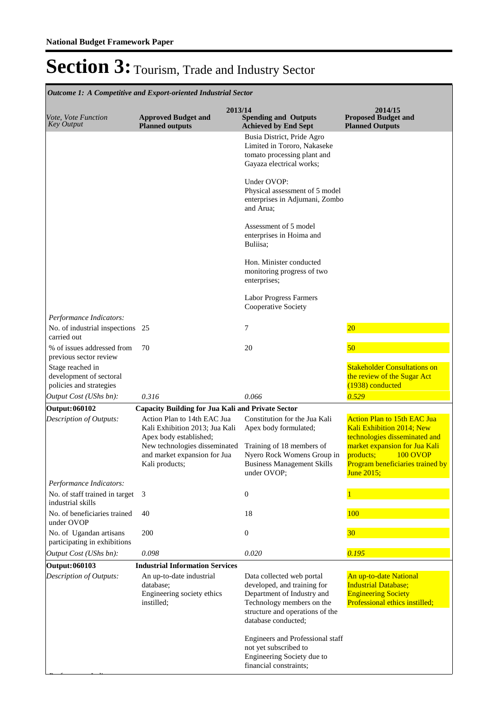*Performance Indicators:*

### Section 3: Tourism, Trade and Industry Sector

**Spending and Outputs Achieved by End Sept Approved Budget and Planned outputs Proposed Budget and Planned Outputs 2013/14** *Vote, Vote Function Key Output* **2014/15** *Outcome 1: A Competitive and Export-oriented Industrial Sector* Busia District, Pride Agro Limited in Tororo, Nakaseke tomato processing plant and Gayaza electrical works; Under OVOP: Physical assessment of 5 model enterprises in Adjumani, Zombo and Arua; Assessment of 5 model enterprises in Hoima and Buliisa; Hon. Minister conducted monitoring progress of two enterprises; Labor Progress Farmers Cooperative Society *Output Cost (UShs bn): 0.316 0.066 0.529 Performance Indicators:* No. of industrial inspections 25 carried out 25 25 20 % of issues addressed from previous sector review 70 20 20 50 Stage reached in development of sectoral policies and strategies Stakeholder Consultations on the review of the Sugar Act (1938) conducted **Output: 060102 Capacity Building for Jua Kali and Private Sector** Action Plan to 14th EAC Jua Kali Exhibition 2013; Jua Kali Apex body established; New technologies disseminated and market expansion for Jua Kali products; Constitution for the Jua Kali Apex body formulated; Training of 18 members of Nyero Rock Womens Group in Business Management Skills under OVOP; Action Plan to 15th EAC Jua Kali Exhibition 2014; New technologies disseminated and market expansion for Jua Kali<br>products; 100 OVOP 100 OVOP Program beneficiaries trained by June 2015; *Output Cost (UShs bn): 0.098 0.020 0.195 Description of Outputs: Performance Indicators:* No. of staff trained in target industrial skills 3 0 1 No. of beneficiaries trained under OVOP 40 18 18 100 No. of Ugandan artisans participating in exhibitions 200 0 30 **Output: 060103 Industrial Information Services** An up-to-date industrial database; Engineering society ethics instilled; Data collected web portal developed, and training for Department of Industry and Technology members on the structure and operations of the database conducted; Engineers and Professional staff not yet subscribed to Engineering Society due to financial constraints; An up-to-date National **Industrial Database; Engineering Society** Professional ethics instilled; *Description of Outputs:*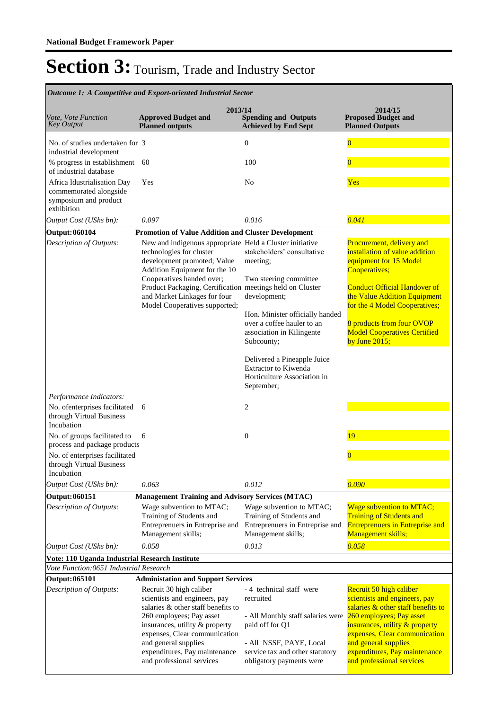| Outcome 1: A Competitive and Export-oriented Industrial Sector                               |                                                                                                                                                                                                                                                                                                     |                                                                                                                                                             |                                                                                                                                                                                                                                                        |  |  |
|----------------------------------------------------------------------------------------------|-----------------------------------------------------------------------------------------------------------------------------------------------------------------------------------------------------------------------------------------------------------------------------------------------------|-------------------------------------------------------------------------------------------------------------------------------------------------------------|--------------------------------------------------------------------------------------------------------------------------------------------------------------------------------------------------------------------------------------------------------|--|--|
| Vote, Vote Function<br><b>Key Output</b>                                                     | 2013/14<br><b>Approved Budget and</b><br><b>Planned outputs</b>                                                                                                                                                                                                                                     | <b>Spending and Outputs</b><br><b>Achieved by End Sept</b>                                                                                                  | 2014/15<br><b>Proposed Budget and</b><br><b>Planned Outputs</b>                                                                                                                                                                                        |  |  |
| No. of studies undertaken for 3<br>industrial development                                    |                                                                                                                                                                                                                                                                                                     | $\boldsymbol{0}$                                                                                                                                            | $\overline{0}$                                                                                                                                                                                                                                         |  |  |
| % progress in establishment 60<br>of industrial database                                     |                                                                                                                                                                                                                                                                                                     | 100                                                                                                                                                         | $\overline{0}$                                                                                                                                                                                                                                         |  |  |
| Africa Idustrialisation Day<br>commemorated alongside<br>symposium and product<br>exhibition | Yes                                                                                                                                                                                                                                                                                                 | No                                                                                                                                                          | Yes                                                                                                                                                                                                                                                    |  |  |
| Output Cost (UShs bn):                                                                       | 0.097                                                                                                                                                                                                                                                                                               | 0.016                                                                                                                                                       | 0.041                                                                                                                                                                                                                                                  |  |  |
| Output: 060104                                                                               | Promotion of Value Addition and Cluster Development                                                                                                                                                                                                                                                 |                                                                                                                                                             |                                                                                                                                                                                                                                                        |  |  |
| Description of Outputs:                                                                      | New and indigenous appropriate Held a Cluster initiative<br>technologies for cluster<br>development promoted; Value<br>Addition Equipment for the 10<br>Cooperatives handed over;                                                                                                                   | stakeholders' consultative<br>meeting;<br>Two steering committee                                                                                            | Procurement, delivery and<br>installation of value addition<br>equipment for 15 Model<br>Cooperatives;                                                                                                                                                 |  |  |
|                                                                                              | Product Packaging, Certification meetings held on Cluster<br>and Market Linkages for four<br>Model Cooperatives supported;                                                                                                                                                                          | development;                                                                                                                                                | <b>Conduct Official Handover of</b><br>the Value Addition Equipment<br>for the 4 Model Cooperatives;                                                                                                                                                   |  |  |
|                                                                                              |                                                                                                                                                                                                                                                                                                     | Hon. Minister officially handed<br>over a coffee hauler to an<br>association in Kilingente<br>Subcounty;                                                    | 8 products from four OVOP<br><b>Model Cooperatives Certified</b><br>by June $2015$ ;                                                                                                                                                                   |  |  |
|                                                                                              |                                                                                                                                                                                                                                                                                                     | Delivered a Pineapple Juice<br><b>Extractor to Kiwenda</b><br>Horticulture Association in<br>September;                                                     |                                                                                                                                                                                                                                                        |  |  |
| Performance Indicators:                                                                      |                                                                                                                                                                                                                                                                                                     |                                                                                                                                                             |                                                                                                                                                                                                                                                        |  |  |
| No. ofenterprises facilitated<br>through Virtual Business<br>Incubation                      | 6                                                                                                                                                                                                                                                                                                   | 2                                                                                                                                                           |                                                                                                                                                                                                                                                        |  |  |
| No. of groups facilitated to<br>process and package products                                 | 6                                                                                                                                                                                                                                                                                                   | $\mathbf{0}$                                                                                                                                                | 19                                                                                                                                                                                                                                                     |  |  |
| No. of enterprises facilitated<br>through Virtual Business<br>Incubation                     |                                                                                                                                                                                                                                                                                                     |                                                                                                                                                             | $\bf{0}$                                                                                                                                                                                                                                               |  |  |
| Output Cost (UShs bn):                                                                       | 0.063                                                                                                                                                                                                                                                                                               | 0.012                                                                                                                                                       | 0.090                                                                                                                                                                                                                                                  |  |  |
| Output: 060151                                                                               | <b>Management Training and Advisory Services (MTAC)</b>                                                                                                                                                                                                                                             |                                                                                                                                                             |                                                                                                                                                                                                                                                        |  |  |
| Description of Outputs:                                                                      | Wage subvention to MTAC;<br>Training of Students and<br>Entreprenuers in Entreprise and<br>Management skills;                                                                                                                                                                                       | Wage subvention to MTAC;<br>Training of Students and<br>Entreprenuers in Entreprise and<br>Management skills;                                               | <b>Wage subvention to MTAC;</b><br><b>Training of Students and</b><br><b>Entreprenuers in Entreprise and</b><br>Management skills;                                                                                                                     |  |  |
| Output Cost (UShs bn):                                                                       | 0.058                                                                                                                                                                                                                                                                                               | 0.013                                                                                                                                                       | 0.058                                                                                                                                                                                                                                                  |  |  |
| Vote: 110 Uganda Industrial Research Institute                                               |                                                                                                                                                                                                                                                                                                     |                                                                                                                                                             |                                                                                                                                                                                                                                                        |  |  |
| Vote Function:0651 Industrial Research                                                       |                                                                                                                                                                                                                                                                                                     |                                                                                                                                                             |                                                                                                                                                                                                                                                        |  |  |
| Output: 065101<br>Description of Outputs:                                                    | <b>Administation and Support Services</b><br>Recruit 30 high caliber<br>scientists and engineers, pay<br>salaries & other staff benefits to<br>260 employees; Pay asset<br>insurances, utility & property<br>expenses, Clear communication<br>and general supplies<br>expenditures, Pay maintenance | - 4 technical staff were<br>recruited<br>- All Monthly staff salaries were<br>paid off for Q1<br>- All NSSF, PAYE, Local<br>service tax and other statutory | Recruit 50 high caliber<br>scientists and engineers, pay<br>salaries & other staff benefits to<br>260 employees; Pay asset<br>insurances, utility & property<br>expenses, Clear communication<br>and general supplies<br>expenditures, Pay maintenance |  |  |
|                                                                                              | and professional services                                                                                                                                                                                                                                                                           | obligatory payments were                                                                                                                                    | and professional services                                                                                                                                                                                                                              |  |  |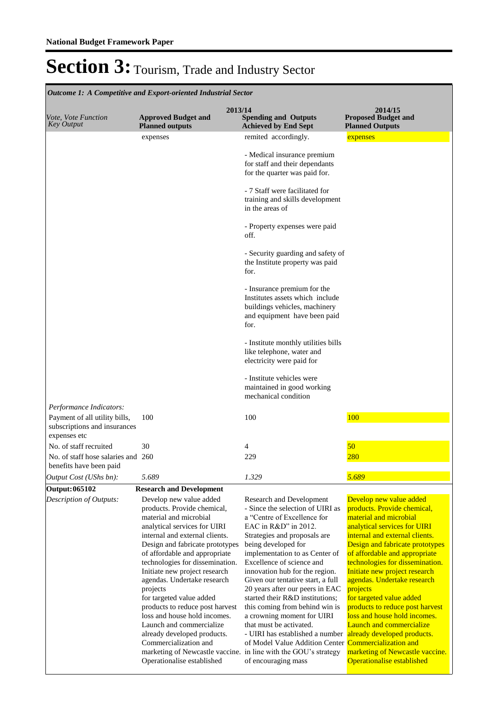| <b>Outcome 1: A Competitive and Export-oriented Industrial Sector</b>                                    |                                                                                                                                                                                                                                                                                                                                                                                                                                                                                                                                                                                                                           |                                                                                                                                                                                                                                                                                                                                                                                                                                                                                                                                                                                                                                 |                                                                                                                                                                                                                                                                                                                                                                                                                                                                                                                                   |  |  |
|----------------------------------------------------------------------------------------------------------|---------------------------------------------------------------------------------------------------------------------------------------------------------------------------------------------------------------------------------------------------------------------------------------------------------------------------------------------------------------------------------------------------------------------------------------------------------------------------------------------------------------------------------------------------------------------------------------------------------------------------|---------------------------------------------------------------------------------------------------------------------------------------------------------------------------------------------------------------------------------------------------------------------------------------------------------------------------------------------------------------------------------------------------------------------------------------------------------------------------------------------------------------------------------------------------------------------------------------------------------------------------------|-----------------------------------------------------------------------------------------------------------------------------------------------------------------------------------------------------------------------------------------------------------------------------------------------------------------------------------------------------------------------------------------------------------------------------------------------------------------------------------------------------------------------------------|--|--|
| Vote, Vote Function<br><b>Key Output</b>                                                                 | 2013/14<br><b>Approved Budget and</b><br><b>Planned outputs</b>                                                                                                                                                                                                                                                                                                                                                                                                                                                                                                                                                           | <b>Spending and Outputs</b><br><b>Achieved by End Sept</b>                                                                                                                                                                                                                                                                                                                                                                                                                                                                                                                                                                      | 2014/15<br><b>Proposed Budget and</b><br><b>Planned Outputs</b>                                                                                                                                                                                                                                                                                                                                                                                                                                                                   |  |  |
|                                                                                                          | expenses                                                                                                                                                                                                                                                                                                                                                                                                                                                                                                                                                                                                                  | remited accordingly.                                                                                                                                                                                                                                                                                                                                                                                                                                                                                                                                                                                                            | expenses                                                                                                                                                                                                                                                                                                                                                                                                                                                                                                                          |  |  |
|                                                                                                          |                                                                                                                                                                                                                                                                                                                                                                                                                                                                                                                                                                                                                           | - Medical insurance premium<br>for staff and their dependants<br>for the quarter was paid for.                                                                                                                                                                                                                                                                                                                                                                                                                                                                                                                                  |                                                                                                                                                                                                                                                                                                                                                                                                                                                                                                                                   |  |  |
|                                                                                                          |                                                                                                                                                                                                                                                                                                                                                                                                                                                                                                                                                                                                                           | - 7 Staff were facilitated for<br>training and skills development<br>in the areas of                                                                                                                                                                                                                                                                                                                                                                                                                                                                                                                                            |                                                                                                                                                                                                                                                                                                                                                                                                                                                                                                                                   |  |  |
|                                                                                                          |                                                                                                                                                                                                                                                                                                                                                                                                                                                                                                                                                                                                                           | - Property expenses were paid<br>off.                                                                                                                                                                                                                                                                                                                                                                                                                                                                                                                                                                                           |                                                                                                                                                                                                                                                                                                                                                                                                                                                                                                                                   |  |  |
|                                                                                                          |                                                                                                                                                                                                                                                                                                                                                                                                                                                                                                                                                                                                                           | - Security guarding and safety of<br>the Institute property was paid<br>for.                                                                                                                                                                                                                                                                                                                                                                                                                                                                                                                                                    |                                                                                                                                                                                                                                                                                                                                                                                                                                                                                                                                   |  |  |
|                                                                                                          |                                                                                                                                                                                                                                                                                                                                                                                                                                                                                                                                                                                                                           | - Insurance premium for the<br>Institutes assets which include<br>buildings vehicles, machinery<br>and equipment have been paid<br>for.                                                                                                                                                                                                                                                                                                                                                                                                                                                                                         |                                                                                                                                                                                                                                                                                                                                                                                                                                                                                                                                   |  |  |
|                                                                                                          |                                                                                                                                                                                                                                                                                                                                                                                                                                                                                                                                                                                                                           | - Institute monthly utilities bills<br>like telephone, water and<br>electricity were paid for                                                                                                                                                                                                                                                                                                                                                                                                                                                                                                                                   |                                                                                                                                                                                                                                                                                                                                                                                                                                                                                                                                   |  |  |
|                                                                                                          |                                                                                                                                                                                                                                                                                                                                                                                                                                                                                                                                                                                                                           | - Institute vehicles were<br>maintained in good working<br>mechanical condition                                                                                                                                                                                                                                                                                                                                                                                                                                                                                                                                                 |                                                                                                                                                                                                                                                                                                                                                                                                                                                                                                                                   |  |  |
| Performance Indicators:<br>Payment of all utility bills,<br>subscriptions and insurances<br>expenses etc | 100                                                                                                                                                                                                                                                                                                                                                                                                                                                                                                                                                                                                                       | 100                                                                                                                                                                                                                                                                                                                                                                                                                                                                                                                                                                                                                             | 100                                                                                                                                                                                                                                                                                                                                                                                                                                                                                                                               |  |  |
| No. of staff recruited                                                                                   | 30                                                                                                                                                                                                                                                                                                                                                                                                                                                                                                                                                                                                                        | 4                                                                                                                                                                                                                                                                                                                                                                                                                                                                                                                                                                                                                               | 50                                                                                                                                                                                                                                                                                                                                                                                                                                                                                                                                |  |  |
| No. of staff hose salaries and 260<br>benefits have been paid                                            |                                                                                                                                                                                                                                                                                                                                                                                                                                                                                                                                                                                                                           | 229                                                                                                                                                                                                                                                                                                                                                                                                                                                                                                                                                                                                                             | 280                                                                                                                                                                                                                                                                                                                                                                                                                                                                                                                               |  |  |
| Output Cost (UShs bn):                                                                                   | 5.689                                                                                                                                                                                                                                                                                                                                                                                                                                                                                                                                                                                                                     | 1.329                                                                                                                                                                                                                                                                                                                                                                                                                                                                                                                                                                                                                           | 5.689                                                                                                                                                                                                                                                                                                                                                                                                                                                                                                                             |  |  |
| <b>Output: 065102</b>                                                                                    | <b>Research and Development</b>                                                                                                                                                                                                                                                                                                                                                                                                                                                                                                                                                                                           |                                                                                                                                                                                                                                                                                                                                                                                                                                                                                                                                                                                                                                 |                                                                                                                                                                                                                                                                                                                                                                                                                                                                                                                                   |  |  |
| Description of Outputs:                                                                                  | Develop new value added<br>products. Provide chemical,<br>material and microbial<br>analytical services for UIRI<br>internal and external clients.<br>Design and fabricate prototypes<br>of affordable and appropriate<br>technologies for dissemination.<br>Initiate new project research<br>agendas. Undertake research<br>projects<br>for targeted value added<br>products to reduce post harvest<br>loss and house hold incomes.<br>Launch and commercialize<br>already developed products.<br>Commercialization and<br>marketing of Newcastle vaccine. in line with the GOU's strategy<br>Operationalise established | Research and Development<br>- Since the selection of UIRI as<br>a "Centre of Excellence for<br>EAC in R&D" in 2012.<br>Strategies and proposals are<br>being developed for<br>implementation to as Center of<br>Excellence of science and<br>innovation hub for the region.<br>Given our tentative start, a full<br>20 years after our peers in EAC<br>started their R&D institutions;<br>this coming from behind win is<br>a crowning moment for UIRI<br>that must be activated.<br>- UIRI has established a number already developed products.<br>of Model Value Addition Center Commercialization and<br>of encouraging mass | Develop new value added<br>products. Provide chemical,<br>material and microbial<br>analytical services for UIRI<br>internal and external clients.<br>Design and fabricate prototypes<br>of affordable and appropriate<br>technologies for dissemination.<br>Initiate new project research<br>agendas. Undertake research<br>projects<br>for targeted value added<br>products to reduce post harvest<br>loss and house hold incomes.<br>Launch and commercialize<br>marketing of Newcastle vaccine.<br>Operationalise established |  |  |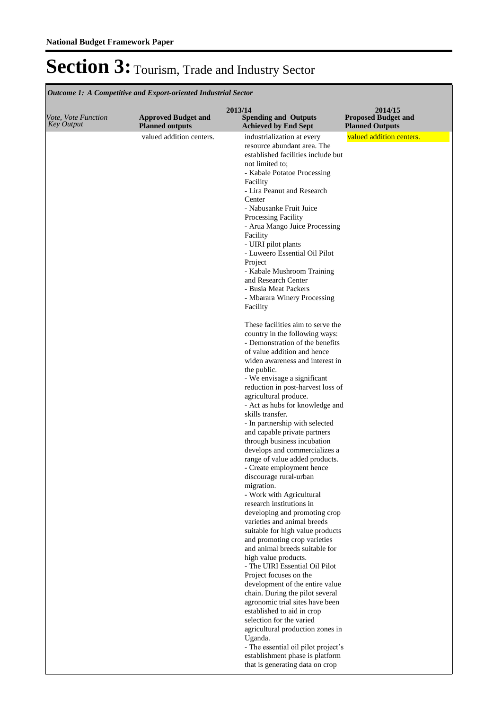**Spending and Outputs Achieved by End Sept Approved Budget and Planned outputs Proposed Budget and Planned Outputs 2013/14** *Vote, Vote Function Key Output* **2014/15** *Outcome 1: A Competitive and Export-oriented Industrial Sector* valued addition centers. industrialization at every resource abundant area. The established facilities include but not limited to; - Kabale Potatoe Processing Facility - Lira Peanut and Research Center - Nabusanke Fruit Juice Processing Facility - Arua Mango Juice Processing Facility - UIRI pilot plants - Luweero Essential Oil Pilot Project - Kabale Mushroom Training and Research Center - Busia Meat Packers - Mbarara Winery Processing Facility These facilities aim to serve the country in the following ways: - Demonstration of the benefits of value addition and hence widen awareness and interest in the public. - We envisage a significant reduction in post-harvest loss of agricultural produce. - Act as hubs for knowledge and skills transfer. - In partnership with selected and capable private partners through business incubation develops and commercializes a range of value added products. - Create employment hence discourage rural-urban migration. - Work with Agricultural research institutions in developing and promoting crop varieties and animal breeds suitable for high value products and promoting crop varieties and animal breeds suitable for high value products. - The UIRI Essential Oil Pilot Project focuses on the development of the entire value chain. During the pilot several agronomic trial sites have been established to aid in crop selection for the varied agricultural production zones in Uganda. - The essential oil pilot project's establishment phase is platform that is generating data on crop valued addition centers.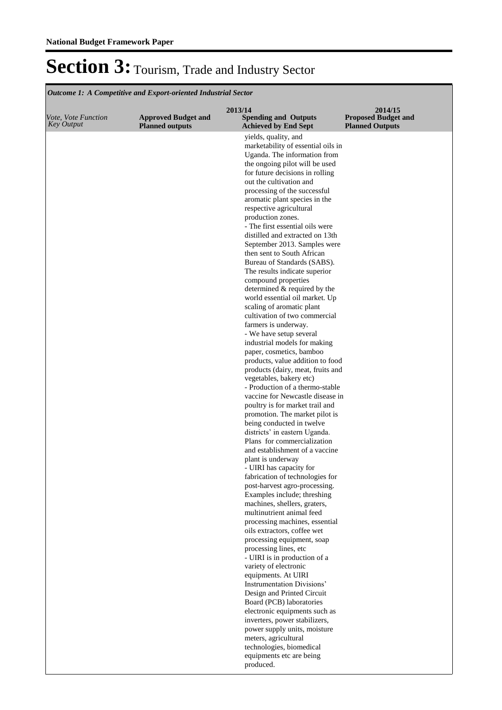| Vote, Vote Function<br><b>Key Output</b> | <b>Approved Budget and</b><br><b>Planned outputs</b> | 2013/14<br><b>Spending and Outputs</b><br><b>Achieved by End Sept</b> | 2014/15<br><b>Proposed Budget and</b><br><b>Planned Outputs</b> |
|------------------------------------------|------------------------------------------------------|-----------------------------------------------------------------------|-----------------------------------------------------------------|
|                                          |                                                      | yields, quality, and                                                  |                                                                 |
|                                          |                                                      | marketability of essential oils in                                    |                                                                 |
|                                          |                                                      | Uganda. The information from<br>the ongoing pilot will be used        |                                                                 |
|                                          |                                                      | for future decisions in rolling                                       |                                                                 |
|                                          |                                                      | out the cultivation and                                               |                                                                 |
|                                          |                                                      | processing of the successful                                          |                                                                 |
|                                          |                                                      | aromatic plant species in the                                         |                                                                 |
|                                          |                                                      | respective agricultural<br>production zones.                          |                                                                 |
|                                          |                                                      | - The first essential oils were                                       |                                                                 |
|                                          |                                                      | distilled and extracted on 13th                                       |                                                                 |
|                                          |                                                      | September 2013. Samples were                                          |                                                                 |
|                                          |                                                      | then sent to South African                                            |                                                                 |
|                                          |                                                      | Bureau of Standards (SABS).                                           |                                                                 |
|                                          |                                                      | The results indicate superior<br>compound properties                  |                                                                 |
|                                          |                                                      | determined & required by the                                          |                                                                 |
|                                          |                                                      | world essential oil market. Up                                        |                                                                 |
|                                          |                                                      | scaling of aromatic plant                                             |                                                                 |
|                                          |                                                      | cultivation of two commercial                                         |                                                                 |
|                                          |                                                      | farmers is underway.<br>- We have setup several                       |                                                                 |
|                                          |                                                      | industrial models for making                                          |                                                                 |
|                                          |                                                      | paper, cosmetics, bamboo                                              |                                                                 |
|                                          |                                                      | products, value addition to food                                      |                                                                 |
|                                          |                                                      | products (dairy, meat, fruits and<br>vegetables, bakery etc)          |                                                                 |
|                                          |                                                      | - Production of a thermo-stable                                       |                                                                 |
|                                          |                                                      | vaccine for Newcastle disease in                                      |                                                                 |
|                                          |                                                      | poultry is for market trail and                                       |                                                                 |
|                                          |                                                      | promotion. The market pilot is                                        |                                                                 |
|                                          |                                                      | being conducted in twelve<br>districts' in eastern Uganda.            |                                                                 |
|                                          |                                                      | Plans for commercialization                                           |                                                                 |
|                                          |                                                      | and establishment of a vaccine                                        |                                                                 |
|                                          |                                                      | plant is underway                                                     |                                                                 |
|                                          |                                                      | - UIRI has capacity for                                               |                                                                 |
|                                          |                                                      | fabrication of technologies for<br>post-harvest agro-processing.      |                                                                 |
|                                          |                                                      | Examples include; threshing                                           |                                                                 |
|                                          |                                                      | machines, shellers, graters,                                          |                                                                 |
|                                          |                                                      | multinutrient animal feed<br>processing machines, essential           |                                                                 |
|                                          |                                                      | oils extractors, coffee wet                                           |                                                                 |
|                                          |                                                      | processing equipment, soap                                            |                                                                 |
|                                          |                                                      | processing lines, etc                                                 |                                                                 |
|                                          |                                                      | - UIRI is in production of a                                          |                                                                 |
|                                          |                                                      | variety of electronic<br>equipments. At UIRI                          |                                                                 |
|                                          |                                                      | Instrumentation Divisions'                                            |                                                                 |
|                                          |                                                      | Design and Printed Circuit                                            |                                                                 |
|                                          |                                                      | Board (PCB) laboratories                                              |                                                                 |
|                                          |                                                      | electronic equipments such as                                         |                                                                 |
|                                          |                                                      | inverters, power stabilizers,<br>power supply units, moisture         |                                                                 |
|                                          |                                                      | meters, agricultural                                                  |                                                                 |
|                                          |                                                      | technologies, biomedical                                              |                                                                 |
|                                          |                                                      | equipments etc are being                                              |                                                                 |
|                                          |                                                      | produced.                                                             |                                                                 |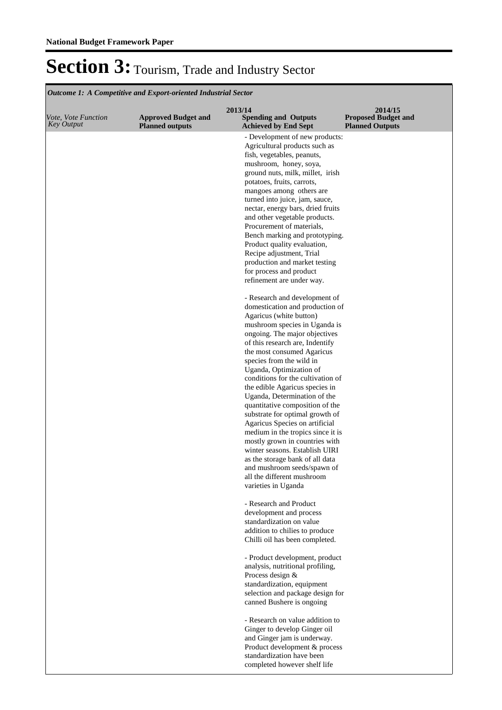**Spending and Outputs Achieved by End Sept Approved Budget and Planned outputs Proposed Budget and Planned Outputs 2013/14** *Vote, Vote Function Key Output* **2014/15** *Outcome 1: A Competitive and Export-oriented Industrial Sector* - Development of new products: Agricultural products such as fish, vegetables, peanuts, mushroom, honey, soya, ground nuts, milk, millet, irish potatoes, fruits, carrots, mangoes among others are turned into juice, jam, sauce, nectar, energy bars, dried fruits and other vegetable products. Procurement of materials, Bench marking and prototyping. Product quality evaluation, Recipe adjustment, Trial production and market testing for process and product refinement are under way. - Research and development of domestication and production of Agaricus (white button) mushroom species in Uganda is ongoing. The major objectives of this research are, Indentify the most consumed Agaricus species from the wild in Uganda, Optimization of conditions for the cultivation of the edible Agaricus species in Uganda, Determination of the quantitative composition of the substrate for optimal growth of Agaricus Species on artificial medium in the tropics since it is mostly grown in countries with winter seasons. Establish UIRI as the storage bank of all data and mushroom seeds/spawn of all the different mushroom varieties in Uganda - Research and Product development and process standardization on value addition to chilies to produce Chilli oil has been completed. - Product development, product analysis, nutritional profiling, Process design & standardization, equipment selection and package design for canned Bushere is ongoing - Research on value addition to Ginger to develop Ginger oil and Ginger jam is underway. Product development & process standardization have been completed however shelf life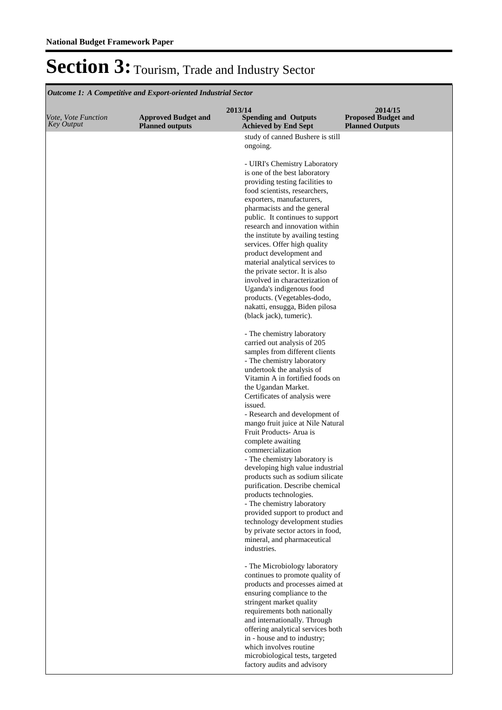| <b>Outcome 1: A Competitive and Export-oriented Industrial Sector</b> |                                                      |                                                                       |                                                                 |  |  |
|-----------------------------------------------------------------------|------------------------------------------------------|-----------------------------------------------------------------------|-----------------------------------------------------------------|--|--|
| Vote, Vote Function<br>Key Output                                     | <b>Approved Budget and</b><br><b>Planned outputs</b> | 2013/14<br><b>Spending and Outputs</b><br><b>Achieved by End Sept</b> | 2014/15<br><b>Proposed Budget and</b><br><b>Planned Outputs</b> |  |  |
|                                                                       |                                                      | study of canned Bushere is still                                      |                                                                 |  |  |
|                                                                       |                                                      | ongoing.                                                              |                                                                 |  |  |
|                                                                       |                                                      | - UIRI's Chemistry Laboratory                                         |                                                                 |  |  |
|                                                                       |                                                      | is one of the best laboratory<br>providing testing facilities to      |                                                                 |  |  |
|                                                                       |                                                      | food scientists, researchers,                                         |                                                                 |  |  |
|                                                                       |                                                      | exporters, manufacturers,                                             |                                                                 |  |  |
|                                                                       |                                                      | pharmacists and the general                                           |                                                                 |  |  |
|                                                                       |                                                      | public. It continues to support<br>research and innovation within     |                                                                 |  |  |
|                                                                       |                                                      | the institute by availing testing                                     |                                                                 |  |  |
|                                                                       |                                                      | services. Offer high quality                                          |                                                                 |  |  |
|                                                                       |                                                      | product development and<br>material analytical services to            |                                                                 |  |  |
|                                                                       |                                                      | the private sector. It is also                                        |                                                                 |  |  |
|                                                                       |                                                      | involved in characterization of                                       |                                                                 |  |  |
|                                                                       |                                                      | Uganda's indigenous food<br>products. (Vegetables-dodo,               |                                                                 |  |  |
|                                                                       |                                                      | nakatti, ensugga, Biden pilosa                                        |                                                                 |  |  |
|                                                                       |                                                      | (black jack), tumeric).                                               |                                                                 |  |  |
|                                                                       |                                                      | - The chemistry laboratory                                            |                                                                 |  |  |
|                                                                       |                                                      | carried out analysis of 205                                           |                                                                 |  |  |
|                                                                       |                                                      | samples from different clients<br>- The chemistry laboratory          |                                                                 |  |  |
|                                                                       |                                                      | undertook the analysis of                                             |                                                                 |  |  |
|                                                                       |                                                      | Vitamin A in fortified foods on                                       |                                                                 |  |  |
|                                                                       |                                                      | the Ugandan Market.<br>Certificates of analysis were                  |                                                                 |  |  |
|                                                                       |                                                      | issued.                                                               |                                                                 |  |  |
|                                                                       |                                                      | - Research and development of                                         |                                                                 |  |  |
|                                                                       |                                                      | mango fruit juice at Nile Natural<br>Fruit Products-Arua is           |                                                                 |  |  |
|                                                                       |                                                      | complete awaiting                                                     |                                                                 |  |  |
|                                                                       |                                                      | commercialization                                                     |                                                                 |  |  |
|                                                                       |                                                      | - The chemistry laboratory is<br>developing high value industrial     |                                                                 |  |  |
|                                                                       |                                                      | products such as sodium silicate                                      |                                                                 |  |  |
|                                                                       |                                                      | purification. Describe chemical                                       |                                                                 |  |  |
|                                                                       |                                                      | products technologies.<br>- The chemistry laboratory                  |                                                                 |  |  |
|                                                                       |                                                      | provided support to product and                                       |                                                                 |  |  |
|                                                                       |                                                      | technology development studies                                        |                                                                 |  |  |
|                                                                       |                                                      | by private sector actors in food,<br>mineral, and pharmaceutical      |                                                                 |  |  |
|                                                                       |                                                      | industries.                                                           |                                                                 |  |  |
|                                                                       |                                                      |                                                                       |                                                                 |  |  |
|                                                                       |                                                      | - The Microbiology laboratory<br>continues to promote quality of      |                                                                 |  |  |
|                                                                       |                                                      | products and processes aimed at                                       |                                                                 |  |  |
|                                                                       |                                                      | ensuring compliance to the<br>stringent market quality                |                                                                 |  |  |
|                                                                       |                                                      | requirements both nationally                                          |                                                                 |  |  |
|                                                                       |                                                      | and internationally. Through                                          |                                                                 |  |  |
|                                                                       |                                                      | offering analytical services both<br>in - house and to industry;      |                                                                 |  |  |
|                                                                       |                                                      | which involves routine                                                |                                                                 |  |  |
|                                                                       |                                                      | microbiological tests, targeted                                       |                                                                 |  |  |
|                                                                       |                                                      | factory audits and advisory                                           |                                                                 |  |  |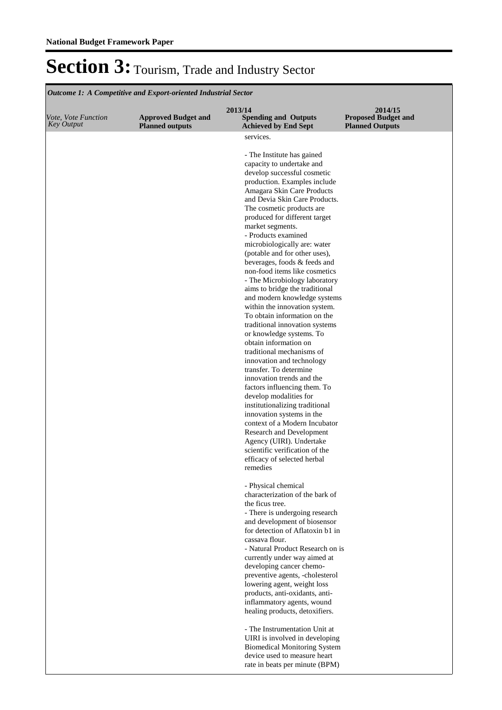| <b>Outcome 1: A Competitive and Export-oriented Industrial Sector</b> |                                                      |                                                                       |                                                                 |  |  |
|-----------------------------------------------------------------------|------------------------------------------------------|-----------------------------------------------------------------------|-----------------------------------------------------------------|--|--|
| Vote, Vote Function<br><b>Key Output</b>                              | <b>Approved Budget and</b><br><b>Planned outputs</b> | 2013/14<br><b>Spending and Outputs</b><br><b>Achieved by End Sept</b> | 2014/15<br><b>Proposed Budget and</b><br><b>Planned Outputs</b> |  |  |
|                                                                       |                                                      | services.                                                             |                                                                 |  |  |
|                                                                       |                                                      | - The Institute has gained                                            |                                                                 |  |  |
|                                                                       |                                                      | capacity to undertake and                                             |                                                                 |  |  |
|                                                                       |                                                      | develop successful cosmetic                                           |                                                                 |  |  |
|                                                                       |                                                      | production. Examples include<br>Amagara Skin Care Products            |                                                                 |  |  |
|                                                                       |                                                      | and Devia Skin Care Products.                                         |                                                                 |  |  |
|                                                                       |                                                      | The cosmetic products are                                             |                                                                 |  |  |
|                                                                       |                                                      | produced for different target                                         |                                                                 |  |  |
|                                                                       |                                                      | market segments.<br>- Products examined                               |                                                                 |  |  |
|                                                                       |                                                      | microbiologically are: water                                          |                                                                 |  |  |
|                                                                       |                                                      | (potable and for other uses),                                         |                                                                 |  |  |
|                                                                       |                                                      | beverages, foods & feeds and                                          |                                                                 |  |  |
|                                                                       |                                                      | non-food items like cosmetics<br>- The Microbiology laboratory        |                                                                 |  |  |
|                                                                       |                                                      | aims to bridge the traditional                                        |                                                                 |  |  |
|                                                                       |                                                      | and modern knowledge systems                                          |                                                                 |  |  |
|                                                                       |                                                      | within the innovation system.                                         |                                                                 |  |  |
|                                                                       |                                                      | To obtain information on the<br>traditional innovation systems        |                                                                 |  |  |
|                                                                       |                                                      | or knowledge systems. To                                              |                                                                 |  |  |
|                                                                       |                                                      | obtain information on                                                 |                                                                 |  |  |
|                                                                       |                                                      | traditional mechanisms of                                             |                                                                 |  |  |
|                                                                       |                                                      | innovation and technology<br>transfer. To determine                   |                                                                 |  |  |
|                                                                       |                                                      | innovation trends and the                                             |                                                                 |  |  |
|                                                                       |                                                      | factors influencing them. To                                          |                                                                 |  |  |
|                                                                       |                                                      | develop modalities for<br>institutionalizing traditional              |                                                                 |  |  |
|                                                                       |                                                      | innovation systems in the                                             |                                                                 |  |  |
|                                                                       |                                                      | context of a Modern Incubator                                         |                                                                 |  |  |
|                                                                       |                                                      | Research and Development                                              |                                                                 |  |  |
|                                                                       |                                                      | Agency (UIRI). Undertake<br>scientific verification of the            |                                                                 |  |  |
|                                                                       |                                                      | efficacy of selected herbal                                           |                                                                 |  |  |
|                                                                       |                                                      | remedies                                                              |                                                                 |  |  |
|                                                                       |                                                      | - Physical chemical                                                   |                                                                 |  |  |
|                                                                       |                                                      | characterization of the bark of                                       |                                                                 |  |  |
|                                                                       |                                                      | the ficus tree.                                                       |                                                                 |  |  |
|                                                                       |                                                      | - There is undergoing research<br>and development of biosensor        |                                                                 |  |  |
|                                                                       |                                                      | for detection of Aflatoxin b1 in                                      |                                                                 |  |  |
|                                                                       |                                                      | cassava flour.                                                        |                                                                 |  |  |
|                                                                       |                                                      | - Natural Product Research on is                                      |                                                                 |  |  |
|                                                                       |                                                      | currently under way aimed at<br>developing cancer chemo-              |                                                                 |  |  |
|                                                                       |                                                      | preventive agents, -cholesterol                                       |                                                                 |  |  |
|                                                                       |                                                      | lowering agent, weight loss                                           |                                                                 |  |  |
|                                                                       |                                                      | products, anti-oxidants, anti-                                        |                                                                 |  |  |
|                                                                       |                                                      | inflammatory agents, wound<br>healing products, detoxifiers.          |                                                                 |  |  |
|                                                                       |                                                      |                                                                       |                                                                 |  |  |
|                                                                       |                                                      | - The Instrumentation Unit at                                         |                                                                 |  |  |
|                                                                       |                                                      | UIRI is involved in developing                                        |                                                                 |  |  |
|                                                                       |                                                      | <b>Biomedical Monitoring System</b><br>device used to measure heart   |                                                                 |  |  |
|                                                                       |                                                      | rate in beats per minute (BPM)                                        |                                                                 |  |  |
|                                                                       |                                                      |                                                                       |                                                                 |  |  |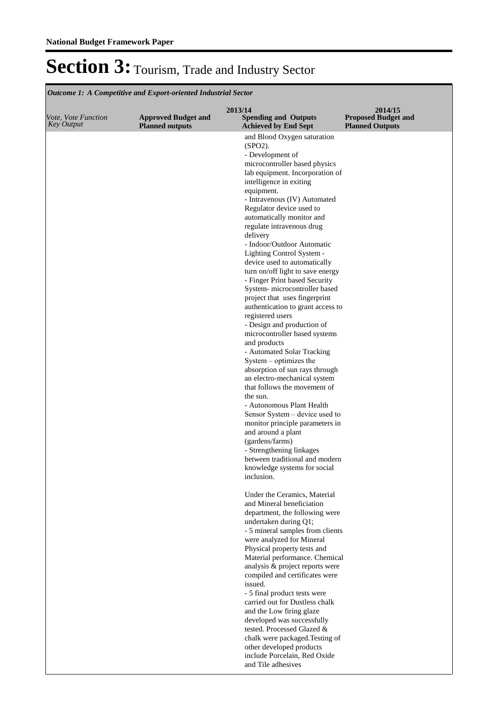**Spending and Outputs Achieved by End Sept Approved Budget and Planned outputs Proposed Budget and Planned Outputs 2013/14** *Vote, Vote Function Key Output* **2014/15** *Outcome 1: A Competitive and Export-oriented Industrial Sector* and Blood Oxygen saturation (SPO2). - Development of microcontroller based physics lab equipment. Incorporation of intelligence in exiting equipment. - Intravenous (IV) Automated Regulator device used to automatically monitor and regulate intravenous drug delivery - Indoor/Outdoor Automatic Lighting Control System device used to automatically turn on/off light to save energy - Finger Print based Security System- microcontroller based project that uses fingerprint authentication to grant access to registered users - Design and production of microcontroller based systems and products - Automated Solar Tracking System – optimizes the absorption of sun rays through an electro-mechanical system that follows the movement of the sun. - Autonomous Plant Health Sensor System – device used to monitor principle parameters in and around a plant (gardens/farms) - Strengthening linkages between traditional and modern knowledge systems for social inclusion. Under the Ceramics, Material and Mineral beneficiation department, the following were undertaken during Q1; - 5 mineral samples from clients were analyzed for Mineral Physical property tests and Material performance. Chemical analysis & project reports were compiled and certificates were issued. - 5 final product tests were carried out for Dustless chalk and the Low firing glaze developed was successfully tested. Processed Glazed & chalk were packaged. Testing of other developed products include Porcelain, Red Oxide and Tile adhesives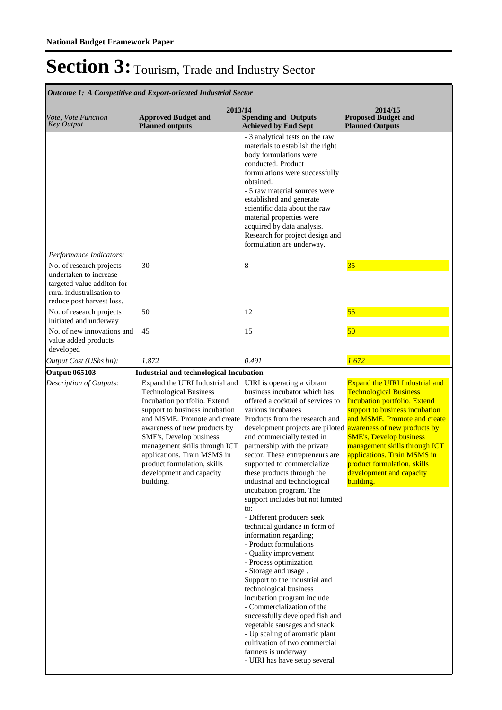**Spending and Outputs Achieved by End Sept Approved Budget and Planned outputs Proposed Budget and Planned Outputs 2013/14** *Vote, Vote Function Key Output* **2014/15** *Outcome 1: A Competitive and Export-oriented Industrial Sector* - 3 analytical tests on the raw materials to establish the right body formulations were conducted. Product formulations were successfully obtained. - 5 raw material sources were established and generate scientific data about the raw material properties were acquired by data analysis. Research for project design and formulation are underway. *Output Cost (UShs bn): 1.872 0.491 1.672 Performance Indicators:* No. of research projects undertaken to increase targeted value additon for rural industralisation to reduce post harvest loss. 30  $8$   $35$ No. of research projects initiated and underway 50 12 55 No. of new innovations and value added products developed 45 15 15 50 **Output: 065103 Industrial and technological Incubation** Expand the UIRI Industrial and Technological Business Incubation portfolio. Extend support to business incubation and MSME. Promote and create awareness of new products by SME's, Develop business management skills through ICT applications. Train MSMS in product formulation, skills development and capacity building. UIRI is operating a vibrant business incubator which has offered a cocktail of services to various incubatees Products from the research and development projects are piloted awareness of new products by and commercially tested in partnership with the private sector. These entrepreneurs are supported to commercialize these products through the industrial and technological incubation program. The support includes but not limited to: - Different producers seek technical guidance in form of information regarding; - Product formulations - Quality improvement - Process optimization - Storage and usage . Support to the industrial and technological business incubation program include - Commercialization of the successfully developed fish and vegetable sausages and snack. - Up scaling of aromatic plant cultivation of two commercial farmers is underway - UIRI has have setup several Expand the UIRI Industrial and Technological Business Incubation portfolio. Extend support to business incubation and MSME. Promote and create SME's, Develop business management skills through ICT applications. Train MSMS in product formulation, skills development and capacity building. *Description of Outputs:*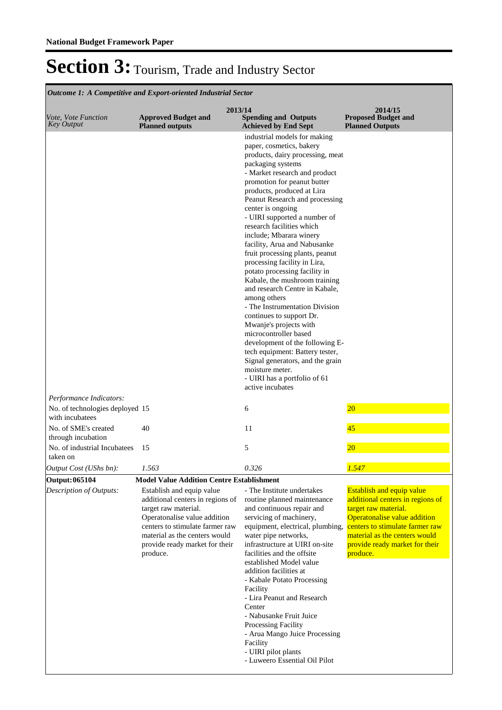| Vote, Vote Function<br><b>Key Output</b>                                      | <b>Approved Budget and</b><br><b>Planned outputs</b>                                                                                                                                                                                    | 2013/14<br><b>Spending and Outputs</b><br><b>Achieved by End Sept</b>                                                                                                                                                                                                                                                                                                                                                                                                                                                                                                                                                                                                                                                                                                                                                                                                                   | 2014/15<br><b>Proposed Budget and</b><br><b>Planned Outputs</b>                                                                                                                                                                                |
|-------------------------------------------------------------------------------|-----------------------------------------------------------------------------------------------------------------------------------------------------------------------------------------------------------------------------------------|-----------------------------------------------------------------------------------------------------------------------------------------------------------------------------------------------------------------------------------------------------------------------------------------------------------------------------------------------------------------------------------------------------------------------------------------------------------------------------------------------------------------------------------------------------------------------------------------------------------------------------------------------------------------------------------------------------------------------------------------------------------------------------------------------------------------------------------------------------------------------------------------|------------------------------------------------------------------------------------------------------------------------------------------------------------------------------------------------------------------------------------------------|
|                                                                               |                                                                                                                                                                                                                                         | industrial models for making<br>paper, cosmetics, bakery<br>products, dairy processing, meat<br>packaging systems<br>- Market research and product<br>promotion for peanut butter<br>products, produced at Lira<br>Peanut Research and processing<br>center is ongoing<br>- UIRI supported a number of<br>research facilities which<br>include; Mbarara winery<br>facility, Arua and Nabusanke<br>fruit processing plants, peanut<br>processing facility in Lira,<br>potato processing facility in<br>Kabale, the mushroom training<br>and research Centre in Kabale,<br>among others<br>- The Instrumentation Division<br>continues to support Dr.<br>Mwanje's projects with<br>microcontroller based<br>development of the following E-<br>tech equipment: Battery tester,<br>Signal generators, and the grain<br>moisture meter.<br>- UIRI has a portfolio of 61<br>active incubates |                                                                                                                                                                                                                                                |
| Performance Indicators:<br>No. of technologies deployed 15<br>with incubatees |                                                                                                                                                                                                                                         | 6                                                                                                                                                                                                                                                                                                                                                                                                                                                                                                                                                                                                                                                                                                                                                                                                                                                                                       | $\overline{20}$                                                                                                                                                                                                                                |
| No. of SME's created<br>through incubation                                    | 40                                                                                                                                                                                                                                      | 11                                                                                                                                                                                                                                                                                                                                                                                                                                                                                                                                                                                                                                                                                                                                                                                                                                                                                      | 45                                                                                                                                                                                                                                             |
| No. of industrial Incubatees<br>taken on                                      | 15                                                                                                                                                                                                                                      | 5                                                                                                                                                                                                                                                                                                                                                                                                                                                                                                                                                                                                                                                                                                                                                                                                                                                                                       | 20                                                                                                                                                                                                                                             |
| Output Cost (UShs bn):                                                        | 1.563                                                                                                                                                                                                                                   | 0.326                                                                                                                                                                                                                                                                                                                                                                                                                                                                                                                                                                                                                                                                                                                                                                                                                                                                                   | 1.547                                                                                                                                                                                                                                          |
| <b>Output: 065104</b>                                                         | <b>Model Value Addition Centre Establishment</b>                                                                                                                                                                                        |                                                                                                                                                                                                                                                                                                                                                                                                                                                                                                                                                                                                                                                                                                                                                                                                                                                                                         |                                                                                                                                                                                                                                                |
| Description of Outputs:                                                       | Establish and equip value<br>additional centers in regions of<br>target raw material.<br>Operatonalise value addition<br>centers to stimulate farmer raw<br>material as the centers would<br>provide ready market for their<br>produce. | - The Institute undertakes<br>routine planned maintenance<br>and continuous repair and<br>servicing of machinery,<br>equipment, electrical, plumbing,<br>water pipe networks,<br>infrastructure at UIRI on-site<br>facilities and the offsite<br>established Model value<br>addition facilities at<br>- Kabale Potato Processing<br>Facility<br>- Lira Peanut and Research<br>Center<br>- Nabusanke Fruit Juice<br>Processing Facility<br>- Arua Mango Juice Processing<br>Facility<br>- UIRI pilot plants<br>- Luweero Essential Oil Pilot                                                                                                                                                                                                                                                                                                                                             | <b>Establish and equip value</b><br>additional centers in regions of<br>target raw material.<br>Operatonalise value addition<br>centers to stimulate farmer raw<br>material as the centers would<br>provide ready market for their<br>produce. |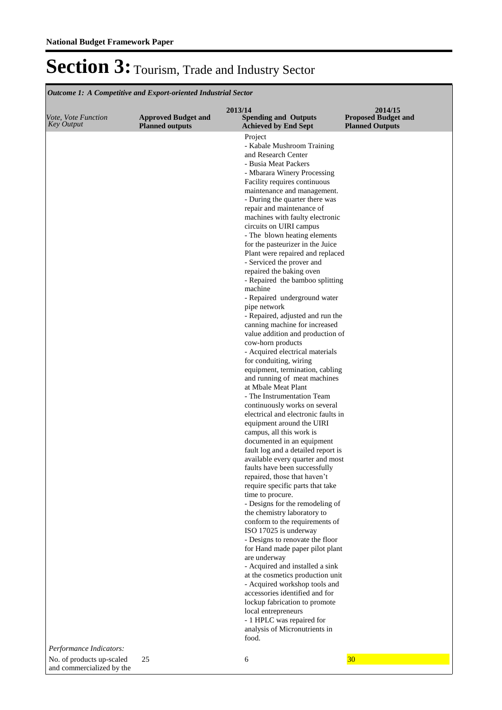and commercialized by the

### Section 3: Tourism, Trade and Industry Sector

**Spending and Outputs Achieved by End Sept Approved Budget and Planned outputs Proposed Budget and Planned Outputs 2013/14** *Vote, Vote Function Key Output* **2014/15** *Outcome 1: A Competitive and Export-oriented Industrial Sector* Project - Kabale Mushroom Training and Research Center - Busia Meat Packers - Mbarara Winery Processing Facility requires continuous maintenance and management. - During the quarter there was repair and maintenance of machines with faulty electronic circuits on UIRI campus - The blown heating elements for the pasteurizer in the Juice Plant were repaired and replaced - Serviced the prover and repaired the baking oven - Repaired the bamboo splitting machine - Repaired underground water pipe network - Repaired, adjusted and run the canning machine for increased value addition and production of cow-horn products - Acquired electrical materials for conduiting, wiring equipment, termination, cabling and running of meat machines at Mbale Meat Plant - The Instrumentation Team continuously works on several electrical and electronic faults in equipment around the UIRI campus, all this work is documented in an equipment fault log and a detailed report is available every quarter and most faults have been successfully repaired, those that haven't require specific parts that take time to procure. - Designs for the remodeling of the chemistry laboratory to conform to the requirements of ISO 17025 is underway - Designs to renovate the floor for Hand made paper pilot plant are underway - Acquired and installed a sink at the cosmetics production unit - Acquired workshop tools and accessories identified and for lockup fabrication to promote local entrepreneurs - 1 HPLC was repaired for analysis of Micronutrients in food. *Performance Indicators:* No. of products up-scaled 25 6 30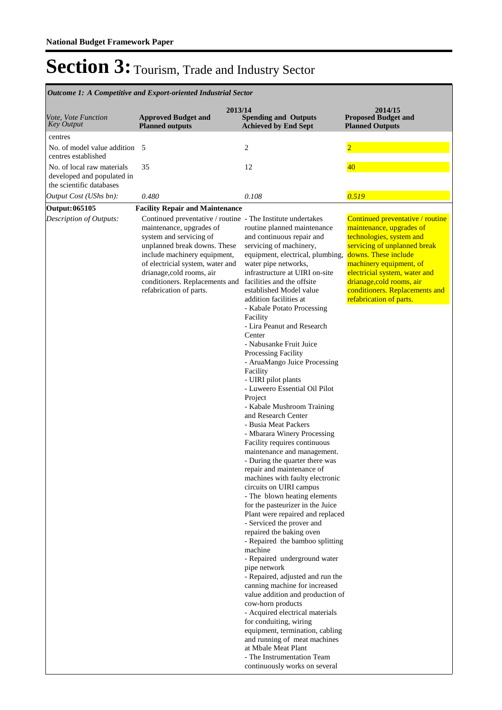| <b>Outcome 1: A Competitive and Export-oriented Industrial Sector</b>                |                                                                                                                                                                                                                                                                                                                  |                                                                                                                                                                                                                                                                                                                                                                                                                                                                                                                                                                                                                                                                                                                                                                                                                                                                                                                                                                                                                                                                                                                                                                                                                                                                                                                                                                                                                                                    |                                                                                                                                                                                                                                                                                                        |  |  |  |
|--------------------------------------------------------------------------------------|------------------------------------------------------------------------------------------------------------------------------------------------------------------------------------------------------------------------------------------------------------------------------------------------------------------|----------------------------------------------------------------------------------------------------------------------------------------------------------------------------------------------------------------------------------------------------------------------------------------------------------------------------------------------------------------------------------------------------------------------------------------------------------------------------------------------------------------------------------------------------------------------------------------------------------------------------------------------------------------------------------------------------------------------------------------------------------------------------------------------------------------------------------------------------------------------------------------------------------------------------------------------------------------------------------------------------------------------------------------------------------------------------------------------------------------------------------------------------------------------------------------------------------------------------------------------------------------------------------------------------------------------------------------------------------------------------------------------------------------------------------------------------|--------------------------------------------------------------------------------------------------------------------------------------------------------------------------------------------------------------------------------------------------------------------------------------------------------|--|--|--|
| Vote, Vote Function<br><b>Key Output</b>                                             | <b>Approved Budget and</b><br><b>Planned outputs</b>                                                                                                                                                                                                                                                             | 2013/14<br><b>Spending and Outputs</b><br><b>Achieved by End Sept</b>                                                                                                                                                                                                                                                                                                                                                                                                                                                                                                                                                                                                                                                                                                                                                                                                                                                                                                                                                                                                                                                                                                                                                                                                                                                                                                                                                                              | 2014/15<br><b>Proposed Budget and</b><br><b>Planned Outputs</b>                                                                                                                                                                                                                                        |  |  |  |
| centres                                                                              |                                                                                                                                                                                                                                                                                                                  |                                                                                                                                                                                                                                                                                                                                                                                                                                                                                                                                                                                                                                                                                                                                                                                                                                                                                                                                                                                                                                                                                                                                                                                                                                                                                                                                                                                                                                                    |                                                                                                                                                                                                                                                                                                        |  |  |  |
| No. of model value addition 5<br>centres established                                 |                                                                                                                                                                                                                                                                                                                  | 2                                                                                                                                                                                                                                                                                                                                                                                                                                                                                                                                                                                                                                                                                                                                                                                                                                                                                                                                                                                                                                                                                                                                                                                                                                                                                                                                                                                                                                                  | $\overline{2}$                                                                                                                                                                                                                                                                                         |  |  |  |
| No. of local raw materials<br>developed and populated in<br>the scientific databases | 35                                                                                                                                                                                                                                                                                                               | 12                                                                                                                                                                                                                                                                                                                                                                                                                                                                                                                                                                                                                                                                                                                                                                                                                                                                                                                                                                                                                                                                                                                                                                                                                                                                                                                                                                                                                                                 | 40 <sup>°</sup>                                                                                                                                                                                                                                                                                        |  |  |  |
| Output Cost (UShs bn):                                                               | 0.480                                                                                                                                                                                                                                                                                                            | 0.108                                                                                                                                                                                                                                                                                                                                                                                                                                                                                                                                                                                                                                                                                                                                                                                                                                                                                                                                                                                                                                                                                                                                                                                                                                                                                                                                                                                                                                              | 0.519                                                                                                                                                                                                                                                                                                  |  |  |  |
| Output: 065105                                                                       | <b>Facility Repair and Maintenance</b>                                                                                                                                                                                                                                                                           |                                                                                                                                                                                                                                                                                                                                                                                                                                                                                                                                                                                                                                                                                                                                                                                                                                                                                                                                                                                                                                                                                                                                                                                                                                                                                                                                                                                                                                                    |                                                                                                                                                                                                                                                                                                        |  |  |  |
| Description of Outputs:                                                              | Continued preventative / routine - The Institute undertakes<br>maintenance, upgrades of<br>system and servicing of<br>unplanned break downs. These<br>include machinery equipment,<br>of electricial system, water and<br>drianage, cold rooms, air<br>conditioners. Replacements and<br>refabrication of parts. | routine planned maintenance<br>and continuous repair and<br>servicing of machinery,<br>equipment, electrical, plumbing,<br>water pipe networks,<br>infrastructure at UIRI on-site<br>facilities and the offsite<br>established Model value<br>addition facilities at<br>- Kabale Potato Processing<br>Facility<br>- Lira Peanut and Research<br>Center<br>- Nabusanke Fruit Juice<br>Processing Facility<br>- AruaMango Juice Processing<br>Facility<br>- UIRI pilot plants<br>- Luweero Essential Oil Pilot<br>Project<br>- Kabale Mushroom Training<br>and Research Center<br>- Busia Meat Packers<br>- Mbarara Winery Processing<br>Facility requires continuous<br>maintenance and management.<br>- During the quarter there was<br>repair and maintenance of<br>machines with faulty electronic<br>circuits on UIRI campus<br>- The blown heating elements<br>for the pasteurizer in the Juice<br>Plant were repaired and replaced<br>- Serviced the prover and<br>repaired the baking oven<br>- Repaired the bamboo splitting<br>machine<br>- Repaired underground water<br>pipe network<br>- Repaired, adjusted and run the<br>canning machine for increased<br>value addition and production of<br>cow-horn products<br>- Acquired electrical materials<br>for conduiting, wiring<br>equipment, termination, cabling<br>and running of meat machines<br>at Mbale Meat Plant<br>- The Instrumentation Team<br>continuously works on several | Continued preventative / routine<br>maintenance, upgrades of<br>technologies, system and<br>servicing of unplanned break<br>downs. These include<br>machinery equipment, of<br>electricial system, water and<br>drianage, cold rooms, air<br>conditioners. Replacements and<br>refabrication of parts. |  |  |  |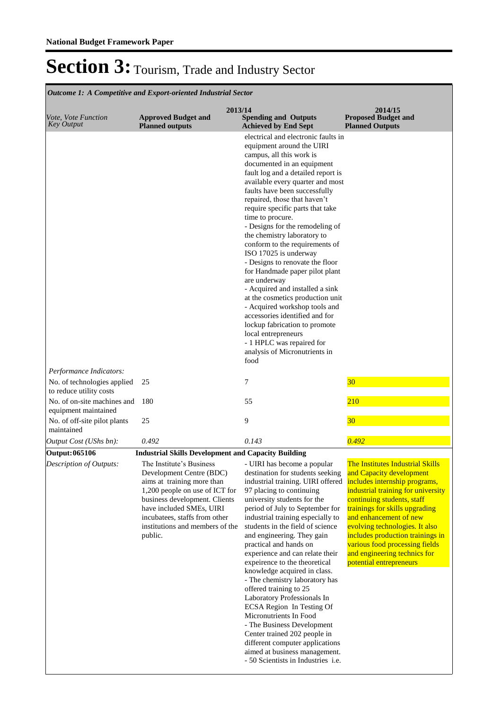| <i>Vote, Vote Function</i><br><b>Key Output</b>                                     | 2013/14<br><b>Approved Budget and</b><br><b>Planned outputs</b>                                                                                                                                                                                                                                                                | <b>Spending and Outputs</b><br><b>Achieved by End Sept</b>                                                                                                                                                                                                                                                                                                                                                                                                                                                                                                                                                                                                                                                                                                                                                              | 2014/15<br><b>Proposed Budget and</b><br><b>Planned Outputs</b>                                                                                                                                                                                                                                                                                                 |
|-------------------------------------------------------------------------------------|--------------------------------------------------------------------------------------------------------------------------------------------------------------------------------------------------------------------------------------------------------------------------------------------------------------------------------|-------------------------------------------------------------------------------------------------------------------------------------------------------------------------------------------------------------------------------------------------------------------------------------------------------------------------------------------------------------------------------------------------------------------------------------------------------------------------------------------------------------------------------------------------------------------------------------------------------------------------------------------------------------------------------------------------------------------------------------------------------------------------------------------------------------------------|-----------------------------------------------------------------------------------------------------------------------------------------------------------------------------------------------------------------------------------------------------------------------------------------------------------------------------------------------------------------|
|                                                                                     |                                                                                                                                                                                                                                                                                                                                | electrical and electronic faults in<br>equipment around the UIRI<br>campus, all this work is<br>documented in an equipment<br>fault log and a detailed report is<br>available every quarter and most<br>faults have been successfully<br>repaired, those that haven't<br>require specific parts that take<br>time to procure.<br>- Designs for the remodeling of<br>the chemistry laboratory to<br>conform to the requirements of<br>ISO 17025 is underway<br>- Designs to renovate the floor<br>for Handmade paper pilot plant<br>are underway<br>- Acquired and installed a sink<br>at the cosmetics production unit<br>- Acquired workshop tools and<br>accessories identified and for<br>lockup fabrication to promote<br>local entrepreneurs<br>- 1 HPLC was repaired for<br>analysis of Micronutrients in<br>food |                                                                                                                                                                                                                                                                                                                                                                 |
| Performance Indicators:<br>No. of technologies applied<br>to reduce utility costs   | 25                                                                                                                                                                                                                                                                                                                             | 7                                                                                                                                                                                                                                                                                                                                                                                                                                                                                                                                                                                                                                                                                                                                                                                                                       | 30                                                                                                                                                                                                                                                                                                                                                              |
| No. of on-site machines and<br>equipment maintained<br>No. of off-site pilot plants | 180<br>25                                                                                                                                                                                                                                                                                                                      | 55<br>9                                                                                                                                                                                                                                                                                                                                                                                                                                                                                                                                                                                                                                                                                                                                                                                                                 | 210<br>30                                                                                                                                                                                                                                                                                                                                                       |
| maintained                                                                          |                                                                                                                                                                                                                                                                                                                                |                                                                                                                                                                                                                                                                                                                                                                                                                                                                                                                                                                                                                                                                                                                                                                                                                         |                                                                                                                                                                                                                                                                                                                                                                 |
| Output Cost (UShs bn):                                                              | 0.492                                                                                                                                                                                                                                                                                                                          | 0.143                                                                                                                                                                                                                                                                                                                                                                                                                                                                                                                                                                                                                                                                                                                                                                                                                   | 0.492                                                                                                                                                                                                                                                                                                                                                           |
| Output: 065106<br>Description of Outputs:                                           | <b>Industrial Skills Development and Capacity Building</b><br>The Institute's Business<br>Development Centre (BDC)<br>aims at training more than<br>1,200 people on use of ICT for<br>business development. Clients<br>have included SMEs, UIRI<br>incubatees, staffs from other<br>institutions and members of the<br>public. | - UIRI has become a popular<br>destination for students seeking<br>industrial training. UIRI offered includes internship programs,<br>97 placing to continuing<br>university students for the<br>period of July to September for<br>industrial training especially to<br>students in the field of science<br>and engineering. They gain<br>practical and hands on<br>experience and can relate their<br>expeirence to the theoretical<br>knowledge acquired in class.<br>- The chemistry laboratory has<br>offered training to 25<br>Laboratory Professionals In<br>ECSA Region In Testing Of<br>Micronutrients In Food<br>- The Business Development<br>Center trained 202 people in<br>different computer applications<br>aimed at business management.<br>- 50 Scientists in Industries i.e.                         | The Institutes Industrial Skills<br>and Capacity development<br>industrial training for university<br>continuing students, staff<br>trainings for skills upgrading<br>and enhancement of new<br>evolving technologies. It also<br>includes production trainings in<br>various food processing fields<br>and engineering technics for<br>potential entrepreneurs |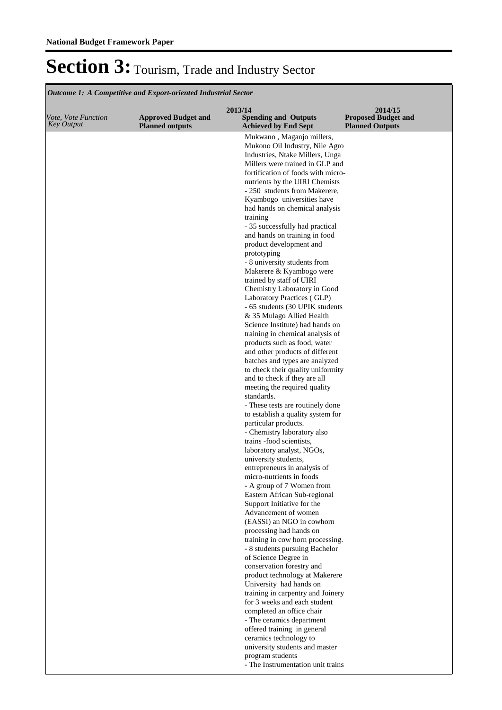| Vote, Vote Function | <b>Approved Budget and</b> | 2013/14<br><b>Spending and Outputs</b>                                | 2014/15<br><b>Proposed Budget and</b> |
|---------------------|----------------------------|-----------------------------------------------------------------------|---------------------------------------|
| <b>Key Output</b>   | <b>Planned outputs</b>     | <b>Achieved by End Sept</b>                                           | <b>Planned Outputs</b>                |
|                     |                            | Mukwano, Maganjo millers,                                             |                                       |
|                     |                            | Mukono Oil Industry, Nile Agro<br>Industries, Ntake Millers, Unga     |                                       |
|                     |                            | Millers were trained in GLP and                                       |                                       |
|                     |                            | fortification of foods with micro-                                    |                                       |
|                     |                            | nutrients by the UIRI Chemists                                        |                                       |
|                     |                            | - 250 students from Makerere,                                         |                                       |
|                     |                            | Kyambogo universities have                                            |                                       |
|                     |                            | had hands on chemical analysis                                        |                                       |
|                     |                            | training<br>- 35 successfully had practical                           |                                       |
|                     |                            | and hands on training in food                                         |                                       |
|                     |                            | product development and                                               |                                       |
|                     |                            | prototyping                                                           |                                       |
|                     |                            | - 8 university students from                                          |                                       |
|                     |                            | Makerere & Kyambogo were                                              |                                       |
|                     |                            | trained by staff of UIRI<br>Chemistry Laboratory in Good              |                                       |
|                     |                            | Laboratory Practices (GLP)                                            |                                       |
|                     |                            | - 65 students (30 UPIK students                                       |                                       |
|                     |                            | & 35 Mulago Allied Health                                             |                                       |
|                     |                            | Science Institute) had hands on                                       |                                       |
|                     |                            | training in chemical analysis of                                      |                                       |
|                     |                            | products such as food, water<br>and other products of different       |                                       |
|                     |                            | batches and types are analyzed                                        |                                       |
|                     |                            | to check their quality uniformity                                     |                                       |
|                     |                            | and to check if they are all                                          |                                       |
|                     |                            | meeting the required quality                                          |                                       |
|                     |                            | standards.                                                            |                                       |
|                     |                            | - These tests are routinely done<br>to establish a quality system for |                                       |
|                     |                            | particular products.                                                  |                                       |
|                     |                            | - Chemistry laboratory also                                           |                                       |
|                     |                            | trains -food scientists,                                              |                                       |
|                     |                            | laboratory analyst, NGOs,                                             |                                       |
|                     |                            | university students,<br>entrepreneurs in analysis of                  |                                       |
|                     |                            | micro-nutrients in foods                                              |                                       |
|                     |                            | - A group of 7 Women from                                             |                                       |
|                     |                            | Eastern African Sub-regional                                          |                                       |
|                     |                            | Support Initiative for the                                            |                                       |
|                     |                            | Advancement of women                                                  |                                       |
|                     |                            | (EASSI) an NGO in cowhorn<br>processing had hands on                  |                                       |
|                     |                            | training in cow horn processing.                                      |                                       |
|                     |                            | - 8 students pursuing Bachelor                                        |                                       |
|                     |                            | of Science Degree in                                                  |                                       |
|                     |                            | conservation forestry and                                             |                                       |
|                     |                            | product technology at Makerere<br>University had hands on             |                                       |
|                     |                            | training in carpentry and Joinery                                     |                                       |
|                     |                            | for 3 weeks and each student                                          |                                       |
|                     |                            | completed an office chair                                             |                                       |
|                     |                            | - The ceramics department                                             |                                       |
|                     |                            | offered training in general                                           |                                       |
|                     |                            | ceramics technology to                                                |                                       |
|                     |                            | university students and master<br>program students                    |                                       |
|                     |                            | - The Instrumentation unit trains                                     |                                       |
|                     |                            |                                                                       |                                       |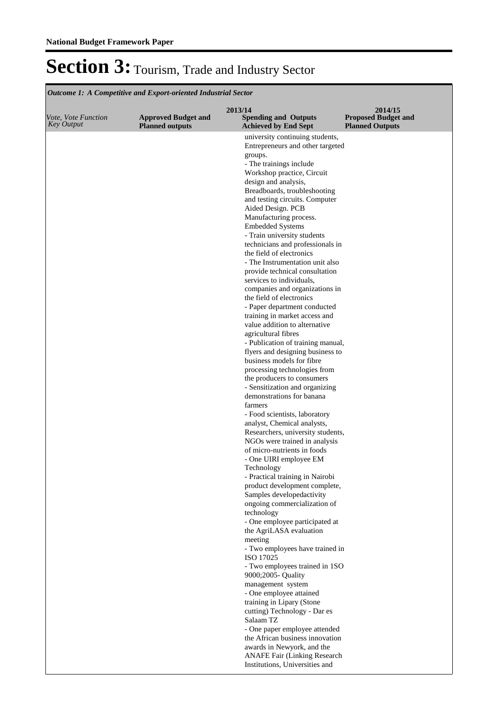|                                                 |                                                      | 2013/14                                                            | 2014/15                                              |
|-------------------------------------------------|------------------------------------------------------|--------------------------------------------------------------------|------------------------------------------------------|
| <i>Vote, Vote Function</i><br><b>Key Output</b> | <b>Approved Budget and</b><br><b>Planned outputs</b> | <b>Spending and Outputs</b><br><b>Achieved by End Sept</b>         | <b>Proposed Budget and</b><br><b>Planned Outputs</b> |
|                                                 |                                                      | university continuing students,                                    |                                                      |
|                                                 |                                                      | Entrepreneurs and other targeted                                   |                                                      |
|                                                 |                                                      | groups.<br>- The trainings include                                 |                                                      |
|                                                 |                                                      | Workshop practice, Circuit                                         |                                                      |
|                                                 |                                                      | design and analysis,                                               |                                                      |
|                                                 |                                                      | Breadboards, troubleshooting                                       |                                                      |
|                                                 |                                                      | and testing circuits. Computer                                     |                                                      |
|                                                 |                                                      | Aided Design. PCB                                                  |                                                      |
|                                                 |                                                      | Manufacturing process.<br><b>Embedded Systems</b>                  |                                                      |
|                                                 |                                                      | - Train university students                                        |                                                      |
|                                                 |                                                      | technicians and professionals in                                   |                                                      |
|                                                 |                                                      | the field of electronics                                           |                                                      |
|                                                 |                                                      | - The Instrumentation unit also                                    |                                                      |
|                                                 |                                                      | provide technical consultation<br>services to individuals,         |                                                      |
|                                                 |                                                      | companies and organizations in                                     |                                                      |
|                                                 |                                                      | the field of electronics                                           |                                                      |
|                                                 |                                                      | - Paper department conducted                                       |                                                      |
|                                                 |                                                      | training in market access and                                      |                                                      |
|                                                 |                                                      | value addition to alternative<br>agricultural fibres               |                                                      |
|                                                 |                                                      | - Publication of training manual,                                  |                                                      |
|                                                 |                                                      | flyers and designing business to                                   |                                                      |
|                                                 |                                                      | business models for fibre                                          |                                                      |
|                                                 |                                                      | processing technologies from                                       |                                                      |
|                                                 |                                                      | the producers to consumers                                         |                                                      |
|                                                 |                                                      | - Sensitization and organizing<br>demonstrations for banana        |                                                      |
|                                                 |                                                      | farmers                                                            |                                                      |
|                                                 |                                                      | - Food scientists, laboratory                                      |                                                      |
|                                                 |                                                      | analyst, Chemical analysts,                                        |                                                      |
|                                                 |                                                      | Researchers, university students,<br>NGOs were trained in analysis |                                                      |
|                                                 |                                                      | of micro-nutrients in foods                                        |                                                      |
|                                                 |                                                      | - One UIRI employee EM                                             |                                                      |
|                                                 |                                                      | Technology                                                         |                                                      |
|                                                 |                                                      | - Practical training in Nairobi                                    |                                                      |
|                                                 |                                                      | product development complete,<br>Samples developedactivity         |                                                      |
|                                                 |                                                      | ongoing commercialization of                                       |                                                      |
|                                                 |                                                      | technology                                                         |                                                      |
|                                                 |                                                      | - One employee participated at                                     |                                                      |
|                                                 |                                                      | the AgriLASA evaluation                                            |                                                      |
|                                                 |                                                      | meeting<br>- Two employees have trained in                         |                                                      |
|                                                 |                                                      | ISO 17025                                                          |                                                      |
|                                                 |                                                      | - Two employees trained in 1SO                                     |                                                      |
|                                                 |                                                      | 9000;2005- Quality                                                 |                                                      |
|                                                 |                                                      | management system<br>- One employee attained                       |                                                      |
|                                                 |                                                      | training in Lipary (Stone                                          |                                                      |
|                                                 |                                                      | cutting) Technology - Dar es                                       |                                                      |
|                                                 |                                                      | Salaam TZ                                                          |                                                      |
|                                                 |                                                      | - One paper employee attended                                      |                                                      |
|                                                 |                                                      | the African business innovation                                    |                                                      |
|                                                 |                                                      | awards in Newyork, and the<br><b>ANAFE Fair (Linking Research</b>  |                                                      |
|                                                 |                                                      | Institutions, Universities and                                     |                                                      |
|                                                 |                                                      |                                                                    |                                                      |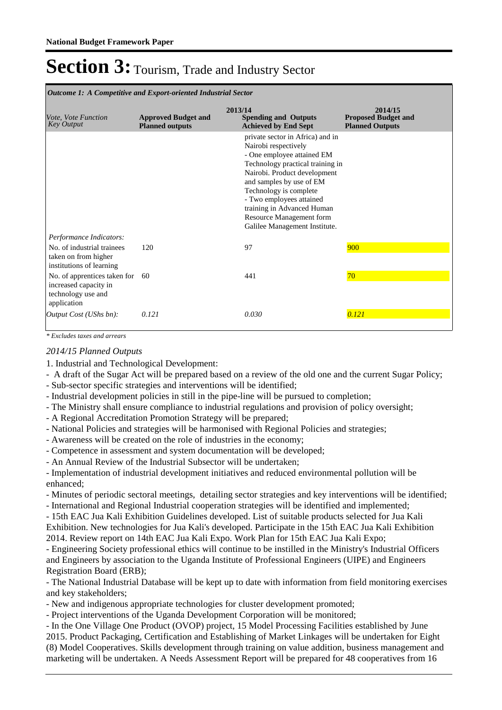**Spending and Outputs Achieved by End Sept Approved Budget and Planned outputs Proposed Budget and Planned Outputs 2013/14** *Vote, Vote Function Key Output* **2014/15** *Outcome 1: A Competitive and Export-oriented Industrial Sector* private sector in Africa) and in Nairobi respectively - One employee attained EM Technology practical training in Nairobi. Product development and samples by use of EM Technology is complete - Two employees attained training in Advanced Human Resource Management form Galilee Management Institute. *Output Cost (UShs bn): 0.121 0.030 0.121 Performance Indicators:* No. of industrial trainees taken on from higher institutions of learning 120 97 97 900 No. of apprentices taken for increased capacity in technology use and application 60 441 70

*\* Excludes taxes and arrears*

### *2014/15 Planned Outputs*

1. Industrial and Technological Development:

- A draft of the Sugar Act will be prepared based on a review of the old one and the current Sugar Policy;
- Sub-sector specific strategies and interventions will be identified;
- Industrial development policies in still in the pipe-line will be pursued to completion;
- The Ministry shall ensure compliance to industrial regulations and provision of policy oversight;
- A Regional Accreditation Promotion Strategy will be prepared;
- National Policies and strategies will be harmonised with Regional Policies and strategies;
- Awareness will be created on the role of industries in the economy;
- Competence in assessment and system documentation will be developed;
- An Annual Review of the Industrial Subsector will be undertaken;
- Implementation of industrial development initiatives and reduced environmental pollution will be enhanced;

- Minutes of periodic sectoral meetings, detailing sector strategies and key interventions will be identified;

- International and Regional Industrial cooperation strategies will be identified and implemented;
- 15th EAC Jua Kali Exhibition Guidelines developed. List of suitable products selected for Jua Kali Exhibition. New technologies for Jua Kali's developed. Participate in the 15th EAC Jua Kali Exhibition 2014. Review report on 14th EAC Jua Kali Expo. Work Plan for 15th EAC Jua Kali Expo;
- Engineering Society professional ethics will continue to be instilled in the Ministry's Industrial Officers and Engineers by association to the Uganda Institute of Professional Engineers (UIPE) and Engineers Registration Board (ERB);
- The National Industrial Database will be kept up to date with information from field monitoring exercises and key stakeholders;
- New and indigenous appropriate technologies for cluster development promoted;
- Project interventions of the Uganda Development Corporation will be monitored;

- In the One Village One Product (OVOP) project, 15 Model Processing Facilities established by June 2015. Product Packaging, Certification and Establishing of Market Linkages will be undertaken for Eight (8) Model Cooperatives. Skills development through training on value addition, business management and marketing will be undertaken. A Needs Assessment Report will be prepared for 48 cooperatives from 16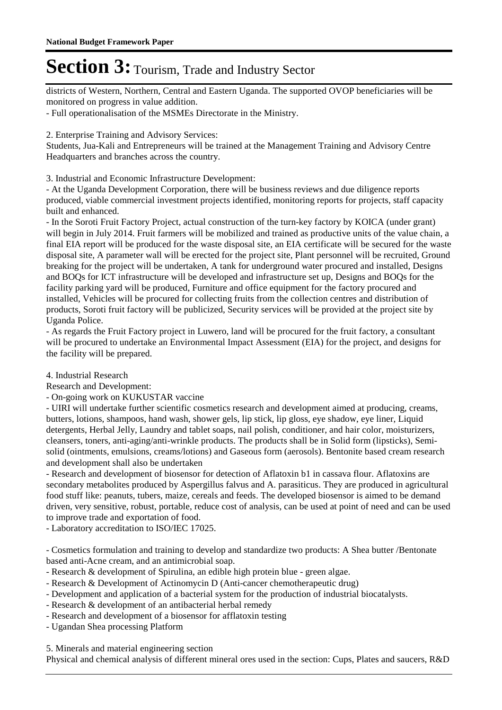districts of Western, Northern, Central and Eastern Uganda. The supported OVOP beneficiaries will be monitored on progress in value addition.

- Full operationalisation of the MSMEs Directorate in the Ministry.

2. Enterprise Training and Advisory Services:

Students, Jua-Kali and Entrepreneurs will be trained at the Management Training and Advisory Centre Headquarters and branches across the country.

3. Industrial and Economic Infrastructure Development:

- At the Uganda Development Corporation, there will be business reviews and due diligence reports produced, viable commercial investment projects identified, monitoring reports for projects, staff capacity built and enhanced.

- In the Soroti Fruit Factory Project, actual construction of the turn-key factory by KOICA (under grant) will begin in July 2014. Fruit farmers will be mobilized and trained as productive units of the value chain, a final EIA report will be produced for the waste disposal site, an EIA certificate will be secured for the waste disposal site, A parameter wall will be erected for the project site, Plant personnel will be recruited, Ground breaking for the project will be undertaken, A tank for underground water procured and installed, Designs and BOQs for ICT infrastructure will be developed and infrastructure set up, Designs and BOQs for the facility parking yard will be produced, Furniture and office equipment for the factory procured and installed, Vehicles will be procured for collecting fruits from the collection centres and distribution of products, Soroti fruit factory will be publicized, Security services will be provided at the project site by Uganda Police.

- As regards the Fruit Factory project in Luwero, land will be procured for the fruit factory, a consultant will be procured to undertake an Environmental Impact Assessment (EIA) for the project, and designs for the facility will be prepared.

4. Industrial Research

Research and Development:

- On-going work on KUKUSTAR vaccine

- UIRI will undertake further scientific cosmetics research and development aimed at producing, creams, butters, lotions, shampoos, hand wash, shower gels, lip stick, lip gloss, eye shadow, eye liner, Liquid detergents, Herbal Jelly, Laundry and tablet soaps, nail polish, conditioner, and hair color, moisturizers, cleansers, toners, anti-aging/anti-wrinkle products. The products shall be in Solid form (lipsticks), Semisolid (ointments, emulsions, creams/lotions) and Gaseous form (aerosols). Bentonite based cream research and development shall also be undertaken

- Research and development of biosensor for detection of Aflatoxin b1 in cassava flour. Aflatoxins are secondary metabolites produced by Aspergillus falvus and A. parasiticus. They are produced in agricultural food stuff like: peanuts, tubers, maize, cereals and feeds. The developed biosensor is aimed to be demand driven, very sensitive, robust, portable, reduce cost of analysis, can be used at point of need and can be used to improve trade and exportation of food.

- Laboratory accreditation to ISO/IEC 17025.

- Cosmetics formulation and training to develop and standardize two products: A Shea butter /Bentonate based anti-Acne cream, and an antimicrobial soap.

- Research & development of Spirulina, an edible high protein blue green algae.
- Research & Development of Actinomycin D (Anti-cancer chemotherapeutic drug)
- Development and application of a bacterial system for the production of industrial biocatalysts.
- Research & development of an antibacterial herbal remedy
- Research and development of a biosensor for afflatoxin testing
- Ugandan Shea processing Platform

5. Minerals and material engineering section

Physical and chemical analysis of different mineral ores used in the section: Cups, Plates and saucers, R&D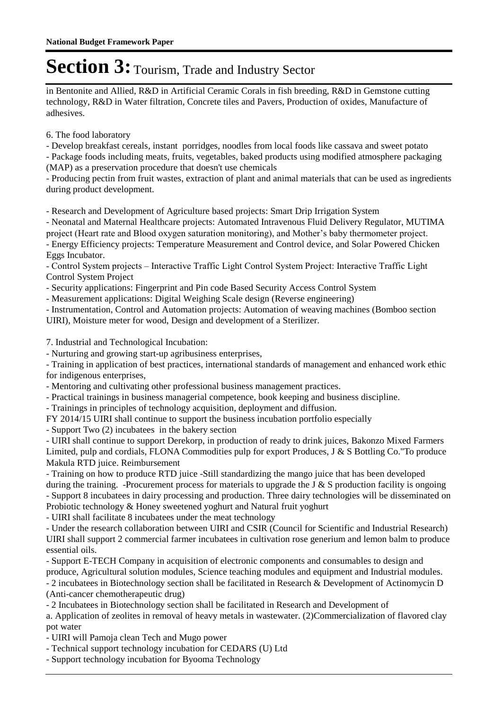in Bentonite and Allied, R&D in Artificial Ceramic Corals in fish breeding, R&D in Gemstone cutting technology, R&D in Water filtration, Concrete tiles and Pavers, Production of oxides, Manufacture of adhesives.

6. The food laboratory

- Develop breakfast cereals, instant porridges, noodles from local foods like cassava and sweet potato

- Package foods including meats, fruits, vegetables, baked products using modified atmosphere packaging (MAP) as a preservation procedure that doesn't use chemicals

- Producing pectin from fruit wastes, extraction of plant and animal materials that can be used as ingredients during product development.

- Research and Development of Agriculture based projects: Smart Drip Irrigation System

- Neonatal and Maternal Healthcare projects: Automated Intravenous Fluid Delivery Regulator, MUTIMA project (Heart rate and Blood oxygen saturation monitoring), and Mother's baby thermometer project.

- Energy Efficiency projects: Temperature Measurement and Control device, and Solar Powered Chicken Eggs Incubator.

- Control System projects – Interactive Traffic Light Control System Project: Interactive Traffic Light Control System Project

- Security applications: Fingerprint and Pin code Based Security Access Control System

- Measurement applications: Digital Weighing Scale design (Reverse engineering)

- Instrumentation, Control and Automation projects: Automation of weaving machines (Bomboo section UIRI), Moisture meter for wood, Design and development of a Sterilizer.

7. Industrial and Technological Incubation:

- Nurturing and growing start-up agribusiness enterprises,

- Training in application of best practices, international standards of management and enhanced work ethic for indigenous enterprises,

- Mentoring and cultivating other professional business management practices.

- Practical trainings in business managerial competence, book keeping and business discipline.

- Trainings in principles of technology acquisition, deployment and diffusion.

FY 2014/15 UIRI shall continue to support the business incubation portfolio especially

- Support Two (2) incubatees in the bakery section 

- UIRI shall continue to support Derekorp, in production of ready to drink juices, Bakonzo Mixed Farmers Limited, pulp and cordials, FLONA Commodities pulp for export Produces,  $J \& S$  Bottling Co. "To produce Makula RTD juice. Reimbursement

- Training on how to produce RTD juice -Still standardizing the mango juice that has been developed during the training. -Procurement process for materials to upgrade the J  $\&$  S production facility is ongoing - Support 8 incubatees in dairy processing and production. Three dairy technologies will be disseminated on Probiotic technology & Honey sweetened yoghurt and Natural fruit yoghurt 

- UIRI shall facilitate 8 incubatees under the meat technology 

- Under the research collaboration between UIRI and CSIR (Council for Scientific and Industrial Research) UIRI shall support 2 commercial farmer incubatees in cultivation rose generium and lemon balm to produce essential oils.

- Support E-TECH Company in acquisition of electronic components and consumables to design and produce, Agricultural solution modules, Science teaching modules and equipment and Industrial modules.

- 2 incubatees in Biotechnology section shall be facilitated in Research & Development of Actinomycin D (Anti-cancer chemotherapeutic drug)

- 2 Incubatees in Biotechnology section shall be facilitated in Research and Development of 

a. Application of zeolites in removal of heavy metals in wastewater. (2)Commercialization of flavored clay pot water

- UIRI will Pamoja clean Tech and Mugo power

- Technical support technology incubation for CEDARS (U) Ltd

- Support technology incubation for Byooma Technology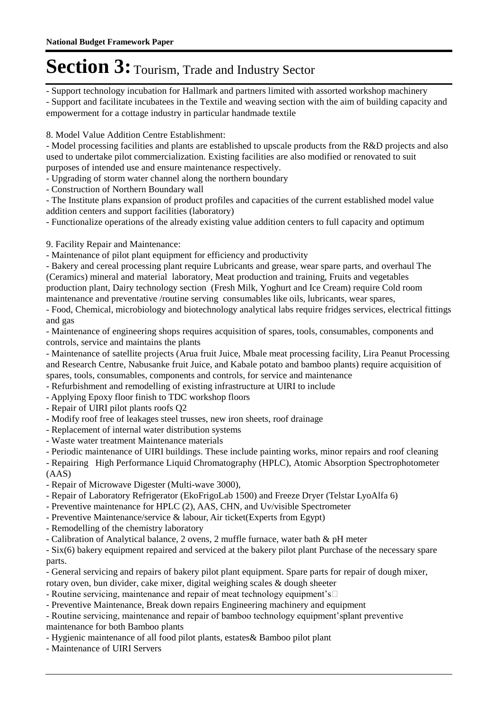- Support technology incubation for Hallmark and partners limited with assorted workshop machinery - Support and facilitate incubatees in the Textile and weaving section with the aim of building capacity and empowerment for a cottage industry in particular handmade textile

8. Model Value Addition Centre Establishment:

- Model processing facilities and plants are established to upscale products from the R&D projects and also used to undertake pilot commercialization. Existing facilities are also modified or renovated to suit purposes of intended use and ensure maintenance respectively.

- Upgrading of storm water channel along the northern boundary

- Construction of Northern Boundary wall

- The Institute plans expansion of product profiles and capacities of the current established model value addition centers and support facilities (laboratory)

- Functionalize operations of the already existing value addition centers to full capacity and optimum

9. Facility Repair and Maintenance:

- Maintenance of pilot plant equipment for efficiency and productivity 

- Bakery and cereal processing plant require Lubricants and grease, wear spare parts, and overhaul The (Ceramics) mineral and material laboratory, Meat production and training, Fruits and vegetables production plant, Dairy technology section (Fresh Milk, Yoghurt and Ice Cream) require Cold room maintenance and preventative /routine serving consumables like oils, lubricants, wear spares, 

- Food, Chemical, microbiology and biotechnology analytical labs require fridges services, electrical fittings and gas

- Maintenance of engineering shops requires acquisition of spares, tools, consumables, components and controls, service and maintains the plants

- Maintenance of satellite projects (Arua fruit Juice, Mbale meat processing facility, Lira Peanut Processing and Research Centre, Nabusanke fruit Juice, and Kabale potato and bamboo plants) require acquisition of spares, tools, consumables, components and controls, for service and maintenance 

- Refurbishment and remodelling of existing infrastructure at UIRI to include

- Applying Epoxy floor finish to TDC workshop floors 

- Repair of UIRI pilot plants roofs Q2 

- Modify roof free of leakages steel trusses, new iron sheets, roof drainage 

- Replacement of internal water distribution systems 

- Waste water treatment Maintenance materials

- Periodic maintenance of UIRI buildings. These include painting works, minor repairs and roof cleaning

- Repairing High Performance Liquid Chromatography (HPLC), Atomic Absorption Spectrophotometer

(AAS)

- Repair of Microwave Digester (Multi-wave 3000),

- Repair of Laboratory Refrigerator (EkoFrigoLab 1500) and Freeze Dryer (Telstar LyoAlfa 6) 

- Preventive maintenance for HPLC (2), AAS, CHN, and Uv/visible Spectrometer 

- Preventive Maintenance/service & labour, Air ticket(Experts from Egypt) 

- Remodelling of the chemistry laboratory

- Calibration of Analytical balance, 2 ovens, 2 muffle furnace, water bath & pH meter

- Six(6) bakery equipment repaired and serviced at the bakery pilot plant Purchase of the necessary spare parts.

- General servicing and repairs of bakery pilot plant equipment. Spare parts for repair of dough mixer, rotary oven, bun divider, cake mixer, digital weighing scales & dough sheeter

- Routine servicing, maintenance and repair of meat technology equipment's 

- Preventive Maintenance, Break down repairs Engineering machinery and equipment 

- Routine servicing, maintenance and repair of bamboo technology equipment's plant preventive maintenance for both Bamboo plants 

- Hygienic maintenance of all food pilot plants, estates& Bamboo pilot plant 

- Maintenance of UIRI Servers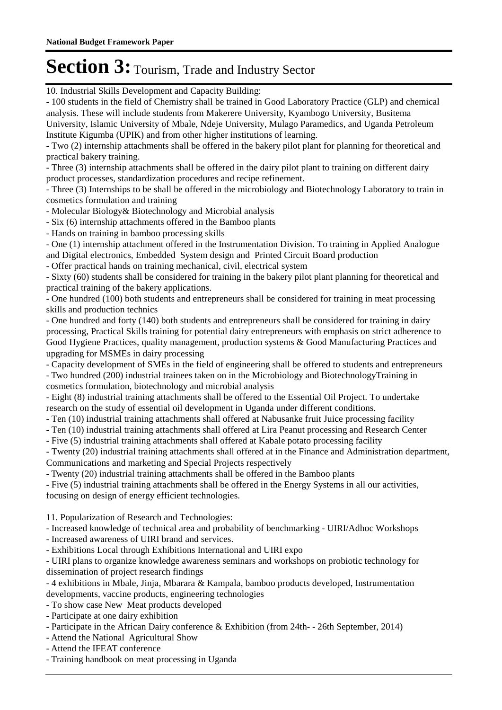10. Industrial Skills Development and Capacity Building:

- 100 students in the field of Chemistry shall be trained in Good Laboratory Practice (GLP) and chemical analysis. These will include students from Makerere University, Kyambogo University, Busitema University, Islamic University of Mbale, Ndeje University, Mulago Paramedics, and Uganda Petroleum Institute Kigumba (UPIK) and from other higher institutions of learning. - Two (2) internship attachments shall be offered in the bakery pilot plant for planning for theoretical and practical bakery training. - Three (3) internship attachments shall be offered in the dairy pilot plant to training on different dairy product processes, standardization procedures and recipe refinement. - Three (3) Internships to be shall be offered in the microbiology and Biotechnology Laboratory to train in cosmetics formulation and training - Molecular Biology& Biotechnology and Microbial analysis - Six (6) internship attachments offered in the Bamboo plants - Hands on training in bamboo processing skills - One (1) internship attachment offered in the Instrumentation Division. To training in Applied Analogue and Digital electronics, Embedded System design and Printed Circuit Board production - Offer practical hands on training mechanical, civil, electrical system - Sixty (60) students shall be considered for training in the bakery pilot plant planning for theoretical and practical training of the bakery applications. - One hundred (100) both students and entrepreneurs shall be considered for training in meat processing skills and production technics - One hundred and forty (140) both students and entrepreneurs shall be considered for training in dairy processing, Practical Skills training for potential dairy entrepreneurs with emphasis on strict adherence to Good Hygiene Practices, quality management, production systems & Good Manufacturing Practices and upgrading for MSMEs in dairy processing - Capacity development of SMEs in the field of engineering shall be offered to students and entrepreneurs - Two hundred (200) industrial trainees taken on in the Microbiology and Biotechnology Training in cosmetics formulation, biotechnology and microbial analysis - Eight (8) industrial training attachments shall be offered to the Essential Oil Project. To undertake research on the study of essential oil development in Uganda under different conditions. - Ten (10) industrial training attachments shall offered at Nabusanke fruit Juice processing facility - Ten (10) industrial training attachments shall offered at Lira Peanut processing and Research Center - Five (5) industrial training attachments shall offered at Kabale potato processing facility - Twenty (20) industrial training attachments shall offered at in the Finance and Administration department, Communications and marketing and Special Projects respectively - Twenty (20) industrial training attachments shall be offered in the Bamboo plants - Five (5) industrial training attachments shall be offered in the Energy Systems in all our activities, focusing on design of energy efficient technologies. 11. Popularization of Research and Technologies:

- Increased knowledge of technical area and probability of benchmarking - UIRI/Adhoc Workshops

- Increased awareness of UIRI brand and services.

- Exhibitions Local through Exhibitions International and UIRI expo

- UIRI plans to organize knowledge awareness seminars and workshops on probiotic technology for dissemination of project research findings

- 4 exhibitions in Mbale, Jinja, Mbarara & Kampala, bamboo products developed, Instrumentation developments, vaccine products, engineering technologies

- To show case New Meat products developed

- Participate at one dairy exhibition 

- Participate in the African Dairy conference & Exhibition (from 24th- - 26th September, 2014)

- Attend the National Agricultural Show 

- Attend the IFEAT conference 

- Training handbook on meat processing in Uganda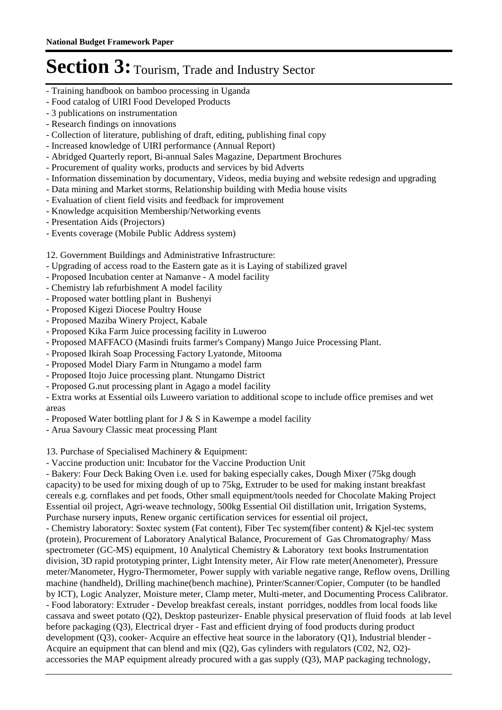- Training handbook on bamboo processing in Uganda
- Food catalog of UIRI Food Developed Products
- 3 publications on instrumentation
- Research findings on innovations
- Collection of literature, publishing of draft, editing, publishing final copy
- Increased knowledge of UIRI performance (Annual Report)
- Abridged Quarterly report, Bi-annual Sales Magazine, Department Brochures
- Procurement of quality works, products and services by bid Adverts
- Information dissemination by documentary, Videos, media buying and website redesign and upgrading
- Data mining and Market storms, Relationship building with Media house visits
- Evaluation of client field visits and feedback for improvement
- Knowledge acquisition Membership/Networking events
- Presentation Aids (Projectors)
- Events coverage (Mobile Public Address system)

12. Government Buildings and Administrative Infrastructure:

- Upgrading of access road to the Eastern gate as it is Laying of stabilized gravel
- Proposed Incubation center at Namanve A model facility
- Chemistry lab refurbishment A model facility
- Proposed water bottling plant in Bushenyi
- Proposed Kigezi Diocese Poultry House
- Proposed Maziba Winery Project, Kabale
- Proposed Kika Farm Juice processing facility in Luweroo
- Proposed MAFFACO (Masindi fruits farmer's Company) Mango Juice Processing Plant.
- Proposed Ikirah Soap Processing Factory Lyatonde, Mitooma
- Proposed Model Diary Farm in Ntungamo a model farm
- Proposed Itojo Juice processing plant. Ntungamo District
- Proposed G.nut processing plant in Agago a model facility

- Extra works at Essential oils Luweero variation to additional scope to include office premises and wet areas

- Proposed Water bottling plant for J & S in Kawempe a model facility
- Arua Savoury Classic meat processing Plant

13. Purchase of Specialised Machinery & Equipment:

- Vaccine production unit: Incubator for the Vaccine Production Unit

- Bakery: Four Deck Baking Oven i.e. used for baking especially cakes, Dough Mixer (75kg dough capacity) to be used for mixing dough of up to 75kg, Extruder to be used for making instant breakfast cereals e.g. cornflakes and pet foods, Other small equipment/tools needed for Chocolate Making Project Essential oil project, Agri-weave technology, 500kg Essential Oil distillation unit, Irrigation Systems, Purchase nursery inputs, Renew organic certification services for essential oil project,

- Chemistry laboratory: Soxtec system (Fat content), Fiber Tec system(fiber content) & Kjel-tec system (protein), Procurement of Laboratory Analytical Balance, Procurement of Gas Chromatography/ Mass spectrometer (GC-MS) equipment, 10 Analytical Chemistry & Laboratory text books Instrumentation division, 3D rapid prototyping printer, Light Intensity meter, Air Flow rate meter(Anenometer), Pressure meter/Manometer, Hygro-Thermometer, Power supply with variable negative range, Reflow ovens, Drilling machine (handheld), Drilling machine(bench machine), Printer/Scanner/Copier, Computer (to be handled by ICT), Logic Analyzer, Moisture meter, Clamp meter, Multi-meter, and Documenting Process Calibrator. - Food laboratory: Extruder - Develop breakfast cereals, instant porridges, noddles from local foods like cassava and sweet potato (Q2), Desktop pasteurizer- Enable physical preservation of fluid foods at lab level before packaging (Q3), Electrical dryer - Fast and efficient drying of food products during product development (Q3), cooker- Acquire an effective heat source in the laboratory (Q1), Industrial blender - Acquire an equipment that can blend and mix  $(Q2)$ , Gas cylinders with regulators  $(C02, N2, O2)$ accessories the MAP equipment already procured with a gas supply (Q3), MAP packaging technology,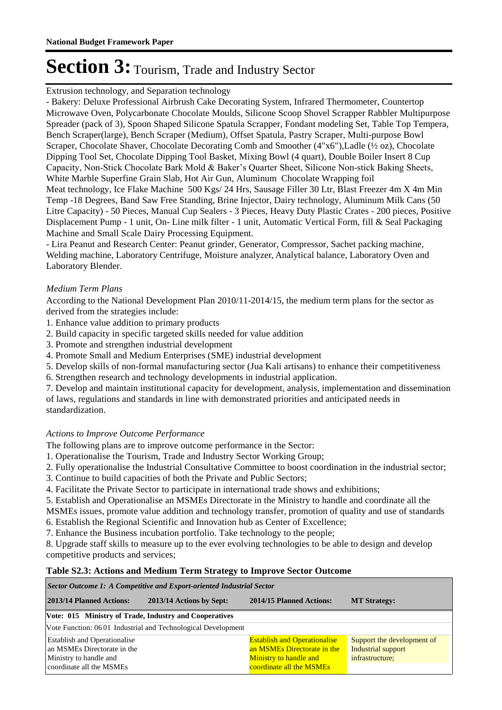Extrusion technology, and Separation technology

- Bakery: Deluxe Professional Airbrush Cake Decorating System, Infrared Thermometer, Countertop Microwave Oven, Polycarbonate Chocolate Moulds, Silicone Scoop Shovel Scrapper Rabbler Multipurpose Spreader (pack of 3), Spoon Shaped Silicone Spatula Scrapper, Fondant modeling Set, Table Top Tempera, Bench Scraper(large), Bench Scraper (Medium), Offset Spatula, Pastry Scraper, Multi-purpose Bowl Scraper, Chocolate Shaver, Chocolate Decorating Comb and Smoother (4"x6"),Ladle (½ oz), Chocolate Dipping Tool Set, Chocolate Dipping Tool Basket, Mixing Bowl (4 quart), Double Boiler Insert 8 Cup Capacity, Non-Stick Chocolate Bark Mold & Baker's Quarter Sheet, Silicone Non-stick Baking Sheets, White Marble Superfine Grain Slab, Hot Air Gun, Aluminum Chocolate Wrapping foil Meat technology, Ice Flake Machine 500 Kgs/ 24 Hrs, Sausage Filler 30 Ltr, Blast Freezer 4m X 4m Min Temp -18 Degrees, Band Saw Free Standing, Brine Injector, Dairy technology, Aluminum Milk Cans (50 Litre Capacity) - 50 Pieces, Manual Cup Sealers - 3 Pieces, Heavy Duty Plastic Crates - 200 pieces, Positive Displacement Pump - 1 unit, On- Line milk filter - 1 unit, Automatic Vertical Form, fill & Seal Packaging Machine and Small Scale Dairy Processing Equipment.

- Lira Peanut and Research Center: Peanut grinder, Generator, Compressor, Sachet packing machine, Welding machine, Laboratory Centrifuge, Moisture analyzer, Analytical balance, Laboratory Oven and Laboratory Blender.

### *Medium Term Plans*

According to the National Development Plan 2010/11-2014/15, the medium term plans for the sector as derived from the strategies include:

- 1. Enhance value addition to primary products
- 2. Build capacity in specific targeted skills needed for value addition
- 3. Promote and strengthen industrial development
- 4. Promote Small and Medium Enterprises (SME) industrial development
- 5. Develop skills of non-formal manufacturing sector (Jua Kali artisans) to enhance their competitiveness
- 6. Strengthen research and technology developments in industrial application.

7. Develop and maintain institutional capacity for development, analysis, implementation and dissemination of laws, regulations and standards in line with demonstrated priorities and anticipated needs in standardization.

### *Actions to Improve Outcome Performance*

The following plans are to improve outcome performance in the Sector:

- 1. Operationalise the Tourism, Trade and Industry Sector Working Group;
- 2. Fully operationalise the Industrial Consultative Committee to boost coordination in the industrial sector;
- 3. Continue to build capacities of both the Private and Public Sectors;
- 4. Facilitate the Private Sector to participate in international trade shows and exhibitions;

5. Establish and Operationalise an MSMEs Directorate in the Ministry to handle and coordinate all the MSMEs issues, promote value addition and technology transfer, promotion of quality and use of standards

- 6. Establish the Regional Scientific and Innovation hub as Center of Excellence;
- 7. Enhance the Business incubation portfolio. Take technology to the people;

8. Upgrade staff skills to measure up to the ever evolving technologies to be able to design and develop competitive products and services;

### **Table S2.3: Actions and Medium Term Strategy to Improve Sector Outcome**

#### **2013/14 Planned Actions: 2013/14 Actions by Sept: 2014/15 Planned Actions: MT Strategy:** *Sector Outcome 1: A Competitive and Export-oriented Industrial Sector* **Vote: 015 Ministry of Trade, Industry and Cooperatives** Vote Function: 06 01 Industrial and Technological Development Establish and Operationalise an MSMEs Directorate in the Ministry to handle and coordinate all the MSMEs Establish and Operationalise an MSMEs Directorate in the Ministry to handle and coordinate all the MSMEs Support the development of Industrial support infrastructure;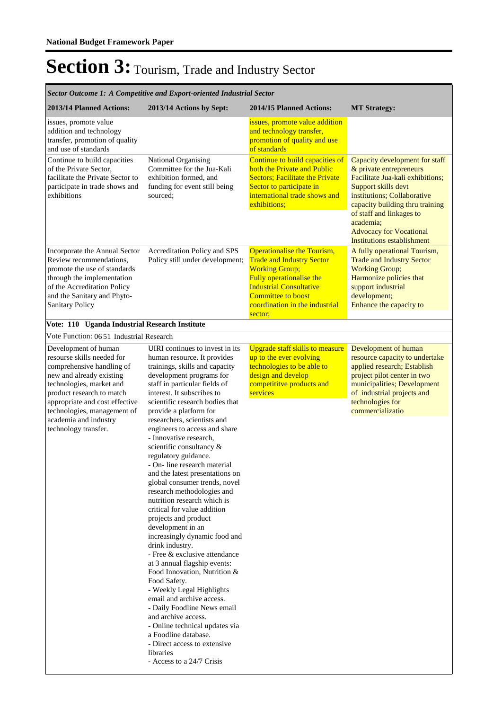| Sector Outcome 1: A Competitive and Export-oriented Industrial Sector                                                                                                                                                                                                                  |                                                                                                                                                                                                                                                                                                                                                                                                                                                                                                                                                                                                                                                                                                                                                                                                                                                                                                                                                                                                                                                                             |                                                                                                                                                                                                                                  |                                                                                                                                                                                                                                                                                                 |  |
|----------------------------------------------------------------------------------------------------------------------------------------------------------------------------------------------------------------------------------------------------------------------------------------|-----------------------------------------------------------------------------------------------------------------------------------------------------------------------------------------------------------------------------------------------------------------------------------------------------------------------------------------------------------------------------------------------------------------------------------------------------------------------------------------------------------------------------------------------------------------------------------------------------------------------------------------------------------------------------------------------------------------------------------------------------------------------------------------------------------------------------------------------------------------------------------------------------------------------------------------------------------------------------------------------------------------------------------------------------------------------------|----------------------------------------------------------------------------------------------------------------------------------------------------------------------------------------------------------------------------------|-------------------------------------------------------------------------------------------------------------------------------------------------------------------------------------------------------------------------------------------------------------------------------------------------|--|
| 2013/14 Planned Actions:                                                                                                                                                                                                                                                               | 2013/14 Actions by Sept:                                                                                                                                                                                                                                                                                                                                                                                                                                                                                                                                                                                                                                                                                                                                                                                                                                                                                                                                                                                                                                                    | 2014/15 Planned Actions:                                                                                                                                                                                                         | <b>MT Strategy:</b>                                                                                                                                                                                                                                                                             |  |
| issues, promote value<br>addition and technology<br>transfer, promotion of quality<br>and use of standards                                                                                                                                                                             |                                                                                                                                                                                                                                                                                                                                                                                                                                                                                                                                                                                                                                                                                                                                                                                                                                                                                                                                                                                                                                                                             | issues, promote value addition<br>and technology transfer,<br>promotion of quality and use<br>of standards                                                                                                                       |                                                                                                                                                                                                                                                                                                 |  |
| Continue to build capacities<br>of the Private Sector,<br>facilitate the Private Sector to<br>participate in trade shows and<br>exhibitions                                                                                                                                            | National Organising<br>Committee for the Jua-Kali<br>exhibition formed, and<br>funding for event still being<br>sourced:                                                                                                                                                                                                                                                                                                                                                                                                                                                                                                                                                                                                                                                                                                                                                                                                                                                                                                                                                    | Continue to build capacities of<br>both the Private and Public<br><b>Sectors: Facilitate the Private</b><br>Sector to participate in<br>international trade shows and<br>exhibitions;                                            | Capacity development for staff<br>& private entrepreneurs<br>Facilitate Jua-kali exhibitions;<br>Support skills devt<br>institutions; Collaborative<br>capacity building thru training<br>of staff and linkages to<br>academia;<br><b>Advocacy for Vocational</b><br>Institutions establishment |  |
| Incorporate the Annual Sector<br>Review recommendations,<br>promote the use of standards<br>through the implementation<br>of the Accreditation Policy<br>and the Sanitary and Phyto-<br><b>Sanitary Policy</b>                                                                         | Accreditation Policy and SPS<br>Policy still under development;                                                                                                                                                                                                                                                                                                                                                                                                                                                                                                                                                                                                                                                                                                                                                                                                                                                                                                                                                                                                             | Operationalise the Tourism,<br><b>Trade and Industry Sector</b><br><b>Working Group;</b><br>Fully operationalise the<br><b>Industrial Consultative</b><br><b>Committee to boost</b><br>coordination in the industrial<br>sector; | A fully operational Tourism,<br><b>Trade and Industry Sector</b><br><b>Working Group;</b><br>Harmonize policies that<br>support industrial<br>development;<br>Enhance the capacity to                                                                                                           |  |
| Vote: 110 Uganda Industrial Research Institute                                                                                                                                                                                                                                         |                                                                                                                                                                                                                                                                                                                                                                                                                                                                                                                                                                                                                                                                                                                                                                                                                                                                                                                                                                                                                                                                             |                                                                                                                                                                                                                                  |                                                                                                                                                                                                                                                                                                 |  |
| Vote Function: 0651 Industrial Research                                                                                                                                                                                                                                                |                                                                                                                                                                                                                                                                                                                                                                                                                                                                                                                                                                                                                                                                                                                                                                                                                                                                                                                                                                                                                                                                             |                                                                                                                                                                                                                                  |                                                                                                                                                                                                                                                                                                 |  |
| Development of human<br>resourse skills needed for<br>comprehensive handling of<br>new and already existing<br>technologies, market and<br>product research to match<br>appropriate and cost effective<br>technologies, management of<br>academia and industry<br>technology transfer. | UIRI continues to invest in its<br>human resource. It provides<br>trainings, skills and capacity<br>development programs for<br>staff in particular fields of<br>interest. It subscribes to<br>scientific research bodies that<br>provide a platform for<br>researchers, scientists and<br>engineers to access and share<br>- Innovative research,<br>scientific consultancy &<br>regulatory guidance.<br>- On-line research material<br>and the latest presentations on<br>global consumer trends, novel<br>research methodologies and<br>nutrition research which is<br>critical for value addition<br>projects and product<br>development in an<br>increasingly dynamic food and<br>drink industry.<br>- Free & exclusive attendance<br>at 3 annual flagship events:<br>Food Innovation, Nutrition &<br>Food Safety.<br>- Weekly Legal Highlights<br>email and archive access.<br>- Daily Foodline News email<br>and archive access.<br>- Online technical updates via<br>a Foodline database.<br>- Direct access to extensive<br>libraries<br>- Access to a 24/7 Crisis | <b>Upgrade staff skills to measure</b><br>up to the ever evolving<br>technologies to be able to<br>design and develop<br>competititve products and<br>services                                                                   | Development of human<br>resource capacity to undertake<br>applied research; Establish<br>project pilot center in two<br>municipalities; Development<br>of industrial projects and<br>technologies for<br>commercializatio                                                                       |  |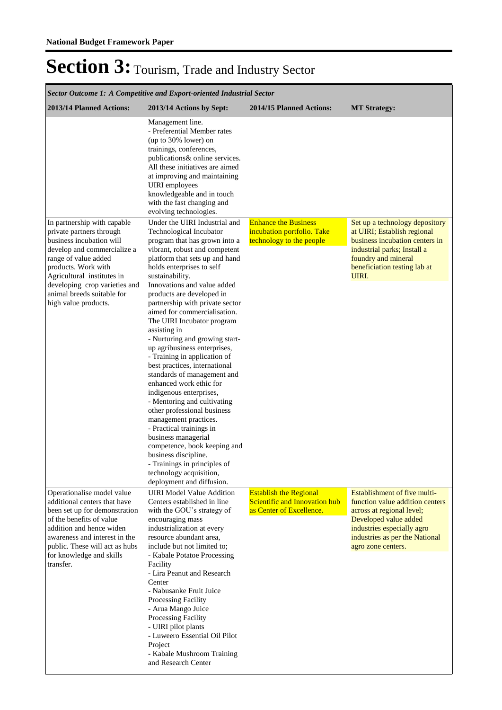| Sector Outcome 1: A Competitive and Export-oriented Industrial Sector                                                                                                                                                                                                                  |                                                                                                                                                                                                                                                                                                                                                                                                                                                                                                                                                                                                                                                                                                                                                                                                                                                                                                             |                                                                                            |                                                                                                                                                                                                             |  |
|----------------------------------------------------------------------------------------------------------------------------------------------------------------------------------------------------------------------------------------------------------------------------------------|-------------------------------------------------------------------------------------------------------------------------------------------------------------------------------------------------------------------------------------------------------------------------------------------------------------------------------------------------------------------------------------------------------------------------------------------------------------------------------------------------------------------------------------------------------------------------------------------------------------------------------------------------------------------------------------------------------------------------------------------------------------------------------------------------------------------------------------------------------------------------------------------------------------|--------------------------------------------------------------------------------------------|-------------------------------------------------------------------------------------------------------------------------------------------------------------------------------------------------------------|--|
| 2013/14 Planned Actions:                                                                                                                                                                                                                                                               | 2013/14 Actions by Sept:                                                                                                                                                                                                                                                                                                                                                                                                                                                                                                                                                                                                                                                                                                                                                                                                                                                                                    | <b>2014/15 Planned Actions:</b>                                                            | <b>MT Strategy:</b>                                                                                                                                                                                         |  |
|                                                                                                                                                                                                                                                                                        | Management line.<br>- Preferential Member rates<br>(up to 30% lower) on<br>trainings, conferences,<br>publications & online services.<br>All these initiatives are aimed<br>at improving and maintaining<br>UIRI employees<br>knowledgeable and in touch<br>with the fast changing and<br>evolving technologies.                                                                                                                                                                                                                                                                                                                                                                                                                                                                                                                                                                                            |                                                                                            |                                                                                                                                                                                                             |  |
| In partnership with capable<br>private partners through<br>business incubation will<br>develop and commercialize a<br>range of value added<br>products. Work with<br>Agricultural institutes in<br>developing crop varieties and<br>animal breeds suitable for<br>high value products. | Under the UIRI Industrial and<br>Technological Incubator<br>program that has grown into a<br>vibrant, robust and competent<br>platform that sets up and hand<br>holds enterprises to self<br>sustainability.<br>Innovations and value added<br>products are developed in<br>partnership with private sector<br>aimed for commercialisation.<br>The UIRI Incubator program<br>assisting in<br>- Nurturing and growing start-<br>up agribusiness enterprises,<br>- Training in application of<br>best practices, international<br>standards of management and<br>enhanced work ethic for<br>indigenous enterprises,<br>- Mentoring and cultivating<br>other professional business<br>management practices.<br>- Practical trainings in<br>business managerial<br>competence, book keeping and<br>business discipline.<br>- Trainings in principles of<br>technology acquisition,<br>deployment and diffusion. | <b>Enhance the Business</b><br>incubation portfolio. Take<br>technology to the people      | Set up a technology depository<br>at UIRI; Establish regional<br>business incubation centers in<br>industrial parks; Install a<br>foundry and mineral<br>beneficiation testing lab at<br>UIRI.              |  |
| Operationalise model value<br>additional centers that have<br>been set up for demonstration<br>of the benefits of value<br>addition and hence widen<br>awareness and interest in the<br>public. These will act as hubs<br>for knowledge and skills<br>transfer.                        | <b>UIRI</b> Model Value Addition<br>Centers established in line<br>with the GOU's strategy of<br>encouraging mass<br>industrialization at every<br>resource abundant area,<br>include but not limited to;<br>- Kabale Potatoe Processing<br>Facility<br>- Lira Peanut and Research<br>Center<br>- Nabusanke Fruit Juice<br>Processing Facility<br>- Arua Mango Juice<br>Processing Facility<br>- UIRI pilot plants<br>- Luweero Essential Oil Pilot<br>Project<br>- Kabale Mushroom Training<br>and Research Center                                                                                                                                                                                                                                                                                                                                                                                         | <b>Establish the Regional</b><br>Scientific and Innovation hub<br>as Center of Excellence. | Establishment of five multi-<br>function value addition centers<br>across at regional level;<br>Developed value added<br>industries especially agro<br>industries as per the National<br>agro zone centers. |  |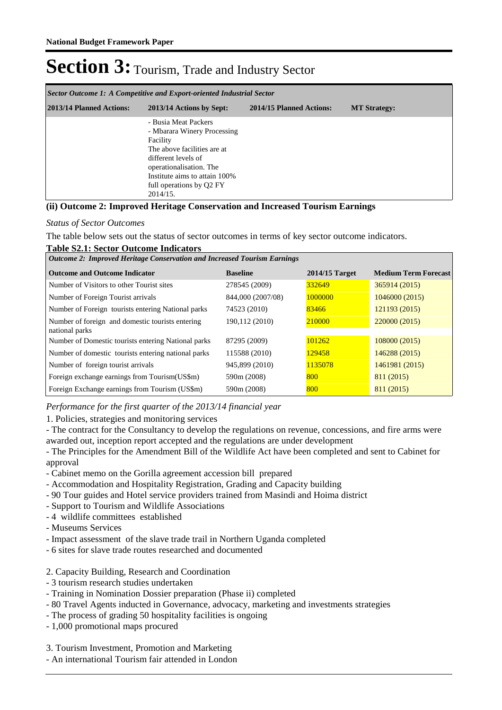| Sector Outcome 1: A Competitive and Export-oriented Industrial Sector |                                                                                                                                                                                                                           |                          |                     |  |
|-----------------------------------------------------------------------|---------------------------------------------------------------------------------------------------------------------------------------------------------------------------------------------------------------------------|--------------------------|---------------------|--|
| 2013/14 Planned Actions:                                              | 2013/14 Actions by Sept:                                                                                                                                                                                                  | 2014/15 Planned Actions: | <b>MT Strategy:</b> |  |
|                                                                       | - Busia Meat Packers<br>- Mbarara Winery Processing<br>Facility<br>The above facilities are at<br>different levels of<br>operationalisation. The<br>Institute aims to attain 100%<br>full operations by Q2 FY<br>2014/15. |                          |                     |  |

#### **(ii) Outcome 2: Improved Heritage Conservation and Increased Tourism Earnings**

#### *Status of Sector Outcomes*

The table below sets out the status of sector outcomes in terms of key sector outcome indicators.

#### **Table S2.1: Sector Outcome Indicators**

| <b>Outcome 2: Improved Heritage Conservation and Increased Tourism Earnings</b> |                   |                  |                             |  |
|---------------------------------------------------------------------------------|-------------------|------------------|-----------------------------|--|
| <b>Outcome and Outcome Indicator</b>                                            | <b>Baseline</b>   | $2014/15$ Target | <b>Medium Term Forecast</b> |  |
| Number of Visitors to other Tourist sites                                       | 278545 (2009)     | 332649           | 365914 (2015)               |  |
| Number of Foreign Tourist arrivals                                              | 844,000 (2007/08) | 1000000          | 1046000 (2015)              |  |
| Number of Foreign tourists entering National parks                              | 74523 (2010)      | 83466            | 121193 (2015)               |  |
| Number of foreign and domestic tourists entering<br>national parks              | 190,112 (2010)    | 210000           | 220000 (2015)               |  |
| Number of Domestic tourists entering National parks                             | 87295 (2009)      | 101262           | 108000 (2015)               |  |
| Number of domestic tourists entering national parks                             | 115588 (2010)     | 129458           | 146288 (2015)               |  |
| Number of foreign tourist arrivals                                              | 945,899 (2010)    | 1135078          | 1461981 (2015)              |  |
| Foreign exchange earnings from Tourism (US\$m)                                  | 590m (2008)       | 800              | 811 (2015)                  |  |
| Foreign Exchange earnings from Tourism (US\$m)                                  | 590m (2008)       | 800              | 811 (2015)                  |  |

*Performance for the first quarter of the 2013/14 financial year*

1. Policies, strategies and monitoring services

- The contract for the Consultancy to develop the regulations on revenue, concessions, and fire arms were awarded out, inception report accepted and the regulations are under development

- The Principles for the Amendment Bill of the Wildlife Act have been completed and sent to Cabinet for approval

- Cabinet memo on the Gorilla agreement accession bill prepared
- Accommodation and Hospitality Registration, Grading and Capacity building
- 90 Tour guides and Hotel service providers trained from Masindi and Hoima district
- Support to Tourism and Wildlife Associations
- 4 wildlife committees established
- Museums Services
- Impact assessment of the slave trade trail in Northern Uganda completed
- 6 sites for slave trade routes researched and documented
- 2. Capacity Building, Research and Coordination
- 3 tourism research studies undertaken
- Training in Nomination Dossier preparation (Phase ii) completed
- 80 Travel Agents inducted in Governance, advocacy, marketing and investments strategies
- The process of grading 50 hospitality facilities is ongoing
- 1,000 promotional maps procured
- 3. Tourism Investment, Promotion and Marketing
- An international Tourism fair attended in London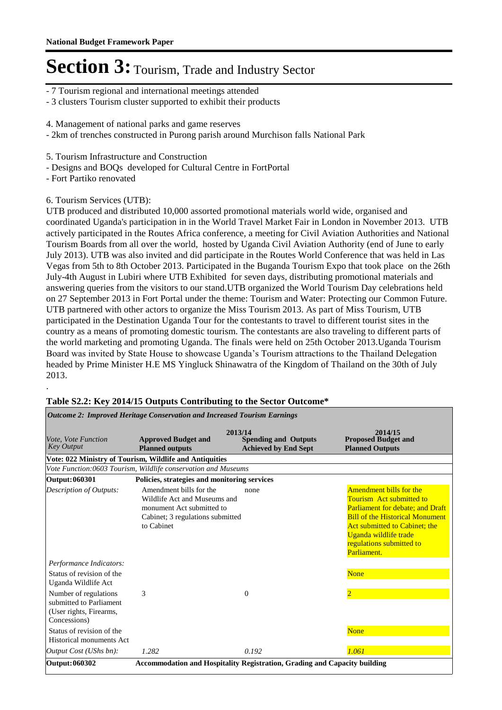- 7 Tourism regional and international meetings attended
- 3 clusters Tourism cluster supported to exhibit their products
- 4. Management of national parks and game reserves
- 2km of trenches constructed in Purong parish around Murchison falls National Park
- 5. Tourism Infrastructure and Construction
- Designs and BOQs developed for Cultural Centre in FortPortal

- Fort Partiko renovated

.

#### 6. Tourism Services (UTB):

UTB produced and distributed 10,000 assorted promotional materials world wide, organised and coordinated Uganda's participation in in the World Travel Market Fair in London in November 2013. UTB actively participated in the Routes Africa conference, a meeting for Civil Aviation Authorities and National Tourism Boards from all over the world, hosted by Uganda Civil Aviation Authority (end of June to early July 2013). UTB was also invited and did participate in the Routes World Conference that was held in Las Vegas from 5th to 8th October 2013. Participated in the Buganda Tourism Expo that took place on the 26th July-4th August in Lubiri where UTB Exhibited for seven days, distributing promotional materials and answering queries from the visitors to our stand.UTB organized the World Tourism Day celebrations held on 27 September 2013 in Fort Portal under the theme: Tourism and Water: Protecting our Common Future. UTB partnered with other actors to organize the Miss Tourism 2013. As part of Miss Tourism, UTB participated in the Destination Uganda Tour for the contestants to travel to different tourist sites in the country as a means of promoting domestic tourism. The contestants are also traveling to different parts of the world marketing and promoting Uganda. The finals were held on 25th October 2013.Uganda Tourism Board was invited by State House to showcase Uganda's Tourism attractions to the Thailand Delegation headed by Prime Minister H.E MS Yingluck Shinawatra of the Kingdom of Thailand on the 30th of July 2013.

| <b>Outcome 2: Improved Heritage Conservation and Increased Tourism Earnings</b>                                                                                                                                                     |                                                                                                                                        |                                                            |                                                                                                                                                                                                                                               |  |
|-------------------------------------------------------------------------------------------------------------------------------------------------------------------------------------------------------------------------------------|----------------------------------------------------------------------------------------------------------------------------------------|------------------------------------------------------------|-----------------------------------------------------------------------------------------------------------------------------------------------------------------------------------------------------------------------------------------------|--|
| Vote, Vote Function<br><b>Key Output</b>                                                                                                                                                                                            | 2013/14<br><b>Approved Budget and</b><br><b>Planned outputs</b>                                                                        | <b>Spending and Outputs</b><br><b>Achieved by End Sept</b> | 2014/15<br><b>Proposed Budget and</b><br><b>Planned Outputs</b>                                                                                                                                                                               |  |
|                                                                                                                                                                                                                                     | Vote: 022 Ministry of Tourism, Wildlife and Antiquities                                                                                |                                                            |                                                                                                                                                                                                                                               |  |
|                                                                                                                                                                                                                                     | Vote Function:0603 Tourism, Wildlife conservation and Museums                                                                          |                                                            |                                                                                                                                                                                                                                               |  |
| Output: 060301                                                                                                                                                                                                                      | Policies, strategies and monitoring services                                                                                           |                                                            |                                                                                                                                                                                                                                               |  |
| Description of Outputs:                                                                                                                                                                                                             | Amendment bills for the<br>Wildlife Act and Museums and<br>monument Act submitted to<br>Cabinet; 3 regulations submitted<br>to Cabinet | none                                                       | Amendment bills for the<br><b>Tourism</b> Act submitted to<br>Parliament for debate; and Draft<br><b>Bill of the Historical Monument</b><br>Act submitted to Cabinet; the<br>Uganda wildlife trade<br>regulations submitted to<br>Parliament. |  |
| Performance Indicators:<br>Status of revision of the<br>Uganda Wildlife Act<br>Number of regulations<br>submitted to Parliament<br>(User rights, Firearms,<br>Concessions)<br>Status of revision of the<br>Historical monuments Act | 3                                                                                                                                      | $\Omega$                                                   | <b>None</b><br>$\overline{2}$<br><b>None</b>                                                                                                                                                                                                  |  |
| <i>Output Cost (UShs bn):</i>                                                                                                                                                                                                       | 1.282                                                                                                                                  | 0.192                                                      | 1.061                                                                                                                                                                                                                                         |  |
| Output: 060302                                                                                                                                                                                                                      | Accommodation and Hospitality Registration, Grading and Capacity building                                                              |                                                            |                                                                                                                                                                                                                                               |  |

#### **Table S2.2: Key 2014/15 Outputs Contributing to the Sector Outcome\***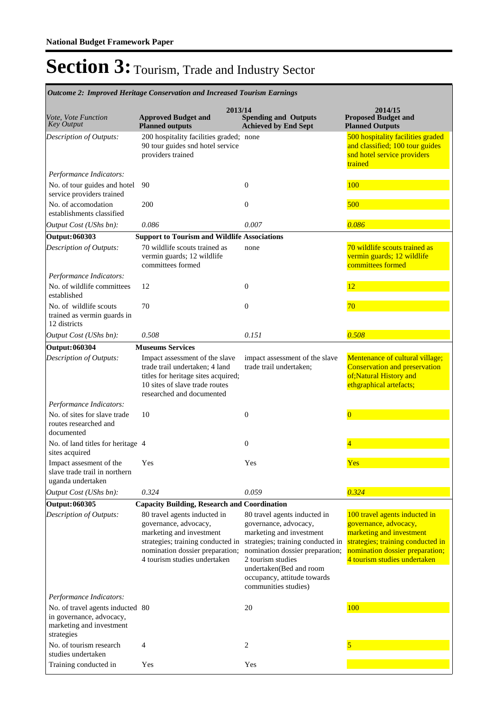| <b>Outcome 2: Improved Heritage Conservation and Increased Tourism Earnings</b>                        |                                                                                                                                                                                           |                                                                                                                                                                                                                                                                  |                                                                                                                                                                                            |  |
|--------------------------------------------------------------------------------------------------------|-------------------------------------------------------------------------------------------------------------------------------------------------------------------------------------------|------------------------------------------------------------------------------------------------------------------------------------------------------------------------------------------------------------------------------------------------------------------|--------------------------------------------------------------------------------------------------------------------------------------------------------------------------------------------|--|
| <i>Vote, Vote Function</i><br><b>Key Output</b>                                                        | 2013/14<br><b>Approved Budget and</b><br><b>Planned outputs</b>                                                                                                                           | <b>Spending and Outputs</b><br><b>Achieved by End Sept</b>                                                                                                                                                                                                       | 2014/15<br><b>Proposed Budget and</b><br><b>Planned Outputs</b>                                                                                                                            |  |
| Description of Outputs:                                                                                | 200 hospitality facilities graded; none<br>90 tour guides snd hotel service<br>providers trained                                                                                          |                                                                                                                                                                                                                                                                  | 500 hospitality facilities graded<br>and classified; 100 tour guides<br>snd hotel service providers<br>trained                                                                             |  |
| Performance Indicators:                                                                                |                                                                                                                                                                                           |                                                                                                                                                                                                                                                                  |                                                                                                                                                                                            |  |
| No. of tour guides and hotel<br>service providers trained                                              | 90                                                                                                                                                                                        | $\mathbf{0}$                                                                                                                                                                                                                                                     | 100                                                                                                                                                                                        |  |
| No. of accomodation<br>establishments classified                                                       | 200                                                                                                                                                                                       | $\mathbf{0}$                                                                                                                                                                                                                                                     | 500                                                                                                                                                                                        |  |
| Output Cost (UShs bn):                                                                                 | 0.086                                                                                                                                                                                     | 0.007                                                                                                                                                                                                                                                            | 0.086                                                                                                                                                                                      |  |
| Output: 060303                                                                                         | <b>Support to Tourism and Wildlife Associations</b>                                                                                                                                       |                                                                                                                                                                                                                                                                  |                                                                                                                                                                                            |  |
| Description of Outputs:                                                                                | 70 wildlife scouts trained as<br>vermin guards; 12 wildlife<br>committees formed                                                                                                          | none                                                                                                                                                                                                                                                             | 70 wildlife scouts trained as<br>vermin guards; 12 wildlife<br>committees formed                                                                                                           |  |
| Performance Indicators:                                                                                |                                                                                                                                                                                           |                                                                                                                                                                                                                                                                  |                                                                                                                                                                                            |  |
| No. of wildlife committees<br>established                                                              | 12                                                                                                                                                                                        | $\Omega$                                                                                                                                                                                                                                                         | 12                                                                                                                                                                                         |  |
| No. of wildlife scouts<br>trained as vermin guards in<br>12 districts                                  | 70                                                                                                                                                                                        | $\mathbf{0}$                                                                                                                                                                                                                                                     | 70                                                                                                                                                                                         |  |
| Output Cost (UShs bn):                                                                                 | 0.508                                                                                                                                                                                     | 0.151                                                                                                                                                                                                                                                            | 0.508                                                                                                                                                                                      |  |
| <b>Output: 060304</b>                                                                                  | <b>Museums Services</b>                                                                                                                                                                   |                                                                                                                                                                                                                                                                  |                                                                                                                                                                                            |  |
| Description of Outputs:                                                                                | Impact assessment of the slave<br>trade trail undertaken; 4 land<br>titles for heritage sites acquired;<br>10 sites of slave trade routes<br>researched and documented                    | impact assessment of the slave<br>trade trail undertaken;                                                                                                                                                                                                        | Mentenance of cultural village;<br>Conservation and preservation<br>of;Natural History and<br>ethgraphical artefacts;                                                                      |  |
| Performance Indicators:                                                                                |                                                                                                                                                                                           |                                                                                                                                                                                                                                                                  |                                                                                                                                                                                            |  |
| No. of sites for slave trade<br>routes researched and<br>documented                                    | 10                                                                                                                                                                                        | $\mathbf{0}$                                                                                                                                                                                                                                                     | $\overline{0}$                                                                                                                                                                             |  |
| No. of land titles for heritage 4<br>sites acquired                                                    |                                                                                                                                                                                           | $\mathbf{0}$                                                                                                                                                                                                                                                     |                                                                                                                                                                                            |  |
| Impact assesment of the<br>slave trade trail in northern<br>uganda undertaken                          | Yes                                                                                                                                                                                       | Yes                                                                                                                                                                                                                                                              | Yes                                                                                                                                                                                        |  |
| Output Cost (UShs bn):                                                                                 | 0.324                                                                                                                                                                                     | 0.059                                                                                                                                                                                                                                                            | 0.324                                                                                                                                                                                      |  |
| Output: 060305                                                                                         | <b>Capacity Building, Research and Coordination</b>                                                                                                                                       |                                                                                                                                                                                                                                                                  |                                                                                                                                                                                            |  |
| Description of Outputs:                                                                                | 80 travel agents inducted in<br>governance, advocacy,<br>marketing and investment<br>strategies; training conducted in<br>nomination dossier preparation;<br>4 tourism studies undertaken | 80 travel agents inducted in<br>governance, advocacy,<br>marketing and investment<br>strategies; training conducted in<br>nomination dossier preparation;<br>2 tourism studies<br>undertaken(Bed and room<br>occupancy, attitude towards<br>communities studies) | 100 travel agents inducted in<br>governance, advocacy,<br>marketing and investment<br>strategies; training conducted in<br>nomination dossier preparation;<br>4 tourism studies undertaken |  |
| Performance Indicators:                                                                                |                                                                                                                                                                                           |                                                                                                                                                                                                                                                                  |                                                                                                                                                                                            |  |
| No. of travel agents inducted 80<br>in governance, advocacy,<br>marketing and investment<br>strategies |                                                                                                                                                                                           | 20                                                                                                                                                                                                                                                               | 100                                                                                                                                                                                        |  |
| No. of tourism research<br>studies undertaken                                                          | 4                                                                                                                                                                                         | $\overline{2}$                                                                                                                                                                                                                                                   |                                                                                                                                                                                            |  |
| Training conducted in                                                                                  | Yes                                                                                                                                                                                       | Yes                                                                                                                                                                                                                                                              |                                                                                                                                                                                            |  |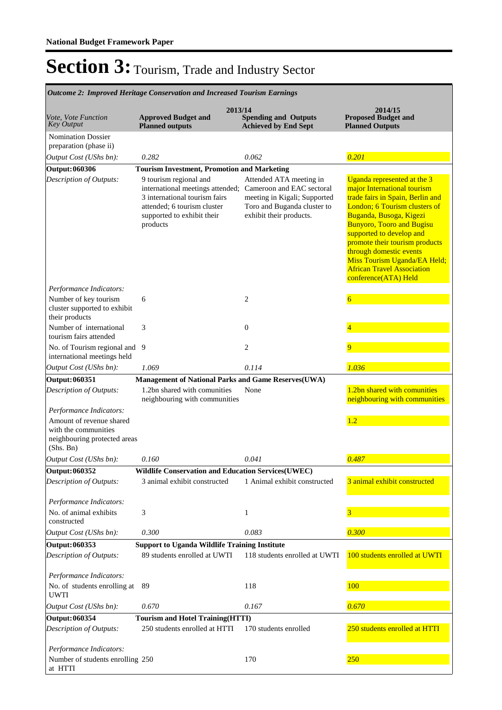| Outcome 2: Improved Heritage Conservation and Increased Tourism Earnings                                                 |                                                                                                                                                                                                |                                                                                                                   |                                                                                                                                                                                                                                                                                                                                                                                      |  |
|--------------------------------------------------------------------------------------------------------------------------|------------------------------------------------------------------------------------------------------------------------------------------------------------------------------------------------|-------------------------------------------------------------------------------------------------------------------|--------------------------------------------------------------------------------------------------------------------------------------------------------------------------------------------------------------------------------------------------------------------------------------------------------------------------------------------------------------------------------------|--|
| Vote, Vote Function<br><b>Key Output</b>                                                                                 | 2013/14<br><b>Approved Budget and</b><br><b>Planned outputs</b>                                                                                                                                | <b>Spending and Outputs</b><br><b>Achieved by End Sept</b>                                                        | 2014/15<br><b>Proposed Budget and</b><br><b>Planned Outputs</b>                                                                                                                                                                                                                                                                                                                      |  |
| <b>Nomination Dossier</b><br>preparation (phase ii)                                                                      |                                                                                                                                                                                                |                                                                                                                   |                                                                                                                                                                                                                                                                                                                                                                                      |  |
| Output Cost (UShs bn):                                                                                                   | 0.282                                                                                                                                                                                          | 0.062                                                                                                             | 0.201                                                                                                                                                                                                                                                                                                                                                                                |  |
| Output: 060306                                                                                                           | <b>Tourism Investment, Promotion and Marketing</b>                                                                                                                                             |                                                                                                                   |                                                                                                                                                                                                                                                                                                                                                                                      |  |
| Description of Outputs:                                                                                                  | 9 tourism regional and<br>international meetings attended; Cameroon and EAC sectoral<br>3 international tourism fairs<br>attended; 6 tourism cluster<br>supported to exhibit their<br>products | Attended ATA meeting in<br>meeting in Kigali; Supported<br>Toro and Buganda cluster to<br>exhibit their products. | Uganda represented at the 3<br>major International tourism<br>trade fairs in Spain, Berlin and<br>London; 6 Tourism clusters of<br>Buganda, Busoga, Kigezi<br><b>Bunyoro, Tooro and Bugisu</b><br>supported to develop and<br>promote their tourism products<br>through domestic events<br>Miss Tourism Uganda/EA Held;<br><b>African Travel Association</b><br>conference(ATA) Held |  |
| Performance Indicators:                                                                                                  |                                                                                                                                                                                                |                                                                                                                   |                                                                                                                                                                                                                                                                                                                                                                                      |  |
| Number of key tourism<br>cluster supported to exhibit<br>their products                                                  | 6                                                                                                                                                                                              | 2                                                                                                                 | $\overline{6}$                                                                                                                                                                                                                                                                                                                                                                       |  |
| Number of international<br>tourism fairs attended                                                                        | 3                                                                                                                                                                                              | $\mathbf{0}$                                                                                                      |                                                                                                                                                                                                                                                                                                                                                                                      |  |
| No. of Tourism regional and 9<br>international meetings held                                                             |                                                                                                                                                                                                | 2                                                                                                                 | 9                                                                                                                                                                                                                                                                                                                                                                                    |  |
| Output Cost (UShs bn):                                                                                                   | 1.069                                                                                                                                                                                          | 0.114                                                                                                             | 1.036                                                                                                                                                                                                                                                                                                                                                                                |  |
| Output: 060351                                                                                                           | <b>Management of National Parks and Game Reserves(UWA)</b>                                                                                                                                     |                                                                                                                   |                                                                                                                                                                                                                                                                                                                                                                                      |  |
| Description of Outputs:                                                                                                  | 1.2bn shared with comunities<br>neighbouring with communities                                                                                                                                  | None                                                                                                              | 1.2bn shared with comunities<br>neighbouring with communities                                                                                                                                                                                                                                                                                                                        |  |
| Performance Indicators:<br>Amount of revenue shared<br>with the communities<br>neighbouring protected areas<br>(Shs. Bn) |                                                                                                                                                                                                |                                                                                                                   | 1.2                                                                                                                                                                                                                                                                                                                                                                                  |  |
| Output Cost (UShs bn):                                                                                                   | 0.160                                                                                                                                                                                          | 0.041                                                                                                             | 0.487                                                                                                                                                                                                                                                                                                                                                                                |  |
| Output: 060352<br>Description of Outputs:                                                                                | <b>Wildlife Conservation and Education Services(UWEC)</b><br>3 animal exhibit constructed                                                                                                      | 1 Animal exhibit constructed                                                                                      | 3 animal exhibit constructed                                                                                                                                                                                                                                                                                                                                                         |  |
| Performance Indicators:                                                                                                  |                                                                                                                                                                                                |                                                                                                                   |                                                                                                                                                                                                                                                                                                                                                                                      |  |
| No. of animal exhibits<br>constructed                                                                                    | 3                                                                                                                                                                                              | 1                                                                                                                 |                                                                                                                                                                                                                                                                                                                                                                                      |  |
| Output Cost (UShs bn):                                                                                                   | 0.300                                                                                                                                                                                          | 0.083                                                                                                             | 0.300                                                                                                                                                                                                                                                                                                                                                                                |  |
| Output: 060353                                                                                                           | <b>Support to Uganda Wildlife Training Institute</b>                                                                                                                                           |                                                                                                                   |                                                                                                                                                                                                                                                                                                                                                                                      |  |
| Description of Outputs:                                                                                                  | 89 students enrolled at UWTI                                                                                                                                                                   | 118 students enrolled at UWTI                                                                                     | 100 students enrolled at UWTI                                                                                                                                                                                                                                                                                                                                                        |  |
| Performance Indicators:<br>No. of students enrolling at                                                                  | 89                                                                                                                                                                                             | 118                                                                                                               | <b>100</b>                                                                                                                                                                                                                                                                                                                                                                           |  |
| <b>UWTI</b><br>Output Cost (UShs bn):                                                                                    | 0.670                                                                                                                                                                                          | 0.167                                                                                                             | 0.670                                                                                                                                                                                                                                                                                                                                                                                |  |
| Output: 060354                                                                                                           | <b>Tourism and Hotel Training (HTTI)</b>                                                                                                                                                       |                                                                                                                   |                                                                                                                                                                                                                                                                                                                                                                                      |  |
| Description of Outputs:                                                                                                  | 250 students enrolled at HTTI                                                                                                                                                                  | 170 students enrolled                                                                                             | 250 students enrolled at HTTI                                                                                                                                                                                                                                                                                                                                                        |  |
| Performance Indicators:<br>Number of students enrolling 250<br>at HTTI                                                   |                                                                                                                                                                                                | 170                                                                                                               | 250                                                                                                                                                                                                                                                                                                                                                                                  |  |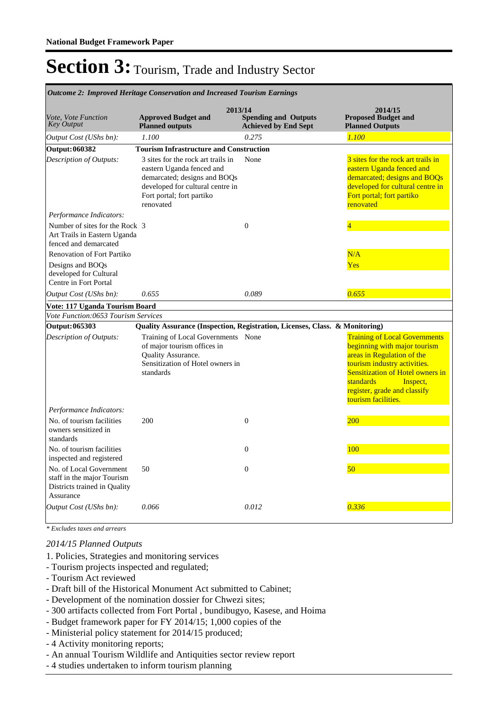|                                                                                                    | Outcome 2: Improved Heritage Conservation and Increased Tourism Earnings                                                                                                      |                                                            |                                                                                                                                                                                                                                                               |
|----------------------------------------------------------------------------------------------------|-------------------------------------------------------------------------------------------------------------------------------------------------------------------------------|------------------------------------------------------------|---------------------------------------------------------------------------------------------------------------------------------------------------------------------------------------------------------------------------------------------------------------|
| Vote, Vote Function<br><b>Key Output</b>                                                           | 2013/14<br><b>Approved Budget and</b><br><b>Planned outputs</b>                                                                                                               | <b>Spending and Outputs</b><br><b>Achieved by End Sept</b> | 2014/15<br><b>Proposed Budget and</b><br><b>Planned Outputs</b>                                                                                                                                                                                               |
| Output Cost (UShs bn):                                                                             | 1.100                                                                                                                                                                         | 0.275                                                      | 1.100                                                                                                                                                                                                                                                         |
| <b>Output: 060382</b>                                                                              | <b>Tourism Infrastructure and Construction</b>                                                                                                                                |                                                            |                                                                                                                                                                                                                                                               |
| Description of Outputs:                                                                            | 3 sites for the rock art trails in<br>eastern Uganda fenced and<br>demarcated; designs and BOQs<br>developed for cultural centre in<br>Fort portal; fort partiko<br>renovated | None                                                       | 3 sites for the rock art trails in<br>eastern Uganda fenced and<br>demarcated; designs and BOQs<br>developed for cultural centre in<br>Fort portal; fort partiko<br>renovated                                                                                 |
| Performance Indicators:                                                                            |                                                                                                                                                                               |                                                            |                                                                                                                                                                                                                                                               |
| Number of sites for the Rock 3<br>Art Trails in Eastern Uganda<br>fenced and demarcated            |                                                                                                                                                                               | $\overline{0}$                                             |                                                                                                                                                                                                                                                               |
| <b>Renovation of Fort Partiko</b>                                                                  |                                                                                                                                                                               |                                                            | N/A                                                                                                                                                                                                                                                           |
| Designs and BOQs                                                                                   |                                                                                                                                                                               |                                                            | <b>Yes</b>                                                                                                                                                                                                                                                    |
| developed for Cultural                                                                             |                                                                                                                                                                               |                                                            |                                                                                                                                                                                                                                                               |
| Centre in Fort Portal                                                                              |                                                                                                                                                                               |                                                            |                                                                                                                                                                                                                                                               |
| Output Cost (UShs bn):                                                                             | 0.655                                                                                                                                                                         | 0.089                                                      | 0.655                                                                                                                                                                                                                                                         |
| Vote: 117 Uganda Tourism Board                                                                     |                                                                                                                                                                               |                                                            |                                                                                                                                                                                                                                                               |
| Vote Function:0653 Tourism Services                                                                |                                                                                                                                                                               |                                                            |                                                                                                                                                                                                                                                               |
| Output: 065303                                                                                     | Quality Assurance (Inspection, Registration, Licenses, Class. & Monitoring)                                                                                                   |                                                            |                                                                                                                                                                                                                                                               |
| Description of Outputs:                                                                            | Training of Local Governments None<br>of major tourism offices in<br><b>Ouality Assurance.</b><br>Sensitization of Hotel owners in<br>standards                               |                                                            | <b>Training of Local Governments</b><br>beginning with major tourism<br>areas in Regulation of the<br>tourism industry activities.<br><b>Sensitization of Hotel owners in</b><br>standards<br>Inspect,<br>register, grade and classify<br>tourism facilities. |
| Performance Indicators:                                                                            |                                                                                                                                                                               |                                                            |                                                                                                                                                                                                                                                               |
| No. of tourism facilities<br>owners sensitized in<br>standards                                     | 200                                                                                                                                                                           | $\mathbf{0}$                                               | 200                                                                                                                                                                                                                                                           |
| No. of tourism facilities<br>inspected and registered                                              |                                                                                                                                                                               | $\boldsymbol{0}$                                           | 100                                                                                                                                                                                                                                                           |
| No. of Local Government<br>staff in the major Tourism<br>Districts trained in Quality<br>Assurance | 50                                                                                                                                                                            | $\Omega$                                                   | 50                                                                                                                                                                                                                                                            |
| Output Cost (UShs bn):                                                                             | 0.066                                                                                                                                                                         | 0.012                                                      | 0.336                                                                                                                                                                                                                                                         |

*\* Excludes taxes and arrears*

#### *2014/15 Planned Outputs*

- 1. Policies, Strategies and monitoring services
- Tourism projects inspected and regulated;
- Tourism Act reviewed
- Draft bill of the Historical Monument Act submitted to Cabinet;
- Development of the nomination dossier for Chwezi sites;
- 300 artifacts collected from Fort Portal , bundibugyo, Kasese, and Hoima
- Budget framework paper for FY 2014/15; 1,000 copies of the
- Ministerial policy statement for 2014/15 produced;
- 4 Activity monitoring reports;
- An annual Tourism Wildlife and Antiquities sector review report
- 4 studies undertaken to inform tourism planning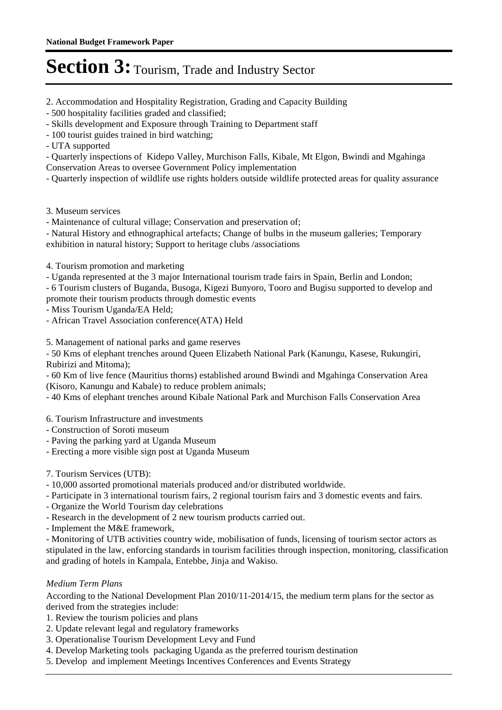2. Accommodation and Hospitality Registration, Grading and Capacity Building

- 500 hospitality facilities graded and classified;
- Skills development and Exposure through Training to Department staff
- 100 tourist guides trained in bird watching;
- UTA supported

- Quarterly inspections of Kidepo Valley, Murchison Falls, Kibale, Mt Elgon, Bwindi and Mgahinga Conservation Areas to oversee Government Policy implementation

- Quarterly inspection of wildlife use rights holders outside wildlife protected areas for quality assurance

- 3. Museum services
- Maintenance of cultural village; Conservation and preservation of;

- Natural History and ethnographical artefacts; Change of bulbs in the museum galleries; Temporary exhibition in natural history; Support to heritage clubs /associations

- 4. Tourism promotion and marketing
- Uganda represented at the 3 major International tourism trade fairs in Spain, Berlin and London;

- 6 Tourism clusters of Buganda, Busoga, Kigezi Bunyoro, Tooro and Bugisu supported to develop and promote their tourism products through domestic events

- Miss Tourism Uganda/EA Held;
- African Travel Association conference(ATA) Held

5. Management of national parks and game reserves

- 50 Kms of elephant trenches around Queen Elizabeth National Park (Kanungu, Kasese, Rukungiri, Rubirizi and Mitoma);

- 60 Km of live fence (Mauritius thorns) established around Bwindi and Mgahinga Conservation Area (Kisoro, Kanungu and Kabale) to reduce problem animals;

- 40 Kms of elephant trenches around Kibale National Park and Murchison Falls Conservation Area

6. Tourism Infrastructure and investments

- Construction of Soroti museum
- Paving the parking yard at Uganda Museum
- Erecting a more visible sign post at Uganda Museum
- 7. Tourism Services (UTB):
- 10,000 assorted promotional materials produced and/or distributed worldwide.
- Participate in 3 international tourism fairs, 2 regional tourism fairs and 3 domestic events and fairs.
- Organize the World Tourism day celebrations
- Research in the development of 2 new tourism products carried out.
- Implement the M&E framework,

- Monitoring of UTB activities country wide, mobilisation of funds, licensing of tourism sector actors as stipulated in the law, enforcing standards in tourism facilities through inspection, monitoring, classification and grading of hotels in Kampala, Entebbe, Jinja and Wakiso.

### *Medium Term Plans*

According to the National Development Plan 2010/11-2014/15, the medium term plans for the sector as derived from the strategies include:

- 1. Review the tourism policies and plans
- 2. Update relevant legal and regulatory frameworks
- 3. Operationalise Tourism Development Levy and Fund
- 4. Develop Marketing tools packaging Uganda as the preferred tourism destination
- 5. Develop and implement Meetings Incentives Conferences and Events Strategy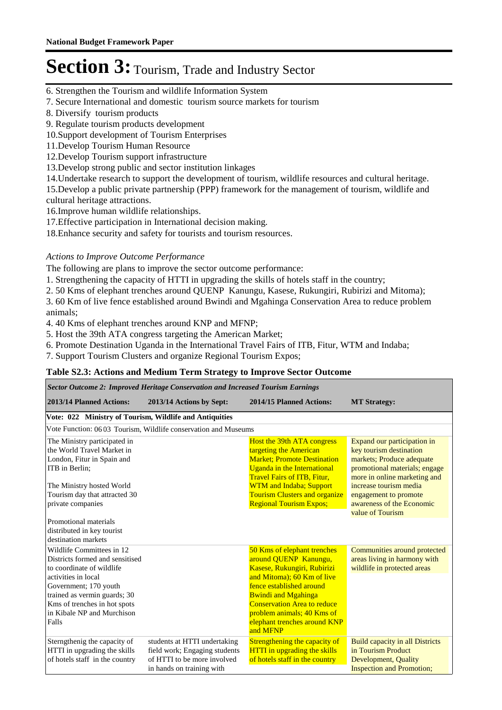- 6. Strengthen the Tourism and wildlife Information System
- 7. Secure International and domestic tourism source markets for tourism
- 8. Diversify tourism products
- 9. Regulate tourism products development
- 10.Support development of Tourism Enterprises
- 11.Develop Tourism Human Resource
- 12.Develop Tourism support infrastructure
- 13.Develop strong public and sector institution linkages
- 14.Undertake research to support the development of tourism, wildlife resources and cultural heritage.

15.Develop a public private partnership (PPP) framework for the management of tourism, wildlife and cultural heritage attractions.

- 16.Improve human wildlife relationships.
- 17.Effective participation in International decision making.
- 18.Enhance security and safety for tourists and tourism resources.

### *Actions to Improve Outcome Performance*

The following are plans to improve the sector outcome performance:

- 1. Strengthening the capacity of HTTI in upgrading the skills of hotels staff in the country;
- 2. 50 Kms of elephant trenches around QUENP Kanungu, Kasese, Rukungiri, Rubirizi and Mitoma);

3. 60 Km of live fence established around Bwindi and Mgahinga Conservation Area to reduce problem animals;

4. 40 Kms of elephant trenches around KNP and MFNP;

5. Host the 39th ATA congress targeting the American Market;

6. Promote Destination Uganda in the International Travel Fairs of ITB, Fitur, WTM and Indaba;

7. Support Tourism Clusters and organize Regional Tourism Expos;

#### **Table S2.3: Actions and Medium Term Strategy to Improve Sector Outcome**

| Sector Outcome 2: Improved Heritage Conservation and Increased Tourism Earnings                                                                                                                                                                  |                                                                                                                           |                                                                                                                                                                                                                                                                                             |                                                                                                                                                                                                                                                          |  |
|--------------------------------------------------------------------------------------------------------------------------------------------------------------------------------------------------------------------------------------------------|---------------------------------------------------------------------------------------------------------------------------|---------------------------------------------------------------------------------------------------------------------------------------------------------------------------------------------------------------------------------------------------------------------------------------------|----------------------------------------------------------------------------------------------------------------------------------------------------------------------------------------------------------------------------------------------------------|--|
| 2013/14 Planned Actions:                                                                                                                                                                                                                         | 2013/14 Actions by Sept:                                                                                                  | 2014/15 Planned Actions:                                                                                                                                                                                                                                                                    | <b>MT Strategy:</b>                                                                                                                                                                                                                                      |  |
| Vote: 022 Ministry of Tourism, Wildlife and Antiquities                                                                                                                                                                                          |                                                                                                                           |                                                                                                                                                                                                                                                                                             |                                                                                                                                                                                                                                                          |  |
|                                                                                                                                                                                                                                                  | Vote Function: 06 03 Tourism, Wildlife conservation and Museums                                                           |                                                                                                                                                                                                                                                                                             |                                                                                                                                                                                                                                                          |  |
| The Ministry participated in<br>the World Travel Market in<br>London, Fitur in Spain and<br>ITB in Berlin;<br>The Ministry hosted World<br>Tourism day that attracted 30<br>private companies<br>Promotional materials                           |                                                                                                                           | Host the 39th ATA congress<br>targeting the American<br><b>Market: Promote Destination</b><br><b>Uganda in the International</b><br><b>Travel Fairs of ITB, Fitur,</b><br><b>WTM</b> and Indaba; Support<br><b>Tourism Clusters and organize</b><br><b>Regional Tourism Expos;</b>          | Expand our participation in<br>key tourism destination<br>markets; Produce adequate<br>promotional materials; engage<br>more in online marketing and<br>increase tourism media<br>engagement to promote<br>awareness of the Economic<br>value of Tourism |  |
| distributed in key tourist<br>destination markets                                                                                                                                                                                                |                                                                                                                           |                                                                                                                                                                                                                                                                                             |                                                                                                                                                                                                                                                          |  |
| Wildlife Committees in 12<br>Districts formed and sensitised<br>to coordinate of wildlife<br>activities in local<br>Government; 170 youth<br>trained as vermin guards; 30<br>Kms of trenches in hot spots<br>in Kibale NP and Murchison<br>Falls |                                                                                                                           | 50 Kms of elephant trenches<br>around QUENP Kanungu,<br>Kasese, Rukungiri, Rubirizi<br>and Mitoma); 60 Km of live<br>fence established around<br><b>Bwindi and Mgahinga</b><br><b>Conservation Area to reduce</b><br>problem animals; 40 Kms of<br>elephant trenches around KNP<br>and MFNP | Communities around protected<br>areas living in harmony with<br>wildlife in protected areas                                                                                                                                                              |  |
| Sterngthenig the capacity of<br>HTTI in upgrading the skills<br>of hotels staff in the country                                                                                                                                                   | students at HTTI undertaking<br>field work; Engaging students<br>of HTTI to be more involved<br>in hands on training with | Strengthening the capacity of<br><b>HTTI</b> in upgrading the skills<br>of hotels staff in the country                                                                                                                                                                                      | <b>Build capacity in all Districts</b><br>in Tourism Product<br><b>Development</b> , Quality<br><b>Inspection and Promotion;</b>                                                                                                                         |  |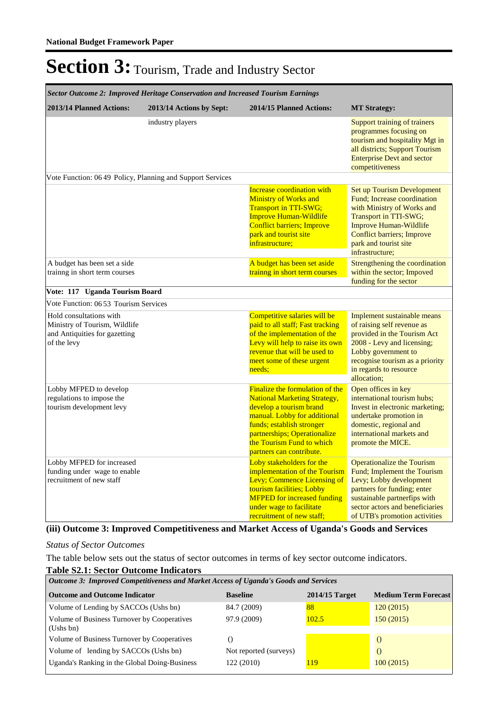| Sector Outcome 2: Improved Heritage Conservation and Increased Tourism Earnings                          |                          |                                                                                                                                                                                                                                                         |                                                                                                                                                                                                                                           |
|----------------------------------------------------------------------------------------------------------|--------------------------|---------------------------------------------------------------------------------------------------------------------------------------------------------------------------------------------------------------------------------------------------------|-------------------------------------------------------------------------------------------------------------------------------------------------------------------------------------------------------------------------------------------|
| 2013/14 Planned Actions:                                                                                 | 2013/14 Actions by Sept: | 2014/15 Planned Actions:                                                                                                                                                                                                                                | <b>MT Strategy:</b>                                                                                                                                                                                                                       |
|                                                                                                          | industry players         |                                                                                                                                                                                                                                                         | Support training of trainers<br>programmes focusing on<br>tourism and hospitality Mgt in<br>all districts; Support Tourism<br><b>Enterprise Devt and sector</b><br>competitiveness                                                        |
| Vote Function: 06 49 Policy, Planning and Support Services                                               |                          |                                                                                                                                                                                                                                                         |                                                                                                                                                                                                                                           |
|                                                                                                          |                          | Increase coordination with<br><b>Ministry of Works and</b><br><b>Transport in TTI-SWG;</b><br><b>Improve Human-Wildlife</b><br><b>Conflict barriers; Improve</b><br>park and tourist site<br>infrastructure;                                            | <b>Set up Tourism Development</b><br>Fund; Increase coordination<br>with Ministry of Works and<br>Transport in TTI-SWG;<br><b>Improve Human-Wildlife</b><br><b>Conflict barriers; Improve</b><br>park and tourist site<br>infrastructure: |
| A budget has been set a side<br>training in short term courses                                           |                          | A budget has been set aside<br>trainng in short term courses                                                                                                                                                                                            | Strengthening the coordination<br>within the sector; Impoved<br>funding for the sector                                                                                                                                                    |
| Vote: 117 Uganda Tourism Board                                                                           |                          |                                                                                                                                                                                                                                                         |                                                                                                                                                                                                                                           |
| Vote Function: 06 53 Tourism Services                                                                    |                          |                                                                                                                                                                                                                                                         |                                                                                                                                                                                                                                           |
| Hold consultations with<br>Ministry of Tourism, Wildlife<br>and Antiquities for gazetting<br>of the levy |                          | Competitive salaries will be<br>paid to all staff; Fast tracking<br>of the implementation of the<br>Levy will help to raise its own<br>revenue that will be used to<br>meet some of these urgent<br>needs;                                              | Implement sustainable means<br>of raising self revenue as<br>provided in the Tourism Act<br>2008 - Levy and licensing;<br>Lobby government to<br>recognise tourism as a priority<br>in regards to resource<br>allocation;                 |
| Lobby MFPED to develop<br>regulations to impose the<br>tourism development levy                          |                          | Finalize the formulation of the<br><b>National Marketing Strategy,</b><br>develop a tourism brand<br>manual. Lobby for additional<br>funds; establish stronger<br>partnerships; Operationalize<br>the Tourism Fund to which<br>partners can contribute. | Open offices in key<br>international tourism hubs;<br>Invest in electronic marketing;<br>undertake promotion in<br>domestic, regional and<br>international markets and<br>promote the MICE.                                               |
| Lobby MFPED for increased<br>funding under wage to enable<br>recruitment of new staff                    |                          | Loby stakeholders for the<br>implementation of the Tourism<br>Levy; Commence Licensing of<br>tourism facilities; Lobby<br><b>MFPED</b> for increased funding<br>under wage to facilitate<br>recruitment of new staff;                                   | <b>Operationalize the Tourism</b><br>Fund; Implement the Tourism<br>Levy; Lobby development<br>partners for funding; enter<br>sustainable partnerfips with<br>sector actors and beneficiaries<br>of UTB's promotion activities            |

### **(iii) Outcome 3: Improved Competitiveness and Market Access of Uganda's Goods and Services**

#### *Status of Sector Outcomes*

The table below sets out the status of sector outcomes in terms of key sector outcome indicators.

### **Table S2.1: Sector Outcome Indicators**

| Outcome 3: Improved Competitiveness and Market Access of Uganda's Goods and Services |                        |                  |                             |  |
|--------------------------------------------------------------------------------------|------------------------|------------------|-----------------------------|--|
| <b>Outcome and Outcome Indicator</b>                                                 | <b>Baseline</b>        | $2014/15$ Target | <b>Medium Term Forecast</b> |  |
| Volume of Lending by SACCOs (Ushs bn)                                                | 84.7 (2009)            | 88               | 120(2015)                   |  |
| Volume of Business Turnover by Cooperatives<br>(Ushs bn)                             | 97.9 (2009)            | 102.5            | 150(2015)                   |  |
| Volume of Business Turnover by Cooperatives                                          |                        |                  |                             |  |
| Volume of lending by SACCOs (Ushs bn)                                                | Not reported (surveys) |                  | $\left($                    |  |
| Uganda's Ranking in the Global Doing-Business                                        | 122 (2010)             | 119              | 100(2015)                   |  |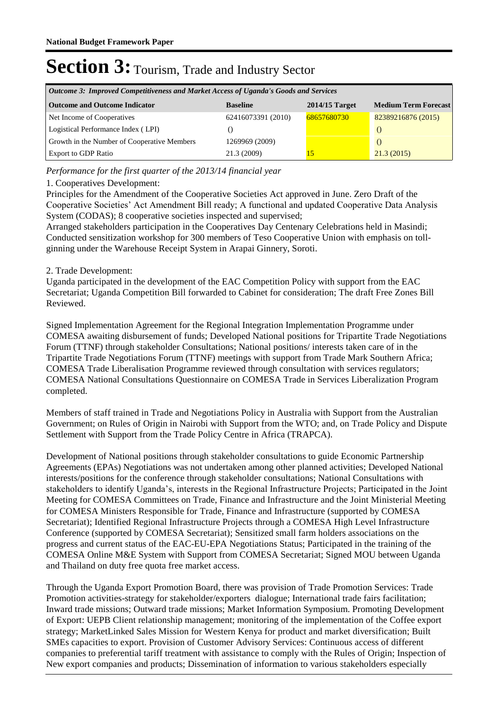| Outcome 3: Improved Competitiveness and Market Access of Uganda's Goods and Services |                    |                  |                             |  |
|--------------------------------------------------------------------------------------|--------------------|------------------|-----------------------------|--|
| <b>Outcome and Outcome Indicator</b>                                                 | <b>Baseline</b>    | $2014/15$ Target | <b>Medium Term Forecast</b> |  |
| Net Income of Cooperatives                                                           | 62416073391 (2010) | 68657680730      | 82389216876 (2015)          |  |
| Logistical Performance Index (LPI)                                                   |                    |                  |                             |  |
| Growth in the Number of Cooperative Members                                          | 1269969 (2009)     |                  |                             |  |
| <b>Export to GDP Ratio</b>                                                           | 21.3 (2009)        |                  | 21.3(2015)                  |  |

*Performance for the first quarter of the 2013/14 financial year*

### 1. Cooperatives Development:

Principles for the Amendment of the Cooperative Societies Act approved in June. Zero Draft of the Cooperative Societies' Act Amendment Bill ready; A functional and updated Cooperative Data Analysis System (CODAS); 8 cooperative societies inspected and supervised;

Arranged stakeholders participation in the Cooperatives Day Centenary Celebrations held in Masindi; Conducted sensitization workshop for 300 members of Teso Cooperative Union with emphasis on tollginning under the Warehouse Receipt System in Arapai Ginnery, Soroti.

### 2. Trade Development:

Uganda participated in the development of the EAC Competition Policy with support from the EAC Secretariat; Uganda Competition Bill forwarded to Cabinet for consideration; The draft Free Zones Bill Reviewed.

Signed Implementation Agreement for the Regional Integration Implementation Programme under COMESA awaiting disbursement of funds; Developed National positions for Tripartite Trade Negotiations Forum (TTNF) through stakeholder Consultations; National positions/ interests taken care of in the Tripartite Trade Negotiations Forum (TTNF) meetings with support from Trade Mark Southern Africa; COMESA Trade Liberalisation Programme reviewed through consultation with services regulators; COMESA National Consultations Questionnaire on COMESA Trade in Services Liberalization Program completed.

Members of staff trained in Trade and Negotiations Policy in Australia with Support from the Australian Government; on Rules of Origin in Nairobi with Support from the WTO; and, on Trade Policy and Dispute Settlement with Support from the Trade Policy Centre in Africa (TRAPCA).

Development of National positions through stakeholder consultations to guide Economic Partnership Agreements (EPAs) Negotiations was not undertaken among other planned activities; Developed National interests/positions for the conference through stakeholder consultations; National Consultations with stakeholders to identify Uganda's, interests in the Regional Infrastructure Projects; Participated in the Joint Meeting for COMESA Committees on Trade, Finance and Infrastructure and the Joint Ministerial Meeting for COMESA Ministers Responsible for Trade, Finance and Infrastructure (supported by COMESA Secretariat); Identified Regional Infrastructure Projects through a COMESA High Level Infrastructure Conference (supported by COMESA Secretariat); Sensitized small farm holders associations on the progress and current status of the EAC-EU-EPA Negotiations Status; Participated in the training of the COMESA Online M&E System with Support from COMESA Secretariat; Signed MOU between Uganda and Thailand on duty free quota free market access.

Through the Uganda Export Promotion Board, there was provision of Trade Promotion Services: Trade Promotion activities-strategy for stakeholder/exporters dialogue; International trade fairs facilitation; Inward trade missions; Outward trade missions; Market Information Symposium. Promoting Development of Export: UEPB Client relationship management; monitoring of the implementation of the Coffee export strategy; MarketLinked Sales Mission for Western Kenya for product and market diversification; Built SMEs capacities to export. Provision of Customer Advisory Services: Continuous access of different companies to preferential tariff treatment with assistance to comply with the Rules of Origin; Inspection of New export companies and products; Dissemination of information to various stakeholders especially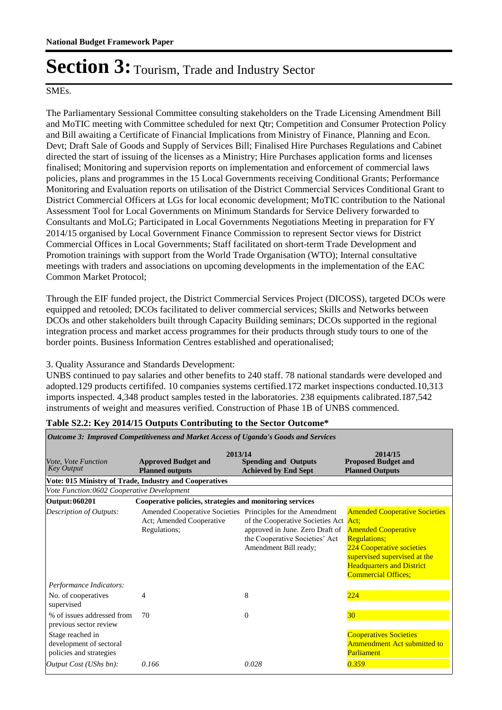### SMEs.

The Parliamentary Sessional Committee consulting stakeholders on the Trade Licensing Amendment Bill and MoTIC meeting with Committee scheduled for next Qtr; Competition and Consumer Protection Policy and Bill awaiting a Certificate of Financial Implications from Ministry of Finance, Planning and Econ. Devt; Draft Sale of Goods and Supply of Services Bill; Finalised Hire Purchases Regulations and Cabinet directed the start of issuing of the licenses as a Ministry; Hire Purchases application forms and licenses finalised; Monitoring and supervision reports on implementation and enforcement of commercial laws policies, plans and programmes in the 15 Local Governments receiving Conditional Grants; Performance Monitoring and Evaluation reports on utilisation of the District Commercial Services Conditional Grant to District Commercial Officers at LGs for local economic development; MoTIC contribution to the National Assessment Tool for Local Governments on Minimum Standards for Service Delivery forwarded to Consultants and MoLG; Participated in Local Governments Negotiations Meeting in preparation for FY 2014/15 organised by Local Government Finance Commission to represent Sector views for District Commercial Offices in Local Governments; Staff facilitated on short-term Trade Development and Promotion trainings with support from the World Trade Organisation (WTO); Internal consultative meetings with traders and associations on upcoming developments in the implementation of the EAC Common Market Protocol;

Through the EIF funded project, the District Commercial Services Project (DICOSS), targeted DCOs were equipped and retooled; DCOs facilitated to deliver commercial services; Skills and Networks between DCOs and other stakeholders built through Capacity Building seminars; DCOs supported in the regional integration process and market access programmes for their products through study tours to one of the border points. Business Information Centres established and operationalised;

### 3. Quality Assurance and Standards Development:

UNBS continued to pay salaries and other benefits to 240 staff. 78 national standards were developed and adopted.129 products certififed. 10 companies systems certified.172 market inspections conducted.10,313 imports inspected. 4,348 product samples tested in the laboratories. 238 equipments calibrated.187,542 instruments of weight and measures verified. Construction of Phase 1B of UNBS commenced.

| Outcome 3: Improved Competitiveness and Market Access of Uganda's Goods and Services |                                                                                                        |                                                                                                                                     |                                                                                                                                                                                                                                 |
|--------------------------------------------------------------------------------------|--------------------------------------------------------------------------------------------------------|-------------------------------------------------------------------------------------------------------------------------------------|---------------------------------------------------------------------------------------------------------------------------------------------------------------------------------------------------------------------------------|
| Vote, Vote Function<br><b>Key Output</b>                                             | 2013/14<br><b>Approved Budget and</b><br><b>Planned outputs</b>                                        | <b>Spending and Outputs</b><br><b>Achieved by End Sept</b>                                                                          | 2014/15<br><b>Proposed Budget and</b><br><b>Planned Outputs</b>                                                                                                                                                                 |
|                                                                                      | Vote: 015 Ministry of Trade, Industry and Cooperatives                                                 |                                                                                                                                     |                                                                                                                                                                                                                                 |
| Vote Function:0602 Cooperative Development                                           |                                                                                                        |                                                                                                                                     |                                                                                                                                                                                                                                 |
| Output: 060201                                                                       | Cooperative policies, strategies and monitoring services                                               |                                                                                                                                     |                                                                                                                                                                                                                                 |
| <b>Description of Outputs:</b>                                                       | Amended Cooperative Societies Principles for the Amendment<br>Act; Amended Cooperative<br>Regulations; | of the Cooperative Societies Act Act;<br>approved in June. Zero Draft of<br>the Cooperative Societies' Act<br>Amendment Bill ready; | <b>Amended Cooperative Societies</b><br><b>Amended Cooperative</b><br><b>Regulations;</b><br><b>224 Cooperative societies</b><br>supervised supervised at the<br><b>Headquarters and District</b><br><b>Commercial Offices;</b> |
| Performance Indicators:                                                              |                                                                                                        |                                                                                                                                     |                                                                                                                                                                                                                                 |
| No. of cooperatives<br>supervised                                                    | 4                                                                                                      | 8                                                                                                                                   | 224                                                                                                                                                                                                                             |
| % of issues addressed from<br>previous sector review                                 | 70                                                                                                     | $\Omega$                                                                                                                            | 30 <sup>°</sup>                                                                                                                                                                                                                 |
| Stage reached in<br>development of sectoral<br>policies and strategies               |                                                                                                        |                                                                                                                                     | <b>Cooperatives Societies</b><br>Ammendment Act submitted to<br>Parliament                                                                                                                                                      |
| Output Cost (UShs bn):                                                               | 0.166                                                                                                  | 0.028                                                                                                                               | 0.359                                                                                                                                                                                                                           |

#### **Table S2.2: Key 2014/15 Outputs Contributing to the Sector Outcome\***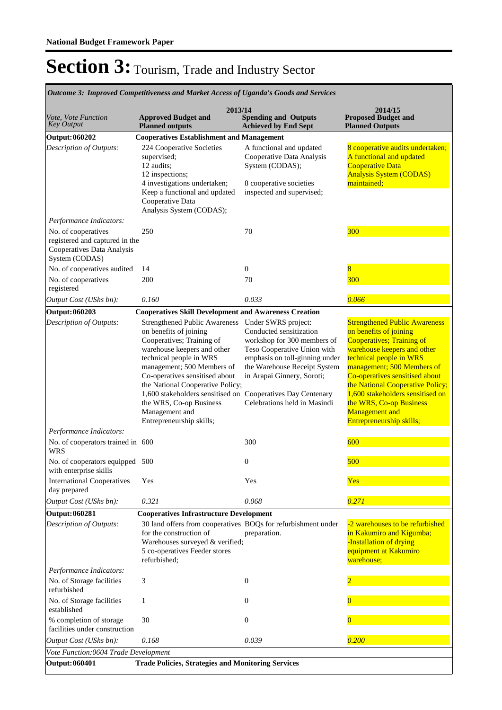| Outcome 3: Improved Competitiveness and Market Access of Uganda's Goods and Services                  |                                                                                                                                                                                                                                                                                                                                                                                                   |                                                                                                                                                                                                                                              |                                                                                                                                                                                                                                                                                                                                                                               |  |
|-------------------------------------------------------------------------------------------------------|---------------------------------------------------------------------------------------------------------------------------------------------------------------------------------------------------------------------------------------------------------------------------------------------------------------------------------------------------------------------------------------------------|----------------------------------------------------------------------------------------------------------------------------------------------------------------------------------------------------------------------------------------------|-------------------------------------------------------------------------------------------------------------------------------------------------------------------------------------------------------------------------------------------------------------------------------------------------------------------------------------------------------------------------------|--|
| Vote, Vote Function<br><b>Key Output</b>                                                              | 2013/14<br><b>Approved Budget and</b><br><b>Planned</b> outputs                                                                                                                                                                                                                                                                                                                                   | <b>Spending and Outputs</b><br><b>Achieved by End Sept</b>                                                                                                                                                                                   | 2014/15<br><b>Proposed Budget and</b><br><b>Planned Outputs</b>                                                                                                                                                                                                                                                                                                               |  |
| <b>Output: 060202</b>                                                                                 | <b>Cooperatives Establishment and Management</b>                                                                                                                                                                                                                                                                                                                                                  |                                                                                                                                                                                                                                              |                                                                                                                                                                                                                                                                                                                                                                               |  |
| Description of Outputs:                                                                               | 224 Cooperative Societies<br>supervised;<br>12 audits;<br>12 inspections;<br>4 investigations undertaken;<br>Keep a functional and updated<br>Cooperative Data<br>Analysis System (CODAS);                                                                                                                                                                                                        | A functional and updated<br>Cooperative Data Analysis<br>System (CODAS);<br>8 cooperative societies<br>inspected and supervised;                                                                                                             | 8 cooperative audits undertaken;<br>A functional and updated<br><b>Cooperative Data</b><br><b>Analysis System (CODAS)</b><br>maintained;                                                                                                                                                                                                                                      |  |
| Performance Indicators:                                                                               |                                                                                                                                                                                                                                                                                                                                                                                                   |                                                                                                                                                                                                                                              |                                                                                                                                                                                                                                                                                                                                                                               |  |
| No. of cooperatives<br>registered and captured in the<br>Cooperatives Data Analysis<br>System (CODAS) | 250                                                                                                                                                                                                                                                                                                                                                                                               | 70                                                                                                                                                                                                                                           | 300                                                                                                                                                                                                                                                                                                                                                                           |  |
| No. of cooperatives audited                                                                           | 14                                                                                                                                                                                                                                                                                                                                                                                                | $\boldsymbol{0}$                                                                                                                                                                                                                             | 8                                                                                                                                                                                                                                                                                                                                                                             |  |
| No. of cooperatives<br>registered                                                                     | 200                                                                                                                                                                                                                                                                                                                                                                                               | 70                                                                                                                                                                                                                                           | 300                                                                                                                                                                                                                                                                                                                                                                           |  |
| Output Cost (UShs bn):                                                                                | 0.160                                                                                                                                                                                                                                                                                                                                                                                             | 0.033                                                                                                                                                                                                                                        | 0.066                                                                                                                                                                                                                                                                                                                                                                         |  |
| <b>Output: 060203</b>                                                                                 | <b>Cooperatives Skill Development and Awareness Creation</b>                                                                                                                                                                                                                                                                                                                                      |                                                                                                                                                                                                                                              |                                                                                                                                                                                                                                                                                                                                                                               |  |
| Description of Outputs:                                                                               | <b>Strengthened Public Awareness</b><br>on benefits of joining<br>Cooperatives; Training of<br>warehouse keepers and other<br>technical people in WRS<br>management; 500 Members of<br>Co-operatives sensitised about<br>the National Cooperative Policy;<br>1,600 stakeholders sensitised on Cooperatives Day Centenary<br>the WRS, Co-op Business<br>Management and<br>Entrepreneurship skills; | Under SWRS project:<br>Conducted sensitization<br>workshop for 300 members of<br>Teso Cooperative Union with<br>emphasis on toll-ginning under<br>the Warehouse Receipt System<br>in Arapai Ginnery, Soroti;<br>Celebrations held in Masindi | <b>Strengthened Public Awareness</b><br>on benefits of joining<br><b>Cooperatives; Training of</b><br>warehouse keepers and other<br>technical people in WRS<br>management; 500 Members of<br>Co-operatives sensitised about<br>the National Cooperative Policy;<br>1,600 stakeholders sensitised on<br>the WRS, Co-op Business<br>Management and<br>Entrepreneurship skills; |  |
| Performance Indicators:                                                                               |                                                                                                                                                                                                                                                                                                                                                                                                   |                                                                                                                                                                                                                                              |                                                                                                                                                                                                                                                                                                                                                                               |  |
| No. of cooperators trained in 600<br><b>WRS</b>                                                       |                                                                                                                                                                                                                                                                                                                                                                                                   | 300                                                                                                                                                                                                                                          | 600                                                                                                                                                                                                                                                                                                                                                                           |  |
| No. of cooperators equipped 500<br>with enterprise skills                                             |                                                                                                                                                                                                                                                                                                                                                                                                   | 0                                                                                                                                                                                                                                            | 500                                                                                                                                                                                                                                                                                                                                                                           |  |
| <b>International Cooperatives</b><br>day prepared                                                     | Yes                                                                                                                                                                                                                                                                                                                                                                                               | Yes                                                                                                                                                                                                                                          | Yes                                                                                                                                                                                                                                                                                                                                                                           |  |
| Output Cost (UShs bn):                                                                                | 0.321                                                                                                                                                                                                                                                                                                                                                                                             | 0.068                                                                                                                                                                                                                                        | 0.271                                                                                                                                                                                                                                                                                                                                                                         |  |
| <b>Output: 060281</b>                                                                                 | <b>Cooperatives Infrastructure Development</b>                                                                                                                                                                                                                                                                                                                                                    |                                                                                                                                                                                                                                              |                                                                                                                                                                                                                                                                                                                                                                               |  |
| Description of Outputs:                                                                               | 30 land offers from cooperatives BOQs for refurbishment under<br>for the construction of<br>Warehouses surveyed & verified;<br>5 co-operatives Feeder stores<br>refurbished;                                                                                                                                                                                                                      | preparation.                                                                                                                                                                                                                                 | -2 warehouses to be refurbished<br>in Kakumiro and Kigumba;<br>-Installation of drying<br>equipment at Kakumiro<br>warehouse;                                                                                                                                                                                                                                                 |  |
| Performance Indicators:                                                                               |                                                                                                                                                                                                                                                                                                                                                                                                   |                                                                                                                                                                                                                                              |                                                                                                                                                                                                                                                                                                                                                                               |  |
| No. of Storage facilities<br>refurbished                                                              | 3                                                                                                                                                                                                                                                                                                                                                                                                 | $\theta$                                                                                                                                                                                                                                     |                                                                                                                                                                                                                                                                                                                                                                               |  |
| No. of Storage facilities<br>established                                                              | 1                                                                                                                                                                                                                                                                                                                                                                                                 | 0                                                                                                                                                                                                                                            | 0                                                                                                                                                                                                                                                                                                                                                                             |  |
| % completion of storage<br>facilities under construction                                              | 30                                                                                                                                                                                                                                                                                                                                                                                                | 0                                                                                                                                                                                                                                            |                                                                                                                                                                                                                                                                                                                                                                               |  |
| Output Cost (UShs bn):                                                                                | 0.168                                                                                                                                                                                                                                                                                                                                                                                             | 0.039                                                                                                                                                                                                                                        | 0.200                                                                                                                                                                                                                                                                                                                                                                         |  |
| Vote Function:0604 Trade Development                                                                  |                                                                                                                                                                                                                                                                                                                                                                                                   |                                                                                                                                                                                                                                              |                                                                                                                                                                                                                                                                                                                                                                               |  |
| <b>Output: 060401</b>                                                                                 | <b>Trade Policies, Strategies and Monitoring Services</b>                                                                                                                                                                                                                                                                                                                                         |                                                                                                                                                                                                                                              |                                                                                                                                                                                                                                                                                                                                                                               |  |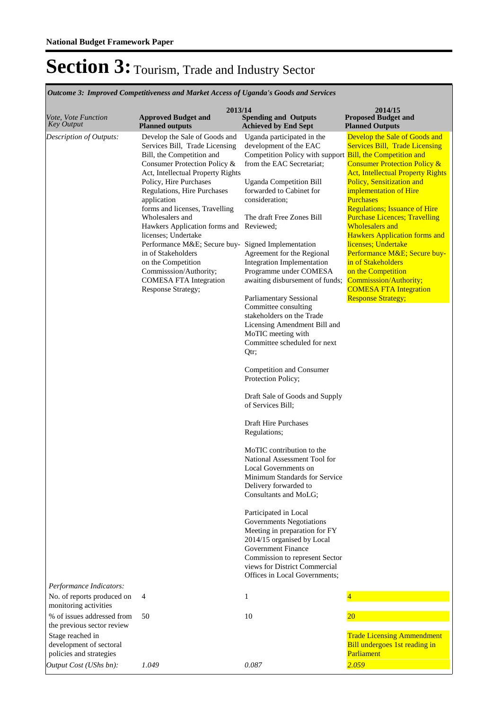| <b>Outcome 3: Improved Competitiveness and Market Access of Uganda's Goods and Services</b>          |                                                                                                                                                                                                                                                                                                                                                                                                                                                                                                                                                           |                                                                                                                                                                                                                                                                                                                                                                                                                                                                                                                                                                                                                                                                                                                                                                                                                                                                                                                                                                                                                                                                                                                                                  |                                                                                                                                                                                                                                                                                                                                                                                                                                                                                                                                                                                      |  |
|------------------------------------------------------------------------------------------------------|-----------------------------------------------------------------------------------------------------------------------------------------------------------------------------------------------------------------------------------------------------------------------------------------------------------------------------------------------------------------------------------------------------------------------------------------------------------------------------------------------------------------------------------------------------------|--------------------------------------------------------------------------------------------------------------------------------------------------------------------------------------------------------------------------------------------------------------------------------------------------------------------------------------------------------------------------------------------------------------------------------------------------------------------------------------------------------------------------------------------------------------------------------------------------------------------------------------------------------------------------------------------------------------------------------------------------------------------------------------------------------------------------------------------------------------------------------------------------------------------------------------------------------------------------------------------------------------------------------------------------------------------------------------------------------------------------------------------------|--------------------------------------------------------------------------------------------------------------------------------------------------------------------------------------------------------------------------------------------------------------------------------------------------------------------------------------------------------------------------------------------------------------------------------------------------------------------------------------------------------------------------------------------------------------------------------------|--|
| <i>Vote, Vote Function</i><br><b>Key Output</b>                                                      | 2013/14<br><b>Approved Budget and</b><br><b>Planned outputs</b>                                                                                                                                                                                                                                                                                                                                                                                                                                                                                           | <b>Spending and Outputs</b><br><b>Achieved by End Sept</b>                                                                                                                                                                                                                                                                                                                                                                                                                                                                                                                                                                                                                                                                                                                                                                                                                                                                                                                                                                                                                                                                                       | 2014/15<br><b>Proposed Budget and</b><br><b>Planned Outputs</b>                                                                                                                                                                                                                                                                                                                                                                                                                                                                                                                      |  |
| Description of Outputs:                                                                              | Develop the Sale of Goods and<br>Services Bill, Trade Licensing<br>Bill, the Competition and<br>Consumer Protection Policy &<br>Act, Intellectual Property Rights<br>Policy, Hire Purchases<br>Regulations, Hire Purchases<br>application<br>forms and licenses, Travelling<br>Wholesalers and<br>Hawkers Application forms and Reviewed;<br>licenses; Undertake<br>Performance M&E Secure buy- Signed Implementation<br>in of Stakeholders<br>on the Competition<br>Commisssion/Authority;<br><b>COMESA FTA Integration</b><br><b>Response Strategy;</b> | Uganda participated in the<br>development of the EAC<br>Competition Policy with support Bill, the Competition and<br>from the EAC Secretariat;<br><b>Uganda Competition Bill</b><br>forwarded to Cabinet for<br>consideration:<br>The draft Free Zones Bill<br>Agreement for the Regional<br>Integration Implementation<br>Programme under COMESA<br>awaiting disbursement of funds;<br>Parliamentary Sessional<br>Committee consulting<br>stakeholders on the Trade<br>Licensing Amendment Bill and<br>MoTIC meeting with<br>Committee scheduled for next<br>Qtr;<br>Competition and Consumer<br>Protection Policy;<br>Draft Sale of Goods and Supply<br>of Services Bill;<br>Draft Hire Purchases<br>Regulations;<br>MoTIC contribution to the<br>National Assessment Tool for<br>Local Governments on<br>Minimum Standards for Service<br>Delivery forwarded to<br>Consultants and MoLG;<br>Participated in Local<br>Governments Negotiations<br>Meeting in preparation for FY<br>2014/15 organised by Local<br><b>Government Finance</b><br>Commission to represent Sector<br>views for District Commercial<br>Offices in Local Governments; | Develop the Sale of Goods and<br><b>Services Bill, Trade Licensing</b><br><b>Consumer Protection Policy &amp;</b><br><b>Act, Intellectual Property Rights</b><br>Policy, Sensitization and<br>implementation of Hire<br><b>Purchases</b><br><b>Regulations; Issuance of Hire</b><br><b>Purchase Licences; Travelling</b><br><b>Wholesalers and</b><br><b>Hawkers Application forms and</b><br>licenses; Undertake<br>Performance M&E Secure buy-<br>in of Stakeholders<br>on the Competition<br>Commisssion/Authority;<br><b>COMESA FTA Integration</b><br><b>Response Strategy;</b> |  |
| Performance Indicators:<br>No. of reports produced on                                                | 4                                                                                                                                                                                                                                                                                                                                                                                                                                                                                                                                                         | $\mathbf{1}$                                                                                                                                                                                                                                                                                                                                                                                                                                                                                                                                                                                                                                                                                                                                                                                                                                                                                                                                                                                                                                                                                                                                     | $\overline{\mathbf{4}}$                                                                                                                                                                                                                                                                                                                                                                                                                                                                                                                                                              |  |
| monitoring activities<br>% of issues addressed from                                                  | 50                                                                                                                                                                                                                                                                                                                                                                                                                                                                                                                                                        | 10                                                                                                                                                                                                                                                                                                                                                                                                                                                                                                                                                                                                                                                                                                                                                                                                                                                                                                                                                                                                                                                                                                                                               | $\overline{20}$                                                                                                                                                                                                                                                                                                                                                                                                                                                                                                                                                                      |  |
| the previous sector review<br>Stage reached in<br>development of sectoral<br>policies and strategies |                                                                                                                                                                                                                                                                                                                                                                                                                                                                                                                                                           |                                                                                                                                                                                                                                                                                                                                                                                                                                                                                                                                                                                                                                                                                                                                                                                                                                                                                                                                                                                                                                                                                                                                                  | <b>Trade Licensing Ammendment</b><br>Bill undergoes 1st reading in<br>Parliament                                                                                                                                                                                                                                                                                                                                                                                                                                                                                                     |  |
| Output Cost (UShs bn):                                                                               | 1.049                                                                                                                                                                                                                                                                                                                                                                                                                                                                                                                                                     | 0.087                                                                                                                                                                                                                                                                                                                                                                                                                                                                                                                                                                                                                                                                                                                                                                                                                                                                                                                                                                                                                                                                                                                                            | 2.059                                                                                                                                                                                                                                                                                                                                                                                                                                                                                                                                                                                |  |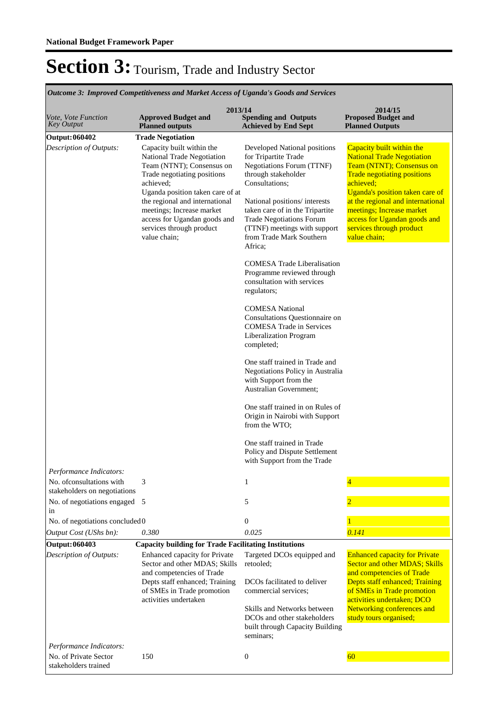| <b>Outcome 3: Improved Competitiveness and Market Access of Uganda's Goods and Services</b> |                                                                                                                                                                                                                                                                                                                 |                                                                                                                                                                                                                                                                                              |                                                                                                                                                                                                                                                                                                                                 |  |
|---------------------------------------------------------------------------------------------|-----------------------------------------------------------------------------------------------------------------------------------------------------------------------------------------------------------------------------------------------------------------------------------------------------------------|----------------------------------------------------------------------------------------------------------------------------------------------------------------------------------------------------------------------------------------------------------------------------------------------|---------------------------------------------------------------------------------------------------------------------------------------------------------------------------------------------------------------------------------------------------------------------------------------------------------------------------------|--|
| Vote, Vote Function<br>Key Output                                                           | 2013/14<br><b>Approved Budget and</b><br><b>Planned outputs</b>                                                                                                                                                                                                                                                 | <b>Spending and Outputs</b><br><b>Achieved by End Sept</b>                                                                                                                                                                                                                                   | 2014/15<br><b>Proposed Budget and</b><br><b>Planned Outputs</b>                                                                                                                                                                                                                                                                 |  |
| <b>Output: 060402</b>                                                                       | <b>Trade Negotiation</b>                                                                                                                                                                                                                                                                                        |                                                                                                                                                                                                                                                                                              |                                                                                                                                                                                                                                                                                                                                 |  |
| Description of Outputs:                                                                     | Capacity built within the<br>National Trade Negotiation<br>Team (NTNT); Consensus on<br>Trade negotiating positions<br>achieved;<br>Uganda position taken care of at<br>the regional and international<br>meetings; Increase market<br>access for Ugandan goods and<br>services through product<br>value chain; | Developed National positions<br>for Tripartite Trade<br>Negotiations Forum (TTNF)<br>through stakeholder<br>Consultations;<br>National positions/interests<br>taken care of in the Tripartite<br><b>Trade Negotiations Forum</b><br>(TTNF) meetings with support<br>from Trade Mark Southern | Capacity built within the<br><b>National Trade Negotiation</b><br>Team (NTNT); Consensus on<br><b>Trade negotiating positions</b><br>achieved;<br>Uganda's position taken care of<br>at the regional and international<br>meetings; Increase market<br>access for Ugandan goods and<br>services through product<br>value chain; |  |
|                                                                                             |                                                                                                                                                                                                                                                                                                                 | Africa;                                                                                                                                                                                                                                                                                      |                                                                                                                                                                                                                                                                                                                                 |  |
|                                                                                             |                                                                                                                                                                                                                                                                                                                 | <b>COMESA Trade Liberalisation</b><br>Programme reviewed through<br>consultation with services<br>regulators;                                                                                                                                                                                |                                                                                                                                                                                                                                                                                                                                 |  |
|                                                                                             |                                                                                                                                                                                                                                                                                                                 | <b>COMESA National</b><br>Consultations Questionnaire on<br><b>COMESA Trade in Services</b><br>Liberalization Program<br>completed;                                                                                                                                                          |                                                                                                                                                                                                                                                                                                                                 |  |
|                                                                                             |                                                                                                                                                                                                                                                                                                                 | One staff trained in Trade and<br>Negotiations Policy in Australia<br>with Support from the<br>Australian Government;                                                                                                                                                                        |                                                                                                                                                                                                                                                                                                                                 |  |
|                                                                                             |                                                                                                                                                                                                                                                                                                                 | One staff trained in on Rules of<br>Origin in Nairobi with Support<br>from the WTO;                                                                                                                                                                                                          |                                                                                                                                                                                                                                                                                                                                 |  |
|                                                                                             |                                                                                                                                                                                                                                                                                                                 | One staff trained in Trade<br>Policy and Dispute Settlement<br>with Support from the Trade                                                                                                                                                                                                   |                                                                                                                                                                                                                                                                                                                                 |  |
| Performance Indicators:                                                                     |                                                                                                                                                                                                                                                                                                                 |                                                                                                                                                                                                                                                                                              |                                                                                                                                                                                                                                                                                                                                 |  |
| No. of consultations with<br>stakeholders on negotiations                                   | 3                                                                                                                                                                                                                                                                                                               | 1                                                                                                                                                                                                                                                                                            | 4                                                                                                                                                                                                                                                                                                                               |  |
| No. of negotiations engaged 5<br>in                                                         |                                                                                                                                                                                                                                                                                                                 | 5                                                                                                                                                                                                                                                                                            |                                                                                                                                                                                                                                                                                                                                 |  |
| No. of negotiations concluded 0                                                             |                                                                                                                                                                                                                                                                                                                 | 0                                                                                                                                                                                                                                                                                            |                                                                                                                                                                                                                                                                                                                                 |  |
| Output Cost (UShs bn):                                                                      | 0.380                                                                                                                                                                                                                                                                                                           | 0.025                                                                                                                                                                                                                                                                                        | 0.141                                                                                                                                                                                                                                                                                                                           |  |
| Output: 060403                                                                              | <b>Capacity building for Trade Facilitating Institutions</b>                                                                                                                                                                                                                                                    |                                                                                                                                                                                                                                                                                              |                                                                                                                                                                                                                                                                                                                                 |  |
| Description of Outputs:                                                                     | Enhanced capacity for Private<br>Sector and other MDAS; Skills<br>and competencies of Trade                                                                                                                                                                                                                     | Targeted DCOs equipped and<br>retooled;                                                                                                                                                                                                                                                      | <b>Enhanced capacity for Private</b><br>Sector and other MDAS; Skills<br>and competencies of Trade                                                                                                                                                                                                                              |  |
|                                                                                             | Depts staff enhanced; Training<br>of SMEs in Trade promotion<br>activities undertaken                                                                                                                                                                                                                           | DCO <sub>s</sub> facilitated to deliver<br>commercial services;                                                                                                                                                                                                                              | Depts staff enhanced; Training<br>of SMEs in Trade promotion<br>activities undertaken; DCO                                                                                                                                                                                                                                      |  |
|                                                                                             |                                                                                                                                                                                                                                                                                                                 | Skills and Networks between<br>DCOs and other stakeholders<br>built through Capacity Building<br>seminars;                                                                                                                                                                                   | Networking conferences and<br>study tours organised;                                                                                                                                                                                                                                                                            |  |
| Performance Indicators:                                                                     |                                                                                                                                                                                                                                                                                                                 |                                                                                                                                                                                                                                                                                              |                                                                                                                                                                                                                                                                                                                                 |  |
| No. of Private Sector<br>stakeholders trained                                               | 150                                                                                                                                                                                                                                                                                                             | $\boldsymbol{0}$                                                                                                                                                                                                                                                                             | 60                                                                                                                                                                                                                                                                                                                              |  |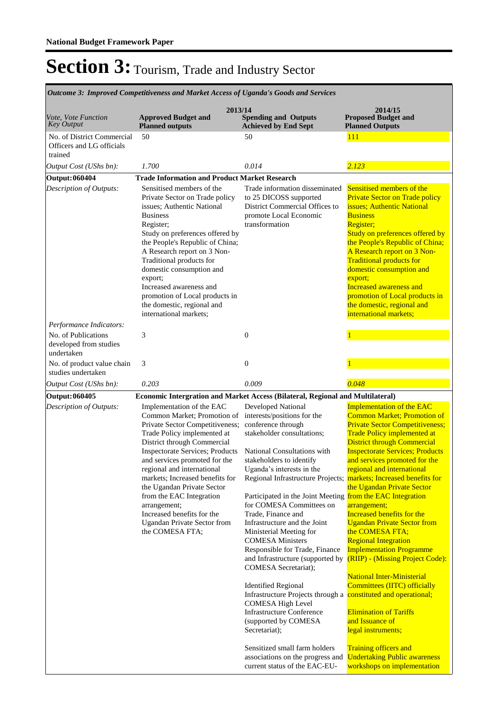| Outcome 3: Improved Competitiveness and Market Access of Uganda's Goods and Services |                                                                                                                                                                                                                                                                                                                                                                                                                                                                        |                                                                                                                                                                                                                                                                                                                                                                                                                                                                                                                                                                                                                                                                                                                                                                                                                                                                                       |                                                                                                                                                                                                                                                                                                                                                                                                                                                                                                                                                                                                                                                                                                                                                                                                               |  |
|--------------------------------------------------------------------------------------|------------------------------------------------------------------------------------------------------------------------------------------------------------------------------------------------------------------------------------------------------------------------------------------------------------------------------------------------------------------------------------------------------------------------------------------------------------------------|---------------------------------------------------------------------------------------------------------------------------------------------------------------------------------------------------------------------------------------------------------------------------------------------------------------------------------------------------------------------------------------------------------------------------------------------------------------------------------------------------------------------------------------------------------------------------------------------------------------------------------------------------------------------------------------------------------------------------------------------------------------------------------------------------------------------------------------------------------------------------------------|---------------------------------------------------------------------------------------------------------------------------------------------------------------------------------------------------------------------------------------------------------------------------------------------------------------------------------------------------------------------------------------------------------------------------------------------------------------------------------------------------------------------------------------------------------------------------------------------------------------------------------------------------------------------------------------------------------------------------------------------------------------------------------------------------------------|--|
| <i>Vote, Vote Function</i><br><b>Key Output</b>                                      | 2013/14<br><b>Approved Budget and</b><br><b>Planned outputs</b>                                                                                                                                                                                                                                                                                                                                                                                                        | <b>Spending and Outputs</b><br><b>Achieved by End Sept</b>                                                                                                                                                                                                                                                                                                                                                                                                                                                                                                                                                                                                                                                                                                                                                                                                                            | 2014/15<br><b>Proposed Budget and</b><br><b>Planned Outputs</b>                                                                                                                                                                                                                                                                                                                                                                                                                                                                                                                                                                                                                                                                                                                                               |  |
| No. of District Commercial<br>Officers and LG officials<br>trained                   | 50                                                                                                                                                                                                                                                                                                                                                                                                                                                                     | 50                                                                                                                                                                                                                                                                                                                                                                                                                                                                                                                                                                                                                                                                                                                                                                                                                                                                                    | <b>111</b>                                                                                                                                                                                                                                                                                                                                                                                                                                                                                                                                                                                                                                                                                                                                                                                                    |  |
| Output Cost (UShs bn):                                                               | 1.700                                                                                                                                                                                                                                                                                                                                                                                                                                                                  | 0.014                                                                                                                                                                                                                                                                                                                                                                                                                                                                                                                                                                                                                                                                                                                                                                                                                                                                                 | 2.123                                                                                                                                                                                                                                                                                                                                                                                                                                                                                                                                                                                                                                                                                                                                                                                                         |  |
| Output: 060404                                                                       | <b>Trade Information and Product Market Research</b>                                                                                                                                                                                                                                                                                                                                                                                                                   |                                                                                                                                                                                                                                                                                                                                                                                                                                                                                                                                                                                                                                                                                                                                                                                                                                                                                       |                                                                                                                                                                                                                                                                                                                                                                                                                                                                                                                                                                                                                                                                                                                                                                                                               |  |
| Description of Outputs:                                                              | Sensitised members of the<br>Private Sector on Trade policy<br>issues; Authentic National<br><b>Business</b><br>Register;<br>Study on preferences offered by<br>the People's Republic of China;<br>A Research report on 3 Non-<br>Traditional products for<br>domestic consumption and<br>export;<br>Increased awareness and<br>promotion of Local products in<br>the domestic, regional and<br>international markets;                                                 | Trade information disseminated<br>to 25 DICOSS supported<br>District Commercial Offices to<br>promote Local Economic<br>transformation                                                                                                                                                                                                                                                                                                                                                                                                                                                                                                                                                                                                                                                                                                                                                | Sensitised members of the<br><b>Private Sector on Trade policy</b><br>issues; Authentic National<br><b>Business</b><br>Register;<br>Study on preferences offered by<br>the People's Republic of China;<br>A Research report on 3 Non-<br><b>Traditional products for</b><br>domestic consumption and<br>export;<br><b>Increased awareness and</b><br>promotion of Local products in<br>the domestic, regional and<br>international markets;                                                                                                                                                                                                                                                                                                                                                                   |  |
| Performance Indicators:                                                              |                                                                                                                                                                                                                                                                                                                                                                                                                                                                        |                                                                                                                                                                                                                                                                                                                                                                                                                                                                                                                                                                                                                                                                                                                                                                                                                                                                                       |                                                                                                                                                                                                                                                                                                                                                                                                                                                                                                                                                                                                                                                                                                                                                                                                               |  |
| No. of Publications<br>developed from studies<br>undertaken                          | 3                                                                                                                                                                                                                                                                                                                                                                                                                                                                      | $\boldsymbol{0}$                                                                                                                                                                                                                                                                                                                                                                                                                                                                                                                                                                                                                                                                                                                                                                                                                                                                      |                                                                                                                                                                                                                                                                                                                                                                                                                                                                                                                                                                                                                                                                                                                                                                                                               |  |
| No. of product value chain<br>studies undertaken                                     | 3                                                                                                                                                                                                                                                                                                                                                                                                                                                                      | $\mathbf{0}$                                                                                                                                                                                                                                                                                                                                                                                                                                                                                                                                                                                                                                                                                                                                                                                                                                                                          |                                                                                                                                                                                                                                                                                                                                                                                                                                                                                                                                                                                                                                                                                                                                                                                                               |  |
| Output Cost (UShs bn):                                                               | 0.203                                                                                                                                                                                                                                                                                                                                                                                                                                                                  | 0.009                                                                                                                                                                                                                                                                                                                                                                                                                                                                                                                                                                                                                                                                                                                                                                                                                                                                                 | 0.048                                                                                                                                                                                                                                                                                                                                                                                                                                                                                                                                                                                                                                                                                                                                                                                                         |  |
| Output: 060405                                                                       | Economic Intergration and Market Access (Bilateral, Regional and Multilateral)                                                                                                                                                                                                                                                                                                                                                                                         |                                                                                                                                                                                                                                                                                                                                                                                                                                                                                                                                                                                                                                                                                                                                                                                                                                                                                       |                                                                                                                                                                                                                                                                                                                                                                                                                                                                                                                                                                                                                                                                                                                                                                                                               |  |
| Description of Outputs:                                                              | Implementation of the EAC<br>Common Market; Promotion of<br>Private Sector Competitiveness;<br>Trade Policy implemented at<br>District through Commercial<br><b>Inspectorate Services; Products</b><br>and services promoted for the<br>regional and international<br>markets; Increased benefits for<br>the Ugandan Private Sector<br>from the EAC Integration<br>arrangement;<br>Increased benefits for the<br><b>Ugandan Private Sector from</b><br>the COMESA FTA; | Developed National<br>interests/positions for the<br>conference through<br>stakeholder consultations;<br>National Consultations with<br>stakeholders to identify<br>Uganda's interests in the<br>Regional Infrastructure Projects; markets; Increased benefits for<br>Participated in the Joint Meeting from the EAC Integration<br>for COMESA Committees on<br>Trade, Finance and<br>Infrastructure and the Joint<br>Ministerial Meeting for<br><b>COMESA Ministers</b><br>Responsible for Trade, Finance<br>and Infrastructure (supported by<br>COMESA Secretariat);<br><b>Identified Regional</b><br>Infrastructure Projects through a constituted and operational;<br><b>COMESA High Level</b><br><b>Infrastructure Conference</b><br>(supported by COMESA<br>Secretariat);<br>Sensitized small farm holders<br>associations on the progress and<br>current status of the EAC-EU- | <b>Implementation of the EAC</b><br><b>Common Market</b> ; Promotion of<br><b>Private Sector Competitiveness;</b><br><b>Trade Policy implemented at</b><br><b>District through Commercial</b><br><b>Inspectorate Services; Products</b><br>and services promoted for the<br>regional and international<br>the Ugandan Private Sector<br>arrangement;<br><b>Increased benefits for the</b><br><b>Ugandan Private Sector from</b><br>the COMESA FTA;<br><b>Regional Integration</b><br><b>Implementation Programme</b><br>(RIIP) - (Missing Project Code):<br><b>National Inter-Ministerial</b><br>Committees (IITC) officially<br><b>Elimination of Tariffs</b><br>and Issuance of<br>legal instruments;<br><b>Training officers and</b><br><b>Undertaking Public awareness</b><br>workshops on implementation |  |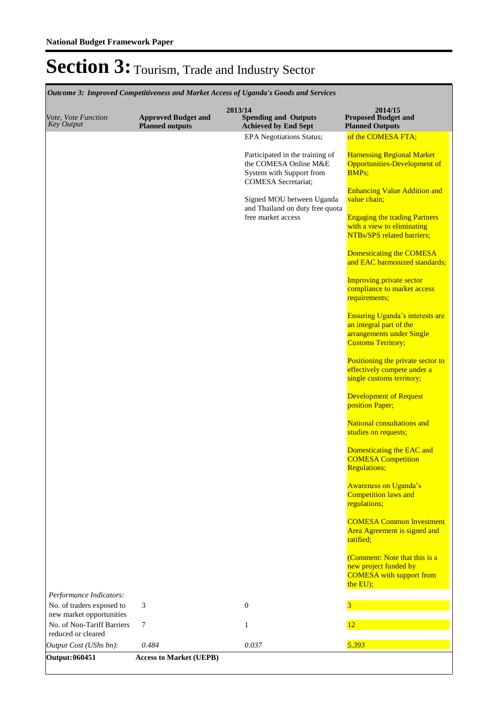| Outcome 3: Improved Competitiveness and Market Access of Uganda's Goods and Services |                                                      |                                                                                                                                                                                                          |                                                                                                                                                                                                                                                                                                                                                                                                                                                                                                                                                                                                                              |  |
|--------------------------------------------------------------------------------------|------------------------------------------------------|----------------------------------------------------------------------------------------------------------------------------------------------------------------------------------------------------------|------------------------------------------------------------------------------------------------------------------------------------------------------------------------------------------------------------------------------------------------------------------------------------------------------------------------------------------------------------------------------------------------------------------------------------------------------------------------------------------------------------------------------------------------------------------------------------------------------------------------------|--|
| Vote, Vote Function<br><b>Key Output</b>                                             | <b>Approved Budget and</b><br><b>Planned outputs</b> | 2013/14<br><b>Spending and Outputs</b><br><b>Achieved by End Sept</b>                                                                                                                                    | 2014/15<br><b>Proposed Budget and</b><br><b>Planned Outputs</b>                                                                                                                                                                                                                                                                                                                                                                                                                                                                                                                                                              |  |
|                                                                                      |                                                      | <b>EPA Negotiations Status;</b>                                                                                                                                                                          | of the COMESA FTA;                                                                                                                                                                                                                                                                                                                                                                                                                                                                                                                                                                                                           |  |
|                                                                                      |                                                      | Participated in the training of<br>the COMESA Online M&E<br>System with Support from<br><b>COMESA</b> Secretariat;<br>Signed MOU between Uganda<br>and Thailand on duty free quota<br>free market access | <b>Harnessing Regional Market</b><br>Opportunities-Development of<br><b>BMPs;</b><br><b>Enhancing Value Addition and</b><br>value chain;<br><b>Engaging the trading Partners</b><br>with a view to eliminating<br><b>NTBs/SPS</b> related barriers;<br>Domesticating the COMESA<br>and EAC harmonized standards;<br><b>Improving private sector</b><br>compliance to market access<br>requirements;<br>Ensuring Uganda's interests are<br>an integral part of the<br>arrangements under Single<br><b>Customs Territory;</b><br>Positioning the private sector to<br>effectively compete under a<br>single customs territory; |  |
|                                                                                      |                                                      |                                                                                                                                                                                                          | <b>Development of Request</b><br>position Paper;                                                                                                                                                                                                                                                                                                                                                                                                                                                                                                                                                                             |  |
|                                                                                      |                                                      |                                                                                                                                                                                                          | <b>National consultations and</b><br>studies on requests;                                                                                                                                                                                                                                                                                                                                                                                                                                                                                                                                                                    |  |
|                                                                                      |                                                      |                                                                                                                                                                                                          | Domesticating the EAC and<br><b>COMESA</b> Competition<br><b>Regulations;</b>                                                                                                                                                                                                                                                                                                                                                                                                                                                                                                                                                |  |
|                                                                                      |                                                      |                                                                                                                                                                                                          | <b>Awareness on Uganda's</b><br><b>Competition laws and</b><br>regulations;                                                                                                                                                                                                                                                                                                                                                                                                                                                                                                                                                  |  |
|                                                                                      |                                                      |                                                                                                                                                                                                          | <b>COMESA Common Investment</b><br>Area Agreement is signed and<br>ratified;                                                                                                                                                                                                                                                                                                                                                                                                                                                                                                                                                 |  |
|                                                                                      |                                                      |                                                                                                                                                                                                          | (Comment: Note that this is a<br>new project funded by<br><b>COMESA</b> with support from<br>the EU);                                                                                                                                                                                                                                                                                                                                                                                                                                                                                                                        |  |
| Performance Indicators:<br>No. of traders exposed to                                 | 3                                                    | $\overline{0}$                                                                                                                                                                                           | 3                                                                                                                                                                                                                                                                                                                                                                                                                                                                                                                                                                                                                            |  |
| new market opportunities                                                             |                                                      |                                                                                                                                                                                                          |                                                                                                                                                                                                                                                                                                                                                                                                                                                                                                                                                                                                                              |  |
| No. of Non-Tariff Barriers<br>reduced or cleared                                     | 7                                                    | $\mathbf{1}$                                                                                                                                                                                             | 12                                                                                                                                                                                                                                                                                                                                                                                                                                                                                                                                                                                                                           |  |
| Output Cost (UShs bn):                                                               | 0.484                                                | 0.037                                                                                                                                                                                                    | 5.393                                                                                                                                                                                                                                                                                                                                                                                                                                                                                                                                                                                                                        |  |
| Output: 060451                                                                       | <b>Access to Market (UEPB)</b>                       |                                                                                                                                                                                                          |                                                                                                                                                                                                                                                                                                                                                                                                                                                                                                                                                                                                                              |  |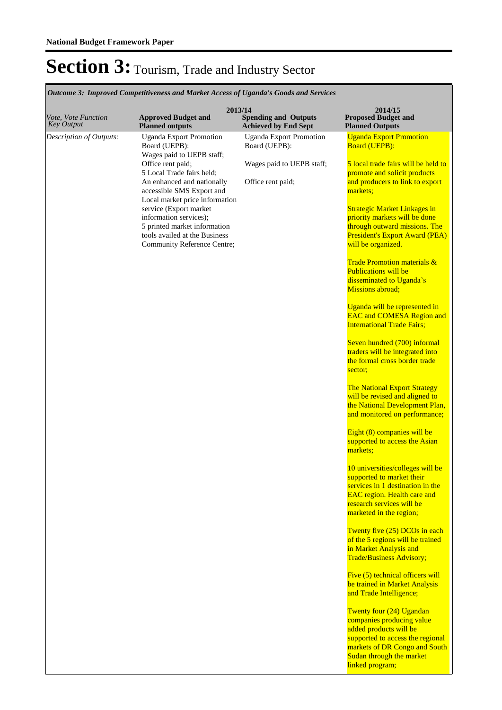| Vote, Vote Function<br><b>Key Output</b> | 2013/14<br><b>Approved Budget and</b><br><b>Planned outputs</b>                                                                                                                                                                                                                                                                                                                 | <b>Spending and Outputs</b><br><b>Achieved by End Sept</b>                                        | 2014/15<br><b>Proposed Budget and</b><br><b>Planned Outputs</b>                                                                                                                                                                                                                                                                                                                                                                                                                                                                                                                                                                                                                                                                                                                                                                                                                                                                                                                                                                                                                                                                                                                                                                                                                                                                                                                                                                                                                                                                                                            |
|------------------------------------------|---------------------------------------------------------------------------------------------------------------------------------------------------------------------------------------------------------------------------------------------------------------------------------------------------------------------------------------------------------------------------------|---------------------------------------------------------------------------------------------------|----------------------------------------------------------------------------------------------------------------------------------------------------------------------------------------------------------------------------------------------------------------------------------------------------------------------------------------------------------------------------------------------------------------------------------------------------------------------------------------------------------------------------------------------------------------------------------------------------------------------------------------------------------------------------------------------------------------------------------------------------------------------------------------------------------------------------------------------------------------------------------------------------------------------------------------------------------------------------------------------------------------------------------------------------------------------------------------------------------------------------------------------------------------------------------------------------------------------------------------------------------------------------------------------------------------------------------------------------------------------------------------------------------------------------------------------------------------------------------------------------------------------------------------------------------------------------|
| Description of Outputs:                  | <b>Uganda Export Promotion</b><br>Board (UEPB):<br>Wages paid to UEPB staff;<br>Office rent paid;<br>5 Local Trade fairs held;<br>An enhanced and nationally<br>accessible SMS Export and<br>Local market price information<br>service (Export market<br>information services);<br>5 printed market information<br>tools availed at the Business<br>Community Reference Centre; | <b>Uganda Export Promotion</b><br>Board (UEPB):<br>Wages paid to UEPB staff;<br>Office rent paid; | <b>Uganda Export Promotion</b><br><b>Board (UEPB):</b><br>5 local trade fairs will be held to<br>promote and solicit products<br>and producers to link to export<br>markets;<br><b>Strategic Market Linkages in</b><br>priority markets will be done<br>through outward missions. The<br><b>President's Export Award (PEA)</b><br>will be organized.<br><b>Trade Promotion materials &amp;</b><br><b>Publications will be</b><br>disseminated to Uganda's<br>Missions abroad;<br>Uganda will be represented in<br><b>EAC and COMESA Region and</b><br><b>International Trade Fairs;</b><br>Seven hundred (700) informal<br>traders will be integrated into<br>the formal cross border trade<br>sector;<br><b>The National Export Strategy</b><br>will be revised and aligned to<br>the National Development Plan,<br>and monitored on performance;<br>Eight (8) companies will be<br>supported to access the Asian<br>markets;<br>10 universities/colleges will be<br>supported to market their<br>services in 1 destination in the<br><b>EAC</b> region. Health care and<br>research services will be<br>marketed in the region;<br>Twenty five (25) DCOs in each<br>of the 5 regions will be trained<br>in Market Analysis and<br><b>Trade/Business Advisory;</b><br>Five (5) technical officers will<br>be trained in Market Analysis<br>and Trade Intelligence;<br>Twenty four (24) Ugandan<br>companies producing value<br>added products will be<br>supported to access the regional<br>markets of DR Congo and South<br>Sudan through the market<br>linked program; |

*Outcome 3: Improved Competitiveness and Market Access of Uganda's Goods and Services*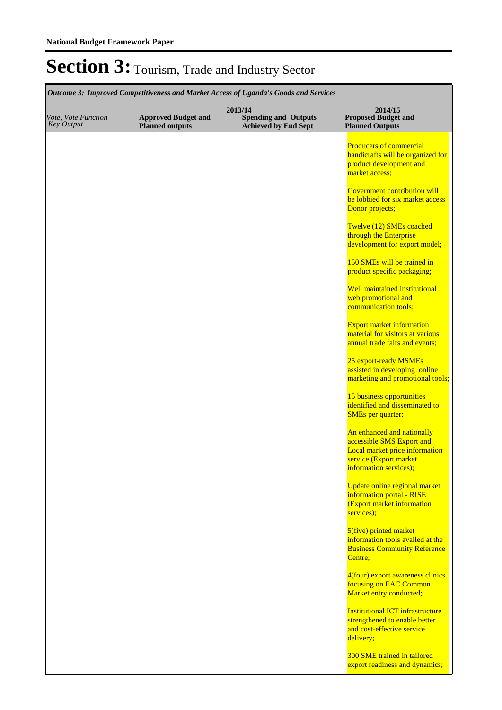|                                          | Outcome 3: Improved Competitiveness and Market Access of Uganda's Goods and Services |                                                                       |                                                                                                                     |
|------------------------------------------|--------------------------------------------------------------------------------------|-----------------------------------------------------------------------|---------------------------------------------------------------------------------------------------------------------|
| Vote, Vote Function<br><b>Key Output</b> | <b>Approved Budget and</b><br><b>Planned outputs</b>                                 | 2013/14<br><b>Spending and Outputs</b><br><b>Achieved by End Sept</b> | 2014/15<br><b>Proposed Budget and</b><br><b>Planned Outputs</b>                                                     |
|                                          |                                                                                      |                                                                       | <b>Producers of commercial</b><br>handicrafts will be organized for<br>product development and<br>market access;    |
|                                          |                                                                                      |                                                                       | <b>Government contribution will</b><br>be lobbied for six market access<br>Donor projects;                          |
|                                          |                                                                                      |                                                                       | Twelve (12) SMEs coached<br>through the Enterprise<br>development for export model;                                 |
|                                          |                                                                                      |                                                                       | 150 SMEs will be trained in<br>product specific packaging;                                                          |
|                                          |                                                                                      |                                                                       | <b>Well maintained institutional</b><br>web promotional and<br>communication tools;                                 |
|                                          |                                                                                      |                                                                       | <b>Export market information</b><br>material for visitors at various<br>annual trade fairs and events;              |
|                                          |                                                                                      |                                                                       | 25 export-ready MSMEs<br>assisted in developing online<br>marketing and promotional tools;                          |
|                                          |                                                                                      |                                                                       | 15 business opportunities<br>identified and disseminated to<br><b>SMEs</b> per quarter;                             |
|                                          |                                                                                      |                                                                       | An enhanced and nationally<br>accessible SMS Export and                                                             |
|                                          |                                                                                      |                                                                       | Local market price information<br>service (Export market<br>information services);                                  |
|                                          |                                                                                      |                                                                       | <b>Update online regional market</b><br>information portal - RISE<br>(Export market information<br>services);       |
|                                          |                                                                                      |                                                                       | 5(five) printed market<br>information tools availed at the<br><b>Business Community Reference</b><br>Centre;        |
|                                          |                                                                                      |                                                                       | 4(four) export awareness clinics<br>focusing on EAC Common<br>Market entry conducted;                               |
|                                          |                                                                                      |                                                                       | <b>Institutional ICT infrastructure</b><br>strengthened to enable better<br>and cost-effective service<br>delivery; |
|                                          |                                                                                      |                                                                       | 300 SME trained in tailored<br>export readiness and dynamics;                                                       |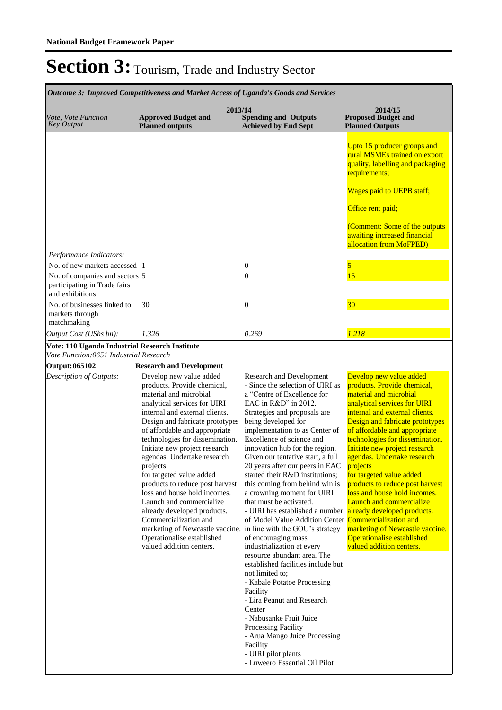| Outcome 3: Improved Competitiveness and Market Access of Uganda's Goods and Services |                                                                                                                                                                                                                                                                                                                                                                                                                                                                                                                                                                                                                                                       |                                                                                                                                                                                                                                                                                                                                                                                                                                                                                                                                                                                                                                                                                                                                                                                                                                                                                                                                                                     |                                                                                                                                                                                                                                                                                                                                                                                                                                                                                                                                                                                                     |  |
|--------------------------------------------------------------------------------------|-------------------------------------------------------------------------------------------------------------------------------------------------------------------------------------------------------------------------------------------------------------------------------------------------------------------------------------------------------------------------------------------------------------------------------------------------------------------------------------------------------------------------------------------------------------------------------------------------------------------------------------------------------|---------------------------------------------------------------------------------------------------------------------------------------------------------------------------------------------------------------------------------------------------------------------------------------------------------------------------------------------------------------------------------------------------------------------------------------------------------------------------------------------------------------------------------------------------------------------------------------------------------------------------------------------------------------------------------------------------------------------------------------------------------------------------------------------------------------------------------------------------------------------------------------------------------------------------------------------------------------------|-----------------------------------------------------------------------------------------------------------------------------------------------------------------------------------------------------------------------------------------------------------------------------------------------------------------------------------------------------------------------------------------------------------------------------------------------------------------------------------------------------------------------------------------------------------------------------------------------------|--|
| Vote, Vote Function<br><b>Key Output</b>                                             | 2013/14<br><b>Approved Budget and</b><br><b>Planned outputs</b>                                                                                                                                                                                                                                                                                                                                                                                                                                                                                                                                                                                       | <b>Spending and Outputs</b><br><b>Achieved by End Sept</b>                                                                                                                                                                                                                                                                                                                                                                                                                                                                                                                                                                                                                                                                                                                                                                                                                                                                                                          | 2014/15<br><b>Proposed Budget and</b><br><b>Planned Outputs</b>                                                                                                                                                                                                                                                                                                                                                                                                                                                                                                                                     |  |
|                                                                                      |                                                                                                                                                                                                                                                                                                                                                                                                                                                                                                                                                                                                                                                       |                                                                                                                                                                                                                                                                                                                                                                                                                                                                                                                                                                                                                                                                                                                                                                                                                                                                                                                                                                     | Upto 15 producer groups and<br>rural MSMEs trained on export<br>quality, labelling and packaging<br>requirements;                                                                                                                                                                                                                                                                                                                                                                                                                                                                                   |  |
|                                                                                      |                                                                                                                                                                                                                                                                                                                                                                                                                                                                                                                                                                                                                                                       |                                                                                                                                                                                                                                                                                                                                                                                                                                                                                                                                                                                                                                                                                                                                                                                                                                                                                                                                                                     | Wages paid to UEPB staff;                                                                                                                                                                                                                                                                                                                                                                                                                                                                                                                                                                           |  |
|                                                                                      |                                                                                                                                                                                                                                                                                                                                                                                                                                                                                                                                                                                                                                                       |                                                                                                                                                                                                                                                                                                                                                                                                                                                                                                                                                                                                                                                                                                                                                                                                                                                                                                                                                                     | Office rent paid;                                                                                                                                                                                                                                                                                                                                                                                                                                                                                                                                                                                   |  |
|                                                                                      |                                                                                                                                                                                                                                                                                                                                                                                                                                                                                                                                                                                                                                                       |                                                                                                                                                                                                                                                                                                                                                                                                                                                                                                                                                                                                                                                                                                                                                                                                                                                                                                                                                                     | (Comment: Some of the outputs<br>awaiting increased financial                                                                                                                                                                                                                                                                                                                                                                                                                                                                                                                                       |  |
| Performance Indicators:                                                              |                                                                                                                                                                                                                                                                                                                                                                                                                                                                                                                                                                                                                                                       |                                                                                                                                                                                                                                                                                                                                                                                                                                                                                                                                                                                                                                                                                                                                                                                                                                                                                                                                                                     | allocation from MoFPED)                                                                                                                                                                                                                                                                                                                                                                                                                                                                                                                                                                             |  |
| No. of new markets accessed 1                                                        |                                                                                                                                                                                                                                                                                                                                                                                                                                                                                                                                                                                                                                                       | $\boldsymbol{0}$                                                                                                                                                                                                                                                                                                                                                                                                                                                                                                                                                                                                                                                                                                                                                                                                                                                                                                                                                    | 5                                                                                                                                                                                                                                                                                                                                                                                                                                                                                                                                                                                                   |  |
| No. of companies and sectors 5<br>participating in Trade fairs<br>and exhibitions    |                                                                                                                                                                                                                                                                                                                                                                                                                                                                                                                                                                                                                                                       | $\theta$                                                                                                                                                                                                                                                                                                                                                                                                                                                                                                                                                                                                                                                                                                                                                                                                                                                                                                                                                            | 15                                                                                                                                                                                                                                                                                                                                                                                                                                                                                                                                                                                                  |  |
| No. of businesses linked to<br>markets through<br>matchmaking                        | 30                                                                                                                                                                                                                                                                                                                                                                                                                                                                                                                                                                                                                                                    | $\theta$                                                                                                                                                                                                                                                                                                                                                                                                                                                                                                                                                                                                                                                                                                                                                                                                                                                                                                                                                            | 30                                                                                                                                                                                                                                                                                                                                                                                                                                                                                                                                                                                                  |  |
| Output Cost (UShs bn):                                                               | 1.326                                                                                                                                                                                                                                                                                                                                                                                                                                                                                                                                                                                                                                                 | 0.269                                                                                                                                                                                                                                                                                                                                                                                                                                                                                                                                                                                                                                                                                                                                                                                                                                                                                                                                                               | 1.218                                                                                                                                                                                                                                                                                                                                                                                                                                                                                                                                                                                               |  |
| Vote: 110 Uganda Industrial Research Institute                                       |                                                                                                                                                                                                                                                                                                                                                                                                                                                                                                                                                                                                                                                       |                                                                                                                                                                                                                                                                                                                                                                                                                                                                                                                                                                                                                                                                                                                                                                                                                                                                                                                                                                     |                                                                                                                                                                                                                                                                                                                                                                                                                                                                                                                                                                                                     |  |
| Vote Function:0651 Industrial Research                                               |                                                                                                                                                                                                                                                                                                                                                                                                                                                                                                                                                                                                                                                       |                                                                                                                                                                                                                                                                                                                                                                                                                                                                                                                                                                                                                                                                                                                                                                                                                                                                                                                                                                     |                                                                                                                                                                                                                                                                                                                                                                                                                                                                                                                                                                                                     |  |
| <b>Output: 065102</b>                                                                | <b>Research and Development</b>                                                                                                                                                                                                                                                                                                                                                                                                                                                                                                                                                                                                                       |                                                                                                                                                                                                                                                                                                                                                                                                                                                                                                                                                                                                                                                                                                                                                                                                                                                                                                                                                                     |                                                                                                                                                                                                                                                                                                                                                                                                                                                                                                                                                                                                     |  |
| Description of Outputs:                                                              | Develop new value added<br>products. Provide chemical,<br>material and microbial<br>analytical services for UIRI<br>internal and external clients.<br>Design and fabricate prototypes<br>of affordable and appropriate<br>technologies for dissemination.<br>Initiate new project research<br>agendas. Undertake research<br>projects<br>for targeted value added<br>products to reduce post harvest<br>loss and house hold incomes.<br>Launch and commercialize<br>already developed products.<br>Commercialization and<br>marketing of Newcastle vaccine. in line with the GOU's strategy<br>Operationalise established<br>valued addition centers. | Research and Development<br>- Since the selection of UIRI as<br>a "Centre of Excellence for<br>EAC in R&D" in 2012.<br>Strategies and proposals are<br>being developed for<br>implementation to as Center of<br>Excellence of science and<br>innovation hub for the region.<br>Given our tentative start, a full<br>20 years after our peers in EAC<br>started their R&D institutions;<br>this coming from behind win is<br>a crowning moment for UIRI<br>that must be activated.<br>- UIRI has established a number<br>of Model Value Addition Center Commercialization and<br>of encouraging mass<br>industrialization at every<br>resource abundant area. The<br>established facilities include but<br>not limited to;<br>- Kabale Potatoe Processing<br>Facility<br>- Lira Peanut and Research<br>Center<br>- Nabusanke Fruit Juice<br>Processing Facility<br>- Arua Mango Juice Processing<br>Facility<br>- UIRI pilot plants<br>- Luweero Essential Oil Pilot | Develop new value added<br>products. Provide chemical,<br>material and microbial<br>analytical services for UIRI<br>internal and external clients.<br>Design and fabricate prototypes<br>of affordable and appropriate<br>technologies for dissemination.<br>Initiate new project research<br>agendas. Undertake research<br>projects<br>for targeted value added<br>products to reduce post harvest<br>loss and house hold incomes.<br><b>Launch and commercialize</b><br>already developed products.<br>marketing of Newcastle vaccine.<br>Operationalise established<br>valued addition centers. |  |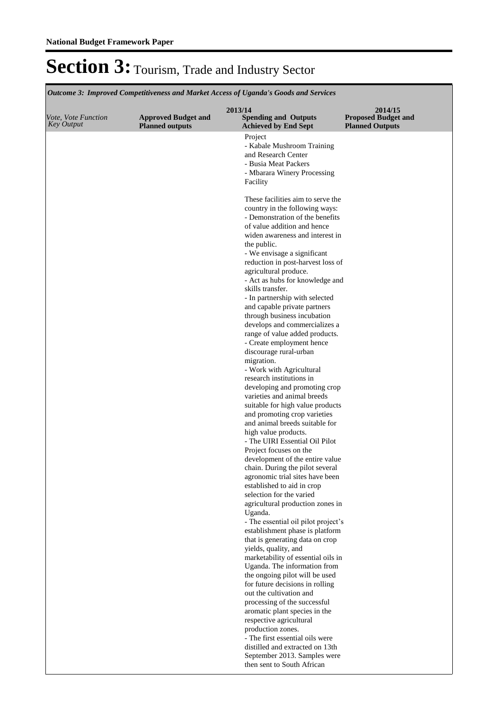**Spending and Outputs Achieved by End Sept Approved Budget and Planned outputs Proposed Budget and Planned Outputs 2013/14** *Vote, Vote Function Key Output* **2014/15** *Outcome 3: Improved Competitiveness and Market Access of Uganda's Goods and Services* Project - Kabale Mushroom Training and Research Center - Busia Meat Packers - Mbarara Winery Processing Facility These facilities aim to serve the country in the following ways: - Demonstration of the benefits of value addition and hence widen awareness and interest in the public. - We envisage a significant reduction in post-harvest loss of agricultural produce. - Act as hubs for knowledge and skills transfer. - In partnership with selected and capable private partners through business incubation develops and commercializes a range of value added products. - Create employment hence discourage rural-urban migration. - Work with Agricultural research institutions in developing and promoting crop varieties and animal breeds suitable for high value products and promoting crop varieties and animal breeds suitable for high value products. - The UIRI Essential Oil Pilot Project focuses on the development of the entire value chain. During the pilot several agronomic trial sites have been established to aid in crop selection for the varied agricultural production zones in Uganda. - The essential oil pilot project's establishment phase is platform that is generating data on crop yields, quality, and marketability of essential oils in Uganda. The information from the ongoing pilot will be used for future decisions in rolling out the cultivation and processing of the successful aromatic plant species in the respective agricultural production zones. - The first essential oils were distilled and extracted on 13th September 2013. Samples were then sent to South African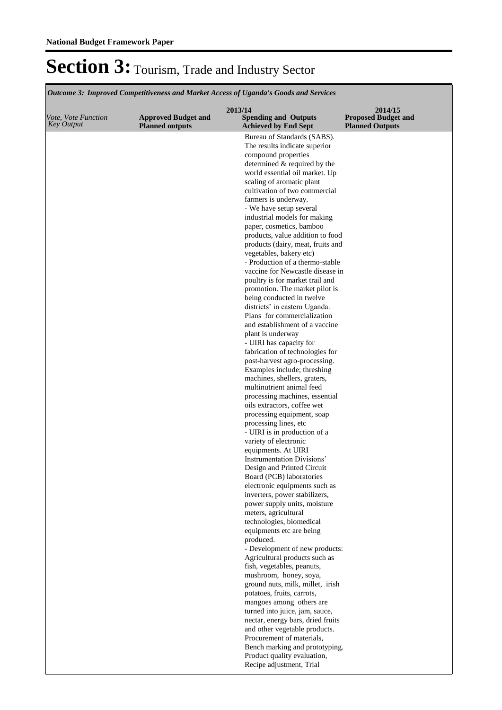*Outcome 3: Improved Competitiveness and Market Access of Uganda's Goods and Services*

| Bureau of Standards (SABS).<br>The results indicate superior<br>compound properties<br>determined & required by the<br>world essential oil market. Up<br>scaling of aromatic plant<br>cultivation of two commercial<br>farmers is underway.<br>- We have setup several<br>industrial models for making<br>paper, cosmetics, bamboo<br>products, value addition to food<br>products (dairy, meat, fruits and<br>vegetables, bakery etc)<br>- Production of a thermo-stable<br>vaccine for Newcastle disease in<br>poultry is for market trail and<br>promotion. The market pilot is<br>being conducted in twelve<br>districts' in eastern Uganda.<br>Plans for commercialization<br>and establishment of a vaccine<br>plant is underway<br>- UIRI has capacity for<br>fabrication of technologies for<br>post-harvest agro-processing.<br>Examples include; threshing<br>machines, shellers, graters,<br>multinutrient animal feed<br>processing machines, essential<br>oils extractors, coffee wet<br>processing equipment, soap<br>processing lines, etc<br>- UIRI is in production of a<br>variety of electronic<br>equipments. At UIRI<br>Instrumentation Divisions'<br>Design and Printed Circuit<br>Board (PCB) laboratories<br>electronic equipments such as<br>inverters, power stabilizers,<br>power supply units, moisture<br>meters, agricultural<br>technologies, biomedical<br>equipments etc are being<br>produced.<br>- Development of new products:<br>Agricultural products such as<br>fish, vegetables, peanuts,<br>mushroom, honey, soya,<br>ground nuts, milk, millet, irish<br>potatoes, fruits, carrots,<br>mangoes among others are<br>turned into juice, jam, sauce,<br>nectar, energy bars, dried fruits<br>and other vegetable products.<br>Procurement of materials,<br>Bench marking and prototyping.<br>Product quality evaluation, | Vote, Vote Function<br><b>Key Output</b> | <b>Approved Budget and</b><br><b>Planned outputs</b> | 2013/14<br><b>Spending and Outputs</b><br><b>Achieved by End Sept</b> | 2014/15<br><b>Proposed Budget and</b><br><b>Planned Outputs</b> |
|-----------------------------------------------------------------------------------------------------------------------------------------------------------------------------------------------------------------------------------------------------------------------------------------------------------------------------------------------------------------------------------------------------------------------------------------------------------------------------------------------------------------------------------------------------------------------------------------------------------------------------------------------------------------------------------------------------------------------------------------------------------------------------------------------------------------------------------------------------------------------------------------------------------------------------------------------------------------------------------------------------------------------------------------------------------------------------------------------------------------------------------------------------------------------------------------------------------------------------------------------------------------------------------------------------------------------------------------------------------------------------------------------------------------------------------------------------------------------------------------------------------------------------------------------------------------------------------------------------------------------------------------------------------------------------------------------------------------------------------------------------------------------------------------------------------------------------------------------------------------|------------------------------------------|------------------------------------------------------|-----------------------------------------------------------------------|-----------------------------------------------------------------|
|                                                                                                                                                                                                                                                                                                                                                                                                                                                                                                                                                                                                                                                                                                                                                                                                                                                                                                                                                                                                                                                                                                                                                                                                                                                                                                                                                                                                                                                                                                                                                                                                                                                                                                                                                                                                                                                                 |                                          |                                                      |                                                                       |                                                                 |
|                                                                                                                                                                                                                                                                                                                                                                                                                                                                                                                                                                                                                                                                                                                                                                                                                                                                                                                                                                                                                                                                                                                                                                                                                                                                                                                                                                                                                                                                                                                                                                                                                                                                                                                                                                                                                                                                 |                                          |                                                      |                                                                       |                                                                 |
|                                                                                                                                                                                                                                                                                                                                                                                                                                                                                                                                                                                                                                                                                                                                                                                                                                                                                                                                                                                                                                                                                                                                                                                                                                                                                                                                                                                                                                                                                                                                                                                                                                                                                                                                                                                                                                                                 |                                          |                                                      |                                                                       |                                                                 |
|                                                                                                                                                                                                                                                                                                                                                                                                                                                                                                                                                                                                                                                                                                                                                                                                                                                                                                                                                                                                                                                                                                                                                                                                                                                                                                                                                                                                                                                                                                                                                                                                                                                                                                                                                                                                                                                                 |                                          |                                                      |                                                                       |                                                                 |
|                                                                                                                                                                                                                                                                                                                                                                                                                                                                                                                                                                                                                                                                                                                                                                                                                                                                                                                                                                                                                                                                                                                                                                                                                                                                                                                                                                                                                                                                                                                                                                                                                                                                                                                                                                                                                                                                 |                                          |                                                      |                                                                       |                                                                 |
|                                                                                                                                                                                                                                                                                                                                                                                                                                                                                                                                                                                                                                                                                                                                                                                                                                                                                                                                                                                                                                                                                                                                                                                                                                                                                                                                                                                                                                                                                                                                                                                                                                                                                                                                                                                                                                                                 |                                          |                                                      |                                                                       |                                                                 |
|                                                                                                                                                                                                                                                                                                                                                                                                                                                                                                                                                                                                                                                                                                                                                                                                                                                                                                                                                                                                                                                                                                                                                                                                                                                                                                                                                                                                                                                                                                                                                                                                                                                                                                                                                                                                                                                                 |                                          |                                                      |                                                                       |                                                                 |
|                                                                                                                                                                                                                                                                                                                                                                                                                                                                                                                                                                                                                                                                                                                                                                                                                                                                                                                                                                                                                                                                                                                                                                                                                                                                                                                                                                                                                                                                                                                                                                                                                                                                                                                                                                                                                                                                 |                                          |                                                      |                                                                       |                                                                 |
|                                                                                                                                                                                                                                                                                                                                                                                                                                                                                                                                                                                                                                                                                                                                                                                                                                                                                                                                                                                                                                                                                                                                                                                                                                                                                                                                                                                                                                                                                                                                                                                                                                                                                                                                                                                                                                                                 |                                          |                                                      |                                                                       |                                                                 |
|                                                                                                                                                                                                                                                                                                                                                                                                                                                                                                                                                                                                                                                                                                                                                                                                                                                                                                                                                                                                                                                                                                                                                                                                                                                                                                                                                                                                                                                                                                                                                                                                                                                                                                                                                                                                                                                                 |                                          |                                                      |                                                                       |                                                                 |
|                                                                                                                                                                                                                                                                                                                                                                                                                                                                                                                                                                                                                                                                                                                                                                                                                                                                                                                                                                                                                                                                                                                                                                                                                                                                                                                                                                                                                                                                                                                                                                                                                                                                                                                                                                                                                                                                 |                                          |                                                      |                                                                       |                                                                 |
|                                                                                                                                                                                                                                                                                                                                                                                                                                                                                                                                                                                                                                                                                                                                                                                                                                                                                                                                                                                                                                                                                                                                                                                                                                                                                                                                                                                                                                                                                                                                                                                                                                                                                                                                                                                                                                                                 |                                          |                                                      |                                                                       |                                                                 |
|                                                                                                                                                                                                                                                                                                                                                                                                                                                                                                                                                                                                                                                                                                                                                                                                                                                                                                                                                                                                                                                                                                                                                                                                                                                                                                                                                                                                                                                                                                                                                                                                                                                                                                                                                                                                                                                                 |                                          |                                                      |                                                                       |                                                                 |
|                                                                                                                                                                                                                                                                                                                                                                                                                                                                                                                                                                                                                                                                                                                                                                                                                                                                                                                                                                                                                                                                                                                                                                                                                                                                                                                                                                                                                                                                                                                                                                                                                                                                                                                                                                                                                                                                 |                                          |                                                      |                                                                       |                                                                 |
|                                                                                                                                                                                                                                                                                                                                                                                                                                                                                                                                                                                                                                                                                                                                                                                                                                                                                                                                                                                                                                                                                                                                                                                                                                                                                                                                                                                                                                                                                                                                                                                                                                                                                                                                                                                                                                                                 |                                          |                                                      |                                                                       |                                                                 |
|                                                                                                                                                                                                                                                                                                                                                                                                                                                                                                                                                                                                                                                                                                                                                                                                                                                                                                                                                                                                                                                                                                                                                                                                                                                                                                                                                                                                                                                                                                                                                                                                                                                                                                                                                                                                                                                                 |                                          |                                                      |                                                                       |                                                                 |
|                                                                                                                                                                                                                                                                                                                                                                                                                                                                                                                                                                                                                                                                                                                                                                                                                                                                                                                                                                                                                                                                                                                                                                                                                                                                                                                                                                                                                                                                                                                                                                                                                                                                                                                                                                                                                                                                 |                                          |                                                      |                                                                       |                                                                 |
|                                                                                                                                                                                                                                                                                                                                                                                                                                                                                                                                                                                                                                                                                                                                                                                                                                                                                                                                                                                                                                                                                                                                                                                                                                                                                                                                                                                                                                                                                                                                                                                                                                                                                                                                                                                                                                                                 |                                          |                                                      |                                                                       |                                                                 |
|                                                                                                                                                                                                                                                                                                                                                                                                                                                                                                                                                                                                                                                                                                                                                                                                                                                                                                                                                                                                                                                                                                                                                                                                                                                                                                                                                                                                                                                                                                                                                                                                                                                                                                                                                                                                                                                                 |                                          |                                                      |                                                                       |                                                                 |
|                                                                                                                                                                                                                                                                                                                                                                                                                                                                                                                                                                                                                                                                                                                                                                                                                                                                                                                                                                                                                                                                                                                                                                                                                                                                                                                                                                                                                                                                                                                                                                                                                                                                                                                                                                                                                                                                 |                                          |                                                      |                                                                       |                                                                 |
|                                                                                                                                                                                                                                                                                                                                                                                                                                                                                                                                                                                                                                                                                                                                                                                                                                                                                                                                                                                                                                                                                                                                                                                                                                                                                                                                                                                                                                                                                                                                                                                                                                                                                                                                                                                                                                                                 |                                          |                                                      |                                                                       |                                                                 |
|                                                                                                                                                                                                                                                                                                                                                                                                                                                                                                                                                                                                                                                                                                                                                                                                                                                                                                                                                                                                                                                                                                                                                                                                                                                                                                                                                                                                                                                                                                                                                                                                                                                                                                                                                                                                                                                                 |                                          |                                                      |                                                                       |                                                                 |
|                                                                                                                                                                                                                                                                                                                                                                                                                                                                                                                                                                                                                                                                                                                                                                                                                                                                                                                                                                                                                                                                                                                                                                                                                                                                                                                                                                                                                                                                                                                                                                                                                                                                                                                                                                                                                                                                 |                                          |                                                      |                                                                       |                                                                 |
|                                                                                                                                                                                                                                                                                                                                                                                                                                                                                                                                                                                                                                                                                                                                                                                                                                                                                                                                                                                                                                                                                                                                                                                                                                                                                                                                                                                                                                                                                                                                                                                                                                                                                                                                                                                                                                                                 |                                          |                                                      |                                                                       |                                                                 |
|                                                                                                                                                                                                                                                                                                                                                                                                                                                                                                                                                                                                                                                                                                                                                                                                                                                                                                                                                                                                                                                                                                                                                                                                                                                                                                                                                                                                                                                                                                                                                                                                                                                                                                                                                                                                                                                                 |                                          |                                                      |                                                                       |                                                                 |
|                                                                                                                                                                                                                                                                                                                                                                                                                                                                                                                                                                                                                                                                                                                                                                                                                                                                                                                                                                                                                                                                                                                                                                                                                                                                                                                                                                                                                                                                                                                                                                                                                                                                                                                                                                                                                                                                 |                                          |                                                      |                                                                       |                                                                 |
|                                                                                                                                                                                                                                                                                                                                                                                                                                                                                                                                                                                                                                                                                                                                                                                                                                                                                                                                                                                                                                                                                                                                                                                                                                                                                                                                                                                                                                                                                                                                                                                                                                                                                                                                                                                                                                                                 |                                          |                                                      |                                                                       |                                                                 |
|                                                                                                                                                                                                                                                                                                                                                                                                                                                                                                                                                                                                                                                                                                                                                                                                                                                                                                                                                                                                                                                                                                                                                                                                                                                                                                                                                                                                                                                                                                                                                                                                                                                                                                                                                                                                                                                                 |                                          |                                                      |                                                                       |                                                                 |
|                                                                                                                                                                                                                                                                                                                                                                                                                                                                                                                                                                                                                                                                                                                                                                                                                                                                                                                                                                                                                                                                                                                                                                                                                                                                                                                                                                                                                                                                                                                                                                                                                                                                                                                                                                                                                                                                 |                                          |                                                      |                                                                       |                                                                 |
|                                                                                                                                                                                                                                                                                                                                                                                                                                                                                                                                                                                                                                                                                                                                                                                                                                                                                                                                                                                                                                                                                                                                                                                                                                                                                                                                                                                                                                                                                                                                                                                                                                                                                                                                                                                                                                                                 |                                          |                                                      |                                                                       |                                                                 |
|                                                                                                                                                                                                                                                                                                                                                                                                                                                                                                                                                                                                                                                                                                                                                                                                                                                                                                                                                                                                                                                                                                                                                                                                                                                                                                                                                                                                                                                                                                                                                                                                                                                                                                                                                                                                                                                                 |                                          |                                                      |                                                                       |                                                                 |
|                                                                                                                                                                                                                                                                                                                                                                                                                                                                                                                                                                                                                                                                                                                                                                                                                                                                                                                                                                                                                                                                                                                                                                                                                                                                                                                                                                                                                                                                                                                                                                                                                                                                                                                                                                                                                                                                 |                                          |                                                      |                                                                       |                                                                 |
|                                                                                                                                                                                                                                                                                                                                                                                                                                                                                                                                                                                                                                                                                                                                                                                                                                                                                                                                                                                                                                                                                                                                                                                                                                                                                                                                                                                                                                                                                                                                                                                                                                                                                                                                                                                                                                                                 |                                          |                                                      |                                                                       |                                                                 |
|                                                                                                                                                                                                                                                                                                                                                                                                                                                                                                                                                                                                                                                                                                                                                                                                                                                                                                                                                                                                                                                                                                                                                                                                                                                                                                                                                                                                                                                                                                                                                                                                                                                                                                                                                                                                                                                                 |                                          |                                                      | Recipe adjustment, Trial                                              |                                                                 |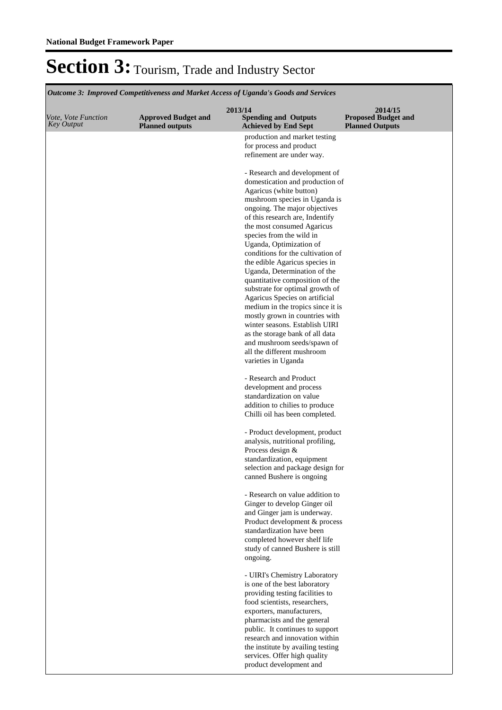Section 3: Tourism, Trade and Industry Sector **Spending and Outputs Achieved by End Sept Approved Budget and Planned outputs Proposed Budget and Planned Outputs 2013/14** *Vote, Vote Function Key Output* **2014/15** *Outcome 3: Improved Competitiveness and Market Access of Uganda's Goods and Services* production and market testing for process and product refinement are under way. - Research and development of domestication and production of Agaricus (white button) mushroom species in Uganda is ongoing. The major objectives of this research are, Indentify the most consumed Agaricus species from the wild in Uganda, Optimization of conditions for the cultivation of the edible Agaricus species in Uganda, Determination of the quantitative composition of the substrate for optimal growth of Agaricus Species on artificial medium in the tropics since it is mostly grown in countries with winter seasons. Establish UIRI as the storage bank of all data and mushroom seeds/spawn of all the different mushroom varieties in Uganda - Research and Product development and process standardization on value addition to chilies to produce Chilli oil has been completed. - Product development, product analysis, nutritional profiling, Process design & standardization, equipment selection and package design for canned Bushere is ongoing - Research on value addition to Ginger to develop Ginger oil and Ginger jam is underway. Product development & process standardization have been completed however shelf life study of canned Bushere is still ongoing. - UIRI's Chemistry Laboratory

is one of the best laboratory providing testing facilities to food scientists, researchers, exporters, manufacturers, pharmacists and the general public. It continues to support research and innovation within the institute by availing testing services. Offer high quality product development and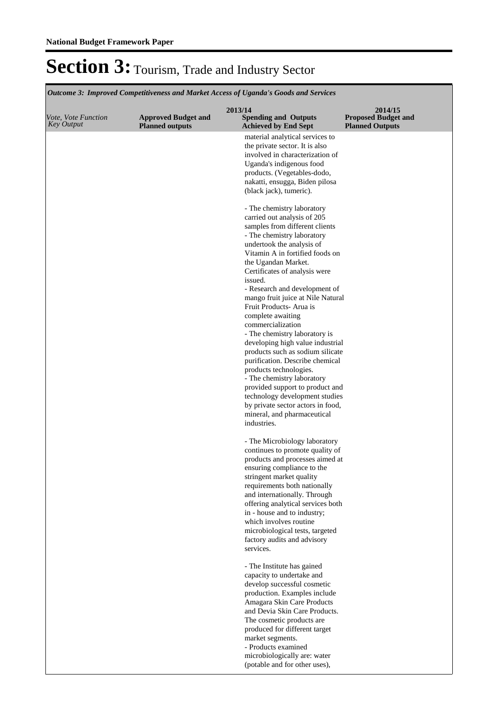**Spending and Outputs Achieved by End Sept Approved Budget and Planned outputs Proposed Budget and Planned Outputs 2013/14** *Vote, Vote Function Key Output* **2014/15** *Outcome 3: Improved Competitiveness and Market Access of Uganda's Goods and Services* material analytical services to the private sector. It is also involved in characterization of Uganda's indigenous food products. (Vegetables-dodo, nakatti, ensugga, Biden pilosa (black jack), tumeric). - The chemistry laboratory carried out analysis of 205 samples from different clients - The chemistry laboratory undertook the analysis of Vitamin A in fortified foods on the Ugandan Market. Certificates of analysis were issued. - Research and development of mango fruit juice at Nile Natural Fruit Products- Arua is complete awaiting commercialization - The chemistry laboratory is developing high value industrial products such as sodium silicate purification. Describe chemical products technologies. - The chemistry laboratory provided support to product and technology development studies by private sector actors in food, mineral, and pharmaceutical industries. - The Microbiology laboratory continues to promote quality of products and processes aimed at ensuring compliance to the stringent market quality requirements both nationally and internationally. Through offering analytical services both in - house and to industry; which involves routine microbiological tests, targeted factory audits and advisory services. - The Institute has gained capacity to undertake and develop successful cosmetic production. Examples include Amagara Skin Care Products and Devia Skin Care Products. The cosmetic products are produced for different target market segments. - Products examined microbiologically are: water (potable and for other uses),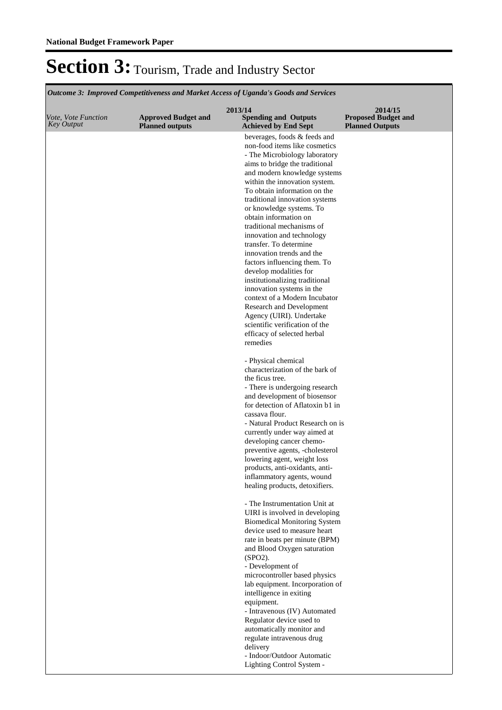*Outcome 3: Improved Competitiveness and Market Access of Uganda's Goods and Services*

| Vote, Vote Function<br><b>Key Output</b> | <b>Approved Budget and</b><br><b>Planned outputs</b> | 2013/14<br><b>Spending and Outputs</b><br><b>Achieved by End Sept</b> | 2014/15<br><b>Proposed Budget and</b><br><b>Planned Outputs</b> |
|------------------------------------------|------------------------------------------------------|-----------------------------------------------------------------------|-----------------------------------------------------------------|
|                                          |                                                      | beverages, foods & feeds and                                          |                                                                 |
|                                          |                                                      | non-food items like cosmetics<br>- The Microbiology laboratory        |                                                                 |
|                                          |                                                      | aims to bridge the traditional                                        |                                                                 |
|                                          |                                                      | and modern knowledge systems                                          |                                                                 |
|                                          |                                                      | within the innovation system.                                         |                                                                 |
|                                          |                                                      | To obtain information on the<br>traditional innovation systems        |                                                                 |
|                                          |                                                      | or knowledge systems. To                                              |                                                                 |
|                                          |                                                      | obtain information on                                                 |                                                                 |
|                                          |                                                      | traditional mechanisms of                                             |                                                                 |
|                                          |                                                      | innovation and technology<br>transfer. To determine                   |                                                                 |
|                                          |                                                      | innovation trends and the                                             |                                                                 |
|                                          |                                                      | factors influencing them. To                                          |                                                                 |
|                                          |                                                      | develop modalities for                                                |                                                                 |
|                                          |                                                      | institutionalizing traditional<br>innovation systems in the           |                                                                 |
|                                          |                                                      | context of a Modern Incubator                                         |                                                                 |
|                                          |                                                      | Research and Development                                              |                                                                 |
|                                          |                                                      | Agency (UIRI). Undertake                                              |                                                                 |
|                                          |                                                      | scientific verification of the<br>efficacy of selected herbal         |                                                                 |
|                                          |                                                      | remedies                                                              |                                                                 |
|                                          |                                                      | - Physical chemical                                                   |                                                                 |
|                                          |                                                      | characterization of the bark of                                       |                                                                 |
|                                          |                                                      | the ficus tree.                                                       |                                                                 |
|                                          |                                                      | - There is undergoing research<br>and development of biosensor        |                                                                 |
|                                          |                                                      | for detection of Aflatoxin b1 in                                      |                                                                 |
|                                          |                                                      | cassava flour.                                                        |                                                                 |
|                                          |                                                      | - Natural Product Research on is                                      |                                                                 |
|                                          |                                                      | currently under way aimed at<br>developing cancer chemo-              |                                                                 |
|                                          |                                                      | preventive agents, -cholesterol                                       |                                                                 |
|                                          |                                                      | lowering agent, weight loss                                           |                                                                 |
|                                          |                                                      | products, anti-oxidants, anti-                                        |                                                                 |
|                                          |                                                      | inflammatory agents, wound<br>healing products, detoxifiers.          |                                                                 |
|                                          |                                                      |                                                                       |                                                                 |
|                                          |                                                      | - The Instrumentation Unit at                                         |                                                                 |
|                                          |                                                      | UIRI is involved in developing                                        |                                                                 |
|                                          |                                                      | <b>Biomedical Monitoring System</b><br>device used to measure heart   |                                                                 |
|                                          |                                                      | rate in beats per minute (BPM)                                        |                                                                 |
|                                          |                                                      | and Blood Oxygen saturation                                           |                                                                 |
|                                          |                                                      | $(SPO2)$ .<br>- Development of                                        |                                                                 |
|                                          |                                                      | microcontroller based physics                                         |                                                                 |
|                                          |                                                      | lab equipment. Incorporation of                                       |                                                                 |
|                                          |                                                      | intelligence in exiting                                               |                                                                 |
|                                          |                                                      | equipment.<br>- Intravenous (IV) Automated                            |                                                                 |
|                                          |                                                      | Regulator device used to                                              |                                                                 |
|                                          |                                                      | automatically monitor and                                             |                                                                 |
|                                          |                                                      | regulate intravenous drug                                             |                                                                 |
|                                          |                                                      | delivery                                                              |                                                                 |
|                                          |                                                      | - Indoor/Outdoor Automatic<br>Lighting Control System -               |                                                                 |
|                                          |                                                      |                                                                       |                                                                 |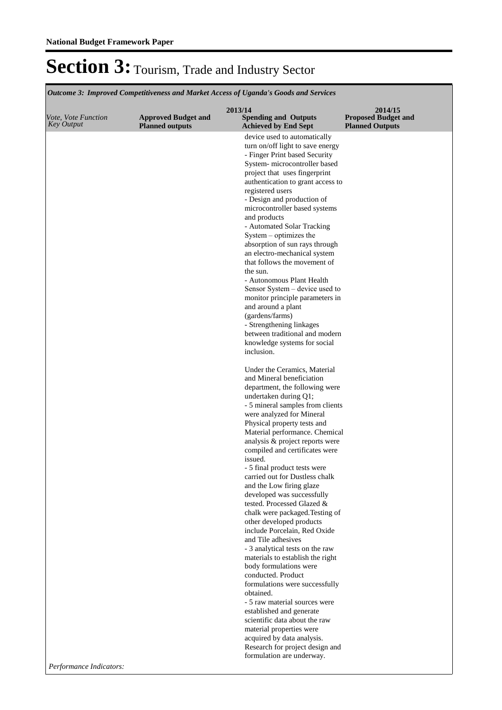*Outcome 3: Improved Competitiveness and Market Access of Uganda's Goods and Services*

|                                          |                                                      | 2013/14                                                           | 2014/15                                              |
|------------------------------------------|------------------------------------------------------|-------------------------------------------------------------------|------------------------------------------------------|
| Vote, Vote Function<br><b>Key Output</b> | <b>Approved Budget and</b><br><b>Planned outputs</b> | <b>Spending and Outputs</b><br><b>Achieved by End Sept</b>        | <b>Proposed Budget and</b><br><b>Planned Outputs</b> |
|                                          |                                                      | device used to automatically                                      |                                                      |
|                                          |                                                      | turn on/off light to save energy<br>- Finger Print based Security |                                                      |
|                                          |                                                      | System- microcontroller based                                     |                                                      |
|                                          |                                                      | project that uses fingerprint                                     |                                                      |
|                                          |                                                      | authentication to grant access to                                 |                                                      |
|                                          |                                                      | registered users                                                  |                                                      |
|                                          |                                                      | - Design and production of<br>microcontroller based systems       |                                                      |
|                                          |                                                      | and products                                                      |                                                      |
|                                          |                                                      | - Automated Solar Tracking                                        |                                                      |
|                                          |                                                      | System – optimizes the                                            |                                                      |
|                                          |                                                      | absorption of sun rays through                                    |                                                      |
|                                          |                                                      | an electro-mechanical system                                      |                                                      |
|                                          |                                                      | that follows the movement of<br>the sun.                          |                                                      |
|                                          |                                                      | - Autonomous Plant Health                                         |                                                      |
|                                          |                                                      | Sensor System - device used to                                    |                                                      |
|                                          |                                                      | monitor principle parameters in                                   |                                                      |
|                                          |                                                      | and around a plant                                                |                                                      |
|                                          |                                                      | (gardens/farms)                                                   |                                                      |
|                                          |                                                      | - Strengthening linkages                                          |                                                      |
|                                          |                                                      | between traditional and modern<br>knowledge systems for social    |                                                      |
|                                          |                                                      | inclusion.                                                        |                                                      |
|                                          |                                                      | Under the Ceramics, Material                                      |                                                      |
|                                          |                                                      | and Mineral beneficiation                                         |                                                      |
|                                          |                                                      | department, the following were                                    |                                                      |
|                                          |                                                      | undertaken during Q1;<br>- 5 mineral samples from clients         |                                                      |
|                                          |                                                      | were analyzed for Mineral                                         |                                                      |
|                                          |                                                      | Physical property tests and                                       |                                                      |
|                                          |                                                      | Material performance. Chemical                                    |                                                      |
|                                          |                                                      | analysis & project reports were                                   |                                                      |
|                                          |                                                      | compiled and certificates were                                    |                                                      |
|                                          |                                                      | issued.<br>- 5 final product tests were                           |                                                      |
|                                          |                                                      | carried out for Dustless chalk                                    |                                                      |
|                                          |                                                      | and the Low firing glaze                                          |                                                      |
|                                          |                                                      | developed was successfully                                        |                                                      |
|                                          |                                                      | tested. Processed Glazed &                                        |                                                      |
|                                          |                                                      | chalk were packaged. Testing of<br>other developed products       |                                                      |
|                                          |                                                      | include Porcelain, Red Oxide                                      |                                                      |
|                                          |                                                      | and Tile adhesives                                                |                                                      |
|                                          |                                                      | - 3 analytical tests on the raw                                   |                                                      |
|                                          |                                                      | materials to establish the right                                  |                                                      |
|                                          |                                                      | body formulations were                                            |                                                      |
|                                          |                                                      | conducted. Product<br>formulations were successfully              |                                                      |
|                                          |                                                      | obtained.                                                         |                                                      |
|                                          |                                                      | - 5 raw material sources were                                     |                                                      |
|                                          |                                                      | established and generate                                          |                                                      |
|                                          |                                                      | scientific data about the raw                                     |                                                      |
|                                          |                                                      | material properties were<br>acquired by data analysis.            |                                                      |
|                                          |                                                      | Research for project design and                                   |                                                      |
|                                          |                                                      | formulation are underway.                                         |                                                      |
| Performance Indicators:                  |                                                      |                                                                   |                                                      |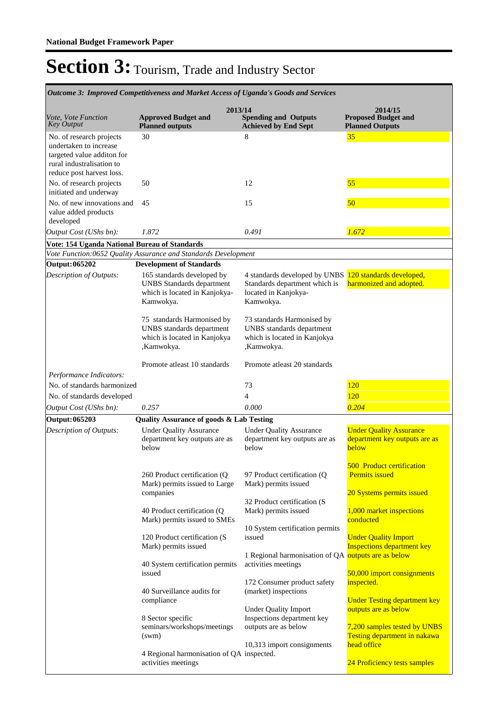| Outcome 3: Improved Competitiveness and Market Access of Uganda's Goods and Services                                                       |                                                                                                              |                                                                                                       |                                                                                        |  |  |
|--------------------------------------------------------------------------------------------------------------------------------------------|--------------------------------------------------------------------------------------------------------------|-------------------------------------------------------------------------------------------------------|----------------------------------------------------------------------------------------|--|--|
| Vote, Vote Function<br><b>Key Output</b>                                                                                                   | 2013/14<br><b>Approved Budget and</b><br><b>Planned outputs</b>                                              | <b>Spending and Outputs</b><br><b>Achieved by End Sept</b>                                            | 2014/15<br><b>Proposed Budget and</b><br><b>Planned Outputs</b>                        |  |  |
| No. of research projects<br>undertaken to increase<br>targeted value additon for<br>rural industralisation to<br>reduce post harvest loss. | 30                                                                                                           | 8                                                                                                     | 35                                                                                     |  |  |
| No. of research projects<br>initiated and underway                                                                                         | 50                                                                                                           | 12                                                                                                    | 55                                                                                     |  |  |
| No. of new innovations and<br>value added products<br>developed                                                                            | 45                                                                                                           | 15                                                                                                    | 50                                                                                     |  |  |
| Output Cost (UShs bn):                                                                                                                     | 1.872                                                                                                        | 0.491                                                                                                 | 1.672                                                                                  |  |  |
| Vote: 154 Uganda National Bureau of Standards                                                                                              |                                                                                                              |                                                                                                       |                                                                                        |  |  |
|                                                                                                                                            | Vote Function:0652 Quality Assurance and Standards Development                                               |                                                                                                       |                                                                                        |  |  |
| Output: 065202                                                                                                                             | <b>Development of Standards</b>                                                                              |                                                                                                       |                                                                                        |  |  |
| Description of Outputs:                                                                                                                    | 165 standards developed by<br><b>UNBS</b> Standards department<br>which is located in Kanjokya-<br>Kamwokya. | 4 standards developed by UNBS<br>Standards department which is<br>located in Kanjokya-<br>Kamwokya.   | 120 standards developed,<br>harmonized and adopted.                                    |  |  |
|                                                                                                                                            | 75 standards Harmonised by<br>UNBS standards department<br>which is located in Kanjokya<br>,Kamwokya.        | 73 standards Harmonised by<br>UNBS standards department<br>which is located in Kanjokya<br>,Kamwokya. |                                                                                        |  |  |
|                                                                                                                                            | Promote at least 10 standards                                                                                | Promote at least 20 standards                                                                         |                                                                                        |  |  |
| Performance Indicators:                                                                                                                    |                                                                                                              |                                                                                                       |                                                                                        |  |  |
| No. of standards harmonized                                                                                                                |                                                                                                              | 73                                                                                                    | 120                                                                                    |  |  |
| No. of standards developed                                                                                                                 |                                                                                                              | $\overline{4}$                                                                                        | 120                                                                                    |  |  |
| Output Cost (UShs bn):                                                                                                                     | 0.257                                                                                                        | 0.000                                                                                                 | 0.204                                                                                  |  |  |
| Output: 065203                                                                                                                             | <b>Quality Assurance of goods &amp; Lab Testing</b>                                                          |                                                                                                       |                                                                                        |  |  |
| Description of Outputs:                                                                                                                    | <b>Under Quality Assurance</b><br>department key outputs are as<br>below                                     | <b>Under Quality Assurance</b><br>department key outputs are as<br>below                              | <b>Under Quality Assurance</b><br>department key outputs are as<br>below               |  |  |
|                                                                                                                                            | 260 Product certification (Q<br>Mark) permits issued to Large<br>companies                                   | 97 Product certification (Q)<br>Mark) permits issued<br>32 Product certification (S                   | <b>500 Product certification</b><br><b>Permits</b> issued<br>20 Systems permits issued |  |  |
|                                                                                                                                            | 40 Product certification (Q<br>Mark) permits issued to SMEs                                                  | Mark) permits issued<br>10 System certification permits                                               | 1,000 market inspections<br>conducted                                                  |  |  |
|                                                                                                                                            | 120 Product certification (S<br>Mark) permits issued                                                         | issued<br>1 Regional harmonisation of QA outputs are as below                                         | <b>Under Quality Import</b><br><b>Inspections department key</b>                       |  |  |
|                                                                                                                                            | 40 System certification permits<br>issued                                                                    | activities meetings                                                                                   | 50,000 import consignments                                                             |  |  |
|                                                                                                                                            | 40 Surveillance audits for<br>compliance                                                                     | 172 Consumer product safety<br>(market) inspections                                                   | inspected.<br><b>Under Testing department key</b>                                      |  |  |
|                                                                                                                                            | 8 Sector specific<br>seminars/workshops/meetings<br>(sum)                                                    | <b>Under Quality Import</b><br>Inspections department key<br>outputs are as below                     | outputs are as below<br>7,200 samples tested by UNBS<br>Testing department in nakawa   |  |  |
|                                                                                                                                            | 4 Regional harmonisation of QA inspected.<br>activities meetings                                             | 10,313 import consignments                                                                            | head office<br>24 Proficiency tests samples                                            |  |  |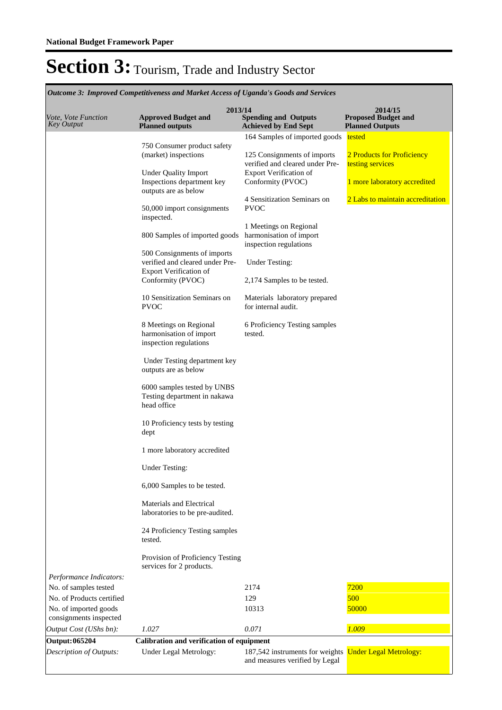|                                                    | Outcome 3: Improved Competitiveness and Market Access of Uganda's Goods and Services |                                                                             |                                                                 |
|----------------------------------------------------|--------------------------------------------------------------------------------------|-----------------------------------------------------------------------------|-----------------------------------------------------------------|
| <i>Vote, Vote Function</i><br><b>Key Output</b>    | 2013/14<br><b>Approved Budget and</b><br><b>Planned outputs</b>                      | <b>Spending and Outputs</b><br><b>Achieved by End Sept</b>                  | 2014/15<br><b>Proposed Budget and</b><br><b>Planned Outputs</b> |
|                                                    |                                                                                      | 164 Samples of imported goods                                               | tested                                                          |
|                                                    | 750 Consumer product safety<br>(market) inspections                                  | 125 Consignments of imports<br>verified and cleared under Pre-              | 2 Products for Proficiency<br>testing services                  |
|                                                    | <b>Under Quality Import</b><br>Inspections department key<br>outputs are as below    | <b>Export Verification of</b><br>Conformity (PVOC)                          | 1 more laboratory accredited                                    |
|                                                    | 50,000 import consignments<br>inspected.                                             | 4 Sensitization Seminars on<br><b>PVOC</b>                                  | 2 Labs to maintain accreditation                                |
|                                                    | 800 Samples of imported goods                                                        | 1 Meetings on Regional<br>harmonisation of import<br>inspection regulations |                                                                 |
|                                                    | 500 Consignments of imports<br>verified and cleared under Pre-                       | <b>Under Testing:</b>                                                       |                                                                 |
|                                                    | <b>Export Verification of</b><br>Conformity (PVOC)                                   | 2,174 Samples to be tested.                                                 |                                                                 |
|                                                    | 10 Sensitization Seminars on<br><b>PVOC</b>                                          | Materials laboratory prepared<br>for internal audit.                        |                                                                 |
|                                                    | 8 Meetings on Regional<br>harmonisation of import<br>inspection regulations          | 6 Proficiency Testing samples<br>tested.                                    |                                                                 |
|                                                    | Under Testing department key<br>outputs are as below                                 |                                                                             |                                                                 |
|                                                    | 6000 samples tested by UNBS<br>Testing department in nakawa<br>head office           |                                                                             |                                                                 |
|                                                    | 10 Proficiency tests by testing<br>dept                                              |                                                                             |                                                                 |
|                                                    | 1 more laboratory accredited                                                         |                                                                             |                                                                 |
|                                                    | <b>Under Testing:</b>                                                                |                                                                             |                                                                 |
|                                                    | 6,000 Samples to be tested.                                                          |                                                                             |                                                                 |
|                                                    | Materials and Electrical<br>laboratories to be pre-audited.                          |                                                                             |                                                                 |
|                                                    | 24 Proficiency Testing samples<br>tested.                                            |                                                                             |                                                                 |
|                                                    | Provision of Proficiency Testing<br>services for 2 products.                         |                                                                             |                                                                 |
| Performance Indicators:                            |                                                                                      |                                                                             |                                                                 |
| No. of samples tested                              |                                                                                      | 2174                                                                        | 7200                                                            |
| No. of Products certified<br>No. of imported goods |                                                                                      | 129<br>10313                                                                | 500<br>50000                                                    |
| consignments inspected<br>Output Cost (UShs bn):   | 1.027                                                                                | 0.071                                                                       | 1.009                                                           |
|                                                    |                                                                                      |                                                                             |                                                                 |
| <b>Output: 065204</b><br>Description of Outputs:   | Calibration and verification of equipment<br>Under Legal Metrology:                  | 187,542 instruments for weights<br>and measures verified by Legal           | <b>Under Legal Metrology:</b>                                   |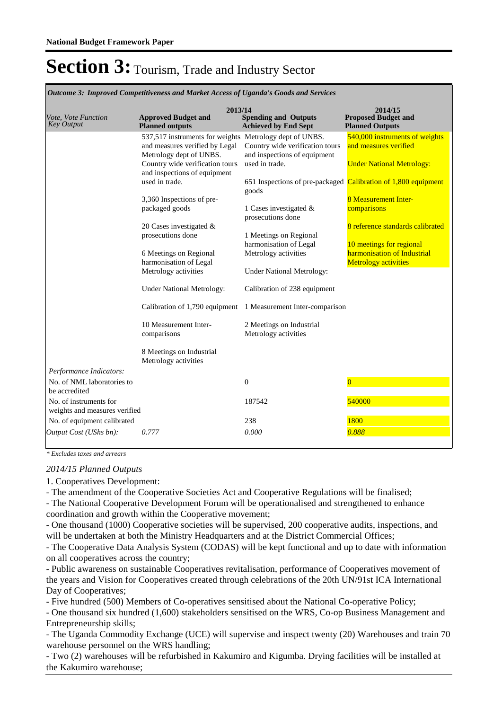|                                                         | ошсоте э. тирготеа сотрепитенезу ана тагкет Access ог оданаа у Gooas ана зегтсез                                          |                                                            |                                                                 |  |  |
|---------------------------------------------------------|---------------------------------------------------------------------------------------------------------------------------|------------------------------------------------------------|-----------------------------------------------------------------|--|--|
| Vote, Vote Function<br><b>Key Output</b>                | 2013/14<br><b>Approved Budget and</b><br><b>Planned outputs</b>                                                           | <b>Spending and Outputs</b><br><b>Achieved by End Sept</b> | 2014/15<br><b>Proposed Budget and</b><br><b>Planned Outputs</b> |  |  |
|                                                         | 537,517 instruments for weights Metrology dept of UNBS.                                                                   |                                                            | 540,000 instruments of weights                                  |  |  |
|                                                         | and measures verified by Legal                                                                                            | Country wide verification tours                            | and measures verified                                           |  |  |
|                                                         | Metrology dept of UNBS.                                                                                                   | and inspections of equipment                               |                                                                 |  |  |
|                                                         | Country wide verification tours                                                                                           | used in trade.                                             | <b>Under National Metrology:</b>                                |  |  |
|                                                         | and inspections of equipment<br>used in trade.<br>651 Inspections of pre-packaged Calibration of 1,800 equipment<br>goods |                                                            |                                                                 |  |  |
|                                                         | 3,360 Inspections of pre-                                                                                                 |                                                            | <b>8 Measurement Inter-</b>                                     |  |  |
|                                                         | packaged goods                                                                                                            | 1 Cases investigated $\&$<br>prosecutions done             | comparisons                                                     |  |  |
|                                                         | 20 Cases investigated &                                                                                                   |                                                            |                                                                 |  |  |
| prosecutions done<br>1 Meetings on Regional             |                                                                                                                           |                                                            |                                                                 |  |  |
|                                                         |                                                                                                                           | harmonisation of Legal                                     | 10 meetings for regional                                        |  |  |
|                                                         | 6 Meetings on Regional<br>harmonisation of Legal                                                                          | Metrology activities                                       | harmonisation of Industrial<br><b>Metrology activities</b>      |  |  |
|                                                         | Metrology activities                                                                                                      | <b>Under National Metrology:</b>                           |                                                                 |  |  |
|                                                         |                                                                                                                           |                                                            |                                                                 |  |  |
|                                                         | <b>Under National Metrology:</b>                                                                                          | Calibration of 238 equipment                               |                                                                 |  |  |
|                                                         | Calibration of 1,790 equipment                                                                                            | 1 Measurement Inter-comparison                             |                                                                 |  |  |
|                                                         | 10 Measurement Inter-<br>comparisons                                                                                      | 2 Meetings on Industrial<br>Metrology activities           |                                                                 |  |  |
|                                                         | 8 Meetings on Industrial<br>Metrology activities                                                                          |                                                            |                                                                 |  |  |
| Performance Indicators:                                 |                                                                                                                           |                                                            |                                                                 |  |  |
| No. of NML laboratories to<br>be accredited             |                                                                                                                           | $\boldsymbol{0}$                                           | $\Omega$                                                        |  |  |
| No. of instruments for<br>weights and measures verified |                                                                                                                           | 187542                                                     | 540000                                                          |  |  |
| No. of equipment calibrated                             |                                                                                                                           | 238                                                        | 1800                                                            |  |  |
| Output Cost (UShs bn):                                  | 0.777                                                                                                                     | 0.000                                                      | 0.888                                                           |  |  |
|                                                         |                                                                                                                           |                                                            |                                                                 |  |  |

*Outcome 3: Improved Competitiveness and Market Access of Uganda's Goods and Services*

*\* Excludes taxes and arrears*

#### *2014/15 Planned Outputs*

1. Cooperatives Development:

- The amendment of the Cooperative Societies Act and Cooperative Regulations will be finalised; - The National Cooperative Development Forum will be operationalised and strengthened to enhance coordination and growth within the Cooperative movement;

- One thousand (1000) Cooperative societies will be supervised, 200 cooperative audits, inspections, and will be undertaken at both the Ministry Headquarters and at the District Commercial Offices;

- The Cooperative Data Analysis System (CODAS) will be kept functional and up to date with information on all cooperatives across the country;

- Public awareness on sustainable Cooperatives revitalisation, performance of Cooperatives movement of the years and Vision for Cooperatives created through celebrations of the 20th UN/91st ICA International Day of Cooperatives;

- Five hundred (500) Members of Co-operatives sensitised about the National Co-operative Policy;

- One thousand six hundred (1,600) stakeholders sensitised on the WRS, Co-op Business Management and Entrepreneurship skills;

- The Uganda Commodity Exchange (UCE) will supervise and inspect twenty (20) Warehouses and train 70 warehouse personnel on the WRS handling;

- Two (2) warehouses will be refurbished in Kakumiro and Kigumba. Drying facilities will be installed at the Kakumiro warehouse;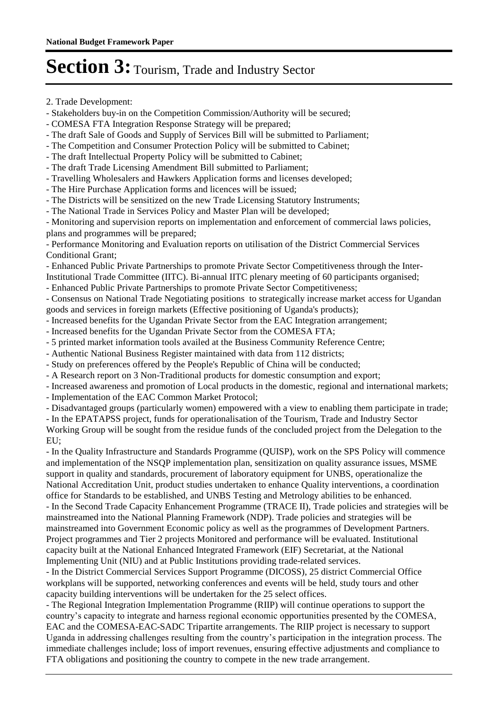2. Trade Development:

- Stakeholders buy-in on the Competition Commission/Authority will be secured;

- COMESA FTA Integration Response Strategy will be prepared;

- The draft Sale of Goods and Supply of Services Bill will be submitted to Parliament;

- The Competition and Consumer Protection Policy will be submitted to Cabinet;

- The draft Intellectual Property Policy will be submitted to Cabinet;

- The draft Trade Licensing Amendment Bill submitted to Parliament;

- Travelling Wholesalers and Hawkers Application forms and licenses developed;

- The Hire Purchase Application forms and licences will be issued;

- The Districts will be sensitized on the new Trade Licensing Statutory Instruments;

- The National Trade in Services Policy and Master Plan will be developed;

- Monitoring and supervision reports on implementation and enforcement of commercial laws policies, plans and programmes will be prepared;

- Performance Monitoring and Evaluation reports on utilisation of the District Commercial Services Conditional Grant;

- Enhanced Public Private Partnerships to promote Private Sector Competitiveness through the Inter-Institutional Trade Committee (IITC). Bi-annual IITC plenary meeting of 60 participants organised;

- Enhanced Public Private Partnerships to promote Private Sector Competitiveness;

- Consensus on National Trade Negotiating positions to strategically increase market access for Ugandan goods and services in foreign markets (Effective positioning of Uganda's products);

- Increased benefits for the Ugandan Private Sector from the EAC Integration arrangement;

- Increased benefits for the Ugandan Private Sector from the COMESA FTA;

- 5 printed market information tools availed at the Business Community Reference Centre;

- Authentic National Business Register maintained with data from 112 districts;

- Study on preferences offered by the People's Republic of China will be conducted;

- A Research report on 3 Non-Traditional products for domestic consumption and export;

- Increased awareness and promotion of Local products in the domestic, regional and international markets;

- Implementation of the EAC Common Market Protocol;

- Disadvantaged groups (particularly women) empowered with a view to enabling them participate in trade;

- In the EPATAPSS project, funds for operationalisation of the Tourism, Trade and Industry Sector

Working Group will be sought from the residue funds of the concluded project from the Delegation to the EU;

- In the Quality Infrastructure and Standards Programme (QUISP), work on the SPS Policy will commence and implementation of the NSQP implementation plan, sensitization on quality assurance issues, MSME support in quality and standards, procurement of laboratory equipment for UNBS, operationalize the National Accreditation Unit, product studies undertaken to enhance Quality interventions, a coordination office for Standards to be established, and UNBS Testing and Metrology abilities to be enhanced. - In the Second Trade Capacity Enhancement Programme (TRACE II), Trade policies and strategies will be mainstreamed into the National Planning Framework (NDP). Trade policies and strategies will be mainstreamed into Government Economic policy as well as the programmes of Development Partners. Project programmes and Tier 2 projects Monitored and performance will be evaluated. Institutional capacity built at the National Enhanced Integrated Framework (EIF) Secretariat, at the National Implementing Unit (NIU) and at Public Institutions providing trade-related services.

- In the District Commercial Services Support Programme (DICOSS), 25 district Commercial Office workplans will be supported, networking conferences and events will be held, study tours and other capacity building interventions will be undertaken for the 25 select offices.

- The Regional Integration Implementation Programme (RIIP) will continue operations to support the country's capacity to integrate and harness regional economic opportunities presented by the COMESA, EAC and the COMESA-EAC-SADC Tripartite arrangements. The RIIP project is necessary to support Uganda in addressing challenges resulting from the country's participation in the integration process. The immediate challenges include; loss of import revenues, ensuring effective adjustments and compliance to FTA obligations and positioning the country to compete in the new trade arrangement.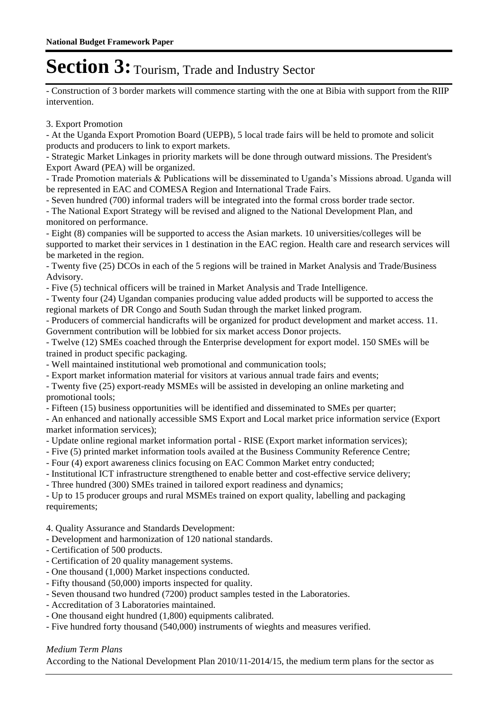- Construction of 3 border markets will commence starting with the one at Bibia with support from the RIIP intervention.

3. Export Promotion

- At the Uganda Export Promotion Board (UEPB), 5 local trade fairs will be held to promote and solicit products and producers to link to export markets.

- Strategic Market Linkages in priority markets will be done through outward missions. The President's Export Award (PEA) will be organized.

- Trade Promotion materials & Publications will be disseminated to Uganda's Missions abroad. Uganda will be represented in EAC and COMESA Region and International Trade Fairs.

- Seven hundred (700) informal traders will be integrated into the formal cross border trade sector.

- The National Export Strategy will be revised and aligned to the National Development Plan, and monitored on performance.

- Eight (8) companies will be supported to access the Asian markets. 10 universities/colleges will be supported to market their services in 1 destination in the EAC region. Health care and research services will be marketed in the region.

- Twenty five (25) DCOs in each of the 5 regions will be trained in Market Analysis and Trade/Business Advisory.

- Five (5) technical officers will be trained in Market Analysis and Trade Intelligence.

- Twenty four (24) Ugandan companies producing value added products will be supported to access the regional markets of DR Congo and South Sudan through the market linked program.

- Producers of commercial handicrafts will be organized for product development and market access. 11. Government contribution will be lobbied for six market access Donor projects.

- Twelve (12) SMEs coached through the Enterprise development for export model. 150 SMEs will be trained in product specific packaging.

- Well maintained institutional web promotional and communication tools;

- Export market information material for visitors at various annual trade fairs and events;

- Twenty five (25) export-ready MSMEs will be assisted in developing an online marketing and promotional tools;

- Fifteen (15) business opportunities will be identified and disseminated to SMEs per quarter;

- An enhanced and nationally accessible SMS Export and Local market price information service (Export market information services);

- Update online regional market information portal RISE (Export market information services);
- Five (5) printed market information tools availed at the Business Community Reference Centre;

- Four (4) export awareness clinics focusing on EAC Common Market entry conducted;

- Institutional ICT infrastructure strengthened to enable better and cost-effective service delivery;

- Three hundred (300) SMEs trained in tailored export readiness and dynamics;

- Up to 15 producer groups and rural MSMEs trained on export quality, labelling and packaging requirements;

4. Quality Assurance and Standards Development:

- Development and harmonization of 120 national standards.

- Certification of 500 products.
- Certification of 20 quality management systems.
- One thousand (1,000) Market inspections conducted.
- Fifty thousand (50,000) imports inspected for quality.
- Seven thousand two hundred (7200) product samples tested in the Laboratories.
- Accreditation of 3 Laboratories maintained.
- One thousand eight hundred (1,800) equipments calibrated.
- Five hundred forty thousand (540,000) instruments of wieghts and measures verified.

### *Medium Term Plans*

According to the National Development Plan 2010/11-2014/15, the medium term plans for the sector as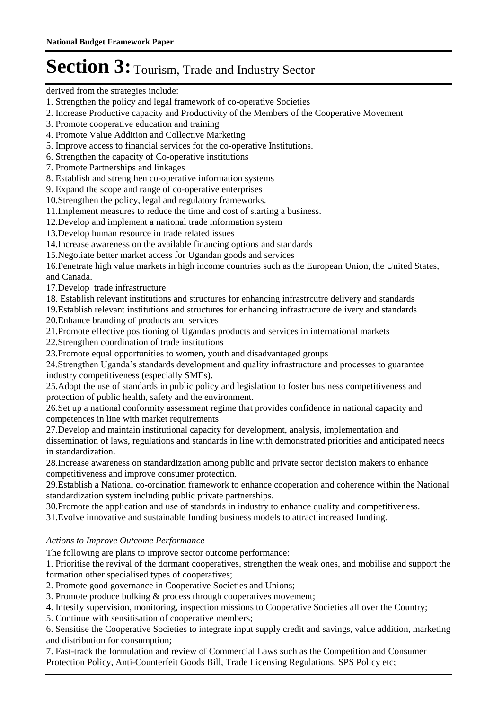derived from the strategies include:

- 1. Strengthen the policy and legal framework of co-operative Societies
- 2. Increase Productive capacity and Productivity of the Members of the Cooperative Movement
- 3. Promote cooperative education and training
- 4. Promote Value Addition and Collective Marketing
- 5. Improve access to financial services for the co-operative Institutions.
- 6. Strengthen the capacity of Co-operative institutions
- 7. Promote Partnerships and linkages
- 8. Establish and strengthen co-operative information systems
- 9. Expand the scope and range of co-operative enterprises
- 10.Strengthen the policy, legal and regulatory frameworks.
- 11.Implement measures to reduce the time and cost of starting a business.
- 12.Develop and implement a national trade information system
- 13.Develop human resource in trade related issues
- 14.Increase awareness on the available financing options and standards
- 15.Negotiate better market access for Ugandan goods and services

16.Penetrate high value markets in high income countries such as the European Union, the United States, and Canada.

- 17.Develop trade infrastructure
- 18. Establish relevant institutions and structures for enhancing infrastrcutre delivery and standards
- 19.Establish relevant institutions and structures for enhancing infrastructure delivery and standards 20.Enhance branding of products and services
- 21.Promote effective positioning of Uganda's products and services in international markets
- 22.Strengthen coordination of trade institutions
- 23.Promote equal opportunities to women, youth and disadvantaged groups
- 24.Strengthen Uganda's standards development and quality infrastructure and processes to guarantee industry competitiveness (especially SMEs).
- 25.Adopt the use of standards in public policy and legislation to foster business competitiveness and protection of public health, safety and the environment.
- 26.Set up a national conformity assessment regime that provides confidence in national capacity and competences in line with market requirements
- 27.Develop and maintain institutional capacity for development, analysis, implementation and dissemination of laws, regulations and standards in line with demonstrated priorities and anticipated needs in standardization.
- 28.Increase awareness on standardization among public and private sector decision makers to enhance competitiveness and improve consumer protection.
- 29.Establish a National co-ordination framework to enhance cooperation and coherence within the National standardization system including public private partnerships.
- 30.Promote the application and use of standards in industry to enhance quality and competitiveness.
- 31.Evolve innovative and sustainable funding business models to attract increased funding.

### *Actions to Improve Outcome Performance*

- The following are plans to improve sector outcome performance:
- 1. Prioritise the revival of the dormant cooperatives, strengthen the weak ones, and mobilise and support the formation other specialised types of cooperatives;
- 2. Promote good governance in Cooperative Societies and Unions;
- 3. Promote produce bulking & process through cooperatives movement;
- 4. Intesify supervision, monitoring, inspection missions to Cooperative Societies all over the Country;
- 5. Continue with sensitisation of cooperative members;
- 6. Sensitise the Cooperative Societies to integrate input supply credit and savings, value addition, marketing and distribution for consumption;
- 7. Fast-track the formulation and review of Commercial Laws such as the Competition and Consumer Protection Policy, Anti-Counterfeit Goods Bill, Trade Licensing Regulations, SPS Policy etc;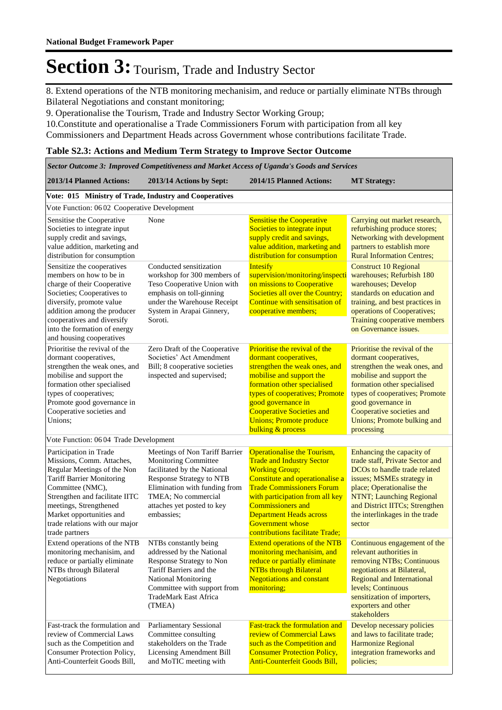8. Extend operations of the NTB monitoring mechanisim, and reduce or partially eliminate NTBs through Bilateral Negotiations and constant monitoring;

9. Operationalise the Tourism, Trade and Industry Sector Working Group;

10.Constitute and operationalise a Trade Commissioners Forum with participation from all key Commissioners and Department Heads across Government whose contributions facilitate Trade.

#### **Table S2.3: Actions and Medium Term Strategy to Improve Sector Outcome**

|                                                                                                                                                                                                                                                                                        |                                                                                                                                                                                                                       | Sector Outcome 3: Improved Competitiveness and Market Access of Uganda's Goods and Services                                                                                                                                                                                                                                           |                                                                                                                                                                                                                                                                                      |
|----------------------------------------------------------------------------------------------------------------------------------------------------------------------------------------------------------------------------------------------------------------------------------------|-----------------------------------------------------------------------------------------------------------------------------------------------------------------------------------------------------------------------|---------------------------------------------------------------------------------------------------------------------------------------------------------------------------------------------------------------------------------------------------------------------------------------------------------------------------------------|--------------------------------------------------------------------------------------------------------------------------------------------------------------------------------------------------------------------------------------------------------------------------------------|
| 2013/14 Planned Actions:                                                                                                                                                                                                                                                               | 2013/14 Actions by Sept:                                                                                                                                                                                              | 2014/15 Planned Actions:                                                                                                                                                                                                                                                                                                              | <b>MT Strategy:</b>                                                                                                                                                                                                                                                                  |
| Vote: 015 Ministry of Trade, Industry and Cooperatives                                                                                                                                                                                                                                 |                                                                                                                                                                                                                       |                                                                                                                                                                                                                                                                                                                                       |                                                                                                                                                                                                                                                                                      |
| Vote Function: 0602 Cooperative Development                                                                                                                                                                                                                                            |                                                                                                                                                                                                                       |                                                                                                                                                                                                                                                                                                                                       |                                                                                                                                                                                                                                                                                      |
| Sensitise the Cooperative<br>Societies to integrate input<br>supply credit and savings,<br>value addition, marketing and<br>distribution for consumption                                                                                                                               | None                                                                                                                                                                                                                  | <b>Sensitise the Cooperative</b><br>Societies to integrate input<br>supply credit and savings,<br>value addition, marketing and<br>distribution for consumption                                                                                                                                                                       | Carrying out market research,<br>refurbishing produce stores;<br>Networking with development<br>partners to establish more<br><b>Rural Information Centres;</b>                                                                                                                      |
| Sensitize the cooperatives<br>members on how to be in<br>charge of their Cooperative<br>Societies; Cooperatives to<br>diversify, promote value<br>addition among the producer<br>cooperatives and diversify<br>into the formation of energy<br>and housing cooperatives                | Conducted sensitization<br>workshop for 300 members of<br>Teso Cooperative Union with<br>emphasis on toll-ginning<br>under the Warehouse Receipt<br>System in Arapai Ginnery,<br>Soroti.                              | <b>Intesify</b><br>supervision/monitoring/inspecti<br>on missions to Cooperative<br>Societies all over the Country;<br>Continue with sensitisation of<br>cooperative members;                                                                                                                                                         | <b>Construct 10 Regional</b><br>warehouses; Refurbish 180<br>warehouses; Develop<br>standards on education and<br>training, and best practices in<br>operations of Cooperatives;<br>Training cooperative members<br>on Governance issues.                                            |
| Prioritise the revival of the<br>dormant cooperatives,<br>strengthen the weak ones, and<br>mobilise and support the<br>formation other specialised<br>types of cooperatives;<br>Promote good governance in<br>Cooperative societies and<br>Unions;                                     | Zero Draft of the Cooperative<br>Societies' Act Amendment<br>Bill; 8 cooperative societies<br>inspected and supervised;                                                                                               | Prioritise the revival of the<br>dormant cooperatives,<br>strengthen the weak ones, and<br>mobilise and support the<br>formation other specialised<br>types of cooperatives; Promote<br>good governance in<br><b>Cooperative Societies and</b><br><b>Unions; Promote produce</b><br><b>bulking &amp; process</b>                      | Prioritise the revival of the<br>dormant cooperatives,<br>strengthen the weak ones, and<br>mobilise and support the<br>formation other specialised<br>types of cooperatives; Promote<br>good governance in<br>Cooperative societies and<br>Unions; Promote bulking and<br>processing |
| Vote Function: 06 04 Trade Development                                                                                                                                                                                                                                                 |                                                                                                                                                                                                                       |                                                                                                                                                                                                                                                                                                                                       |                                                                                                                                                                                                                                                                                      |
| Participation in Trade<br>Missions, Comm. Attaches,<br>Regular Meetings of the Non<br><b>Tariff Barrier Monitoring</b><br>Committee (NMC),<br>Strengthen and facilitate IITC<br>meetings, Strengthened<br>Market opportunities and<br>trade relations with our major<br>trade partners | Meetings of Non Tariff Barrier<br>Monitoring Committee<br>facilitated by the National<br>Response Strategy to NTB<br>Elimination with funding from<br>TMEA; No commercial<br>attaches yet posted to key<br>embassies; | <b>Operationalise the Tourism,</b><br><b>Trade and Industry Sector</b><br><b>Working Group;</b><br>Constitute and operationalise a<br><b>Trade Commissioners Forum</b><br>with participation from all key<br><b>Commissioners and</b><br><b>Department Heads across</b><br><b>Government whose</b><br>contributions facilitate Trade: | Enhancing the capacity of<br>trade staff, Private Sector and<br>DCOs to handle trade related<br>issues; MSMEs strategy in<br>place; Operationalise the<br>NTNT; Launching Regional<br>and District IITCs; Strengthen<br>the interlinkages in the trade<br>sector                     |
| Extend operations of the NTB<br>monitoring mechanisim, and<br>reduce or partially eliminate<br>NTBs through Bilateral<br>Negotiations                                                                                                                                                  | NTBs constantly being<br>addressed by the National<br>Response Strategy to Non<br>Tariff Barriers and the<br>National Monitoring<br>Committee with support from<br>TradeMark East Africa<br>(TMEA)                    | <b>Extend operations of the NTB</b><br>monitoring mechanisim, and<br>reduce or partially eliminate<br><b>NTBs through Bilateral</b><br><b>Negotiations and constant</b><br>monitoring;                                                                                                                                                | Continuous engagement of the<br>relevant authorities in<br>removing NTBs; Continuous<br>negotiations at Bilateral,<br><b>Regional and International</b><br>levels; Continuous<br>sensitization of importers,<br>exporters and other<br>stakeholders                                  |
| Fast-track the formulation and<br>review of Commercial Laws<br>such as the Competition and<br>Consumer Protection Policy,<br>Anti-Counterfeit Goods Bill,                                                                                                                              | Parliamentary Sessional<br>Committee consulting<br>stakeholders on the Trade<br>Licensing Amendment Bill<br>and MoTIC meeting with                                                                                    | <b>Fast-track the formulation and</b><br>review of Commercial Laws<br>such as the Competition and<br><b>Consumer Protection Policy,</b><br><b>Anti-Counterfeit Goods Bill,</b>                                                                                                                                                        | Develop necessary policies<br>and laws to facilitate trade;<br><b>Harmonize Regional</b><br>integration frameworks and<br>policies;                                                                                                                                                  |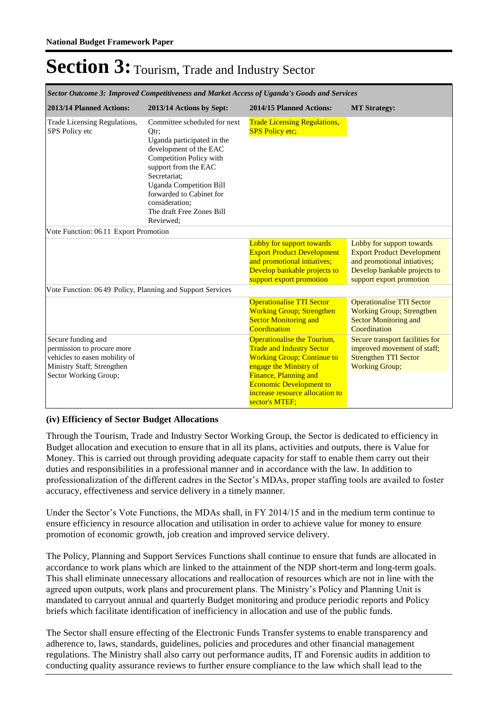|                                                                                                                                          | Sector Outcome 3: Improved Competitiveness and Market Access of Uganda's Goods and Services                                                                                                                                                                                               |                                                                                                                                                                                                                                                |                                                                                                                                                           |
|------------------------------------------------------------------------------------------------------------------------------------------|-------------------------------------------------------------------------------------------------------------------------------------------------------------------------------------------------------------------------------------------------------------------------------------------|------------------------------------------------------------------------------------------------------------------------------------------------------------------------------------------------------------------------------------------------|-----------------------------------------------------------------------------------------------------------------------------------------------------------|
| 2013/14 Planned Actions:                                                                                                                 | 2013/14 Actions by Sept:                                                                                                                                                                                                                                                                  | 2014/15 Planned Actions:                                                                                                                                                                                                                       | <b>MT Strategy:</b>                                                                                                                                       |
| Trade Licensing Regulations,<br>SPS Policy etc                                                                                           | Committee scheduled for next<br>Otr:<br>Uganda participated in the<br>development of the EAC<br>Competition Policy with<br>support from the EAC<br>Secretariat;<br><b>Uganda Competition Bill</b><br>forwarded to Cabinet for<br>consideration:<br>The draft Free Zones Bill<br>Reviewed: | <b>Trade Licensing Regulations,</b><br><b>SPS Policy etc;</b>                                                                                                                                                                                  |                                                                                                                                                           |
| Vote Function: 0611 Export Promotion                                                                                                     |                                                                                                                                                                                                                                                                                           |                                                                                                                                                                                                                                                |                                                                                                                                                           |
|                                                                                                                                          |                                                                                                                                                                                                                                                                                           | Lobby for support towards<br><b>Export Product Development</b><br>and promotional intiatives;<br>Develop bankable projects to<br>support export promotion                                                                                      | Lobby for support towards<br><b>Export Product Development</b><br>and promotional intiatives;<br>Develop bankable projects to<br>support export promotion |
| Vote Function: 0649 Policy, Planning and Support Services                                                                                |                                                                                                                                                                                                                                                                                           |                                                                                                                                                                                                                                                |                                                                                                                                                           |
|                                                                                                                                          |                                                                                                                                                                                                                                                                                           | <b>Operationalise TTI Sector</b><br><b>Working Group; Strengthen</b><br><b>Sector Monitoring and</b><br>Coordination                                                                                                                           | <b>Operationalise TTI Sector</b><br><b>Working Group; Strengthen</b><br><b>Sector Monitoring and</b><br>Coordination                                      |
| Secure funding and<br>permission to procure more<br>vehicles to easen mobility of<br>Ministry Staff; Strengthen<br>Sector Working Group; |                                                                                                                                                                                                                                                                                           | Operationalise the Tourism,<br><b>Trade and Industry Sector</b><br><b>Working Group; Continue to</b><br>engage the Ministry of<br>Finance, Planning and<br><b>Economic Development to</b><br>increase resource allocation to<br>sector's MTEF: | Secure transport facilities for<br>improved movement of staff;<br><b>Strengthen TTI Sector</b><br><b>Working Group;</b>                                   |

#### **(iv) Efficiency of Sector Budget Allocations**

Through the Tourism, Trade and Industry Sector Working Group, the Sector is dedicated to efficiency in Budget allocation and execution to ensure that in all its plans, activities and outputs, there is Value for Money. This is carried out through providing adequate capacity for staff to enable them carry out their duties and responsibilities in a professional manner and in accordance with the law. In addition to professionalization of the different cadres in the Sector's MDAs, proper staffing tools are availed to foster accuracy, effectiveness and service delivery in a timely manner.

Under the Sector's Vote Functions, the MDAs shall, in FY 2014/15 and in the medium term continue to ensure efficiency in resource allocation and utilisation in order to achieve value for money to ensure promotion of economic growth, job creation and improved service delivery.

The Policy, Planning and Support Services Functions shall continue to ensure that funds are allocated in accordance to work plans which are linked to the attainment of the NDP short-term and long-term goals. This shall eliminate unnecessary allocations and reallocation of resources which are not in line with the agreed upon outputs, work plans and procurement plans. The Ministry's Policy and Planning Unit is mandated to carryout annual and quarterly Budget monitoring and produce periodic reports and Policy briefs which facilitate identification of inefficiency in allocation and use of the public funds.

The Sector shall ensure effecting of the Electronic Funds Transfer systems to enable transparency and adherence to, laws, standards, guidelines, policies and procedures and other financial management regulations. The Ministry shall also carry out performance audits, IT and Forensic audits in addition to conducting quality assurance reviews to further ensure compliance to the law which shall lead to the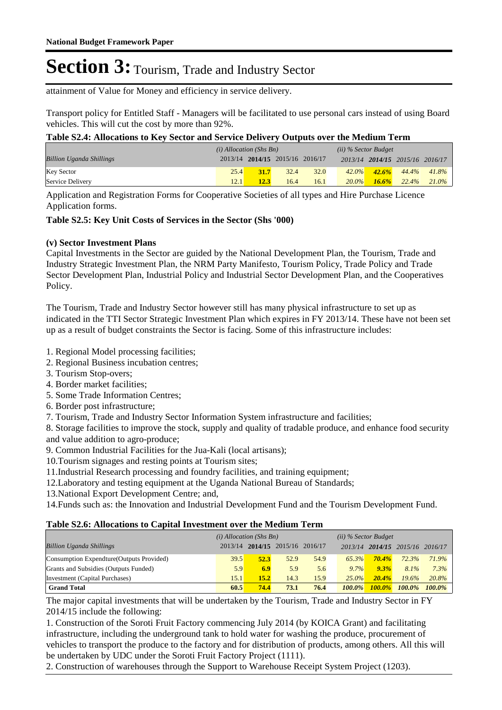attainment of Value for Money and efficiency in service delivery.

Transport policy for Entitled Staff - Managers will be facilitated to use personal cars instead of using Board vehicles. This will cut the cost by more than 92%.

### **Table S2.4: Allocations to Key Sector and Service Delivery Outputs over the Medium Term**

|                                 | $(i)$ Allocation (Shs Bn) |                                 |      | $(ii)$ % Sector Budget |          |          |                                 |          |
|---------------------------------|---------------------------|---------------------------------|------|------------------------|----------|----------|---------------------------------|----------|
| <b>Billion Uganda Shillings</b> |                           | 2013/14 2014/15 2015/16 2016/17 |      |                        |          |          | 2013/14 2014/15 2015/16 2016/17 |          |
| <b>Key Sector</b>               | 25.4                      | 31.7                            | 32.4 | 32.0                   | $42.0\%$ | $42.6\%$ | 44.4%                           | 41.8%    |
| Service Delivery                | 12.1                      | 12.3                            | 16.4 | 16.1                   | $20.0\%$ | $16.6\%$ | 22.4%                           | $21.0\%$ |

Application and Registration Forms for Cooperative Societies of all types and Hire Purchase Licence Application forms.

### **Table S2.5: Key Unit Costs of Services in the Sector (Shs '000)**

### **(v) Sector Investment Plans**

Capital Investments in the Sector are guided by the National Development Plan, the Tourism, Trade and Industry Strategic Investment Plan, the NRM Party Manifesto, Tourism Policy, Trade Policy and Trade Sector Development Plan, Industrial Policy and Industrial Sector Development Plan, and the Cooperatives Policy.

The Tourism, Trade and Industry Sector however still has many physical infrastructure to set up as indicated in the TTI Sector Strategic Investment Plan which expires in FY 2013/14. These have not been set up as a result of budget constraints the Sector is facing. Some of this infrastructure includes:

1. Regional Model processing facilities;

- 2. Regional Business incubation centres;
- 3. Tourism Stop-overs;
- 4. Border market facilities;
- 5. Some Trade Information Centres;
- 6. Border post infrastructure;
- 7. Tourism, Trade and Industry Sector Information System infrastructure and facilities;

8. Storage facilities to improve the stock, supply and quality of tradable produce, and enhance food security and value addition to agro-produce;

9. Common Industrial Facilities for the Jua-Kali (local artisans);

10.Tourism signages and resting points at Tourism sites;

- 11.Industrial Research processing and foundry facilities, and training equipment;
- 12.Laboratory and testing equipment at the Uganda National Bureau of Standards;
- 13.National Export Development Centre; and,

14.Funds such as: the Innovation and Industrial Development Fund and the Tourism Development Fund.

#### **Table S2.6: Allocations to Capital Investment over the Medium Term**

|                                           | $(i)$ Allocation (Shs Bn) |      |                         | (ii) % Sector Budget |           |                         |           |           |
|-------------------------------------------|---------------------------|------|-------------------------|----------------------|-----------|-------------------------|-----------|-----------|
| <b>Billion Uganda Shillings</b>           | 2013/14                   |      | 2014/15 2015/16 2016/17 |                      |           | 2013/14 2014/15 2015/16 |           | 2016/17   |
| Consumption Expendture (Outputs Provided) | 39.5                      | 52.3 | 52.9                    | 54.9                 | 65.3%     | $70.4\%$                | 72.3%     | 71.9%     |
| Grants and Subsidies (Outputs Funded)     | 5.9                       | 6.9  | 5.9                     | 5.6                  | 9.7%      | 9.3%                    | 8.1%      | $7.3\%$   |
| Investment (Capital Purchases)            | $15.1^{\circ}$            | 15.2 | 14.3                    | 15.9                 | $25.0\%$  | $20.4\%$                | 19.6%     | 20.8%     |
| <b>Grand Total</b>                        | 60.5                      | 74.4 | 73.1                    | 76.4                 | $100.0\%$ | $100.0\%$               | $100.0\%$ | $100.0\%$ |

The major capital investments that will be undertaken by the Tourism, Trade and Industry Sector in FY 2014/15 include the following:

1. Construction of the Soroti Fruit Factory commencing July 2014 (by KOICA Grant) and facilitating infrastructure, including the underground tank to hold water for washing the produce, procurement of vehicles to transport the produce to the factory and for distribution of products, among others. All this will be undertaken by UDC under the Soroti Fruit Factory Project (1111).

2. Construction of warehouses through the Support to Warehouse Receipt System Project (1203).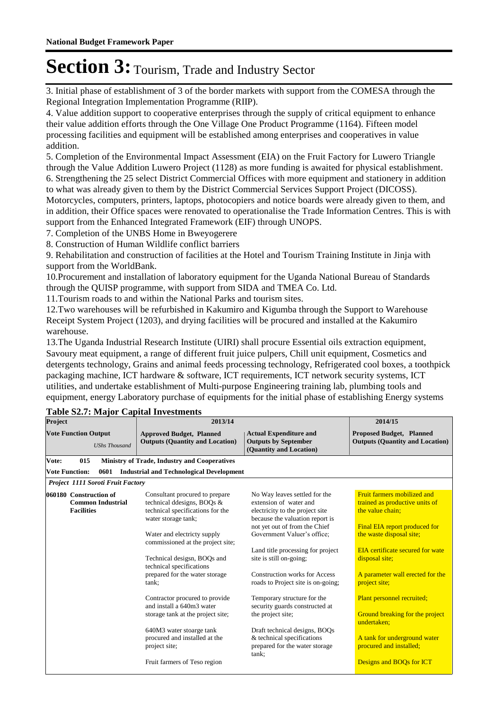3. Initial phase of establishment of 3 of the border markets with support from the COMESA through the Regional Integration Implementation Programme (RIIP).

4. Value addition support to cooperative enterprises through the supply of critical equipment to enhance their value addition efforts through the One Village One Product Programme (1164). Fifteen model processing facilities and equipment will be established among enterprises and cooperatives in value addition.

5. Completion of the Environmental Impact Assessment (EIA) on the Fruit Factory for Luwero Triangle through the Value Addition Luwero Project (1128) as more funding is awaited for physical establishment. 6. Strengthening the 25 select District Commercial Offices with more equipment and stationery in addition to what was already given to them by the District Commercial Services Support Project (DICOSS). Motorcycles, computers, printers, laptops, photocopiers and notice boards were already given to them, and

in addition, their Office spaces were renovated to operationalise the Trade Information Centres. This is with support from the Enhanced Integrated Framework (EIF) through UNOPS.

7. Completion of the UNBS Home in Bweyogerere

8. Construction of Human Wildlife conflict barriers

9. Rehabilitation and construction of facilities at the Hotel and Tourism Training Institute in Jinja with support from the WorldBank.

10.Procurement and installation of laboratory equipment for the Uganda National Bureau of Standards through the QUISP programme, with support from SIDA and TMEA Co. Ltd.

11.Tourism roads to and within the National Parks and tourism sites.

12.Two warehouses will be refurbished in Kakumiro and Kigumba through the Support to Warehouse Receipt System Project (1203), and drying facilities will be procured and installed at the Kakumiro warehouse.

13.The Uganda Industrial Research Institute (UIRI) shall procure Essential oils extraction equipment, Savoury meat equipment, a range of different fruit juice pulpers, Chill unit equipment, Cosmetics and detergents technology, Grains and animal feeds processing technology, Refrigerated cool boxes, a toothpick packaging machine, ICT hardware & software, ICT requirements, ICT network security systems, ICT utilities, and undertake establishment of Multi-purpose Engineering training lab, plumbing tools and equipment, energy Laboratory purchase of equipments for the initial phase of establishing Energy systems

| Project                                                                 | 2013/14                                                                                                                                                                                                                                                                                                                                                                                                                           | 2014/15                                                                                                                                                                                                                                                                                                                                                                                                                                                     |                                                                                                                                                                                                                                                                                                                                           |  |  |
|-------------------------------------------------------------------------|-----------------------------------------------------------------------------------------------------------------------------------------------------------------------------------------------------------------------------------------------------------------------------------------------------------------------------------------------------------------------------------------------------------------------------------|-------------------------------------------------------------------------------------------------------------------------------------------------------------------------------------------------------------------------------------------------------------------------------------------------------------------------------------------------------------------------------------------------------------------------------------------------------------|-------------------------------------------------------------------------------------------------------------------------------------------------------------------------------------------------------------------------------------------------------------------------------------------------------------------------------------------|--|--|
| <b>Vote Function Output</b><br><b>UShs Thousand</b>                     | <b>Approved Budget, Planned</b><br><b>Outputs (Quantity and Location)</b>                                                                                                                                                                                                                                                                                                                                                         | <b>Actual Expenditure and</b><br><b>Outputs by September</b><br>(Quantity and Location)                                                                                                                                                                                                                                                                                                                                                                     | <b>Proposed Budget, Planned</b><br><b>Outputs (Quantity and Location)</b>                                                                                                                                                                                                                                                                 |  |  |
| 015<br>Vote:                                                            | <b>Ministry of Trade, Industry and Cooperatives</b>                                                                                                                                                                                                                                                                                                                                                                               |                                                                                                                                                                                                                                                                                                                                                                                                                                                             |                                                                                                                                                                                                                                                                                                                                           |  |  |
| <b>Vote Function:</b><br>0601                                           | <b>Industrial and Technological Development</b>                                                                                                                                                                                                                                                                                                                                                                                   |                                                                                                                                                                                                                                                                                                                                                                                                                                                             |                                                                                                                                                                                                                                                                                                                                           |  |  |
| Project 1111 Soroti Fruit Factory                                       |                                                                                                                                                                                                                                                                                                                                                                                                                                   |                                                                                                                                                                                                                                                                                                                                                                                                                                                             |                                                                                                                                                                                                                                                                                                                                           |  |  |
| 060180 Construction of<br><b>Common Industrial</b><br><b>Facilities</b> | Consultant procured to prepare<br>technical ddesigns, BOQs &<br>technical specifications for the<br>water storage tank;<br>Water and electricty supply<br>commissioned at the project site;<br>Technical desigsn, BOQs and<br>technical specifications<br>prepared for the water storage<br>tank:<br>Contractor procured to provide<br>and install a 640m3 water<br>storage tank at the project site;<br>640M3 water stoarge tank | No Way leaves settled for the<br>extension of water and<br>electricity to the project site<br>because the valuation report is<br>not yet out of from the Chief<br>Government Valuer's office;<br>Land title processing for project<br>site is still on-going;<br>Construction works for Access<br>roads to Project site is on-going;<br>Temporary structure for the<br>security guards constructed at<br>the project site;<br>Draft technical designs, BOQs | Fruit farmers mobilized and<br>trained as productive units of<br>the value chain:<br>Final EIA report produced for<br>the waste disposal site;<br>EIA certificate secured for wate<br>disposal site;<br>A parameter wall erected for the<br>project site;<br>Plant personnel recruited;<br>Ground breaking for the project<br>undertaken: |  |  |
|                                                                         | procured and installed at the<br>project site;<br>Fruit farmers of Teso region                                                                                                                                                                                                                                                                                                                                                    | & technical specifications<br>prepared for the water storage<br>tank:                                                                                                                                                                                                                                                                                                                                                                                       | A tank for underground water<br>procured and installed;<br>Designs and BOQs for ICT                                                                                                                                                                                                                                                       |  |  |
|                                                                         |                                                                                                                                                                                                                                                                                                                                                                                                                                   |                                                                                                                                                                                                                                                                                                                                                                                                                                                             |                                                                                                                                                                                                                                                                                                                                           |  |  |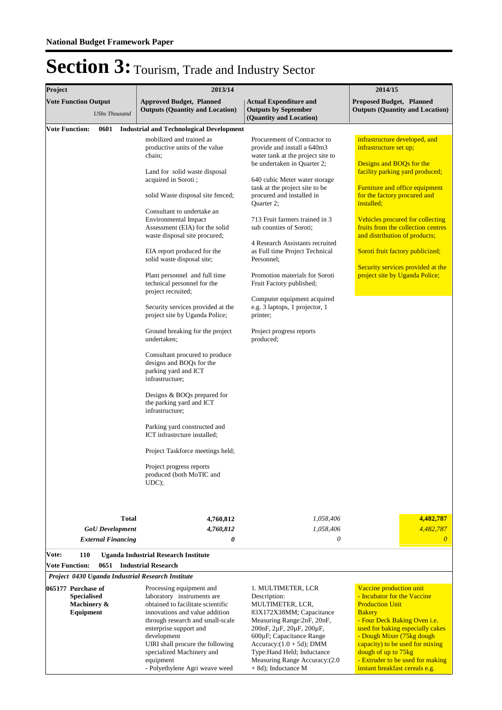| Project |                                                                      |                                                             |              | 2013/14                                                                                                                                                                                                                                                                                                                                                                                                                                                                                                                                                                                                                                                                                                                                                                                                                                                                                                                         | 2014/15                                                                                                                                                                                                                                                                                                                                                                                                                                                                                                                                                                           |                                                                                                                                                                                                                                                                                                                                                                                                                              |  |  |  |
|---------|----------------------------------------------------------------------|-------------------------------------------------------------|--------------|---------------------------------------------------------------------------------------------------------------------------------------------------------------------------------------------------------------------------------------------------------------------------------------------------------------------------------------------------------------------------------------------------------------------------------------------------------------------------------------------------------------------------------------------------------------------------------------------------------------------------------------------------------------------------------------------------------------------------------------------------------------------------------------------------------------------------------------------------------------------------------------------------------------------------------|-----------------------------------------------------------------------------------------------------------------------------------------------------------------------------------------------------------------------------------------------------------------------------------------------------------------------------------------------------------------------------------------------------------------------------------------------------------------------------------------------------------------------------------------------------------------------------------|------------------------------------------------------------------------------------------------------------------------------------------------------------------------------------------------------------------------------------------------------------------------------------------------------------------------------------------------------------------------------------------------------------------------------|--|--|--|
|         | <b>Vote Function Output</b>                                          | <b>UShs Thousand</b>                                        |              | <b>Approved Budget, Planned</b><br><b>Outputs (Quantity and Location)</b>                                                                                                                                                                                                                                                                                                                                                                                                                                                                                                                                                                                                                                                                                                                                                                                                                                                       | <b>Actual Expenditure and</b><br><b>Outputs by September</b><br>(Quantity and Location)                                                                                                                                                                                                                                                                                                                                                                                                                                                                                           | <b>Proposed Budget, Planned</b><br><b>Outputs (Quantity and Location)</b>                                                                                                                                                                                                                                                                                                                                                    |  |  |  |
|         |                                                                      | 0601                                                        |              | <b>Industrial and Technological Development</b>                                                                                                                                                                                                                                                                                                                                                                                                                                                                                                                                                                                                                                                                                                                                                                                                                                                                                 |                                                                                                                                                                                                                                                                                                                                                                                                                                                                                                                                                                                   |                                                                                                                                                                                                                                                                                                                                                                                                                              |  |  |  |
|         | <b>Vote Function:</b>                                                |                                                             |              | mobilized and trained as<br>productive units of the value<br>chain;<br>Land for solid waste disposal<br>acquired in Soroti;<br>solid Waste disposal site fenced;<br>Consultant to undertake an<br><b>Environmental Impact</b><br>Assessment (EIA) for the solid<br>waste disposal site procured;<br>EIA report produced for the<br>solid waste disposal site;<br>Plant personnel and full time<br>technical personnel for the<br>project recruited;<br>Security services provided at the<br>project site by Uganda Police;<br>Ground breaking for the project<br>undertaken;<br>Consultant procured to produce<br>designs and BOQs for the<br>parking yard and ICT<br>infrastructure;<br>Designs & BOQs prepared for<br>the parking yard and ICT<br>infrastructure;<br>Parking yard constructed and<br>ICT infrastrcture installed:<br>Project Taskforce meetings held;<br>Project progress reports<br>produced (both MoTIC and | Procurement of Contractor to<br>provide and install a 640m3<br>water tank at the project site to<br>be undertaken in Quarter 2;<br>640 cubic Meter water storage<br>tank at the project site to be<br>procured and installed in<br>Quarter 2;<br>713 Fruit farmers trained in 3<br>sub counties of Soroti;<br>4 Research Assistants recruited<br>as Full time Project Technical<br>Personnel;<br>Promotion materials for Soroti<br>Fruit Factory published;<br>Computer equipment acquired<br>e.g. 3 laptops, 1 projector, 1<br>printer;<br>Project progress reports<br>produced; | infrastructure developed, and<br>infrastructure set up;<br>Designs and BOQs for the<br>facility parking yard produced;<br>Furniture and office equipment<br>for the factory procured and<br>installed;<br>Vehicles procured for collecting<br>fruits from the collection centres<br>and distribution of products;<br>Soroti fruit factory publicized;<br>Security services provided at the<br>project site by Uganda Police; |  |  |  |
| Vote:   | 110<br><b>Vote Function:</b>                                         | <b>GoU</b> Development<br><b>External Financing</b><br>0651 | <b>Total</b> | UDC);<br>4,760,812<br>4,760,812<br>0<br><b>Uganda Industrial Research Institute</b><br><b>Industrial Research</b><br>Project 0430 Uganda Industrial Research Institute                                                                                                                                                                                                                                                                                                                                                                                                                                                                                                                                                                                                                                                                                                                                                          | 1,058,406<br>1,058,406<br>0                                                                                                                                                                                                                                                                                                                                                                                                                                                                                                                                                       | 4,482,787<br>4,482,787<br>$\theta$                                                                                                                                                                                                                                                                                                                                                                                           |  |  |  |
|         | 065177 Purchase of<br><b>Specialised</b><br>Machinery &<br>Equipment |                                                             |              | Processing equipment and<br>laboratory instruments are<br>obtained to facilitate scientific<br>innovations and value addition<br>through research and small-scale<br>enterprise support and<br>development<br>UIRI shall procure the following<br>specialized Machinery and<br>equipment<br>- Polyethylene Agri weave weed                                                                                                                                                                                                                                                                                                                                                                                                                                                                                                                                                                                                      | 1. MULTIMETER, LCR<br>Description:<br>MULTIMETER, LCR,<br>83X172X38MM; Capacitance<br>Measuring Range: 2nF, 20nF,<br>200nF, 2uF, 20uF, 200uF,<br>600µF; Capacitance Range<br>Accuracy: $(1.0 + 5d)$ ; DMM<br>Type:Hand Held; Inductance<br>Measuring Range Accuracy: (2.0<br>$+ 8d$ ; Inductance M                                                                                                                                                                                                                                                                                | Vaccine production unit<br>- Incubator for the Vaccine<br><b>Production Unit</b><br><b>Bakery</b><br>- Four Deck Baking Oven i.e.<br>used for baking especially cakes<br>- Dough Mixer (75kg dough<br>capacity) to be used for mixing<br>dough of up to 75kg<br>- Extruder to be used for making<br>instant breakfast cereals e.g.                                                                                           |  |  |  |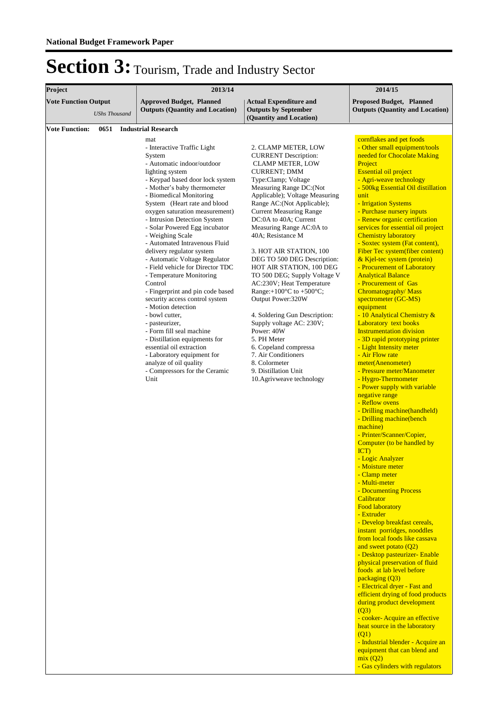| Project                                             |      | 2013/14                                                                                                                                                                                                                                                                                                                                                                                                                                                                                                                                                                                                                                                                                                                                                                                                                                                                             | 2014/15                                                                                                                                                                                                                                                                                                                                                                                                                                                                                                                                                                                                                                                                                                                                                                    |                                                                                                                                                                                                                                                                                                                                                                                                                                                                                                                                                                                                                                                                                                                                                                                                                                                                                                                                                                                                                                                                                                                                                                                                                                                                                                                                                                                                                                                                                                                                                                                                                                                                                                                                                                                                                             |  |  |
|-----------------------------------------------------|------|-------------------------------------------------------------------------------------------------------------------------------------------------------------------------------------------------------------------------------------------------------------------------------------------------------------------------------------------------------------------------------------------------------------------------------------------------------------------------------------------------------------------------------------------------------------------------------------------------------------------------------------------------------------------------------------------------------------------------------------------------------------------------------------------------------------------------------------------------------------------------------------|----------------------------------------------------------------------------------------------------------------------------------------------------------------------------------------------------------------------------------------------------------------------------------------------------------------------------------------------------------------------------------------------------------------------------------------------------------------------------------------------------------------------------------------------------------------------------------------------------------------------------------------------------------------------------------------------------------------------------------------------------------------------------|-----------------------------------------------------------------------------------------------------------------------------------------------------------------------------------------------------------------------------------------------------------------------------------------------------------------------------------------------------------------------------------------------------------------------------------------------------------------------------------------------------------------------------------------------------------------------------------------------------------------------------------------------------------------------------------------------------------------------------------------------------------------------------------------------------------------------------------------------------------------------------------------------------------------------------------------------------------------------------------------------------------------------------------------------------------------------------------------------------------------------------------------------------------------------------------------------------------------------------------------------------------------------------------------------------------------------------------------------------------------------------------------------------------------------------------------------------------------------------------------------------------------------------------------------------------------------------------------------------------------------------------------------------------------------------------------------------------------------------------------------------------------------------------------------------------------------------|--|--|
| <b>Vote Function Output</b><br><b>UShs Thousand</b> |      | <b>Approved Budget, Planned</b><br><b>Outputs (Quantity and Location)</b>                                                                                                                                                                                                                                                                                                                                                                                                                                                                                                                                                                                                                                                                                                                                                                                                           | <b>Actual Expenditure and</b><br><b>Outputs by September</b>                                                                                                                                                                                                                                                                                                                                                                                                                                                                                                                                                                                                                                                                                                               | <b>Proposed Budget, Planned</b><br><b>Outputs (Quantity and Location)</b>                                                                                                                                                                                                                                                                                                                                                                                                                                                                                                                                                                                                                                                                                                                                                                                                                                                                                                                                                                                                                                                                                                                                                                                                                                                                                                                                                                                                                                                                                                                                                                                                                                                                                                                                                   |  |  |
|                                                     |      |                                                                                                                                                                                                                                                                                                                                                                                                                                                                                                                                                                                                                                                                                                                                                                                                                                                                                     | (Quantity and Location)                                                                                                                                                                                                                                                                                                                                                                                                                                                                                                                                                                                                                                                                                                                                                    |                                                                                                                                                                                                                                                                                                                                                                                                                                                                                                                                                                                                                                                                                                                                                                                                                                                                                                                                                                                                                                                                                                                                                                                                                                                                                                                                                                                                                                                                                                                                                                                                                                                                                                                                                                                                                             |  |  |
| <b>Vote Function:</b>                               | 0651 | <b>Industrial Research</b><br>mat<br>- Interactive Traffic Light<br>System<br>- Automatic indoor/outdoor<br>lighting system<br>- Keypad based door lock system<br>- Mother's baby thermometer<br>- Biomedical Monitoring<br>System (Heart rate and blood<br>oxygen saturation measurement)<br>- Intrusion Detection System<br>- Solar Powered Egg incubator<br>- Weighing Scale<br>- Automated Intravenous Fluid<br>delivery regulator system<br>- Automatic Voltage Regulator<br>- Field vehicle for Director TDC<br>- Temperature Monitoring<br>Control<br>- Fingerprint and pin code based<br>security access control system<br>- Motion detection<br>- bowl cutter,<br>- pasteurizer,<br>- Form fill seal machine<br>- Distillation equipments for<br>essential oil extraction<br>- Laboratory equipment for<br>analyze of oil quality<br>- Compressors for the Ceramic<br>Unit | 2. CLAMP METER, LOW<br><b>CURRENT</b> Description:<br><b>CLAMP METER, LOW</b><br><b>CURRENT; DMM</b><br>Type:Clamp; Voltage<br>Measuring Range DC:(Not<br>Applicable); Voltage Measuring<br>Range AC:(Not Applicable);<br><b>Current Measuring Range</b><br>DC:0A to 40A; Current<br>Measuring Range AC:0A to<br>40A; Resistance M<br>3. HOT AIR STATION, 100<br>DEG TO 500 DEG Description:<br>HOT AIR STATION, 100 DEG<br>TO 500 DEG; Supply Voltage V<br>AC:230V; Heat Temperature<br>Range: $+100^{\circ}$ C to $+500^{\circ}$ C;<br>Output Power:320W<br>4. Soldering Gun Description:<br>Supply voltage AC: 230V;<br>Power: 40W<br>5. PH Meter<br>6. Copeland compressa<br>7. Air Conditioners<br>8. Colormeter<br>9. Distillation Unit<br>10. Agrivweave technology | cornflakes and pet foods<br>- Other small equipment/tools<br>needed for Chocolate Making<br>Project<br><b>Essential oil project</b><br>- Agri-weave technology<br>- 500kg Essential Oil distillation<br>unit<br>- Irrigation Systems<br>- Purchase nursery inputs<br>- Renew organic certification<br>services for essential oil project<br><b>Chemistry laboratory</b><br>- Soxtec system (Fat content),<br>Fiber Tec system(fiber content)<br>& Kjel-tec system (protein)<br>- Procurement of Laboratory<br><b>Analytical Balance</b><br>- Procurement of Gas<br>Chromatography/Mass<br>spectrometer (GC-MS)<br>equipment<br>- 10 Analytical Chemistry &<br>Laboratory text books<br><b>Instrumentation division</b><br>- 3D rapid prototyping printer<br>- Light Intensity meter<br>- Air Flow rate<br>meter(Anenometer)<br>- Pressure meter/Manometer<br>- Hygro-Thermometer<br>- Power supply with variable<br>negative range<br>- Reflow ovens<br>- Drilling machine(handheld)<br>- Drilling machine(bench<br>machine)<br>- Printer/Scanner/Copier,<br>Computer (to be handled by<br>$\overline{ICT}$<br>- Logic Analyzer<br>- Moisture meter<br>- Clamp meter<br>- Multi-meter<br>- Documenting Process<br>Calibrator<br><b>Food laboratory</b><br>- Extruder<br>- Develop breakfast cereals,<br>instant porridges, nooddles<br>from local foods like cassava<br>and sweet potato $(Q2)$<br>- Desktop pasteurizer- Enable<br>physical preservation of fluid<br>foods at lab level before<br>packaging (Q3)<br>- Electrical dryer - Fast and<br>efficient drying of food products<br>during product development<br>(Q3)<br>- cooker- Acquire an effective<br>heat source in the laboratory<br>(Q1)<br>- Industrial blender - Acquire an<br>equipment that can blend and<br>mix(Q2)<br>- Gas cylinders with regulators |  |  |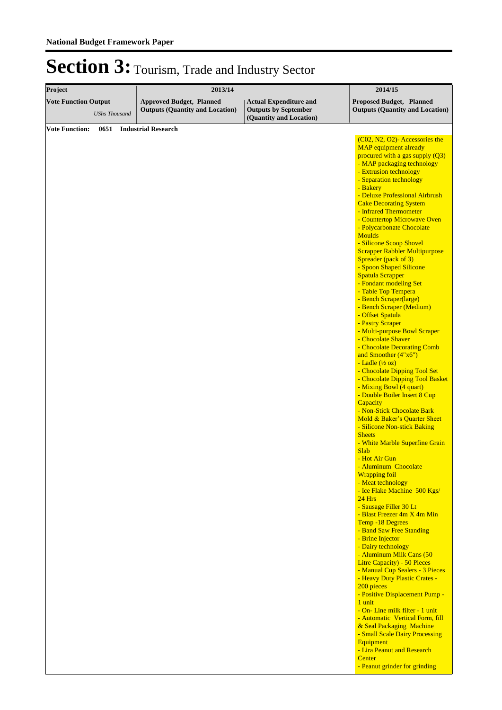| Project                                             | 2013/14                                                                   |                                                                                         | 2014/15                                                                                                                                                                                                                                                                                                                                                                                                                                                                                                                                                                                                                                                                                                                                                                                                                                                                                                                                                                                                                                                                                                                                                                                                                                                                                                                                                                                                                                                                                                                                                                                                                                                                                                                                                                                                 |
|-----------------------------------------------------|---------------------------------------------------------------------------|-----------------------------------------------------------------------------------------|---------------------------------------------------------------------------------------------------------------------------------------------------------------------------------------------------------------------------------------------------------------------------------------------------------------------------------------------------------------------------------------------------------------------------------------------------------------------------------------------------------------------------------------------------------------------------------------------------------------------------------------------------------------------------------------------------------------------------------------------------------------------------------------------------------------------------------------------------------------------------------------------------------------------------------------------------------------------------------------------------------------------------------------------------------------------------------------------------------------------------------------------------------------------------------------------------------------------------------------------------------------------------------------------------------------------------------------------------------------------------------------------------------------------------------------------------------------------------------------------------------------------------------------------------------------------------------------------------------------------------------------------------------------------------------------------------------------------------------------------------------------------------------------------------------|
| <b>Vote Function Output</b><br><b>UShs Thousand</b> | <b>Approved Budget, Planned</b><br><b>Outputs (Quantity and Location)</b> | <b>Actual Expenditure and</b><br><b>Outputs by September</b><br>(Quantity and Location) | <b>Proposed Budget, Planned</b><br><b>Outputs (Quantity and Location)</b>                                                                                                                                                                                                                                                                                                                                                                                                                                                                                                                                                                                                                                                                                                                                                                                                                                                                                                                                                                                                                                                                                                                                                                                                                                                                                                                                                                                                                                                                                                                                                                                                                                                                                                                               |
| <b>Vote Function:</b><br>0651                       | <b>Industrial Research</b>                                                |                                                                                         |                                                                                                                                                                                                                                                                                                                                                                                                                                                                                                                                                                                                                                                                                                                                                                                                                                                                                                                                                                                                                                                                                                                                                                                                                                                                                                                                                                                                                                                                                                                                                                                                                                                                                                                                                                                                         |
|                                                     |                                                                           |                                                                                         | (C02, N2, O2)- Accessories the<br><b>MAP</b> equipment already<br>procured with a gas supply $(Q3)$<br>- MAP packaging technology<br>- Extrusion technology<br>- Separation technology<br>- Bakery<br>- Deluxe Professional Airbrush<br><b>Cake Decorating System</b><br>- Infrared Thermometer<br>- Countertop Microwave Oven<br>- Polycarbonate Chocolate<br><b>Moulds</b><br>- Silicone Scoop Shovel<br><b>Scrapper Rabbler Multipurpose</b><br>Spreader (pack of 3)<br>- Spoon Shaped Silicone<br><b>Spatula Scrapper</b><br>- Fondant modeling Set<br>- Table Top Tempera<br>- Bench Scraper(large)<br>- Bench Scraper (Medium)<br>- Offset Spatula<br>- Pastry Scraper<br>- Multi-purpose Bowl Scraper<br>- Chocolate Shaver<br>- Chocolate Decorating Comb<br>and Smoother (4"x6")<br>- Ladle $(\frac{1}{2}$ oz)<br>- Chocolate Dipping Tool Set<br>- Chocolate Dipping Tool Basket<br>- Mixing Bowl (4 quart)<br>- Double Boiler Insert 8 Cup<br>Capacity<br>- Non-Stick Chocolate Bark<br>Mold & Baker's Quarter Sheet<br>- Silicone Non-stick Baking<br><b>Sheets</b><br>- White Marble Superfine Grain<br><b>Slab</b><br>- Hot Air Gun<br>- Aluminum Chocolate<br><b>Wrapping foil</b><br>- Meat technology<br>- Ice Flake Machine 500 Kgs/<br>$24$ Hrs<br>- Sausage Filler 30 Lt<br>- Blast Freezer 4m X 4m Min<br>Temp -18 Degrees<br>- Band Saw Free Standing<br>- Brine Injector<br>- Dairy technology<br>- Aluminum Milk Cans (50<br>Litre Capacity) - 50 Pieces<br>- Manual Cup Sealers - 3 Pieces<br>- Heavy Duty Plastic Crates -<br>200 pieces<br>- Positive Displacement Pump -<br>1 unit<br>- On- Line milk filter - 1 unit<br>- Automatic Vertical Form, fill<br>& Seal Packaging Machine<br>- Small Scale Dairy Processing<br>Equipment<br>- Lira Peanut and Research<br>Center |
|                                                     |                                                                           |                                                                                         | - Peanut grinder for grinding                                                                                                                                                                                                                                                                                                                                                                                                                                                                                                                                                                                                                                                                                                                                                                                                                                                                                                                                                                                                                                                                                                                                                                                                                                                                                                                                                                                                                                                                                                                                                                                                                                                                                                                                                                           |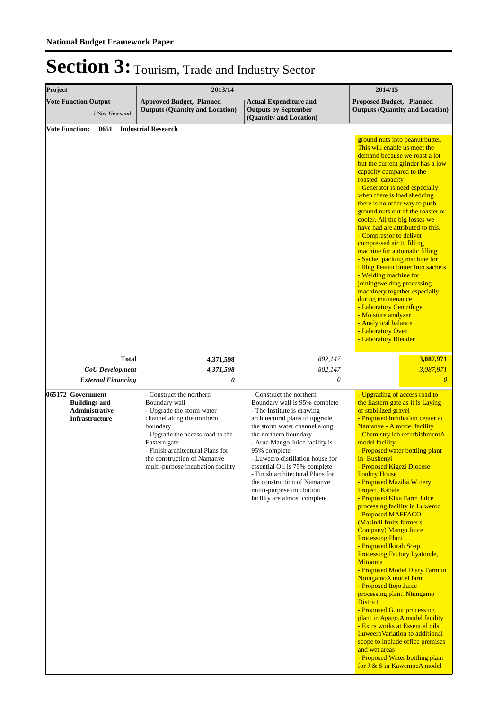| Project                       |                                                                                             | 2013/14                                                                                                                                                                                                                                                                      | 2014/15                                                                                                                                                                                                                                                                                                                                                                                                                                   |                                                                                                                                                                                                                                                                                                                                                                                                                                                                                                                                                                                                                                                                                                                                                                                                                                                                                                                                                                                                                                    |  |
|-------------------------------|---------------------------------------------------------------------------------------------|------------------------------------------------------------------------------------------------------------------------------------------------------------------------------------------------------------------------------------------------------------------------------|-------------------------------------------------------------------------------------------------------------------------------------------------------------------------------------------------------------------------------------------------------------------------------------------------------------------------------------------------------------------------------------------------------------------------------------------|------------------------------------------------------------------------------------------------------------------------------------------------------------------------------------------------------------------------------------------------------------------------------------------------------------------------------------------------------------------------------------------------------------------------------------------------------------------------------------------------------------------------------------------------------------------------------------------------------------------------------------------------------------------------------------------------------------------------------------------------------------------------------------------------------------------------------------------------------------------------------------------------------------------------------------------------------------------------------------------------------------------------------------|--|
|                               | <b>Vote Function Output</b><br><b>UShs Thousand</b>                                         | <b>Approved Budget, Planned</b><br><b>Outputs (Quantity and Location)</b>                                                                                                                                                                                                    | <b>Actual Expenditure and</b><br><b>Outputs by September</b><br>(Quantity and Location)                                                                                                                                                                                                                                                                                                                                                   | <b>Proposed Budget, Planned</b><br><b>Outputs (Quantity and Location)</b>                                                                                                                                                                                                                                                                                                                                                                                                                                                                                                                                                                                                                                                                                                                                                                                                                                                                                                                                                          |  |
| 0651<br><b>Vote Function:</b> |                                                                                             | <b>Industrial Research</b>                                                                                                                                                                                                                                                   |                                                                                                                                                                                                                                                                                                                                                                                                                                           | ground nuts into peanut butter.<br>This will enable us meet the<br>demand because we roast a lot<br>but the current grinder has a low<br>capacity compared to the<br>roasted capacity<br>- Generator is need especially<br>when there is load shedding<br>there is no other way to push<br>ground nuts out of the roaster or<br>cooler. All the big losses we<br>have had are attributed to this.<br>- Compressor to deliver<br>compressed air to filling<br>machine for automatic filling<br>- Sachet packing machine for<br>filling Peanut butter into sachets<br>- Welding machine for<br>joining/welding processing<br>machinery together especially<br>during maintenance<br>- Laboratory Centrifuge<br>- Moisture analyzer<br>- Analytical balance<br>- Laboratory Oven<br>- Laboratory Blender                                                                                                                                                                                                                              |  |
|                               | <b>Total</b><br><b>GoU</b> Development<br><b>External Financing</b>                         | 4,371,598<br>4,371,598<br>0                                                                                                                                                                                                                                                  | 802,147<br>802,147<br>0                                                                                                                                                                                                                                                                                                                                                                                                                   | 3,087,971<br>3,087,971<br>$\theta$                                                                                                                                                                                                                                                                                                                                                                                                                                                                                                                                                                                                                                                                                                                                                                                                                                                                                                                                                                                                 |  |
|                               | 065172 Government<br><b>Buildings and</b><br><b>Administrative</b><br><b>Infrastructure</b> | - Construct the northern<br>Boundary wall<br>- Upgrade the storm water<br>channel along the northern<br>boundary<br>- Upgrade the access road to the<br>Eastern gate<br>- Finish architectural Plans for<br>the construction of Namanve<br>multi-purpose incubation facility | - Construct the northern<br>Boundary wall is 95% complete<br>- The Institute is drawing<br>architectural plans to upgrade<br>the storm water channel along<br>the northern boundary<br>- Arua Mango Juice facility is<br>95% complete<br>- Luweero distillation house for<br>essential Oil is 75% complete<br>- Finish architectural Plans for<br>the construction of Namanye<br>multi-purpose incubation<br>facility are almost complete | - Upgrading of access road to<br>the Eastern gate as it is Laying<br>of stabilized gravel<br>- Proposed Incubation center at<br>Namanye - A model facility<br>- Chemistry lab refurbishmentA<br>model facility<br>- Proposed water bottling plant<br>in Bushenyi<br>- Proposed Kigezi Diocese<br><b>Poultry House</b><br>- Proposed Maziba Winery<br>Project, Kabale<br>- Proposed Kika Farm Juice<br>processing facility in Luweroo<br>- Proposed MAFFACO<br>(Masindi fruits farmer's<br><b>Company</b> ) Mango Juice<br><b>Processing Plant.</b><br>- Proposed Ikirah Soap<br>Processing Factory Lyatonde,<br><b>Mitooma</b><br>- Proposed Model Diary Farm in<br>NtungamoA model farm<br>- Proposed Itojo Juice<br>processing plant. Ntungamo<br><b>District</b><br>- Proposed G.nut processing<br>plant in Agago.A model facility<br>- Extra works at Essential oils<br>Luweero Variation to additional<br>scope to include office premises<br>and wet areas<br>- Proposed Water bottling plant<br>for J & S in KawempeA model |  |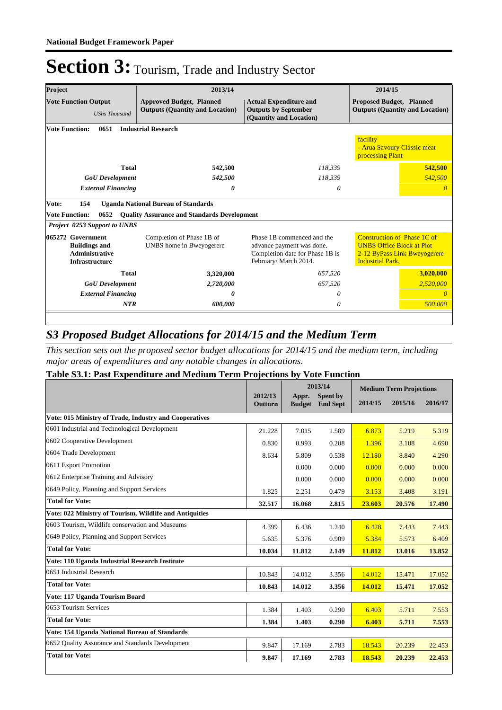| Project                                                                                     | 2013/14                                               |                                                                                                                     | 2014/15                                                                                                                    |  |  |  |  |  |  |  |
|---------------------------------------------------------------------------------------------|-------------------------------------------------------|---------------------------------------------------------------------------------------------------------------------|----------------------------------------------------------------------------------------------------------------------------|--|--|--|--|--|--|--|
| <b>Vote Function Output</b>                                                                 | <b>Approved Budget, Planned</b>                       | <b>Actual Expenditure and</b>                                                                                       | <b>Proposed Budget, Planned</b>                                                                                            |  |  |  |  |  |  |  |
| <b>UShs Thousand</b>                                                                        | <b>Outputs (Quantity and Location)</b>                | <b>Outputs by September</b><br>(Quantity and Location)                                                              | <b>Outputs (Quantity and Location)</b>                                                                                     |  |  |  |  |  |  |  |
| <b>Vote Function:</b><br><b>Industrial Research</b><br>0651                                 |                                                       |                                                                                                                     |                                                                                                                            |  |  |  |  |  |  |  |
| facility<br>- Arua Savoury Classic meat<br>processing Plant                                 |                                                       |                                                                                                                     |                                                                                                                            |  |  |  |  |  |  |  |
| <b>Total</b>                                                                                | 542,500                                               | 118,339                                                                                                             | 542,500                                                                                                                    |  |  |  |  |  |  |  |
| <b>GoU</b> Development                                                                      | 542,500                                               | 118.339                                                                                                             | 542,500                                                                                                                    |  |  |  |  |  |  |  |
| <b>External Financing</b>                                                                   | 0                                                     | 0                                                                                                                   | n                                                                                                                          |  |  |  |  |  |  |  |
| 154<br>Vote:                                                                                | <b>Uganda National Bureau of Standards</b>            |                                                                                                                     |                                                                                                                            |  |  |  |  |  |  |  |
| <b>Vote Function:</b><br>0652                                                               | <b>Quality Assurance and Standards Development</b>    |                                                                                                                     |                                                                                                                            |  |  |  |  |  |  |  |
| <b>Project 0253 Support to UNBS</b>                                                         |                                                       |                                                                                                                     |                                                                                                                            |  |  |  |  |  |  |  |
| 065272 Government<br><b>Buildings and</b><br><b>Administrative</b><br><b>Infrastructure</b> | Completion of Phase 1B of<br>UNBS home in Bweyogerere | Phase 1B commenced and the<br>advance payment was done.<br>Completion date for Phase 1B is<br>February/ March 2014. | Construction of Phase 1C of<br><b>UNBS Office Block at Plot</b><br>2-12 ByPass Link Bweyogerere<br><b>Industrial Park.</b> |  |  |  |  |  |  |  |
| <b>Total</b>                                                                                | 3,320,000                                             | 657,520                                                                                                             | 3,020,000                                                                                                                  |  |  |  |  |  |  |  |
| <b>GoU</b> Development                                                                      | 2,720,000                                             | 657,520                                                                                                             | 2,520,000                                                                                                                  |  |  |  |  |  |  |  |
| <b>External Financing</b>                                                                   | 0                                                     | 0                                                                                                                   | $\Omega$                                                                                                                   |  |  |  |  |  |  |  |
| <b>NTR</b>                                                                                  | 600,000                                               | 0                                                                                                                   | 500,000                                                                                                                    |  |  |  |  |  |  |  |
|                                                                                             |                                                       |                                                                                                                     |                                                                                                                            |  |  |  |  |  |  |  |

### *S3 Proposed Budget Allocations for 2014/15 and the Medium Term*

*This section sets out the proposed sector budget allocations for 2014/15 and the medium term, including major areas of expenditures and any notable changes in allocations.* 

### **Table S3.1: Past Expenditure and Medium Term Projections by Vote Function**

|                                                         |                    |                        | 2013/14                            | <b>Medium Term Projections</b> |         |         |
|---------------------------------------------------------|--------------------|------------------------|------------------------------------|--------------------------------|---------|---------|
|                                                         | 2012/13<br>Outturn | Appr.<br><b>Budget</b> | <b>Spent by</b><br><b>End Sept</b> | 2014/15                        | 2015/16 | 2016/17 |
| Vote: 015 Ministry of Trade, Industry and Cooperatives  |                    |                        |                                    |                                |         |         |
| 0601 Industrial and Technological Development           | 21.228             | 7.015                  | 1.589                              | 6.873                          | 5.219   | 5.319   |
| 0602 Cooperative Development                            | 0.830              | 0.993                  | 0.208                              | 1.396                          | 3.108   | 4.690   |
| 0604 Trade Development                                  | 8.634              | 5.809                  | 0.538                              | 12.180                         | 8.840   | 4.290   |
| 0611 Export Promotion                                   |                    | 0.000                  | 0.000                              | 0.000                          | 0.000   | 0.000   |
| 0612 Enterprise Training and Advisory                   |                    | 0.000                  | 0.000                              | 0.000                          | 0.000   | 0.000   |
| 0649 Policy, Planning and Support Services              | 1.825              | 2.251                  | 0.479                              | 3.153                          | 3.408   | 3.191   |
| <b>Total for Vote:</b>                                  | 32.517             | 16.068                 | 2.815                              | 23.603                         | 20.576  | 17.490  |
| Vote: 022 Ministry of Tourism, Wildlife and Antiquities |                    |                        |                                    |                                |         |         |
| 0603 Tourism, Wildlife conservation and Museums         | 4.399              | 6.436                  | 1.240                              | 6.428                          | 7.443   | 7.443   |
| 0649 Policy, Planning and Support Services              | 5.635              | 5.376                  | 0.909                              | 5.384                          | 5.573   | 6.409   |
| <b>Total for Vote:</b>                                  | 10.034             | 11.812                 | 2.149                              | 11.812                         | 13.016  | 13.852  |
| Vote: 110 Uganda Industrial Research Institute          |                    |                        |                                    |                                |         |         |
| 0651 Industrial Research                                | 10.843             | 14.012                 | 3.356                              | 14.012                         | 15.471  | 17.052  |
| <b>Total for Vote:</b>                                  | 10.843             | 14.012                 | 3.356                              | 14.012                         | 15.471  | 17.052  |
| Vote: 117 Uganda Tourism Board                          |                    |                        |                                    |                                |         |         |
| 0653 Tourism Services                                   | 1.384              | 1.403                  | 0.290                              | 6.403                          | 5.711   | 7.553   |
| <b>Total for Vote:</b>                                  | 1.384              | 1.403                  | 0.290                              | 6.403                          | 5.711   | 7.553   |
| Vote: 154 Uganda National Bureau of Standards           |                    |                        |                                    |                                |         |         |
| 0652 Ouality Assurance and Standards Development        | 9.847              | 17.169                 | 2.783                              | 18.543                         | 20.239  | 22.453  |
| <b>Total for Vote:</b>                                  |                    | 17.169                 | 2.783                              | 18.543                         | 20.239  | 22,453  |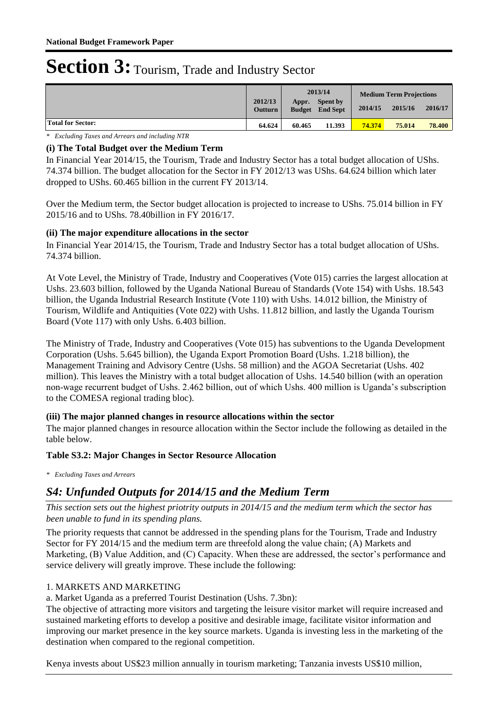|                          | 2012/13<br><b>Outturn</b> | Appr.<br><b>Budget</b> | 2013/14<br><b>Spent by</b><br><b>End Sept</b> | 2014/15 | <b>Medium Term Projections</b><br>2016/17<br>2015/16 |        |  |
|--------------------------|---------------------------|------------------------|-----------------------------------------------|---------|------------------------------------------------------|--------|--|
| <b>Total for Sector:</b> | 64.624                    | 60.465                 | 11.393                                        | 74.374  | 75.014                                               | 78.400 |  |

*\* Excluding Taxes and Arrears and including NTR*

### **(i) The Total Budget over the Medium Term**

In Financial Year 2014/15, the Tourism, Trade and Industry Sector has a total budget allocation of UShs. 74.374 billion. The budget allocation for the Sector in FY 2012/13 was UShs. 64.624 billion which later dropped to UShs. 60.465 billion in the current FY 2013/14.

Over the Medium term, the Sector budget allocation is projected to increase to UShs. 75.014 billion in FY 2015/16 and to UShs. 78.40billion in FY 2016/17.

### **(ii) The major expenditure allocations in the sector**

In Financial Year 2014/15, the Tourism, Trade and Industry Sector has a total budget allocation of UShs. 74.374 billion.

At Vote Level, the Ministry of Trade, Industry and Cooperatives (Vote 015) carries the largest allocation at Ushs. 23.603 billion, followed by the Uganda National Bureau of Standards (Vote 154) with Ushs. 18.543 billion, the Uganda Industrial Research Institute (Vote 110) with Ushs. 14.012 billion, the Ministry of Tourism, Wildlife and Antiquities (Vote 022) with Ushs. 11.812 billion, and lastly the Uganda Tourism Board (Vote 117) with only Ushs. 6.403 billion.

The Ministry of Trade, Industry and Cooperatives (Vote 015) has subventions to the Uganda Development Corporation (Ushs. 5.645 billion), the Uganda Export Promotion Board (Ushs. 1.218 billion), the Management Training and Advisory Centre (Ushs. 58 million) and the AGOA Secretariat (Ushs. 402 million). This leaves the Ministry with a total budget allocation of Ushs. 14.540 billion (with an operation non-wage recurrent budget of Ushs. 2.462 billion, out of which Ushs. 400 million is Uganda's subscription to the COMESA regional trading bloc).

### **(iii) The major planned changes in resource allocations within the sector**

The major planned changes in resource allocation within the Sector include the following as detailed in the table below.

### **Table S3.2: Major Changes in Sector Resource Allocation**

*\* Excluding Taxes and Arrears*

### *S4: Unfunded Outputs for 2014/15 and the Medium Term*

*This section sets out the highest priotrity outputs in 2014/15 and the medium term which the sector has been unable to fund in its spending plans.*

The priority requests that cannot be addressed in the spending plans for the Tourism, Trade and Industry Sector for FY 2014/15 and the medium term are threefold along the value chain; (A) Markets and Marketing, (B) Value Addition, and (C) Capacity. When these are addressed, the sector's performance and service delivery will greatly improve. These include the following:

### 1. MARKETS AND MARKETING

a. Market Uganda as a preferred Tourist Destination (Ushs. 7.3bn):

The objective of attracting more visitors and targeting the leisure visitor market will require increased and sustained marketing efforts to develop a positive and desirable image, facilitate visitor information and improving our market presence in the key source markets. Uganda is investing less in the marketing of the destination when compared to the regional competition.

Kenya invests about US\$23 million annually in tourism marketing; Tanzania invests US\$10 million,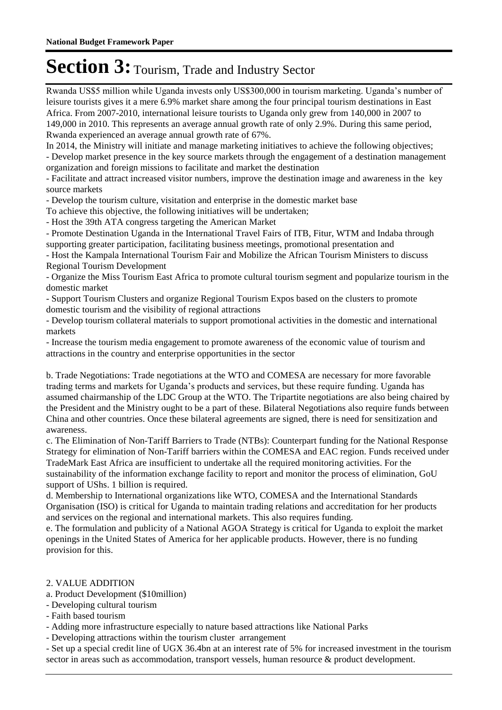Rwanda US\$5 million while Uganda invests only US\$300,000 in tourism marketing. Uganda's number of leisure tourists gives it a mere 6.9% market share among the four principal tourism destinations in East Africa. From 2007-2010, international leisure tourists to Uganda only grew from 140,000 in 2007 to 149,000 in 2010. This represents an average annual growth rate of only 2.9%. During this same period, Rwanda experienced an average annual growth rate of 67%.

In 2014, the Ministry will initiate and manage marketing initiatives to achieve the following objectives;

- Develop market presence in the key source markets through the engagement of a destination management organization and foreign missions to facilitate and market the destination

- Facilitate and attract increased visitor numbers, improve the destination image and awareness in the key source markets

- Develop the tourism culture, visitation and enterprise in the domestic market base

To achieve this objective, the following initiatives will be undertaken;

- Host the 39th ATA congress targeting the American Market

- Promote Destination Uganda in the International Travel Fairs of ITB, Fitur, WTM and Indaba through supporting greater participation, facilitating business meetings, promotional presentation and

- Host the Kampala International Tourism Fair and Mobilize the African Tourism Ministers to discuss Regional Tourism Development

- Organize the Miss Tourism East Africa to promote cultural tourism segment and popularize tourism in the domestic market

- Support Tourism Clusters and organize Regional Tourism Expos based on the clusters to promote domestic tourism and the visibility of regional attractions

- Develop tourism collateral materials to support promotional activities in the domestic and international markets

- Increase the tourism media engagement to promote awareness of the economic value of tourism and attractions in the country and enterprise opportunities in the sector

b. Trade Negotiations: Trade negotiations at the WTO and COMESA are necessary for more favorable trading terms and markets for Uganda's products and services, but these require funding. Uganda has assumed chairmanship of the LDC Group at the WTO. The Tripartite negotiations are also being chaired by the President and the Ministry ought to be a part of these. Bilateral Negotiations also require funds between China and other countries. Once these bilateral agreements are signed, there is need for sensitization and awareness.

c. The Elimination of Non-Tariff Barriers to Trade (NTBs): Counterpart funding for the National Response Strategy for elimination of Non-Tariff barriers within the COMESA and EAC region. Funds received under TradeMark East Africa are insufficient to undertake all the required monitoring activities. For the sustainability of the information exchange facility to report and monitor the process of elimination, GoU support of UShs. 1 billion is required.

d. Membership to International organizations like WTO, COMESA and the International Standards Organisation (ISO) is critical for Uganda to maintain trading relations and accreditation for her products and services on the regional and international markets. This also requires funding.

e. The formulation and publicity of a National AGOA Strategy is critical for Uganda to exploit the market openings in the United States of America for her applicable products. However, there is no funding provision for this.

#### 2. VALUE ADDITION

a. Product Development (\$10million)

- Developing cultural tourism
- Faith based tourism
- Adding more infrastructure especially to nature based attractions like National Parks
- Developing attractions within the tourism cluster arrangement

- Set up a special credit line of UGX 36.4bn at an interest rate of 5% for increased investment in the tourism sector in areas such as accommodation, transport vessels, human resource & product development.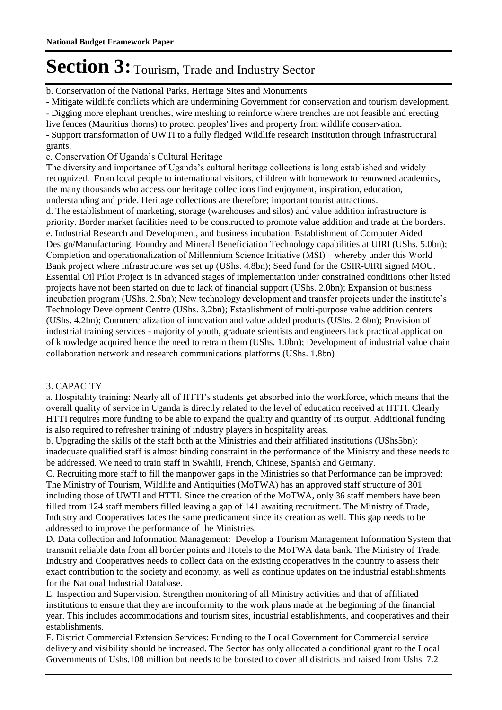b. Conservation of the National Parks, Heritage Sites and Monuments

- Mitigate wildlife conflicts which are undermining Government for conservation and tourism development.

- Digging more elephant trenches, wire meshing to reinforce where trenches are not feasible and erecting

live fences (Mauritius thorns) to protect peoples' lives and property from wildlife conservation.

- Support transformation of UWTI to a fully fledged Wildlife research Institution through infrastructural grants.

c. Conservation Of Uganda's Cultural Heritage

The diversity and importance of Uganda's cultural heritage collections is long established and widely recognized. From local people to international visitors, children with homework to renowned academics, the many thousands who access our heritage collections find enjoyment, inspiration, education, understanding and pride. Heritage collections are therefore; important tourist attractions.

d. The establishment of marketing, storage (warehouses and silos) and value addition infrastructure is priority. Border market facilities need to be constructed to promote value addition and trade at the borders. e. Industrial Research and Development, and business incubation. Establishment of Computer Aided Design/Manufacturing, Foundry and Mineral Beneficiation Technology capabilities at UIRI (UShs. 5.0bn); Completion and operationalization of Millennium Science Initiative (MSI) – whereby under this World Bank project where infrastructure was set up (UShs. 4.8bn); Seed fund for the CSIR-UIRI signed MOU. Essential Oil Pilot Project is in advanced stages of implementation under constrained conditions other listed projects have not been started on due to lack of financial support (UShs. 2.0bn); Expansion of business incubation program (UShs. 2.5bn); New technology development and transfer projects under the institute's Technology Development Centre (UShs. 3.2bn); Establishment of multi-purpose value addition centers (UShs. 4.2bn); Commercialization of innovation and value added products (UShs. 2.6bn); Provision of industrial training services - majority of youth, graduate scientists and engineers lack practical application of knowledge acquired hence the need to retrain them (UShs. 1.0bn); Development of industrial value chain collaboration network and research communications platforms (UShs. 1.8bn)

#### 3. CAPACITY

a. Hospitality training: Nearly all of HTTI's students get absorbed into the workforce, which means that the overall quality of service in Uganda is directly related to the level of education received at HTTI. Clearly HTTI requires more funding to be able to expand the quality and quantity of its output. Additional funding is also required to refresher training of industry players in hospitality areas.

b. Upgrading the skills of the staff both at the Ministries and their affiliated institutions (UShs5bn): inadequate qualified staff is almost binding constraint in the performance of the Ministry and these needs to be addressed. We need to train staff in Swahili, French, Chinese, Spanish and Germany.

C. Recruiting more staff to fill the manpower gaps in the Ministries so that Performance can be improved: The Ministry of Tourism, Wildlife and Antiquities (MoTWA) has an approved staff structure of 301 including those of UWTI and HTTI. Since the creation of the MoTWA, only 36 staff members have been filled from 124 staff members filled leaving a gap of 141 awaiting recruitment. The Ministry of Trade, Industry and Cooperatives faces the same predicament since its creation as well. This gap needs to be addressed to improve the performance of the Ministries.

D. Data collection and Information Management: Develop a Tourism Management Information System that transmit reliable data from all border points and Hotels to the MoTWA data bank. The Ministry of Trade, Industry and Cooperatives needs to collect data on the existing cooperatives in the country to assess their exact contribution to the society and economy, as well as continue updates on the industrial establishments for the National Industrial Database.

E. Inspection and Supervision. Strengthen monitoring of all Ministry activities and that of affiliated institutions to ensure that they are inconformity to the work plans made at the beginning of the financial year. This includes accommodations and tourism sites, industrial establishments, and cooperatives and their establishments.

F. District Commercial Extension Services: Funding to the Local Government for Commercial service delivery and visibility should be increased. The Sector has only allocated a conditional grant to the Local Governments of Ushs.108 million but needs to be boosted to cover all districts and raised from Ushs. 7.2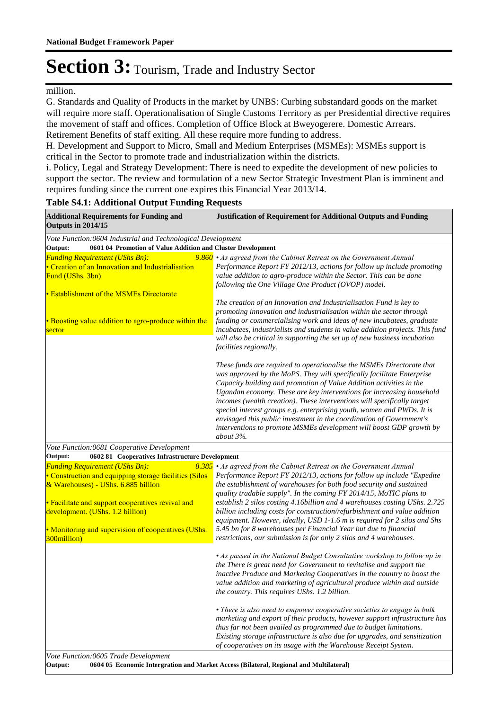million.

G. Standards and Quality of Products in the market by UNBS: Curbing substandard goods on the market will require more staff. Operationalisation of Single Customs Territory as per Presidential directive requires the movement of staff and offices. Completion of Office Block at Bweyogerere. Domestic Arrears. Retirement Benefits of staff exiting. All these require more funding to address.

H. Development and Support to Micro, Small and Medium Enterprises (MSMEs): MSMEs support is critical in the Sector to promote trade and industrialization within the districts.

i. Policy, Legal and Strategy Development: There is need to expedite the development of new policies to support the sector. The review and formulation of a new Sector Strategic Investment Plan is imminent and requires funding since the current one expires this Financial Year 2013/14.

| <b>Additional Requirements for Funding and</b><br>Outputs in 2014/15                                                                   | <b>Justification of Requirement for Additional Outputs and Funding</b>                                                                                                                                                                                                                                                                                                                                                                                                                                                                                                                                               |  |
|----------------------------------------------------------------------------------------------------------------------------------------|----------------------------------------------------------------------------------------------------------------------------------------------------------------------------------------------------------------------------------------------------------------------------------------------------------------------------------------------------------------------------------------------------------------------------------------------------------------------------------------------------------------------------------------------------------------------------------------------------------------------|--|
| Vote Function:0604 Industrial and Technological Development                                                                            |                                                                                                                                                                                                                                                                                                                                                                                                                                                                                                                                                                                                                      |  |
| 0601 04 Promotion of Value Addition and Cluster Development<br>Output:                                                                 |                                                                                                                                                                                                                                                                                                                                                                                                                                                                                                                                                                                                                      |  |
| <b>Funding Requirement (UShs Bn):</b><br>• Creation of an Innovation and Industrialisation<br>Fund (UShs. 3bn)                         | 9.860 • As agreed from the Cabinet Retreat on the Government Annual<br>Performance Report FY 2012/13, actions for follow up include promoting<br>value addition to agro-produce within the Sector. This can be done<br>following the One Village One Product (OVOP) model.                                                                                                                                                                                                                                                                                                                                           |  |
| • Establishment of the MSMEs Directorate                                                                                               |                                                                                                                                                                                                                                                                                                                                                                                                                                                                                                                                                                                                                      |  |
| • Boosting value addition to agro-produce within the<br>sector                                                                         | The creation of an Innovation and Industrialisation Fund is key to<br>promoting innovation and industrialisation within the sector through<br>funding or commercialising work and ideas of new incubatees, graduate<br>incubatees, industrialists and students in value addition projects. This fund<br>will also be critical in supporting the set up of new business incubation<br>facilities regionally.                                                                                                                                                                                                          |  |
|                                                                                                                                        | These funds are required to operationalise the MSMEs Directorate that<br>was approved by the MoPS. They will specifically facilitate Enterprise<br>Capacity building and promotion of Value Addition activities in the<br>Ugandan economy. These are key interventions for increasing household<br>incomes (wealth creation). These interventions will specifically target<br>special interest groups e.g. enterprising youth, women and PWDs. It is<br>envisaged this public investment in the coordination of Government's<br>interventions to promote MSMEs development will boost GDP growth by<br>about $3\%$ . |  |
| Vote Function:0681 Cooperative Development                                                                                             |                                                                                                                                                                                                                                                                                                                                                                                                                                                                                                                                                                                                                      |  |
| 0602 81 Cooperatives Infrastructure Development<br>Output:                                                                             |                                                                                                                                                                                                                                                                                                                                                                                                                                                                                                                                                                                                                      |  |
| <b>Funding Requirement (UShs Bn):</b><br>• Construction and equipping storage facilities (Silos<br>& Warehouses) - UShs. 6.885 billion | 8.385 • As agreed from the Cabinet Retreat on the Government Annual<br>Performance Report FY 2012/13, actions for follow up include "Expedite<br>the establishment of warehouses for both food security and sustained<br>quality tradable supply". In the coming FY 2014/15, MoTIC plans to                                                                                                                                                                                                                                                                                                                          |  |
| • Facilitate and support cooperatives revival and<br>development. (UShs. 1.2 billion)                                                  | establish 2 silos costing 4.16billion and 4 warehouses costing UShs. 2.725<br>billion including costs for construction/refurbishment and value addition<br>equipment. However, ideally, USD 1-1.6 m is required for 2 silos and Shs                                                                                                                                                                                                                                                                                                                                                                                  |  |
| • Monitoring and supervision of cooperatives (UShs.<br>300million)                                                                     | 5.45 bn for 8 warehouses per Financial Year but due to financial<br>restrictions, our submission is for only 2 silos and 4 warehouses.                                                                                                                                                                                                                                                                                                                                                                                                                                                                               |  |
|                                                                                                                                        | • As passed in the National Budget Consultative workshop to follow up in<br>the There is great need for Government to revitalise and support the<br>inactive Produce and Marketing Cooperatives in the country to boost the<br>value addition and marketing of agricultural produce within and outside<br>the country. This requires UShs. 1.2 billion.                                                                                                                                                                                                                                                              |  |
|                                                                                                                                        | • There is also need to empower cooperative societies to engage in bulk<br>marketing and export of their products, however support infrastructure has<br>thus far not been availed as programmed due to budget limitations.<br>Existing storage infrastructure is also due for upgrades, and sensitization<br>of cooperatives on its usage with the Warehouse Receipt System.                                                                                                                                                                                                                                        |  |
| Vote Function:0605 Trade Development                                                                                                   |                                                                                                                                                                                                                                                                                                                                                                                                                                                                                                                                                                                                                      |  |
| Output:                                                                                                                                | 0604 05 Economic Intergration and Market Access (Bilateral, Regional and Multilateral)                                                                                                                                                                                                                                                                                                                                                                                                                                                                                                                               |  |

#### **Table S4.1: Additional Output Funding Requests**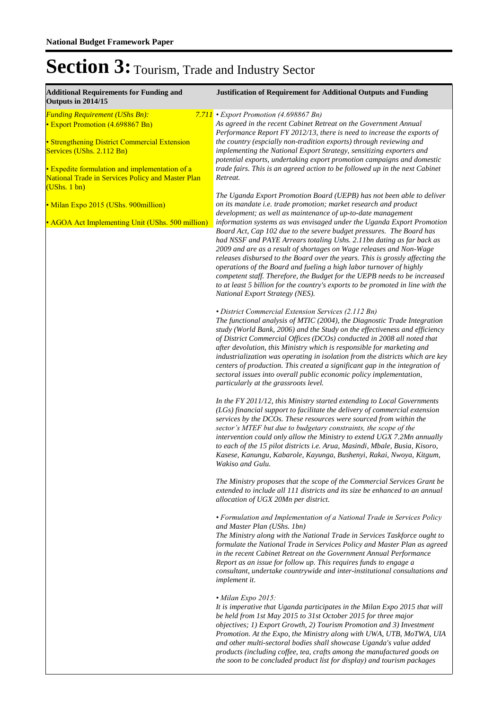| <b>Additional Requirements for Funding and</b><br>Outputs in 2014/15                                                                                                                                                                                                    | <b>Justification of Requirement for Additional Outputs and Funding</b>                                                                                                                                                                                                                                                                                                                                                                                                                                                                                                                                                                                    |
|-------------------------------------------------------------------------------------------------------------------------------------------------------------------------------------------------------------------------------------------------------------------------|-----------------------------------------------------------------------------------------------------------------------------------------------------------------------------------------------------------------------------------------------------------------------------------------------------------------------------------------------------------------------------------------------------------------------------------------------------------------------------------------------------------------------------------------------------------------------------------------------------------------------------------------------------------|
| <b>Funding Requirement (UShs Bn):</b><br>7.711<br>• Export Promotion (4.698867 Bn)<br>• Strengthening District Commercial Extension<br>Services (UShs. 2.112 Bn)<br>• Expedite formulation and implementation of a<br>National Trade in Services Policy and Master Plan | • Export Promotion (4.698867 Bn)<br>As agreed in the recent Cabinet Retreat on the Government Annual<br>Performance Report FY 2012/13, there is need to increase the exports of<br>the country (espcially non-tradition exports) through reviewing and<br>implementing the National Export Strategy, sensitizing exporters and<br>potential exports, undertaking export promotion campaigns and domestic<br>trade fairs. This is an agreed action to be followed up in the next Cabinet<br>Retreat.                                                                                                                                                       |
| (UShs. 1 bm)<br>• Milan Expo 2015 (UShs. 900 million)                                                                                                                                                                                                                   | The Uganda Export Promotion Board (UEPB) has not been able to deliver<br>on its mandate i.e. trade promotion; market research and product<br>development; as well as maintenance of up-to-date management                                                                                                                                                                                                                                                                                                                                                                                                                                                 |
| • AGOA Act Implementing Unit (UShs. 500 million)                                                                                                                                                                                                                        | information systems as was envisaged under the Uganda Export Promotion<br>Board Act, Cap 102 due to the severe budget pressures. The Board has<br>had NSSF and PAYE Arrears totaling Ushs. 2.11bn dating as far back as<br>2009 and are as a result of shortages on Wage releases and Non-Wage<br>releases disbursed to the Board over the years. This is grossly affecting the<br>operations of the Board and fueling a high labor turnover of highly<br>competent staff. Therefore, the Budget for the UEPB needs to be increased<br>to at least 5 billion for the country's exports to be promoted in line with the<br>National Export Strategy (NES). |
|                                                                                                                                                                                                                                                                         | • District Commercial Extension Services (2.112 Bn)<br>The functional analysis of MTIC (2004), the Diagnostic Trade Integration<br>study (World Bank, 2006) and the Study on the effectiveness and efficiency<br>of District Commercial Offices (DCOs) conducted in 2008 all noted that<br>after devolution, this Ministry which is responsible for marketing and<br>industrialization was operating in isolation from the districts which are key<br>centers of production. This created a significant gap in the integration of<br>sectoral issues into overall public economic policy implementation,<br>particularly at the grassroots level.         |
|                                                                                                                                                                                                                                                                         | In the FY 2011/12, this Ministry started extending to Local Governments<br>(LGs) financial support to facilitate the delivery of commercial extension<br>services by the DCOs. These resources were sourced from within the<br>sector's MTEF but due to budgetary constraints, the scope of the<br>intervention could only allow the Ministry to extend UGX 7.2Mn annually<br>to each of the 15 pilot districts i.e. Arua, Masindi, Mbale, Busia, Kisoro,<br>Kasese, Kanungu, Kabarole, Kayunga, Bushenyi, Rakai, Nwoya, Kitgum,<br>Wakiso and Gulu.                                                                                                      |
|                                                                                                                                                                                                                                                                         | The Ministry proposes that the scope of the Commercial Services Grant be<br>extended to include all 111 districts and its size be enhanced to an annual<br>allocation of UGX 20Mn per district.                                                                                                                                                                                                                                                                                                                                                                                                                                                           |
|                                                                                                                                                                                                                                                                         | • Formulation and Implementation of a National Trade in Services Policy<br>and Master Plan (UShs. 1bn)<br>The Ministry along with the National Trade in Services Taskforce ought to<br>formulate the National Trade in Services Policy and Master Plan as agreed<br>in the recent Cabinet Retreat on the Government Annual Performance<br>Report as an issue for follow up. This requires funds to engage a<br>consultant, undertake countrywide and inter-institutional consultations and<br>implement it.                                                                                                                                               |
|                                                                                                                                                                                                                                                                         | • Milan Expo 2015:<br>It is imperative that Uganda participates in the Milan Expo 2015 that will<br>be held from 1st May 2015 to 31st October 2015 for three major<br>objectives; 1) Export Growth, 2) Tourism Promotion and 3) Investment<br>Promotion. At the Expo, the Ministry along with UWA, UTB, MoTWA, UIA<br>and other multi-sectoral bodies shall showcase Uganda's value added<br>products (including coffee, tea, crafts among the manufactured goods on<br>the soon to be concluded product list for display) and tourism packages                                                                                                           |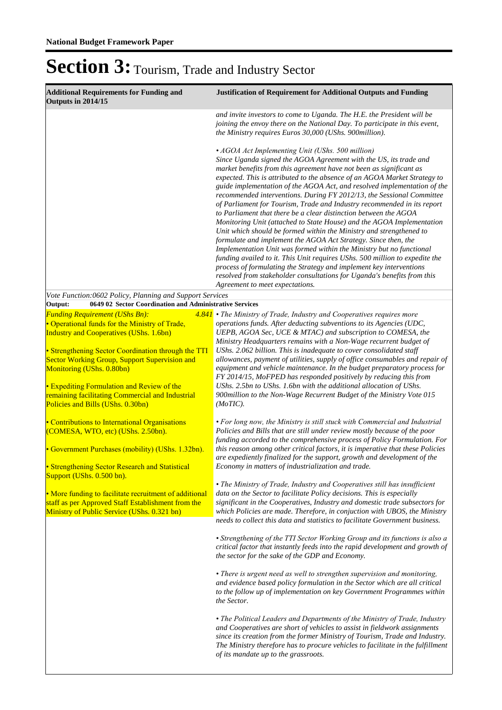| <b>Additional Requirements for Funding and</b><br>Outputs in 2014/15                                                                                        | <b>Justification of Requirement for Additional Outputs and Funding</b>                                                                                                                                                                                                                                                                                                                                                                                                                                                                                                                                                                                                                                                                                                                                                                                                                                                                                                                                                                                                                                                                      |  |
|-------------------------------------------------------------------------------------------------------------------------------------------------------------|---------------------------------------------------------------------------------------------------------------------------------------------------------------------------------------------------------------------------------------------------------------------------------------------------------------------------------------------------------------------------------------------------------------------------------------------------------------------------------------------------------------------------------------------------------------------------------------------------------------------------------------------------------------------------------------------------------------------------------------------------------------------------------------------------------------------------------------------------------------------------------------------------------------------------------------------------------------------------------------------------------------------------------------------------------------------------------------------------------------------------------------------|--|
|                                                                                                                                                             | and invite investors to come to Uganda. The H.E. the President will be<br>joining the envoy there on the National Day. To participate in this event,<br>the Ministry requires Euros 30,000 (UShs. 900million).                                                                                                                                                                                                                                                                                                                                                                                                                                                                                                                                                                                                                                                                                                                                                                                                                                                                                                                              |  |
|                                                                                                                                                             | • AGOA Act Implementing Unit (UShs. 500 million)<br>Since Uganda signed the AGOA Agreement with the US, its trade and<br>market benefits from this agreement have not been as significant as<br>expected. This is attributed to the absence of an AGOA Market Strategy to<br>guide implementation of the AGOA Act, and resolved implementation of the<br>recommended interventions. During FY 2012/13, the Sessional Committee<br>of Parliament for Tourism, Trade and Industry recommended in its report<br>to Parliament that there be a clear distinction between the AGOA<br>Monitoring Unit (attached to State House) and the AGOA Implementation<br>Unit which should be formed within the Ministry and strengthened to<br>formulate and implement the AGOA Act Strategy. Since then, the<br>Implementation Unit was formed within the Ministry but no functional<br>funding availed to it. This Unit requires UShs. 500 million to expedite the<br>process of formulating the Strategy and implement key interventions<br>resolved from stakeholder consultations for Uganda's benefits from this<br>Agreement to meet expectations. |  |
| Vote Function:0602 Policy, Planning and Support Services<br>0649 02 Sector Coordination and Administrative Services<br>Output:                              |                                                                                                                                                                                                                                                                                                                                                                                                                                                                                                                                                                                                                                                                                                                                                                                                                                                                                                                                                                                                                                                                                                                                             |  |
| <b>Funding Requirement (UShs Bn):</b>                                                                                                                       | 4.841 • The Ministry of Trade, Industry and Cooperatives requires more                                                                                                                                                                                                                                                                                                                                                                                                                                                                                                                                                                                                                                                                                                                                                                                                                                                                                                                                                                                                                                                                      |  |
| • Operational funds for the Ministry of Trade,<br>Industry and Cooperatives (UShs. 1.6bn)                                                                   | operations funds. After deducting subventions to its Agencies (UDC,<br>UEPB, AGOA Sec, UCE & MTAC) and subscription to COMESA, the<br>Ministry Headquarters remains with a Non-Wage recurrent budget of                                                                                                                                                                                                                                                                                                                                                                                                                                                                                                                                                                                                                                                                                                                                                                                                                                                                                                                                     |  |
| • Strengthening Sector Coordination through the TTI<br>Sector Working Group, Support Supervision and<br>Monitoring (UShs. 0.80bn)                           | UShs. 2.062 billion. This is inadequate to cover consolidated staff<br>allowances, payment of utilities, supply of office consumables and repair of<br>equipment and vehicle maintenance. In the budget preparatory process for<br>FY 2014/15, MoFPED has responded positively by reducing this from                                                                                                                                                                                                                                                                                                                                                                                                                                                                                                                                                                                                                                                                                                                                                                                                                                        |  |
| • Expediting Formulation and Review of the<br>remaining facilitating Commercial and Industrial<br>Policies and Bills (UShs. 0.30bn)                         | UShs. 2.5bn to UShs. 1.6bn with the additional allocation of UShs.<br>900million to the Non-Wage Recurrent Budget of the Ministry Vote 015<br>(MoTIC).                                                                                                                                                                                                                                                                                                                                                                                                                                                                                                                                                                                                                                                                                                                                                                                                                                                                                                                                                                                      |  |
| • Contributions to International Organisations<br>(COMESA, WTO, etc) (UShs. 2.50bn).                                                                        | • For long now, the Ministry is still stuck with Commercial and Industrial<br>Policies and Bills that are still under review mostly because of the poor<br>funding accorded to the comprehensive process of Policy Formulation. For                                                                                                                                                                                                                                                                                                                                                                                                                                                                                                                                                                                                                                                                                                                                                                                                                                                                                                         |  |
| • Government Purchases (mobility) (UShs. 1.32bn).<br>• Strengthening Sector Research and Statistical                                                        | this reason among other critical factors, it is imperative that these Policies<br>are expediently finalized for the support, growth and development of the<br>Economy in matters of industrialization and trade.                                                                                                                                                                                                                                                                                                                                                                                                                                                                                                                                                                                                                                                                                                                                                                                                                                                                                                                            |  |
| Support (UShs. 0.500 bn).                                                                                                                                   | • The Ministry of Trade, Industry and Cooperatives still has insufficient                                                                                                                                                                                                                                                                                                                                                                                                                                                                                                                                                                                                                                                                                                                                                                                                                                                                                                                                                                                                                                                                   |  |
| • More funding to facilitate recruitment of additional<br>staff as per Approved Staff Establishment from the<br>Ministry of Public Service (UShs. 0.321 bn) | data on the Sector to facilitate Policy decisions. This is especially<br>significant in the Cooperatives, Industry and domestic trade subsectors for<br>which Policies are made. Therefore, in conjuction with UBOS, the Ministry<br>needs to collect this data and statistics to facilitate Government business.                                                                                                                                                                                                                                                                                                                                                                                                                                                                                                                                                                                                                                                                                                                                                                                                                           |  |
|                                                                                                                                                             | • Strengthening of the TTI Sector Working Group and its functions is also a<br>critical factor that instantly feeds into the rapid development and growth of<br>the sector for the sake of the GDP and Economy.                                                                                                                                                                                                                                                                                                                                                                                                                                                                                                                                                                                                                                                                                                                                                                                                                                                                                                                             |  |
|                                                                                                                                                             | • There is urgent need as well to strengthen supervision and monitoring,<br>and evidence based policy formulation in the Sector which are all critical<br>to the follow up of implementation on key Government Programmes within<br>the Sector.                                                                                                                                                                                                                                                                                                                                                                                                                                                                                                                                                                                                                                                                                                                                                                                                                                                                                             |  |
|                                                                                                                                                             | • The Political Leaders and Departments of the Ministry of Trade, Industry<br>and Cooperatives are short of vehicles to assist in fieldwork assignments<br>since its creation from the former Ministry of Tourism, Trade and Industry.<br>The Ministry therefore has to procure vehicles to facilitate in the fulfillment<br>of its mandate up to the grassroots.                                                                                                                                                                                                                                                                                                                                                                                                                                                                                                                                                                                                                                                                                                                                                                           |  |